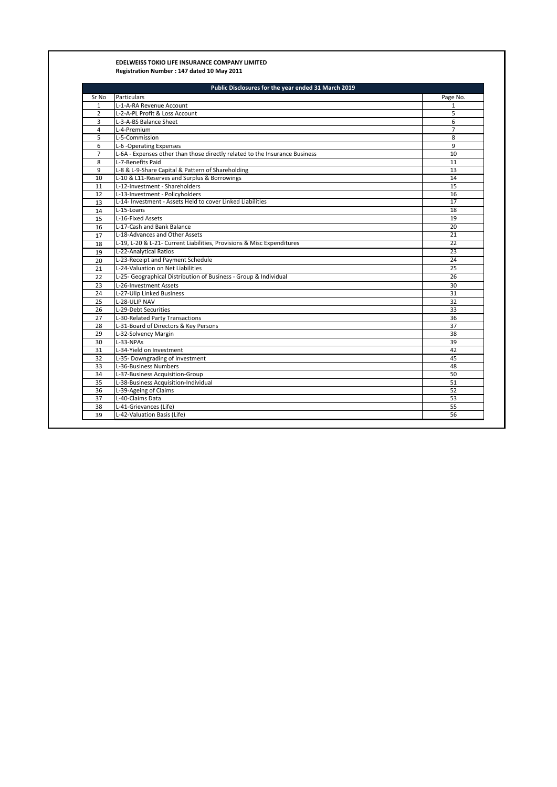## **EDELWEISS TOKIO LIFE INSURANCE COMPANY LIMITED Registration Number : 147 dated 10 May 2011**

| Sr No           | <b>Particulars</b>                                                          | Page No.        |
|-----------------|-----------------------------------------------------------------------------|-----------------|
| $\mathbf{1}$    | L-1-A-RA Revenue Account                                                    | $\mathbf{1}$    |
| $\overline{2}$  | L-2-A-PL Profit & Loss Account                                              | 5               |
| 3               | L-3-A-BS Balance Sheet                                                      | 6               |
| 4               | L-4-Premium                                                                 | $\overline{7}$  |
| 5               | L-5-Commission                                                              | 8               |
| 6               | L-6 -Operating Expenses                                                     | 9               |
| $\overline{7}$  | L-6A - Expenses other than those directly related to the Insurance Business | 10              |
| 8               | L-7-Benefits Paid                                                           | 11              |
| 9               | L-8 & L-9-Share Capital & Pattern of Shareholding                           | 13              |
| 10              | L-10 & L11-Reserves and Surplus & Borrowings                                | 14              |
| 11              | L-12-Investment - Shareholders                                              | 15              |
| 12              | L-13-Investment - Policyholders                                             | 16              |
| 13              | L-14- Investment - Assets Held to cover Linked Liabilities                  | 17              |
| 14              | L-15-Loans                                                                  | 18              |
| 15              | L-16-Fixed Assets                                                           | 19              |
| 16              | L-17-Cash and Bank Balance                                                  | 20              |
| 17              | L-18-Advances and Other Assets                                              | 21              |
| 18              | L-19, L-20 & L-21- Current Liabilities, Provisions & Misc Expenditures      | 22              |
| 19              | L-22-Analytical Ratios                                                      | 23              |
| 20              | L-23-Receipt and Payment Schedule                                           | 24              |
| 21              | L-24-Valuation on Net Liabilities                                           | 25              |
| 22              | L-25- Geographical Distribution of Business - Group & Individual            | 26              |
| 23              | L-26-Investment Assets                                                      | 30              |
| 24              | L-27-Ulip Linked Business                                                   | $\overline{31}$ |
| 25              | L-28-ULIP NAV                                                               | 32              |
| 26              | L-29-Debt Securities                                                        | 33              |
| 27              | L-30-Related Party Transactions                                             | 36              |
| 28              | L-31-Board of Directors & Key Persons                                       | 37              |
| 29              | L-32-Solvency Margin                                                        | 38              |
| 30              | L-33-NPAs                                                                   | 39              |
| 31              | L-34-Yield on Investment                                                    | 42              |
| 32              | L-35- Downgrading of Investment                                             | 45              |
| 33              | L-36-Business Numbers                                                       | 48              |
| 34              | L-37-Business Acquisition-Group                                             | 50              |
| 35              | L-38-Business Acquisition-Individual                                        | 51              |
| 36              | L-39-Ageing of Claims                                                       | 52              |
| $\overline{37}$ | L-40-Claims Data                                                            | 53              |
| 38              | L-41-Grievances (Life)                                                      | 55              |
| 39              | L-42-Valuation Basis (Life)                                                 | 56              |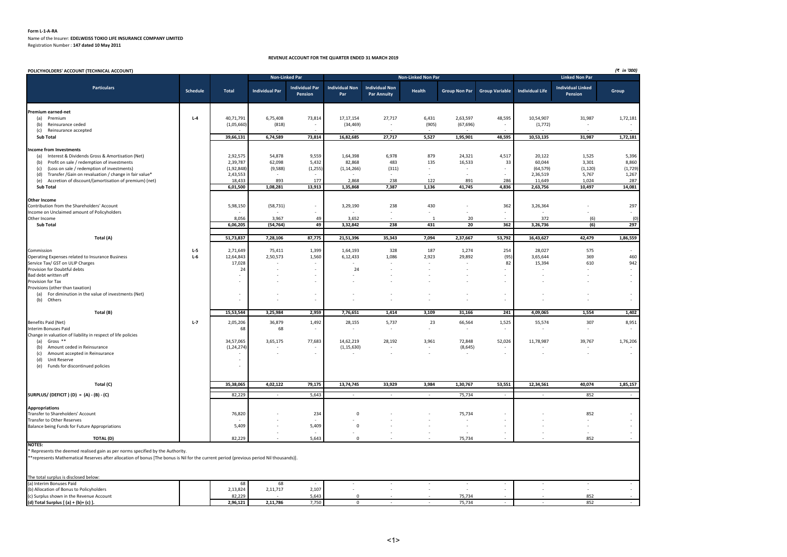#### **Form L-1-A-RA**

Name of the Insurer: **EDELWEISS TOKIO LIFE INSURANCE COMPANY LIMITED**

Registration Number : **147 dated 10 May 2011**

#### **REVENUE ACCOUNT FOR THE QUARTER ENDED 31 MARCH 2019**

| <b>Non-Linked Par</b><br>Non-Linked Non Par<br><b>Linked Non Par</b><br><b>Individual Non</b><br><b>Individual Non</b><br><b>Individual Par</b><br><b>Individual Linked</b><br><b>Particulars</b><br><b>Individual Life</b><br>Schedule<br><b>Total</b><br><b>Individual Par</b><br>Health<br>Group Non Par Group Variable<br>Group<br><b>Par Annuity</b><br>Pension<br>Par<br>Pension<br>Premium earned-net<br>$L - 4$<br>40,71,791<br>6,75,408<br>73,814<br>17,17,154<br>27,717<br>6,431<br>2,63,597<br>48,595<br>10,54,907<br>31,987<br>1,72,181<br>(a) Premium<br>(1,05,660)<br>(818)<br>(34, 469)<br>(905)<br>(67, 696)<br>(1, 772)<br>Reinsurance ceded<br>(b)<br>$\sim$<br>$\sim$<br>Reinsurance accepted<br>(c)<br>39,66,131<br>6,74,589<br>73,814<br>16,82,685<br>27,717<br>5,527<br>1,95,901<br>48,595<br>10,53,135<br>1,72,181<br>31,987<br><b>Sub Total</b><br><b>Income from Investments</b><br>9,559<br>(a) Interest & Dividends Gross & Amortisation (Net)<br>2,92,575<br>54,878<br>1,64,398<br>6,978<br>879<br>24,321<br>4,517<br>20,122<br>1,525<br>5,396<br>Profit on sale / redemption of investments<br>2,39,787<br>62,098<br>5,432<br>82,868<br>483<br>135<br>16,533<br>33<br>60,044<br>3,301<br>8,860<br>(b)<br>(Loss on sale / redemption of investments)<br>(9,588)<br>(1, 255)<br>(311)<br>(64, 579)<br>(1,729)<br>(1,92,848)<br>(1, 14, 266)<br>(1, 120)<br>(c)<br>$\sim$<br>Transfer / Gain on revaluation / change in fair value*<br>2,43,553<br>2,36,519<br>5,767<br>1,267<br>(d)<br>Accretion of discount/(amortisation of premium) (net)<br>18,433<br>893<br>177<br>2,868<br>238<br>122<br>891<br>286<br>11,649<br>1,024<br>287<br>(e)<br>6,01,500<br>1,08,281<br>13,913<br>1,35,868<br>7,387<br>1,136<br>41,745<br>4,836<br>2,63,756<br>10,497<br>14,081<br><b>Sub Total</b><br><b>Other Income</b><br>5,98,150<br>(58, 731)<br>238<br>430<br>362<br>3,26,364<br>297<br>3,29,190<br>Contribution from the Shareholders' Account<br>$\sim$<br>$\sim$<br>Income on Unclaimed amount of Policyholders<br>$\sim$<br>3,967<br>3,652<br>372<br>(6)<br>Other Income<br>8,056<br>49<br>20<br>(0)<br>Sub Total<br>6,06,205<br>(54, 764)<br>49<br>3,32,842<br>238<br>431<br>20<br>362<br>3,26,736<br>(6)<br>297<br>87,775<br>53,792<br>1,86,559<br>Total (A)<br>51,73,837<br>7,28,106<br>21,51,396<br>35,343<br>7,094<br>2,37,667<br>16,43,627<br>42,479<br>2,71,649<br>187<br>254<br>28,027<br>575<br>Commission<br>$L-5$<br>75,411<br>1,399<br>1,64,193<br>328<br>1,274<br>Operating Expenses related to Insurance Business<br>$L-6$<br>12,64,843<br>2,50,573<br>1,560<br>6,12,433<br>1,086<br>2,923<br>29,892<br>(95<br>3,65,644<br>369<br>460<br>15,394<br>942<br>Service Tax/ GST on ULIP Charges<br>17,028<br>82<br>610<br>Provision for Doubtful debts<br>24<br>24<br>Bad debt written off<br>$\sim$<br>Provision for Tax<br>Provisions (other than taxation)<br>(a) For diminution in the value of investments (Net)<br>$\overline{\phantom{a}}$<br>Others<br>(b)<br>$\sim$<br>$\sim$<br>$\overline{a}$<br>÷,<br>15,53,544<br>3,25,984<br>2,959<br>3,109<br>4,09,065<br>1,554<br>1,402<br>Total (B)<br>7,76,651<br>1,414<br>31,166<br>241<br>Benefits Paid (Net)<br>$L-7$<br>2,05,206<br>36,879<br>1,492<br>28,155<br>5,737<br>23<br>66,564<br>1,525<br>55,574<br>307<br>8,951<br><b>Interim Bonuses Paid</b><br>68<br>68<br>Change in valuation of liability in respect of life policies<br>Gross **<br>34,57,065<br>28,192<br>3,961<br>52,026<br>39,767<br>3,65,175<br>77,683<br>14,62,219<br>72,848<br>11,78,987<br>1,76,206<br>(a)<br>(1, 24, 274)<br>(1, 15, 630)<br>(8,645)<br>Amount ceded in Reinsurance<br>(b)<br>$\sim$<br>$\sim$<br>Amount accepted in Reinsurance<br>(c)<br>Unit Reserve<br>(d)<br>$\sim$<br>Funds for discontinued policies<br>(e)<br>35,38,065<br>4,02,122<br>79,175<br>13,74,745<br>33,929<br>3,984<br>1,30,767<br>53,551<br>12,34,561<br>40,074<br>1,85,157<br>Total (C)<br>SURPLUS/(DEFICIT) (D) = $(A) - (B) - (C)$<br>82,229<br>5,643<br>75,734<br>852<br>$\overline{a}$<br>$\sim$<br><b>Appropriations</b><br>76,820<br>234<br>$\mathbf 0$<br>75,734<br>852<br>Transfer to Shareholders' Account<br>Transfer to Other Reserves<br>5,409<br>5,409<br>$\mathsf 0$<br>Balance being Funds for Future Appropriations<br>$\sim$<br><b>TOTAL (D)</b><br>82,229<br>5,643<br>$\mathbf 0$<br>75,734<br>852<br><b>NOTES:</b><br>* Represents the deemed realised gain as per norms specified by the Authority.<br>**represents Mathematical Reserves after allocation of bonus [The bonus is Nil for the current period (previous period Nil thousands)].<br>The total surplus is disclosed below:<br>(a) Interim Bonuses Paid<br>68<br>68<br>$\sim$<br>(b) Allocation of Bonus to Policyholders<br>2,13,824<br>2,11,717<br>2,107<br>82,229<br>75,734<br>852<br>(c) Surplus shown in the Revenue Account<br>5,643<br>$\mathbf 0$ | POLICYHOLDERS' ACCOUNT (TECHNICAL ACCOUNT) |          |          |       |             |  |        |  |     | (₹ in '000) |
|------------------------------------------------------------------------------------------------------------------------------------------------------------------------------------------------------------------------------------------------------------------------------------------------------------------------------------------------------------------------------------------------------------------------------------------------------------------------------------------------------------------------------------------------------------------------------------------------------------------------------------------------------------------------------------------------------------------------------------------------------------------------------------------------------------------------------------------------------------------------------------------------------------------------------------------------------------------------------------------------------------------------------------------------------------------------------------------------------------------------------------------------------------------------------------------------------------------------------------------------------------------------------------------------------------------------------------------------------------------------------------------------------------------------------------------------------------------------------------------------------------------------------------------------------------------------------------------------------------------------------------------------------------------------------------------------------------------------------------------------------------------------------------------------------------------------------------------------------------------------------------------------------------------------------------------------------------------------------------------------------------------------------------------------------------------------------------------------------------------------------------------------------------------------------------------------------------------------------------------------------------------------------------------------------------------------------------------------------------------------------------------------------------------------------------------------------------------------------------------------------------------------------------------------------------------------------------------------------------------------------------------------------------------------------------------------------------------------------------------------------------------------------------------------------------------------------------------------------------------------------------------------------------------------------------------------------------------------------------------------------------------------------------------------------------------------------------------------------------------------------------------------------------------------------------------------------------------------------------------------------------------------------------------------------------------------------------------------------------------------------------------------------------------------------------------------------------------------------------------------------------------------------------------------------------------------------------------------------------------------------------------------------------------------------------------------------------------------------------------------------------------------------------------------------------------------------------------------------------------------------------------------------------------------------------------------------------------------------------------------------------------------------------------------------------------------------------------------------------------------------------------------------------------------------------------------------------------------------------------------------------------------------------------------------------------------------------------------------------------------------------------------------------------------------------------------------------------------------------------------------------------------------------------------------------------------------------------------------------------------------------------------------------------------------------------------------------------------------------------------------------------------------------------------------------------------------------------------------------------------------------------|--------------------------------------------|----------|----------|-------|-------------|--|--------|--|-----|-------------|
|                                                                                                                                                                                                                                                                                                                                                                                                                                                                                                                                                                                                                                                                                                                                                                                                                                                                                                                                                                                                                                                                                                                                                                                                                                                                                                                                                                                                                                                                                                                                                                                                                                                                                                                                                                                                                                                                                                                                                                                                                                                                                                                                                                                                                                                                                                                                                                                                                                                                                                                                                                                                                                                                                                                                                                                                                                                                                                                                                                                                                                                                                                                                                                                                                                                                                                                                                                                                                                                                                                                                                                                                                                                                                                                                                                                                                                                                                                                                                                                                                                                                                                                                                                                                                                                                                                                                                                                                                                                                                                                                                                                                                                                                                                                                                                                                                                                                                          |                                            |          |          |       |             |  |        |  |     |             |
|                                                                                                                                                                                                                                                                                                                                                                                                                                                                                                                                                                                                                                                                                                                                                                                                                                                                                                                                                                                                                                                                                                                                                                                                                                                                                                                                                                                                                                                                                                                                                                                                                                                                                                                                                                                                                                                                                                                                                                                                                                                                                                                                                                                                                                                                                                                                                                                                                                                                                                                                                                                                                                                                                                                                                                                                                                                                                                                                                                                                                                                                                                                                                                                                                                                                                                                                                                                                                                                                                                                                                                                                                                                                                                                                                                                                                                                                                                                                                                                                                                                                                                                                                                                                                                                                                                                                                                                                                                                                                                                                                                                                                                                                                                                                                                                                                                                                                          |                                            |          |          |       |             |  |        |  |     |             |
|                                                                                                                                                                                                                                                                                                                                                                                                                                                                                                                                                                                                                                                                                                                                                                                                                                                                                                                                                                                                                                                                                                                                                                                                                                                                                                                                                                                                                                                                                                                                                                                                                                                                                                                                                                                                                                                                                                                                                                                                                                                                                                                                                                                                                                                                                                                                                                                                                                                                                                                                                                                                                                                                                                                                                                                                                                                                                                                                                                                                                                                                                                                                                                                                                                                                                                                                                                                                                                                                                                                                                                                                                                                                                                                                                                                                                                                                                                                                                                                                                                                                                                                                                                                                                                                                                                                                                                                                                                                                                                                                                                                                                                                                                                                                                                                                                                                                                          |                                            |          |          |       |             |  |        |  |     |             |
|                                                                                                                                                                                                                                                                                                                                                                                                                                                                                                                                                                                                                                                                                                                                                                                                                                                                                                                                                                                                                                                                                                                                                                                                                                                                                                                                                                                                                                                                                                                                                                                                                                                                                                                                                                                                                                                                                                                                                                                                                                                                                                                                                                                                                                                                                                                                                                                                                                                                                                                                                                                                                                                                                                                                                                                                                                                                                                                                                                                                                                                                                                                                                                                                                                                                                                                                                                                                                                                                                                                                                                                                                                                                                                                                                                                                                                                                                                                                                                                                                                                                                                                                                                                                                                                                                                                                                                                                                                                                                                                                                                                                                                                                                                                                                                                                                                                                                          |                                            |          |          |       |             |  |        |  |     |             |
|                                                                                                                                                                                                                                                                                                                                                                                                                                                                                                                                                                                                                                                                                                                                                                                                                                                                                                                                                                                                                                                                                                                                                                                                                                                                                                                                                                                                                                                                                                                                                                                                                                                                                                                                                                                                                                                                                                                                                                                                                                                                                                                                                                                                                                                                                                                                                                                                                                                                                                                                                                                                                                                                                                                                                                                                                                                                                                                                                                                                                                                                                                                                                                                                                                                                                                                                                                                                                                                                                                                                                                                                                                                                                                                                                                                                                                                                                                                                                                                                                                                                                                                                                                                                                                                                                                                                                                                                                                                                                                                                                                                                                                                                                                                                                                                                                                                                                          |                                            |          |          |       |             |  |        |  |     |             |
|                                                                                                                                                                                                                                                                                                                                                                                                                                                                                                                                                                                                                                                                                                                                                                                                                                                                                                                                                                                                                                                                                                                                                                                                                                                                                                                                                                                                                                                                                                                                                                                                                                                                                                                                                                                                                                                                                                                                                                                                                                                                                                                                                                                                                                                                                                                                                                                                                                                                                                                                                                                                                                                                                                                                                                                                                                                                                                                                                                                                                                                                                                                                                                                                                                                                                                                                                                                                                                                                                                                                                                                                                                                                                                                                                                                                                                                                                                                                                                                                                                                                                                                                                                                                                                                                                                                                                                                                                                                                                                                                                                                                                                                                                                                                                                                                                                                                                          |                                            |          |          |       |             |  |        |  |     |             |
|                                                                                                                                                                                                                                                                                                                                                                                                                                                                                                                                                                                                                                                                                                                                                                                                                                                                                                                                                                                                                                                                                                                                                                                                                                                                                                                                                                                                                                                                                                                                                                                                                                                                                                                                                                                                                                                                                                                                                                                                                                                                                                                                                                                                                                                                                                                                                                                                                                                                                                                                                                                                                                                                                                                                                                                                                                                                                                                                                                                                                                                                                                                                                                                                                                                                                                                                                                                                                                                                                                                                                                                                                                                                                                                                                                                                                                                                                                                                                                                                                                                                                                                                                                                                                                                                                                                                                                                                                                                                                                                                                                                                                                                                                                                                                                                                                                                                                          |                                            |          |          |       |             |  |        |  |     |             |
|                                                                                                                                                                                                                                                                                                                                                                                                                                                                                                                                                                                                                                                                                                                                                                                                                                                                                                                                                                                                                                                                                                                                                                                                                                                                                                                                                                                                                                                                                                                                                                                                                                                                                                                                                                                                                                                                                                                                                                                                                                                                                                                                                                                                                                                                                                                                                                                                                                                                                                                                                                                                                                                                                                                                                                                                                                                                                                                                                                                                                                                                                                                                                                                                                                                                                                                                                                                                                                                                                                                                                                                                                                                                                                                                                                                                                                                                                                                                                                                                                                                                                                                                                                                                                                                                                                                                                                                                                                                                                                                                                                                                                                                                                                                                                                                                                                                                                          |                                            |          |          |       |             |  |        |  |     |             |
|                                                                                                                                                                                                                                                                                                                                                                                                                                                                                                                                                                                                                                                                                                                                                                                                                                                                                                                                                                                                                                                                                                                                                                                                                                                                                                                                                                                                                                                                                                                                                                                                                                                                                                                                                                                                                                                                                                                                                                                                                                                                                                                                                                                                                                                                                                                                                                                                                                                                                                                                                                                                                                                                                                                                                                                                                                                                                                                                                                                                                                                                                                                                                                                                                                                                                                                                                                                                                                                                                                                                                                                                                                                                                                                                                                                                                                                                                                                                                                                                                                                                                                                                                                                                                                                                                                                                                                                                                                                                                                                                                                                                                                                                                                                                                                                                                                                                                          |                                            |          |          |       |             |  |        |  |     |             |
|                                                                                                                                                                                                                                                                                                                                                                                                                                                                                                                                                                                                                                                                                                                                                                                                                                                                                                                                                                                                                                                                                                                                                                                                                                                                                                                                                                                                                                                                                                                                                                                                                                                                                                                                                                                                                                                                                                                                                                                                                                                                                                                                                                                                                                                                                                                                                                                                                                                                                                                                                                                                                                                                                                                                                                                                                                                                                                                                                                                                                                                                                                                                                                                                                                                                                                                                                                                                                                                                                                                                                                                                                                                                                                                                                                                                                                                                                                                                                                                                                                                                                                                                                                                                                                                                                                                                                                                                                                                                                                                                                                                                                                                                                                                                                                                                                                                                                          |                                            |          |          |       |             |  |        |  |     |             |
|                                                                                                                                                                                                                                                                                                                                                                                                                                                                                                                                                                                                                                                                                                                                                                                                                                                                                                                                                                                                                                                                                                                                                                                                                                                                                                                                                                                                                                                                                                                                                                                                                                                                                                                                                                                                                                                                                                                                                                                                                                                                                                                                                                                                                                                                                                                                                                                                                                                                                                                                                                                                                                                                                                                                                                                                                                                                                                                                                                                                                                                                                                                                                                                                                                                                                                                                                                                                                                                                                                                                                                                                                                                                                                                                                                                                                                                                                                                                                                                                                                                                                                                                                                                                                                                                                                                                                                                                                                                                                                                                                                                                                                                                                                                                                                                                                                                                                          |                                            |          |          |       |             |  |        |  |     |             |
|                                                                                                                                                                                                                                                                                                                                                                                                                                                                                                                                                                                                                                                                                                                                                                                                                                                                                                                                                                                                                                                                                                                                                                                                                                                                                                                                                                                                                                                                                                                                                                                                                                                                                                                                                                                                                                                                                                                                                                                                                                                                                                                                                                                                                                                                                                                                                                                                                                                                                                                                                                                                                                                                                                                                                                                                                                                                                                                                                                                                                                                                                                                                                                                                                                                                                                                                                                                                                                                                                                                                                                                                                                                                                                                                                                                                                                                                                                                                                                                                                                                                                                                                                                                                                                                                                                                                                                                                                                                                                                                                                                                                                                                                                                                                                                                                                                                                                          |                                            |          |          |       |             |  |        |  |     |             |
|                                                                                                                                                                                                                                                                                                                                                                                                                                                                                                                                                                                                                                                                                                                                                                                                                                                                                                                                                                                                                                                                                                                                                                                                                                                                                                                                                                                                                                                                                                                                                                                                                                                                                                                                                                                                                                                                                                                                                                                                                                                                                                                                                                                                                                                                                                                                                                                                                                                                                                                                                                                                                                                                                                                                                                                                                                                                                                                                                                                                                                                                                                                                                                                                                                                                                                                                                                                                                                                                                                                                                                                                                                                                                                                                                                                                                                                                                                                                                                                                                                                                                                                                                                                                                                                                                                                                                                                                                                                                                                                                                                                                                                                                                                                                                                                                                                                                                          |                                            |          |          |       |             |  |        |  |     |             |
|                                                                                                                                                                                                                                                                                                                                                                                                                                                                                                                                                                                                                                                                                                                                                                                                                                                                                                                                                                                                                                                                                                                                                                                                                                                                                                                                                                                                                                                                                                                                                                                                                                                                                                                                                                                                                                                                                                                                                                                                                                                                                                                                                                                                                                                                                                                                                                                                                                                                                                                                                                                                                                                                                                                                                                                                                                                                                                                                                                                                                                                                                                                                                                                                                                                                                                                                                                                                                                                                                                                                                                                                                                                                                                                                                                                                                                                                                                                                                                                                                                                                                                                                                                                                                                                                                                                                                                                                                                                                                                                                                                                                                                                                                                                                                                                                                                                                                          |                                            |          |          |       |             |  |        |  |     |             |
|                                                                                                                                                                                                                                                                                                                                                                                                                                                                                                                                                                                                                                                                                                                                                                                                                                                                                                                                                                                                                                                                                                                                                                                                                                                                                                                                                                                                                                                                                                                                                                                                                                                                                                                                                                                                                                                                                                                                                                                                                                                                                                                                                                                                                                                                                                                                                                                                                                                                                                                                                                                                                                                                                                                                                                                                                                                                                                                                                                                                                                                                                                                                                                                                                                                                                                                                                                                                                                                                                                                                                                                                                                                                                                                                                                                                                                                                                                                                                                                                                                                                                                                                                                                                                                                                                                                                                                                                                                                                                                                                                                                                                                                                                                                                                                                                                                                                                          |                                            |          |          |       |             |  |        |  |     |             |
|                                                                                                                                                                                                                                                                                                                                                                                                                                                                                                                                                                                                                                                                                                                                                                                                                                                                                                                                                                                                                                                                                                                                                                                                                                                                                                                                                                                                                                                                                                                                                                                                                                                                                                                                                                                                                                                                                                                                                                                                                                                                                                                                                                                                                                                                                                                                                                                                                                                                                                                                                                                                                                                                                                                                                                                                                                                                                                                                                                                                                                                                                                                                                                                                                                                                                                                                                                                                                                                                                                                                                                                                                                                                                                                                                                                                                                                                                                                                                                                                                                                                                                                                                                                                                                                                                                                                                                                                                                                                                                                                                                                                                                                                                                                                                                                                                                                                                          |                                            |          |          |       |             |  |        |  |     |             |
|                                                                                                                                                                                                                                                                                                                                                                                                                                                                                                                                                                                                                                                                                                                                                                                                                                                                                                                                                                                                                                                                                                                                                                                                                                                                                                                                                                                                                                                                                                                                                                                                                                                                                                                                                                                                                                                                                                                                                                                                                                                                                                                                                                                                                                                                                                                                                                                                                                                                                                                                                                                                                                                                                                                                                                                                                                                                                                                                                                                                                                                                                                                                                                                                                                                                                                                                                                                                                                                                                                                                                                                                                                                                                                                                                                                                                                                                                                                                                                                                                                                                                                                                                                                                                                                                                                                                                                                                                                                                                                                                                                                                                                                                                                                                                                                                                                                                                          |                                            |          |          |       |             |  |        |  |     |             |
|                                                                                                                                                                                                                                                                                                                                                                                                                                                                                                                                                                                                                                                                                                                                                                                                                                                                                                                                                                                                                                                                                                                                                                                                                                                                                                                                                                                                                                                                                                                                                                                                                                                                                                                                                                                                                                                                                                                                                                                                                                                                                                                                                                                                                                                                                                                                                                                                                                                                                                                                                                                                                                                                                                                                                                                                                                                                                                                                                                                                                                                                                                                                                                                                                                                                                                                                                                                                                                                                                                                                                                                                                                                                                                                                                                                                                                                                                                                                                                                                                                                                                                                                                                                                                                                                                                                                                                                                                                                                                                                                                                                                                                                                                                                                                                                                                                                                                          |                                            |          |          |       |             |  |        |  |     |             |
|                                                                                                                                                                                                                                                                                                                                                                                                                                                                                                                                                                                                                                                                                                                                                                                                                                                                                                                                                                                                                                                                                                                                                                                                                                                                                                                                                                                                                                                                                                                                                                                                                                                                                                                                                                                                                                                                                                                                                                                                                                                                                                                                                                                                                                                                                                                                                                                                                                                                                                                                                                                                                                                                                                                                                                                                                                                                                                                                                                                                                                                                                                                                                                                                                                                                                                                                                                                                                                                                                                                                                                                                                                                                                                                                                                                                                                                                                                                                                                                                                                                                                                                                                                                                                                                                                                                                                                                                                                                                                                                                                                                                                                                                                                                                                                                                                                                                                          |                                            |          |          |       |             |  |        |  |     |             |
|                                                                                                                                                                                                                                                                                                                                                                                                                                                                                                                                                                                                                                                                                                                                                                                                                                                                                                                                                                                                                                                                                                                                                                                                                                                                                                                                                                                                                                                                                                                                                                                                                                                                                                                                                                                                                                                                                                                                                                                                                                                                                                                                                                                                                                                                                                                                                                                                                                                                                                                                                                                                                                                                                                                                                                                                                                                                                                                                                                                                                                                                                                                                                                                                                                                                                                                                                                                                                                                                                                                                                                                                                                                                                                                                                                                                                                                                                                                                                                                                                                                                                                                                                                                                                                                                                                                                                                                                                                                                                                                                                                                                                                                                                                                                                                                                                                                                                          |                                            |          |          |       |             |  |        |  |     |             |
|                                                                                                                                                                                                                                                                                                                                                                                                                                                                                                                                                                                                                                                                                                                                                                                                                                                                                                                                                                                                                                                                                                                                                                                                                                                                                                                                                                                                                                                                                                                                                                                                                                                                                                                                                                                                                                                                                                                                                                                                                                                                                                                                                                                                                                                                                                                                                                                                                                                                                                                                                                                                                                                                                                                                                                                                                                                                                                                                                                                                                                                                                                                                                                                                                                                                                                                                                                                                                                                                                                                                                                                                                                                                                                                                                                                                                                                                                                                                                                                                                                                                                                                                                                                                                                                                                                                                                                                                                                                                                                                                                                                                                                                                                                                                                                                                                                                                                          |                                            |          |          |       |             |  |        |  |     |             |
|                                                                                                                                                                                                                                                                                                                                                                                                                                                                                                                                                                                                                                                                                                                                                                                                                                                                                                                                                                                                                                                                                                                                                                                                                                                                                                                                                                                                                                                                                                                                                                                                                                                                                                                                                                                                                                                                                                                                                                                                                                                                                                                                                                                                                                                                                                                                                                                                                                                                                                                                                                                                                                                                                                                                                                                                                                                                                                                                                                                                                                                                                                                                                                                                                                                                                                                                                                                                                                                                                                                                                                                                                                                                                                                                                                                                                                                                                                                                                                                                                                                                                                                                                                                                                                                                                                                                                                                                                                                                                                                                                                                                                                                                                                                                                                                                                                                                                          |                                            |          |          |       |             |  |        |  |     |             |
|                                                                                                                                                                                                                                                                                                                                                                                                                                                                                                                                                                                                                                                                                                                                                                                                                                                                                                                                                                                                                                                                                                                                                                                                                                                                                                                                                                                                                                                                                                                                                                                                                                                                                                                                                                                                                                                                                                                                                                                                                                                                                                                                                                                                                                                                                                                                                                                                                                                                                                                                                                                                                                                                                                                                                                                                                                                                                                                                                                                                                                                                                                                                                                                                                                                                                                                                                                                                                                                                                                                                                                                                                                                                                                                                                                                                                                                                                                                                                                                                                                                                                                                                                                                                                                                                                                                                                                                                                                                                                                                                                                                                                                                                                                                                                                                                                                                                                          |                                            |          |          |       |             |  |        |  |     |             |
|                                                                                                                                                                                                                                                                                                                                                                                                                                                                                                                                                                                                                                                                                                                                                                                                                                                                                                                                                                                                                                                                                                                                                                                                                                                                                                                                                                                                                                                                                                                                                                                                                                                                                                                                                                                                                                                                                                                                                                                                                                                                                                                                                                                                                                                                                                                                                                                                                                                                                                                                                                                                                                                                                                                                                                                                                                                                                                                                                                                                                                                                                                                                                                                                                                                                                                                                                                                                                                                                                                                                                                                                                                                                                                                                                                                                                                                                                                                                                                                                                                                                                                                                                                                                                                                                                                                                                                                                                                                                                                                                                                                                                                                                                                                                                                                                                                                                                          |                                            |          |          |       |             |  |        |  |     |             |
|                                                                                                                                                                                                                                                                                                                                                                                                                                                                                                                                                                                                                                                                                                                                                                                                                                                                                                                                                                                                                                                                                                                                                                                                                                                                                                                                                                                                                                                                                                                                                                                                                                                                                                                                                                                                                                                                                                                                                                                                                                                                                                                                                                                                                                                                                                                                                                                                                                                                                                                                                                                                                                                                                                                                                                                                                                                                                                                                                                                                                                                                                                                                                                                                                                                                                                                                                                                                                                                                                                                                                                                                                                                                                                                                                                                                                                                                                                                                                                                                                                                                                                                                                                                                                                                                                                                                                                                                                                                                                                                                                                                                                                                                                                                                                                                                                                                                                          |                                            |          |          |       |             |  |        |  |     |             |
|                                                                                                                                                                                                                                                                                                                                                                                                                                                                                                                                                                                                                                                                                                                                                                                                                                                                                                                                                                                                                                                                                                                                                                                                                                                                                                                                                                                                                                                                                                                                                                                                                                                                                                                                                                                                                                                                                                                                                                                                                                                                                                                                                                                                                                                                                                                                                                                                                                                                                                                                                                                                                                                                                                                                                                                                                                                                                                                                                                                                                                                                                                                                                                                                                                                                                                                                                                                                                                                                                                                                                                                                                                                                                                                                                                                                                                                                                                                                                                                                                                                                                                                                                                                                                                                                                                                                                                                                                                                                                                                                                                                                                                                                                                                                                                                                                                                                                          |                                            |          |          |       |             |  |        |  |     |             |
|                                                                                                                                                                                                                                                                                                                                                                                                                                                                                                                                                                                                                                                                                                                                                                                                                                                                                                                                                                                                                                                                                                                                                                                                                                                                                                                                                                                                                                                                                                                                                                                                                                                                                                                                                                                                                                                                                                                                                                                                                                                                                                                                                                                                                                                                                                                                                                                                                                                                                                                                                                                                                                                                                                                                                                                                                                                                                                                                                                                                                                                                                                                                                                                                                                                                                                                                                                                                                                                                                                                                                                                                                                                                                                                                                                                                                                                                                                                                                                                                                                                                                                                                                                                                                                                                                                                                                                                                                                                                                                                                                                                                                                                                                                                                                                                                                                                                                          |                                            |          |          |       |             |  |        |  |     |             |
|                                                                                                                                                                                                                                                                                                                                                                                                                                                                                                                                                                                                                                                                                                                                                                                                                                                                                                                                                                                                                                                                                                                                                                                                                                                                                                                                                                                                                                                                                                                                                                                                                                                                                                                                                                                                                                                                                                                                                                                                                                                                                                                                                                                                                                                                                                                                                                                                                                                                                                                                                                                                                                                                                                                                                                                                                                                                                                                                                                                                                                                                                                                                                                                                                                                                                                                                                                                                                                                                                                                                                                                                                                                                                                                                                                                                                                                                                                                                                                                                                                                                                                                                                                                                                                                                                                                                                                                                                                                                                                                                                                                                                                                                                                                                                                                                                                                                                          |                                            |          |          |       |             |  |        |  |     |             |
|                                                                                                                                                                                                                                                                                                                                                                                                                                                                                                                                                                                                                                                                                                                                                                                                                                                                                                                                                                                                                                                                                                                                                                                                                                                                                                                                                                                                                                                                                                                                                                                                                                                                                                                                                                                                                                                                                                                                                                                                                                                                                                                                                                                                                                                                                                                                                                                                                                                                                                                                                                                                                                                                                                                                                                                                                                                                                                                                                                                                                                                                                                                                                                                                                                                                                                                                                                                                                                                                                                                                                                                                                                                                                                                                                                                                                                                                                                                                                                                                                                                                                                                                                                                                                                                                                                                                                                                                                                                                                                                                                                                                                                                                                                                                                                                                                                                                                          |                                            |          |          |       |             |  |        |  |     |             |
|                                                                                                                                                                                                                                                                                                                                                                                                                                                                                                                                                                                                                                                                                                                                                                                                                                                                                                                                                                                                                                                                                                                                                                                                                                                                                                                                                                                                                                                                                                                                                                                                                                                                                                                                                                                                                                                                                                                                                                                                                                                                                                                                                                                                                                                                                                                                                                                                                                                                                                                                                                                                                                                                                                                                                                                                                                                                                                                                                                                                                                                                                                                                                                                                                                                                                                                                                                                                                                                                                                                                                                                                                                                                                                                                                                                                                                                                                                                                                                                                                                                                                                                                                                                                                                                                                                                                                                                                                                                                                                                                                                                                                                                                                                                                                                                                                                                                                          |                                            |          |          |       |             |  |        |  |     |             |
|                                                                                                                                                                                                                                                                                                                                                                                                                                                                                                                                                                                                                                                                                                                                                                                                                                                                                                                                                                                                                                                                                                                                                                                                                                                                                                                                                                                                                                                                                                                                                                                                                                                                                                                                                                                                                                                                                                                                                                                                                                                                                                                                                                                                                                                                                                                                                                                                                                                                                                                                                                                                                                                                                                                                                                                                                                                                                                                                                                                                                                                                                                                                                                                                                                                                                                                                                                                                                                                                                                                                                                                                                                                                                                                                                                                                                                                                                                                                                                                                                                                                                                                                                                                                                                                                                                                                                                                                                                                                                                                                                                                                                                                                                                                                                                                                                                                                                          |                                            |          |          |       |             |  |        |  |     |             |
|                                                                                                                                                                                                                                                                                                                                                                                                                                                                                                                                                                                                                                                                                                                                                                                                                                                                                                                                                                                                                                                                                                                                                                                                                                                                                                                                                                                                                                                                                                                                                                                                                                                                                                                                                                                                                                                                                                                                                                                                                                                                                                                                                                                                                                                                                                                                                                                                                                                                                                                                                                                                                                                                                                                                                                                                                                                                                                                                                                                                                                                                                                                                                                                                                                                                                                                                                                                                                                                                                                                                                                                                                                                                                                                                                                                                                                                                                                                                                                                                                                                                                                                                                                                                                                                                                                                                                                                                                                                                                                                                                                                                                                                                                                                                                                                                                                                                                          |                                            |          |          |       |             |  |        |  |     |             |
|                                                                                                                                                                                                                                                                                                                                                                                                                                                                                                                                                                                                                                                                                                                                                                                                                                                                                                                                                                                                                                                                                                                                                                                                                                                                                                                                                                                                                                                                                                                                                                                                                                                                                                                                                                                                                                                                                                                                                                                                                                                                                                                                                                                                                                                                                                                                                                                                                                                                                                                                                                                                                                                                                                                                                                                                                                                                                                                                                                                                                                                                                                                                                                                                                                                                                                                                                                                                                                                                                                                                                                                                                                                                                                                                                                                                                                                                                                                                                                                                                                                                                                                                                                                                                                                                                                                                                                                                                                                                                                                                                                                                                                                                                                                                                                                                                                                                                          |                                            |          |          |       |             |  |        |  |     |             |
|                                                                                                                                                                                                                                                                                                                                                                                                                                                                                                                                                                                                                                                                                                                                                                                                                                                                                                                                                                                                                                                                                                                                                                                                                                                                                                                                                                                                                                                                                                                                                                                                                                                                                                                                                                                                                                                                                                                                                                                                                                                                                                                                                                                                                                                                                                                                                                                                                                                                                                                                                                                                                                                                                                                                                                                                                                                                                                                                                                                                                                                                                                                                                                                                                                                                                                                                                                                                                                                                                                                                                                                                                                                                                                                                                                                                                                                                                                                                                                                                                                                                                                                                                                                                                                                                                                                                                                                                                                                                                                                                                                                                                                                                                                                                                                                                                                                                                          |                                            |          |          |       |             |  |        |  |     |             |
|                                                                                                                                                                                                                                                                                                                                                                                                                                                                                                                                                                                                                                                                                                                                                                                                                                                                                                                                                                                                                                                                                                                                                                                                                                                                                                                                                                                                                                                                                                                                                                                                                                                                                                                                                                                                                                                                                                                                                                                                                                                                                                                                                                                                                                                                                                                                                                                                                                                                                                                                                                                                                                                                                                                                                                                                                                                                                                                                                                                                                                                                                                                                                                                                                                                                                                                                                                                                                                                                                                                                                                                                                                                                                                                                                                                                                                                                                                                                                                                                                                                                                                                                                                                                                                                                                                                                                                                                                                                                                                                                                                                                                                                                                                                                                                                                                                                                                          |                                            |          |          |       |             |  |        |  |     |             |
|                                                                                                                                                                                                                                                                                                                                                                                                                                                                                                                                                                                                                                                                                                                                                                                                                                                                                                                                                                                                                                                                                                                                                                                                                                                                                                                                                                                                                                                                                                                                                                                                                                                                                                                                                                                                                                                                                                                                                                                                                                                                                                                                                                                                                                                                                                                                                                                                                                                                                                                                                                                                                                                                                                                                                                                                                                                                                                                                                                                                                                                                                                                                                                                                                                                                                                                                                                                                                                                                                                                                                                                                                                                                                                                                                                                                                                                                                                                                                                                                                                                                                                                                                                                                                                                                                                                                                                                                                                                                                                                                                                                                                                                                                                                                                                                                                                                                                          |                                            |          |          |       |             |  |        |  |     |             |
|                                                                                                                                                                                                                                                                                                                                                                                                                                                                                                                                                                                                                                                                                                                                                                                                                                                                                                                                                                                                                                                                                                                                                                                                                                                                                                                                                                                                                                                                                                                                                                                                                                                                                                                                                                                                                                                                                                                                                                                                                                                                                                                                                                                                                                                                                                                                                                                                                                                                                                                                                                                                                                                                                                                                                                                                                                                                                                                                                                                                                                                                                                                                                                                                                                                                                                                                                                                                                                                                                                                                                                                                                                                                                                                                                                                                                                                                                                                                                                                                                                                                                                                                                                                                                                                                                                                                                                                                                                                                                                                                                                                                                                                                                                                                                                                                                                                                                          |                                            |          |          |       |             |  |        |  |     |             |
|                                                                                                                                                                                                                                                                                                                                                                                                                                                                                                                                                                                                                                                                                                                                                                                                                                                                                                                                                                                                                                                                                                                                                                                                                                                                                                                                                                                                                                                                                                                                                                                                                                                                                                                                                                                                                                                                                                                                                                                                                                                                                                                                                                                                                                                                                                                                                                                                                                                                                                                                                                                                                                                                                                                                                                                                                                                                                                                                                                                                                                                                                                                                                                                                                                                                                                                                                                                                                                                                                                                                                                                                                                                                                                                                                                                                                                                                                                                                                                                                                                                                                                                                                                                                                                                                                                                                                                                                                                                                                                                                                                                                                                                                                                                                                                                                                                                                                          |                                            |          |          |       |             |  |        |  |     |             |
|                                                                                                                                                                                                                                                                                                                                                                                                                                                                                                                                                                                                                                                                                                                                                                                                                                                                                                                                                                                                                                                                                                                                                                                                                                                                                                                                                                                                                                                                                                                                                                                                                                                                                                                                                                                                                                                                                                                                                                                                                                                                                                                                                                                                                                                                                                                                                                                                                                                                                                                                                                                                                                                                                                                                                                                                                                                                                                                                                                                                                                                                                                                                                                                                                                                                                                                                                                                                                                                                                                                                                                                                                                                                                                                                                                                                                                                                                                                                                                                                                                                                                                                                                                                                                                                                                                                                                                                                                                                                                                                                                                                                                                                                                                                                                                                                                                                                                          |                                            |          |          |       |             |  |        |  |     |             |
|                                                                                                                                                                                                                                                                                                                                                                                                                                                                                                                                                                                                                                                                                                                                                                                                                                                                                                                                                                                                                                                                                                                                                                                                                                                                                                                                                                                                                                                                                                                                                                                                                                                                                                                                                                                                                                                                                                                                                                                                                                                                                                                                                                                                                                                                                                                                                                                                                                                                                                                                                                                                                                                                                                                                                                                                                                                                                                                                                                                                                                                                                                                                                                                                                                                                                                                                                                                                                                                                                                                                                                                                                                                                                                                                                                                                                                                                                                                                                                                                                                                                                                                                                                                                                                                                                                                                                                                                                                                                                                                                                                                                                                                                                                                                                                                                                                                                                          |                                            |          |          |       |             |  |        |  |     |             |
|                                                                                                                                                                                                                                                                                                                                                                                                                                                                                                                                                                                                                                                                                                                                                                                                                                                                                                                                                                                                                                                                                                                                                                                                                                                                                                                                                                                                                                                                                                                                                                                                                                                                                                                                                                                                                                                                                                                                                                                                                                                                                                                                                                                                                                                                                                                                                                                                                                                                                                                                                                                                                                                                                                                                                                                                                                                                                                                                                                                                                                                                                                                                                                                                                                                                                                                                                                                                                                                                                                                                                                                                                                                                                                                                                                                                                                                                                                                                                                                                                                                                                                                                                                                                                                                                                                                                                                                                                                                                                                                                                                                                                                                                                                                                                                                                                                                                                          |                                            |          |          |       |             |  |        |  |     |             |
|                                                                                                                                                                                                                                                                                                                                                                                                                                                                                                                                                                                                                                                                                                                                                                                                                                                                                                                                                                                                                                                                                                                                                                                                                                                                                                                                                                                                                                                                                                                                                                                                                                                                                                                                                                                                                                                                                                                                                                                                                                                                                                                                                                                                                                                                                                                                                                                                                                                                                                                                                                                                                                                                                                                                                                                                                                                                                                                                                                                                                                                                                                                                                                                                                                                                                                                                                                                                                                                                                                                                                                                                                                                                                                                                                                                                                                                                                                                                                                                                                                                                                                                                                                                                                                                                                                                                                                                                                                                                                                                                                                                                                                                                                                                                                                                                                                                                                          |                                            |          |          |       |             |  |        |  |     |             |
|                                                                                                                                                                                                                                                                                                                                                                                                                                                                                                                                                                                                                                                                                                                                                                                                                                                                                                                                                                                                                                                                                                                                                                                                                                                                                                                                                                                                                                                                                                                                                                                                                                                                                                                                                                                                                                                                                                                                                                                                                                                                                                                                                                                                                                                                                                                                                                                                                                                                                                                                                                                                                                                                                                                                                                                                                                                                                                                                                                                                                                                                                                                                                                                                                                                                                                                                                                                                                                                                                                                                                                                                                                                                                                                                                                                                                                                                                                                                                                                                                                                                                                                                                                                                                                                                                                                                                                                                                                                                                                                                                                                                                                                                                                                                                                                                                                                                                          |                                            |          |          |       |             |  |        |  |     |             |
|                                                                                                                                                                                                                                                                                                                                                                                                                                                                                                                                                                                                                                                                                                                                                                                                                                                                                                                                                                                                                                                                                                                                                                                                                                                                                                                                                                                                                                                                                                                                                                                                                                                                                                                                                                                                                                                                                                                                                                                                                                                                                                                                                                                                                                                                                                                                                                                                                                                                                                                                                                                                                                                                                                                                                                                                                                                                                                                                                                                                                                                                                                                                                                                                                                                                                                                                                                                                                                                                                                                                                                                                                                                                                                                                                                                                                                                                                                                                                                                                                                                                                                                                                                                                                                                                                                                                                                                                                                                                                                                                                                                                                                                                                                                                                                                                                                                                                          |                                            |          |          |       |             |  |        |  |     |             |
|                                                                                                                                                                                                                                                                                                                                                                                                                                                                                                                                                                                                                                                                                                                                                                                                                                                                                                                                                                                                                                                                                                                                                                                                                                                                                                                                                                                                                                                                                                                                                                                                                                                                                                                                                                                                                                                                                                                                                                                                                                                                                                                                                                                                                                                                                                                                                                                                                                                                                                                                                                                                                                                                                                                                                                                                                                                                                                                                                                                                                                                                                                                                                                                                                                                                                                                                                                                                                                                                                                                                                                                                                                                                                                                                                                                                                                                                                                                                                                                                                                                                                                                                                                                                                                                                                                                                                                                                                                                                                                                                                                                                                                                                                                                                                                                                                                                                                          |                                            |          |          |       |             |  |        |  |     |             |
|                                                                                                                                                                                                                                                                                                                                                                                                                                                                                                                                                                                                                                                                                                                                                                                                                                                                                                                                                                                                                                                                                                                                                                                                                                                                                                                                                                                                                                                                                                                                                                                                                                                                                                                                                                                                                                                                                                                                                                                                                                                                                                                                                                                                                                                                                                                                                                                                                                                                                                                                                                                                                                                                                                                                                                                                                                                                                                                                                                                                                                                                                                                                                                                                                                                                                                                                                                                                                                                                                                                                                                                                                                                                                                                                                                                                                                                                                                                                                                                                                                                                                                                                                                                                                                                                                                                                                                                                                                                                                                                                                                                                                                                                                                                                                                                                                                                                                          |                                            |          |          |       |             |  |        |  |     |             |
|                                                                                                                                                                                                                                                                                                                                                                                                                                                                                                                                                                                                                                                                                                                                                                                                                                                                                                                                                                                                                                                                                                                                                                                                                                                                                                                                                                                                                                                                                                                                                                                                                                                                                                                                                                                                                                                                                                                                                                                                                                                                                                                                                                                                                                                                                                                                                                                                                                                                                                                                                                                                                                                                                                                                                                                                                                                                                                                                                                                                                                                                                                                                                                                                                                                                                                                                                                                                                                                                                                                                                                                                                                                                                                                                                                                                                                                                                                                                                                                                                                                                                                                                                                                                                                                                                                                                                                                                                                                                                                                                                                                                                                                                                                                                                                                                                                                                                          |                                            |          |          |       |             |  |        |  |     |             |
|                                                                                                                                                                                                                                                                                                                                                                                                                                                                                                                                                                                                                                                                                                                                                                                                                                                                                                                                                                                                                                                                                                                                                                                                                                                                                                                                                                                                                                                                                                                                                                                                                                                                                                                                                                                                                                                                                                                                                                                                                                                                                                                                                                                                                                                                                                                                                                                                                                                                                                                                                                                                                                                                                                                                                                                                                                                                                                                                                                                                                                                                                                                                                                                                                                                                                                                                                                                                                                                                                                                                                                                                                                                                                                                                                                                                                                                                                                                                                                                                                                                                                                                                                                                                                                                                                                                                                                                                                                                                                                                                                                                                                                                                                                                                                                                                                                                                                          |                                            |          |          |       |             |  |        |  |     |             |
|                                                                                                                                                                                                                                                                                                                                                                                                                                                                                                                                                                                                                                                                                                                                                                                                                                                                                                                                                                                                                                                                                                                                                                                                                                                                                                                                                                                                                                                                                                                                                                                                                                                                                                                                                                                                                                                                                                                                                                                                                                                                                                                                                                                                                                                                                                                                                                                                                                                                                                                                                                                                                                                                                                                                                                                                                                                                                                                                                                                                                                                                                                                                                                                                                                                                                                                                                                                                                                                                                                                                                                                                                                                                                                                                                                                                                                                                                                                                                                                                                                                                                                                                                                                                                                                                                                                                                                                                                                                                                                                                                                                                                                                                                                                                                                                                                                                                                          |                                            |          |          |       |             |  |        |  |     |             |
|                                                                                                                                                                                                                                                                                                                                                                                                                                                                                                                                                                                                                                                                                                                                                                                                                                                                                                                                                                                                                                                                                                                                                                                                                                                                                                                                                                                                                                                                                                                                                                                                                                                                                                                                                                                                                                                                                                                                                                                                                                                                                                                                                                                                                                                                                                                                                                                                                                                                                                                                                                                                                                                                                                                                                                                                                                                                                                                                                                                                                                                                                                                                                                                                                                                                                                                                                                                                                                                                                                                                                                                                                                                                                                                                                                                                                                                                                                                                                                                                                                                                                                                                                                                                                                                                                                                                                                                                                                                                                                                                                                                                                                                                                                                                                                                                                                                                                          |                                            |          |          |       |             |  |        |  |     |             |
|                                                                                                                                                                                                                                                                                                                                                                                                                                                                                                                                                                                                                                                                                                                                                                                                                                                                                                                                                                                                                                                                                                                                                                                                                                                                                                                                                                                                                                                                                                                                                                                                                                                                                                                                                                                                                                                                                                                                                                                                                                                                                                                                                                                                                                                                                                                                                                                                                                                                                                                                                                                                                                                                                                                                                                                                                                                                                                                                                                                                                                                                                                                                                                                                                                                                                                                                                                                                                                                                                                                                                                                                                                                                                                                                                                                                                                                                                                                                                                                                                                                                                                                                                                                                                                                                                                                                                                                                                                                                                                                                                                                                                                                                                                                                                                                                                                                                                          |                                            |          |          |       |             |  |        |  |     |             |
|                                                                                                                                                                                                                                                                                                                                                                                                                                                                                                                                                                                                                                                                                                                                                                                                                                                                                                                                                                                                                                                                                                                                                                                                                                                                                                                                                                                                                                                                                                                                                                                                                                                                                                                                                                                                                                                                                                                                                                                                                                                                                                                                                                                                                                                                                                                                                                                                                                                                                                                                                                                                                                                                                                                                                                                                                                                                                                                                                                                                                                                                                                                                                                                                                                                                                                                                                                                                                                                                                                                                                                                                                                                                                                                                                                                                                                                                                                                                                                                                                                                                                                                                                                                                                                                                                                                                                                                                                                                                                                                                                                                                                                                                                                                                                                                                                                                                                          | (d) Total Surplus [ (a) + (b)+ (c) ].      | 2,96,121 | 2,11,786 | 7,750 | $\mathbf 0$ |  | 75,734 |  | 852 |             |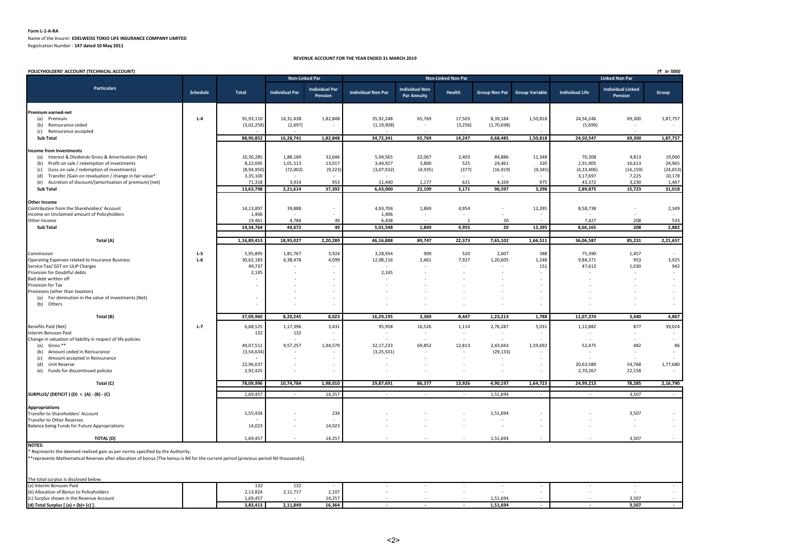#### **Form L-1-A-RA** Name of the Insurer: **EDELWEISS TOKIO LIFE INSURANCE COMPANY LIMITED** Registration Number : **147 dated 10 May 2011**

#### **REVENUE ACCOUNT FOR THE YEAR ENDED 31 MARCH 2019**

| POLICYHOLDERS' ACCOUNT (TECHNICAL ACCOUNT)                                                                                                                                                                              |          |                     |                       |                                  |                           |                                             |                           |            |                              |                          |                                     | (₹ in '000)  |
|-------------------------------------------------------------------------------------------------------------------------------------------------------------------------------------------------------------------------|----------|---------------------|-----------------------|----------------------------------|---------------------------|---------------------------------------------|---------------------------|------------|------------------------------|--------------------------|-------------------------------------|--------------|
|                                                                                                                                                                                                                         |          |                     |                       | <b>Non-Linked Par</b>            |                           |                                             | <b>Non-Linked Non Par</b> |            |                              |                          | <b>Linked Non Par</b>               |              |
| <b>Particulars</b>                                                                                                                                                                                                      | Schedule | Total               | <b>Individual Par</b> | <b>Individual Par</b><br>Pension | <b>Individual Non Par</b> | <b>Individual Non</b><br><b>Par Annuity</b> | Health                    |            | Group Non Par Group Variable | <b>Individual Life</b>   | <b>Individual Linked</b><br>Pension | Group        |
| Premium earned-net                                                                                                                                                                                                      |          |                     |                       |                                  |                           |                                             |                           |            |                              |                          |                                     |              |
| (a) Premium                                                                                                                                                                                                             | $L - 4$  | 91,93,110           | 16,31,438             | 1,82,848                         | 35,92,248                 | 65,769                                      | 17,503                    | 8,39,184   | 1,50,818                     | 24,56,246                | 69,300                              | 1,87,757     |
| (b) Reinsurance ceded                                                                                                                                                                                                   |          | (3,02,258)          | (2,697)               |                                  | (1, 19, 908)              |                                             | (3,256)                   | (1,70,698) |                              | (5,699)                  |                                     |              |
| Reinsurance accepted<br>(c)                                                                                                                                                                                             |          |                     |                       |                                  |                           |                                             |                           |            |                              |                          |                                     |              |
| Sub Total                                                                                                                                                                                                               |          | 88,90,852           | 16,28,741             | 1,82,848                         | 34,72,341                 | 65,769                                      | 14,247                    | 6,68,485   | 1,50,818                     | 24,50,547                | 69,300                              | 1,87,757     |
|                                                                                                                                                                                                                         |          |                     |                       |                                  |                           |                                             |                           |            |                              |                          |                                     |              |
| Income from Investments<br>(a) Interest & Dividends Gross & Amortisation (Net)                                                                                                                                          |          | 10,30,285           | 1,88,189              | 32,646                           | 5,94,565                  | 22,067                                      | 2,403                     | 84,886     | 11,348                       | 70,308                   | 4,813                               | 19,060       |
| Profit on sale / redemption of investments<br>(b)                                                                                                                                                                       |          | 8,22,045            | 1,01,513              | 13,017                           | 3,44,927                  | 3,800                                       | 525                       | 24,461     | 320                          | 2,91,905                 | 16,613                              | 24,965       |
| (Loss on sale / redemption of investments)<br>(c)                                                                                                                                                                       |          | (8,94,950)          | (72,002)              | (9, 223)                         | (3,07,932)                | (4,935)                                     | (377)                     | (16, 919)  | (9, 345)                     | (4, 33, 406)             | (16, 159)                           | (24, 653)    |
| Transfer /Gain on revaluation / change in fair value*<br>(d)                                                                                                                                                            |          | 3,35,100            |                       |                                  |                           |                                             |                           | $\sim$     |                              | 3,17,697                 | 7,225                               | 10,178       |
| (e) Accretion of discount/(amortisation of premium) (net)                                                                                                                                                               |          | 71,318              | 3,914                 | 953                              | 11,440                    | 1,177                                       | 621                       | 4,169      | 975                          | 43,372                   | 3,230                               | 1,467        |
| <b>Sub Total</b>                                                                                                                                                                                                        |          | 13,63,798           | 2,21,614              | 37,392                           | 6,43,000                  | 22,109                                      | 3,171                     | 96,597     | 3,298                        | 2,89,875                 | 15,723                              | 31,018       |
|                                                                                                                                                                                                                         |          |                     |                       |                                  |                           |                                             |                           |            |                              |                          |                                     |              |
| <b>Other Income</b>                                                                                                                                                                                                     |          |                     |                       |                                  |                           |                                             |                           |            |                              |                          |                                     |              |
| Contribution from the Shareholders' Account                                                                                                                                                                             |          | 14,13,897           | 39,888                |                                  | 4,93,704                  | 1,869                                       | 4,954                     |            | 12,395                       | 8,58,738                 |                                     | 2,349        |
| Income on Unclaimed amount of Policyholders                                                                                                                                                                             |          | 1,406<br>19,461     | 4,784                 |                                  | 1,406<br>6,438            | $\sim$                                      | $\overline{1}$            | 20         |                              | 7,427                    | 208                                 | 533          |
| Other Income<br><b>Sub Total</b>                                                                                                                                                                                        |          | 14,34,764           | 44,672                | 49<br>49                         | 5,01,548                  | 1,869                                       | 4,955                     | 20         | 12,395                       | 8,66,165                 | 208                                 | 2,882        |
|                                                                                                                                                                                                                         |          |                     |                       |                                  |                           |                                             |                           |            |                              |                          |                                     |              |
| Total (A)                                                                                                                                                                                                               |          | 1,16,89,413         | 18,95,027             | 2,20,289                         | 46,16,888                 | 89,747                                      | 22,373                    | 7,65,102   | 1,66,511                     | 36,06,587                | 85,231                              | 2,21,657     |
|                                                                                                                                                                                                                         |          |                     |                       |                                  |                           |                                             |                           |            |                              |                          |                                     |              |
| Commission                                                                                                                                                                                                              | $L-5$    | 5,95,895            | 1,81,767              | 3,924                            | 3,28,934                  | 909                                         | 520                       | 2,607      | 388                          | 75,390                   | 1,457                               |              |
| Operating Expenses related to Insurance Business                                                                                                                                                                        | $L-6$    | 30,62,183<br>49,737 | 6,38,478              | 4,099                            | 12,98,116                 | 2,461                                       | 7,927                     | 1,20,605   | 1,248<br>151                 | 9,84,371                 | 953<br>1,030                        | 3,925<br>942 |
| Service Tax/ GST on ULIP Charges<br>Provision for Doubtful debts                                                                                                                                                        |          | 2,145               |                       |                                  | 2,145                     |                                             | $\sim$                    |            |                              | 47,613                   |                                     | $\sim$       |
| Bad debt written off                                                                                                                                                                                                    |          |                     |                       |                                  |                           |                                             |                           |            |                              |                          |                                     | $\sim$       |
| Provision for Tax                                                                                                                                                                                                       |          | $\sim$              |                       |                                  |                           |                                             |                           |            |                              |                          |                                     |              |
| Provisions (other than taxation)                                                                                                                                                                                        |          |                     |                       |                                  |                           |                                             |                           |            |                              |                          |                                     | $\sim$       |
| (a) For diminution in the value of investments (Net)                                                                                                                                                                    |          | $\sim$              |                       |                                  |                           |                                             |                           |            |                              |                          |                                     | $\sim$       |
| (b) Others                                                                                                                                                                                                              |          |                     |                       |                                  |                           |                                             |                           |            |                              |                          |                                     |              |
| Total (B)                                                                                                                                                                                                               |          | 37,09,960           | 8,20,245              | 8,023                            | 16,29,195                 | 3,369                                       | 8,447                     | 1,23,213   | 1,788                        | 11,07,374                | 3,440                               | 4,867        |
| Benefits Paid (Net)                                                                                                                                                                                                     | $L-7$    | 6,68,525            | 1,17,396              | 3,431                            | 95,958                    | 16,526                                      | 1,114                     | 2,76,287   | 5,031                        | 1,12,882                 | 877                                 | 39,024       |
| Interim Bonuses Paid                                                                                                                                                                                                    |          | 132                 | 132                   |                                  |                           | $\sim$                                      | $\sim$                    |            |                              | $\overline{\phantom{a}}$ | ÷                                   | $\sim$       |
| Change in valuation of liability in respect of life policies                                                                                                                                                            |          |                     |                       |                                  |                           |                                             |                           |            |                              |                          |                                     |              |
| (a) Gross **                                                                                                                                                                                                            |          | 49,07,511           | 9,57,257              | 1,94,579                         | 32,17,233                 | 69,852                                      | 12,813                    | 2,43,043   | 1,59,692                     | 52,475                   | 482                                 | 86           |
| Amount ceded in Reinsurance<br>(b)                                                                                                                                                                                      |          | (3, 54, 634)        |                       |                                  | (3, 25, 501)              | $\sim$                                      | $\sim$                    | (29, 133)  |                              | $\overline{\phantom{a}}$ | $\sim$                              | $\sim$       |
| (c)<br>Amount accepted in Reinsurance                                                                                                                                                                                   |          |                     |                       |                                  |                           |                                             | $\sim$                    | $\sim$     |                              |                          |                                     |              |
| (d)<br>Unit Reserve                                                                                                                                                                                                     |          | 22,96,037           |                       |                                  | $\overline{\phantom{a}}$  | $\sim$                                      | $\sim$                    |            | $\overline{\phantom{a}}$     | 20,63,589                | 54,768                              | 1,77,680     |
| (e) Funds for discontinued policies                                                                                                                                                                                     |          | 2,92,425            |                       |                                  |                           |                                             |                           | $\sim$     |                              | 2,70,267                 | 22,158                              |              |
| Total (C)                                                                                                                                                                                                               |          | 78,09,996           | 10,74,784             | 1,98,010                         | 29,87,691                 | 86,377                                      | 13,926                    | 4,90,197   | 1,64,723                     | 24,99,213                | 78,285                              | 2,16,790     |
| SURPLUS/(DEFICIT)(D) = $(A) - (B) - (C)$                                                                                                                                                                                |          | 1,69,457            | $\sim$                | 14,257                           | $\sim$                    | $\sim$                                      | $\sim$                    | 1,51,694   | $\sim$                       | $\sim$                   | 3,507                               | $\sim 100$   |
|                                                                                                                                                                                                                         |          |                     |                       |                                  |                           |                                             |                           |            |                              |                          |                                     |              |
| <b>Appropriations</b>                                                                                                                                                                                                   |          |                     |                       |                                  |                           |                                             |                           |            |                              |                          |                                     |              |
| Transfer to Shareholders' Account                                                                                                                                                                                       |          | 1,55,434            |                       | 234                              |                           |                                             |                           | 1,51,694   |                              |                          | 3,507                               | $\sim$       |
| Transfer to Other Reserves                                                                                                                                                                                              |          |                     |                       |                                  |                           |                                             | $\sim$                    |            | $\sim$                       |                          |                                     | $\sim$       |
| Balance being Funds for Future Appropriations                                                                                                                                                                           |          | 14,023              |                       | 14,023                           |                           |                                             | ÷                         | $\sim$     | $\sim$                       |                          | $\sim$                              | $\sim$       |
| <b>TOTAL (D)</b>                                                                                                                                                                                                        |          | 1,69,457            |                       | 14,257                           |                           |                                             |                           | 1,51,694   |                              |                          | 3,507                               |              |
| <b>NOTES:</b>                                                                                                                                                                                                           |          |                     |                       |                                  |                           |                                             |                           |            |                              |                          |                                     |              |
| Represents the deemed realised gain as per norms specified by the Authority.<br>**represents Mathematical Reserves after allocation of bonus [The bonus is Nil for the current period (previous period Nil thousands)]. |          |                     |                       |                                  |                           |                                             |                           |            |                              |                          |                                     |              |
|                                                                                                                                                                                                                         |          |                     |                       |                                  |                           |                                             |                           |            |                              |                          |                                     |              |
|                                                                                                                                                                                                                         |          |                     |                       |                                  |                           |                                             |                           |            |                              |                          |                                     |              |
| The total surplus is disclosed below:<br>(a) Interim Bonuses Paid                                                                                                                                                       |          | 132                 | 132                   |                                  |                           |                                             |                           |            |                              |                          | $\sim$                              | $\sim$       |
| (b) Allocation of Bonus to Policyholders                                                                                                                                                                                |          | 2,13,824            | 2,11,717              | 2,107                            |                           |                                             |                           |            |                              |                          |                                     |              |
| (c) Surplus shown in the Revenue Account                                                                                                                                                                                |          | 1.69.457            |                       | 14.257                           |                           |                                             |                           | 1.51.694   |                              |                          | 3.507                               |              |
| (d) Total Surplus [ (a) + (b)+ (c) ].                                                                                                                                                                                   |          | 3,83,413            | 2,11,849              | 16,364                           |                           |                                             |                           | 1,51,694   |                              |                          | 3,507                               | $\sim$       |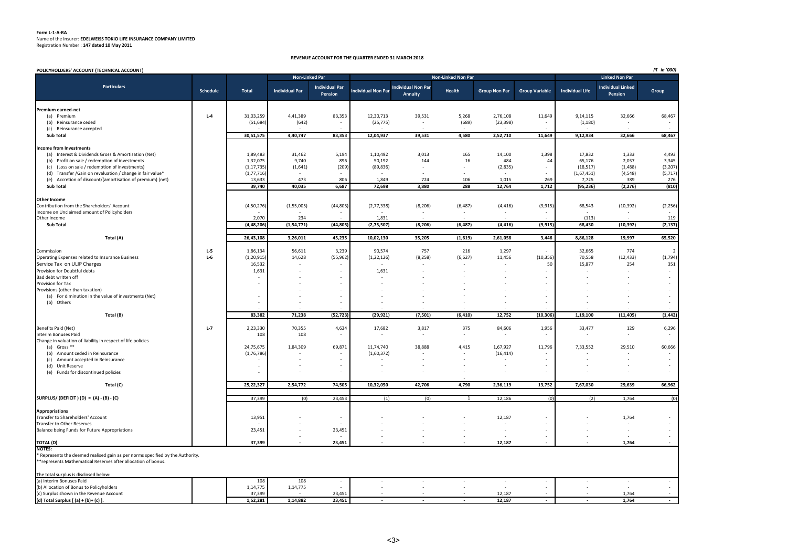# **Form L-1-A-RA** Name of the Insurer: **EDELWEISS TOKIO LIFE INSURANCE COMPANY LIMITED** Registration Number : **147 dated 10 May 2011**

#### **REVENUE ACCOUNT FOR THE QUARTER ENDED 31 MARCH 2018**

| POLICYHOLDERS' ACCOUNT (TECHNICAL ACCOUNT)                                                            |          |                      |                       |                                  |                           |                                      |                           |                          |                       |                        |                                     | (₹ in '000)    |
|-------------------------------------------------------------------------------------------------------|----------|----------------------|-----------------------|----------------------------------|---------------------------|--------------------------------------|---------------------------|--------------------------|-----------------------|------------------------|-------------------------------------|----------------|
|                                                                                                       |          |                      | Non-Linked Par        |                                  |                           |                                      | <b>Non-Linked Non Par</b> |                          |                       |                        | <b>Linked Non Par</b>               |                |
| <b>Particulars</b>                                                                                    | Schedule | <b>Total</b>         | <b>Individual Par</b> | <b>Individual Par</b><br>Pension | <b>Individual Non Par</b> | <b>Individual Non Par</b><br>Annuity | Health                    | <b>Group Non Par</b>     | <b>Group Variable</b> | <b>Individual Life</b> | <b>Individual Linked</b><br>Pension | Group          |
| Premium earned-net                                                                                    |          |                      |                       |                                  |                           |                                      |                           |                          |                       |                        |                                     |                |
| (a) Premium                                                                                           | $L-4$    | 31,03,259            | 4,41,389              | 83,353                           | 12,30,713                 | 39,531                               | 5,268                     | 2,76,108                 | 11,649                | 9,14,115               | 32,666                              | 68,467         |
| (b) Reinsurance ceded                                                                                 |          | (51, 684)            | (642)                 | $\sim$                           | (25, 775)                 | $\sim$                               | (689)                     | (23, 398)                | $\sim$                | (1, 180)               |                                     |                |
| (c) Reinsurance accepted                                                                              |          |                      |                       |                                  |                           |                                      |                           |                          |                       |                        |                                     |                |
| Sub Total                                                                                             |          | 30,51,575            | 4,40,747              | 83,353                           | 12,04,937                 | 39,531                               | 4,580                     | 2,52,710                 | 11,649                | 9,12,934               | 32,666                              | 68,467         |
|                                                                                                       |          |                      |                       |                                  |                           |                                      |                           |                          |                       |                        |                                     |                |
| <b>Income from Investments</b>                                                                        |          |                      |                       |                                  |                           | 3,013                                |                           | 14,100                   | 1,398                 | 17,832                 |                                     | 4,493          |
| (a) Interest & Dividends Gross & Amortisation (Net)<br>(b) Profit on sale / redemption of investments |          | 1,89,483<br>1,32,075 | 31,462<br>9,740       | 5,194<br>896                     | 1,10,492<br>50,192        | 144                                  | 165<br>16                 | 484                      | 44                    | 65,176                 | 1,333<br>2,037                      | 3,345          |
| (c) (Loss on sale / redemption of investments)                                                        |          | (1, 17, 735)         | (1,641)               | (209)                            | (89, 836)                 |                                      |                           | (2,835)                  |                       | (18, 517)              | (1, 488)                            | (3, 207)       |
| (d) Transfer / Gain on revaluation / change in fair value*                                            |          | (1, 77, 716)         |                       |                                  | $\sim$                    |                                      |                           |                          |                       | (1,67,451)             | (4, 548)                            | (5,717)        |
| (e) Accretion of discount/(amortisation of premium) (net)                                             |          | 13,633               | 473                   | 806                              | 1,849                     | 724                                  | 106                       | 1,015                    | 269                   | 7,725                  | 389                                 | 276            |
| Sub Total                                                                                             |          | 39,740               | 40,035                | 6,687                            | 72,698                    | 3,880                                | 288                       | 12,764                   | 1,712                 | (95, 236)              | (2, 276)                            | (810)          |
|                                                                                                       |          |                      |                       |                                  |                           |                                      |                           |                          |                       |                        |                                     |                |
| <b>Other Income</b><br>Contribution from the Shareholders' Account                                    |          | (4,50,276)           | (1,55,005)            | (44, 805)                        | (2,77,338)                | (8, 206)                             | (6, 487)                  | (4, 416)                 | (9, 915)              | 68,543                 | (10, 392)                           | (2, 256)       |
| Income on Unclaimed amount of Policyholders                                                           |          |                      |                       |                                  |                           |                                      |                           |                          |                       |                        |                                     |                |
| Other Income                                                                                          |          | 2,070                | 234                   |                                  | 1,831                     |                                      |                           |                          |                       | (113)                  |                                     | 119            |
| Sub Total                                                                                             |          | (4, 48, 206)         | (1, 54, 771)          | (44, 805)                        | (2,75,507)                | (8, 206)                             | (6, 487)                  | (4, 416)                 | (9, 915)              | 68,430                 | (10, 392)                           | (2, 137)       |
|                                                                                                       |          |                      |                       | 45,235                           |                           | 35,205                               |                           |                          | 3,446                 |                        | 19,997                              | 65,520         |
| Total (A)                                                                                             |          | 26,43,108            | 3,26,011              |                                  | 10,02,130                 |                                      | (1,619)                   | 2,61,058                 |                       | 8,86,128               |                                     |                |
| Commission                                                                                            | L-5      | 1,86,134             | 56,611                | 3,239                            | 90,574                    | 757                                  | 216                       | 1,297                    |                       | 32,665                 | 774                                 | $\overline{2}$ |
| Operating Expenses related to Insurance Business                                                      | $L-6$    | (1, 20, 915)         | 14,628                | (55, 962)                        | (1, 22, 126)              | (8, 258)                             | (6,627)                   | 11,456                   | (10, 356)             | 70,558                 | (12, 433)                           | (1,794)        |
| Service Tax on ULIP Charges                                                                           |          | 16,532               |                       |                                  |                           |                                      |                           |                          | 50                    | 15,877                 | 254                                 | 351            |
| Provision for Doubtful debts                                                                          |          | 1,631                |                       |                                  | 1,631                     |                                      |                           |                          |                       |                        |                                     |                |
| Bad debt written off                                                                                  |          |                      |                       |                                  |                           |                                      |                           |                          |                       |                        |                                     |                |
| Provision for Tax                                                                                     |          |                      |                       |                                  |                           |                                      |                           |                          |                       |                        |                                     |                |
| Provisions (other than taxation)<br>(a) For diminution in the value of investments (Net)              |          |                      |                       |                                  |                           |                                      |                           |                          |                       |                        |                                     |                |
| (b) Others                                                                                            |          |                      |                       |                                  |                           |                                      |                           |                          |                       |                        |                                     |                |
|                                                                                                       |          |                      |                       |                                  |                           |                                      |                           |                          |                       |                        |                                     |                |
| Total (B)                                                                                             |          | 83,382               | 71,238                | (52, 723)                        | (29, 921)                 | (7, 501)                             | (6, 410)                  | 12,752                   | (10, 306)             | 1,19,100               | (11, 405)                           | (1, 442)       |
| Benefits Paid (Net)                                                                                   | $L-7$    | 2,23,330             | 70,355                | 4,634                            | 17,682                    | 3,817                                | 375                       | 84,606                   | 1,956                 | 33,477                 | 129                                 | 6,296          |
| Interim Bonuses Paid                                                                                  |          | 108                  | 108                   |                                  |                           | $\sim$                               |                           |                          | $\sim$                |                        |                                     |                |
| Change in valuation of liability in respect of life policies                                          |          |                      |                       |                                  |                           |                                      |                           |                          |                       |                        |                                     |                |
| (a) Gross **                                                                                          |          | 24,75,675            | 1,84,309              | 69,871                           | 11,74,740                 | 38,888                               | 4,415                     | 1,67,927                 | 11,796                | 7,33,552               | 29,510                              | 60,666         |
| (b) Amount ceded in Reinsurance                                                                       |          | (1,76,786)           |                       |                                  | (1,60,372)                |                                      |                           | (16, 414)                |                       |                        |                                     |                |
| (c) Amount accepted in Reinsurance                                                                    |          |                      |                       |                                  |                           |                                      |                           |                          |                       |                        |                                     |                |
| (d) Unit Reserve                                                                                      |          |                      |                       |                                  |                           |                                      |                           |                          |                       |                        |                                     |                |
| (e) Funds for discontinued policies                                                                   |          |                      |                       |                                  |                           |                                      |                           |                          |                       |                        |                                     |                |
| Total (C)                                                                                             |          | 25,22,327            | 2,54,772              | 74,505                           | 10,32,050                 | 42,706                               | 4,790                     | 2,36,119                 | 13,752                | 7,67,030               | 29,639                              | 66,962         |
| SURPLUS/ (DEFICIT) (D) = (A) - (B) - (C)                                                              |          | 37,399               | (0)                   | 23,453                           | (1)                       | (0)                                  | $\mathbf{1}$              | 12,186                   | (0)                   | (2)                    | 1,764                               | (0)            |
|                                                                                                       |          |                      |                       |                                  |                           |                                      |                           |                          |                       |                        |                                     |                |
| <b>Appropriations</b>                                                                                 |          |                      |                       |                                  |                           |                                      |                           |                          |                       |                        |                                     |                |
| Transfer to Shareholders' Account                                                                     |          | 13,951               |                       |                                  |                           |                                      |                           | 12,187                   |                       |                        | 1,764                               |                |
| Transfer to Other Reserves<br>Balance being Funds for Future Appropriations                           |          | 23,451               |                       | 23,451                           |                           |                                      |                           | $\overline{\phantom{a}}$ |                       |                        |                                     |                |
|                                                                                                       |          |                      |                       |                                  |                           |                                      |                           |                          |                       |                        |                                     |                |
| <b>TOTAL (D)</b>                                                                                      |          | 37,399               |                       | 23,451                           |                           |                                      |                           | 12,187                   |                       |                        | 1,764                               |                |
| <b>NOTES:</b><br>* Represents the deemed realised gain as per norms specified by the Authority.       |          |                      |                       |                                  |                           |                                      |                           |                          |                       |                        |                                     |                |
| **represents Mathematical Reserves after allocation of bonus.                                         |          |                      |                       |                                  |                           |                                      |                           |                          |                       |                        |                                     |                |
|                                                                                                       |          |                      |                       |                                  |                           |                                      |                           |                          |                       |                        |                                     |                |
| The total surplus is disclosed below:<br>(a) Interim Bonuses Paid                                     |          | 108                  | 108                   |                                  |                           |                                      |                           |                          |                       |                        |                                     |                |
| (b) Allocation of Bonus to Policyholders                                                              |          | 1,14,775             | 1,14,775              |                                  |                           |                                      |                           |                          |                       |                        |                                     |                |
| (c) Surplus shown in the Revenue Account                                                              |          | 37,399               |                       | 23,451                           |                           |                                      |                           | 12,187                   |                       |                        | 1,764                               |                |
| (d) Total Surplus [ (a) + (b)+ (c) ].                                                                 |          | 1,52,281             | 1.14.882              | 23,451                           |                           |                                      |                           | 12.187                   |                       |                        | 1.764                               | $\sim$         |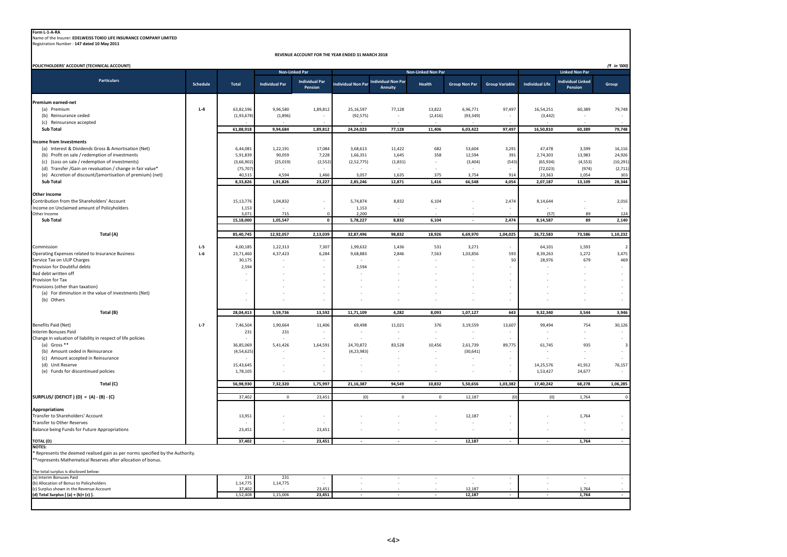**Form L-1-A-RA** Name of the Insurer: **EDELWEISS TOKIO LIFE INSURANCE COMPANY LIMITED** Registration Number : **147 dated 10 May 2011**

**REVENUE ACCOUNT FOR THE YEAR ENDED 31 MARCH 2018**

| POLICYHOLDERS' ACCOUNT (TECHNICAL ACCOUNT)                                                                       |          |                           |                       | <b>Non-Linked Par</b>            |                           |                                      | Non-Linked Non Par |                       |                       |                        | <b>Linked Non Par</b>               | (₹ in '000)    |
|------------------------------------------------------------------------------------------------------------------|----------|---------------------------|-----------------------|----------------------------------|---------------------------|--------------------------------------|--------------------|-----------------------|-----------------------|------------------------|-------------------------------------|----------------|
| <b>Particulars</b>                                                                                               | Schedule | Total                     | <b>Individual Par</b> | <b>Individual Par</b><br>Pension | <b>Individual Non Par</b> | <b>Individual Non Par</b><br>Annuity | Health             | <b>Group Non Par</b>  | <b>Group Variable</b> | <b>Individual Life</b> | <b>Individual Linked</b><br>Pension | Group          |
| Premium earned-net                                                                                               |          |                           |                       |                                  |                           |                                      |                    |                       |                       |                        |                                     |                |
| (a) Premium                                                                                                      | $L-4$    | 63,82,596                 | 9,96,580              | 1,89,812                         | 25,16,597                 | 77,128                               | 13,822             | 6,96,771              | 97,497                | 16,54,251              | 60,389                              | 79,748         |
| (b) Reinsurance ceded                                                                                            |          | (1,93,678)                | (1,896)               |                                  | (92, 575)                 |                                      | (2, 416)           | (93, 349)             |                       | (3, 442)               |                                     |                |
| (c) Reinsurance accepted                                                                                         |          |                           |                       |                                  |                           |                                      |                    |                       |                       |                        |                                     |                |
| Sub Total                                                                                                        |          | 61,88,918                 | 9,94,684              | 1,89,812                         | 24,24,023                 | 77,128                               | 11,406             | 6,03,422              | 97,497                | 16,50,810              | 60,389                              | 79,748         |
| Income from Investments                                                                                          |          |                           |                       |                                  |                           |                                      |                    |                       |                       |                        |                                     |                |
| (a) Interest & Dividends Gross & Amortisation (Net)                                                              |          | 6,44,081                  | 1,22,191              | 17,084                           | 3,68,613                  | 11,422                               | 682                | 53,604                | 3,291                 | 47,478                 | 3,599                               | 16,116         |
| (b) Profit on sale / redemption of investments                                                                   |          | 5,91,839                  | 90,059                | 7,228                            | 1,66,351                  | 1,645                                | 358                | 12,594                | 391                   | 2,74,303               | 13,983                              | 24,926         |
| (c) (Loss on sale / redemption of investments)                                                                   |          | (3,66,902)                | (25, 019)             | (2, 552)                         | (2,52,775)                | (1,831)                              |                    | (3, 404)              | (543)                 | (65, 934)              | (4, 553)                            | (10, 291)      |
| (d) Transfer /Gain on revaluation / change in fair value*                                                        |          | (75, 707)                 |                       |                                  |                           |                                      |                    |                       |                       | (72, 023)              | (974)                               | (2,711)        |
| (e) Accretion of discount/(amortisation of premium) (net)                                                        |          | 40,515                    | 4,594                 | 1,466                            | 3,057                     | 1,635                                | 375                | 3,754                 | 914                   | 23,363                 | 1,054                               | 303            |
| <b>Sub Total</b>                                                                                                 |          | 8,33,826                  | 1,91,826              | 23,227                           | 2,85,246                  | 12,871                               | 1,416              | 66,548                | 4,054                 | 2,07,187               | 13,109                              | 28,344         |
| <b>Other Income</b>                                                                                              |          |                           |                       |                                  |                           |                                      |                    |                       |                       |                        |                                     |                |
| Contribution from the Shareholders' Account                                                                      |          | 15, 13, 776               | 1,04,832              |                                  | 5,74,874                  | 8,832                                | 6,104              |                       | 2,474                 | 8,14,644               |                                     | 2,016          |
| Income on Unclaimed amount of Policyholders                                                                      |          | 1,153                     |                       |                                  | 1,153                     |                                      |                    |                       |                       |                        |                                     |                |
| Other Income                                                                                                     |          | 3,071                     | 715                   | $\Omega$                         | 2,200                     |                                      |                    |                       |                       | (57)                   | 89                                  | 124            |
| <b>Sub Total</b>                                                                                                 |          | 15,18,000                 | 1,05,547              | $\mathbf{0}$                     | 5,78,227                  | 8,832                                | 6,104              | ×.                    | 2,474                 | 8,14,587               | 89                                  | 2,140          |
| Total (A)                                                                                                        |          | 85,40,745                 | 12,92,057             | 2,13,039                         | 32,87,496                 | 98,832                               | 18,926             | 6,69,970              | 1,04,025              | 26,72,583              | 73,586                              | 1,10,232       |
| Commission                                                                                                       | $L-5$    | 4,00,185                  | 1,22,313              | 7,307                            | 1,99,632                  | 1,436                                | 531                | 3,271                 |                       | 64,101                 | 1,593                               | $\overline{2}$ |
| Operating Expenses related to Insurance Business                                                                 | $L-6$    | 23,71,460                 | 4,37,423              | 6,284                            | 9,68,883                  | 2,846                                | 7,563              | 1,03,856              | 593                   | 8,39,263               | 1,272                               | 3,475          |
| Service Tax on ULIP Charges                                                                                      |          | 30,175                    |                       |                                  |                           |                                      |                    |                       | 50                    | 28,976                 | 679                                 | 469            |
| Provision for Doubtful debts                                                                                     |          | 2,594                     |                       |                                  | 2,594                     |                                      |                    |                       |                       |                        |                                     |                |
| Bad debt written off                                                                                             |          |                           |                       |                                  |                           |                                      |                    |                       |                       |                        |                                     |                |
| Provision for Tax                                                                                                |          |                           |                       |                                  |                           |                                      |                    |                       |                       |                        |                                     |                |
| Provisions (other than taxation)                                                                                 |          |                           |                       |                                  |                           |                                      |                    |                       |                       |                        |                                     |                |
| (a) For diminution in the value of investments (Net)<br>(b) Others                                               |          |                           |                       |                                  |                           |                                      |                    |                       |                       |                        |                                     |                |
| Total (B)                                                                                                        |          | 28,04,413                 | 5,59,736              | 13,592                           | 11,71,109                 | 4,282                                | 8,093              | 1,07,127              | 643                   | 9,32,340               | 3,544                               | 3,946          |
|                                                                                                                  |          |                           |                       |                                  |                           |                                      |                    |                       |                       |                        |                                     |                |
| Benefits Paid (Net)                                                                                              | $L-7$    | 7,46,504                  | 1,90,664              | 11,406                           | 69,498                    | 11,021                               | 376                | 3,19,559              | 13,607                | 99,494                 | 754                                 | 30,126         |
| Interim Bonuses Paid                                                                                             |          | 231                       | 231                   |                                  | ٠                         | $\sim$                               |                    | ٠                     |                       |                        |                                     | $\sim$         |
| Change in valuation of liability in respect of life policies                                                     |          |                           |                       |                                  |                           |                                      |                    |                       |                       |                        |                                     |                |
| (a) Gross **<br>(b) Amount ceded in Reinsurance                                                                  |          | 36,85,069<br>(4, 54, 625) | 5,41,426              | 1,64,591                         | 24,70,872<br>(4, 23, 983) | 83,528                               | 10,456             | 2,61,739<br>(30, 641) | 89,775                | 61,745                 | 935                                 | 3              |
| (c) Amount accepted in Reinsurance                                                                               |          |                           |                       |                                  |                           |                                      |                    |                       |                       |                        |                                     |                |
| (d) Unit Reserve                                                                                                 |          | 15,43,645                 |                       |                                  |                           |                                      |                    |                       | $\sim$                | 14,25,576              | 41,912                              | 76,157         |
| (e) Funds for discontinued policies                                                                              |          | 1,78,105                  |                       |                                  |                           |                                      |                    |                       |                       | 1,53,427               | 24,677                              |                |
| Total (C)                                                                                                        |          | 56,98,930                 | 7,32,320              | 1,75,997                         | 21,16,387                 | 94,549                               | 10,832             | 5,50,656              | 1,03,382              | 17,40,242              | 68,278                              | 1,06,285       |
| SURPLUS/(DEFICIT) (D) = $(A) - (B) - (C)$                                                                        |          | 37,402                    | $\mathsf 0$           | 23,451                           | (0)                       | $\mathbb O$                          | $\Omega$           | 12,187                | (0)                   | (0)                    | 1,764                               | $\Omega$       |
|                                                                                                                  |          |                           |                       |                                  |                           |                                      |                    |                       |                       |                        |                                     |                |
| <b>Appropriations</b><br><b>Transfer to Shareholders' Account</b>                                                |          | 13,951                    |                       |                                  |                           |                                      |                    | 12,187                |                       |                        | 1,764                               |                |
| Transfer to Other Reserves                                                                                       |          |                           |                       |                                  |                           |                                      |                    |                       |                       |                        |                                     |                |
| Balance being Funds for Future Appropriations                                                                    |          | 23,451                    |                       | 23,451                           |                           |                                      |                    | $\sim$                |                       |                        |                                     |                |
| <b>TOTAL (D)</b>                                                                                                 |          | 37,402                    |                       | 23,451                           | $\sim$                    | $\sim$                               |                    | 12,187                |                       |                        | 1,764                               | $\sim$         |
| <b>NOTES:</b><br>* Represents the deemed realised gain as per norms specified by the Authority.                  |          |                           |                       |                                  |                           |                                      |                    |                       |                       |                        |                                     |                |
| **represents Mathematical Reserves after allocation of bonus.                                                    |          |                           |                       |                                  |                           |                                      |                    |                       |                       |                        |                                     |                |
| The total surplus is disclosed below:                                                                            |          |                           |                       |                                  |                           |                                      |                    |                       |                       |                        |                                     |                |
|                                                                                                                  |          | 231                       | 231                   |                                  |                           |                                      |                    |                       |                       |                        |                                     |                |
|                                                                                                                  |          |                           |                       |                                  |                           |                                      |                    |                       |                       |                        |                                     |                |
| (a) Interim Bonuses Paid<br>(b) Allocation of Bonus to Policyholders<br>(c) Surplus shown in the Revenue Account |          | 1,14,775<br>37,402        | 1,14,775              | 23,451                           |                           |                                      |                    | 12,187                |                       |                        | 1,764                               |                |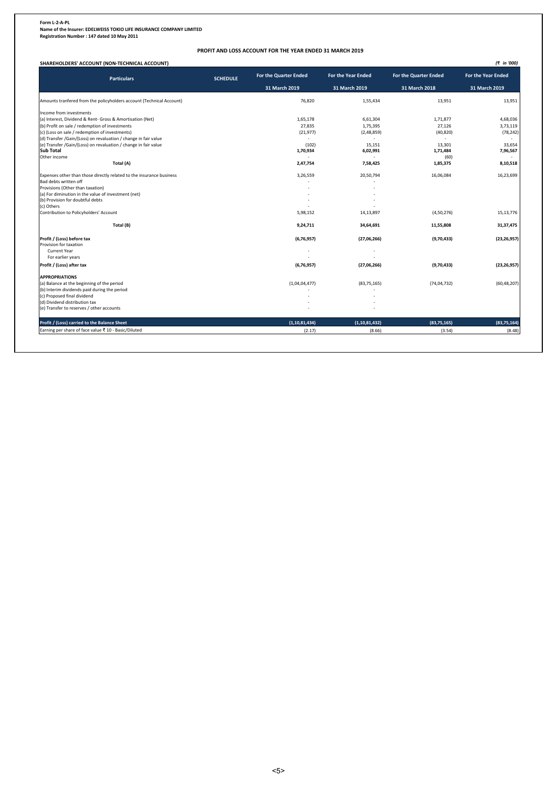**Form L-2-A-PL Name of the Insurer: EDELWEISS TOKIO LIFE INSURANCE COMPANY LIMITED Registration Number : 147 dated 10 May 2011** 

### **PROFIT AND LOSS ACCOUNT FOR THE YEAR ENDED 31 MARCH 2019**

| <b>Particulars</b>                                                   | <b>SCHEDULE</b> | For the Quarter Ended | <b>For the Year Ended</b> | For the Quarter Ended | <b>For the Year Ended</b> |
|----------------------------------------------------------------------|-----------------|-----------------------|---------------------------|-----------------------|---------------------------|
|                                                                      |                 | 31 March 2019         | 31 March 2019             | 31 March 2018         | 31 March 2019             |
| Amounts tranfered from the policyholders account (Technical Account) |                 | 76,820                | 1,55,434                  | 13,951                | 13,951                    |
| Income from investments                                              |                 |                       |                           |                       |                           |
| (a) Interest, Dividend & Rent- Gross & Amortisation (Net)            |                 | 1,65,178              | 6,61,304                  | 1,71,877              | 4,68,036                  |
| (b) Profit on sale / redemption of investments                       |                 | 27,835                | 1,75,395                  | 27,126                | 3,73,119                  |
| (c) (Loss on sale / redemption of investments)                       |                 | (21, 977)             | (2,48,859)                | (40, 820)             | (78, 242)                 |
| (d) Transfer /Gain/(Loss) on revaluation / change in fair value      |                 |                       |                           |                       |                           |
| (e) Transfer /Gain/(Loss) on revaluation / change in fair value      |                 | (102)                 | 15,151                    | 13.301                | 33,654                    |
| <b>Sub Total</b>                                                     |                 | 1,70,934              | 6,02,991                  | 1,71,484              | 7,96,567                  |
| Other income                                                         |                 |                       |                           | (60)                  |                           |
| Total (A)                                                            |                 | 2,47,754              | 7,58,425                  | 1,85,375              | 8,10,518                  |
| Expenses other than those directly related to the insurance business |                 | 3,26,559              | 20,50,794                 | 16,06,084             | 16,23,699                 |
| Bad debts written off                                                |                 |                       |                           |                       |                           |
| Provisions (Other than taxation)                                     |                 |                       |                           |                       |                           |
| (a) For diminution in the value of investment (net)                  |                 |                       |                           |                       |                           |
| (b) Provision for doubtful debts                                     |                 |                       |                           |                       |                           |
| (c) Others                                                           |                 |                       |                           |                       |                           |
| Contribution to Policyholders' Account                               |                 | 5,98,152              | 14,13,897                 | (4,50,276)            | 15,13,776                 |
| Total (B)                                                            |                 | 9,24,711              | 34,64,691                 | 11,55,808             | 31, 37, 475               |
| Profit / (Loss) before tax                                           |                 | (6,76,957)            | (27,06,266)               | (9,70,433)            | (23, 26, 957)             |
| Provision for taxation                                               |                 |                       |                           |                       |                           |
| Current Year                                                         |                 |                       |                           |                       |                           |
| For earlier years                                                    |                 |                       |                           |                       |                           |
| Profit / (Loss) after tax                                            |                 | (6,76,957)            | (27,06,266)               | (9,70,433)            | (23, 26, 957)             |
| <b>APPROPRIATIONS</b>                                                |                 |                       |                           |                       |                           |
| (a) Balance at the beginning of the period                           |                 | (1,04,04,477)         | (83, 75, 165)             | (74, 04, 732)         | (60, 48, 207)             |
| (b) Interim dividends paid during the period                         |                 |                       |                           |                       |                           |
| (c) Proposed final dividend                                          |                 |                       |                           |                       |                           |
| (d) Dividend distribution tax                                        |                 |                       |                           |                       |                           |
| (e) Transfer to reserves / other accounts                            |                 |                       |                           |                       |                           |
| Profit / (Loss) carried to the Balance Sheet                         |                 | (1, 10, 81, 434)      | (1, 10, 81, 432)          | (83,75,165)           | (83, 75, 164)             |
| Earning per share of face value ₹ 10 - Basic/Diluted                 |                 | (2.17)                | (8.66)                    | (3.54)                | (8.48)                    |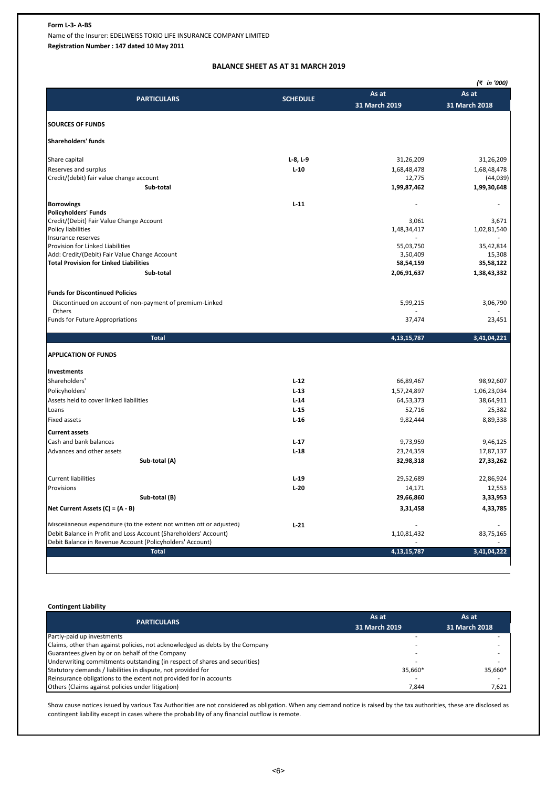# **Form L-3- A-BS**

Name of the Insurer: EDELWEISS TOKIO LIFE INSURANCE COMPANY LIMITED

**Registration Number : 147 dated 10 May 2011** 

# **BALANCE SHEET AS AT 31 MARCH 2019**

|                                                                       |                 |                | (₹ in '000)   |
|-----------------------------------------------------------------------|-----------------|----------------|---------------|
| <b>PARTICULARS</b>                                                    | <b>SCHEDULE</b> | As at          | As at         |
|                                                                       |                 | 31 March 2019  | 31 March 2018 |
| <b>SOURCES OF FUNDS</b>                                               |                 |                |               |
| Shareholders' funds                                                   |                 |                |               |
|                                                                       |                 |                |               |
| Share capital                                                         | $L-8$ , $L-9$   | 31,26,209      | 31,26,209     |
| Reserves and surplus                                                  | $L-10$          | 1,68,48,478    | 1,68,48,478   |
| Credit/(debit) fair value change account                              |                 | 12,775         | (44, 039)     |
| Sub-total                                                             |                 | 1,99,87,462    | 1,99,30,648   |
| <b>Borrowings</b>                                                     | $L-11$          |                |               |
| <b>Policyholders' Funds</b>                                           |                 |                |               |
| Credit/(Debit) Fair Value Change Account                              |                 | 3,061          | 3,671         |
| Policy liabilities<br>Insurance reserves                              |                 | 1,48,34,417    | 1,02,81,540   |
| Provision for Linked Liabilities                                      |                 | 55,03,750      | 35,42,814     |
| Add: Credit/(Debit) Fair Value Change Account                         |                 | 3,50,409       | 15,308        |
| <b>Total Provision for Linked Liabilities</b>                         |                 | 58,54,159      | 35,58,122     |
| Sub-total                                                             |                 | 2,06,91,637    | 1,38,43,332   |
| <b>Funds for Discontinued Policies</b>                                |                 |                |               |
| Discontinued on account of non-payment of premium-Linked              |                 | 5,99,215       | 3,06,790      |
| Others                                                                |                 |                |               |
| <b>Funds for Future Appropriations</b>                                |                 | 37,474         | 23,451        |
| <b>Total</b>                                                          |                 | 4, 13, 15, 787 | 3,41,04,221   |
| <b>APPLICATION OF FUNDS</b>                                           |                 |                |               |
| Investments                                                           |                 |                |               |
| Shareholders'                                                         | $L-12$          | 66,89,467      | 98,92,607     |
| Policyholders'                                                        | $L-13$          | 1,57,24,897    | 1,06,23,034   |
| Assets held to cover linked liabilities                               | $L-14$          | 64,53,373      | 38,64,911     |
| Loans                                                                 | $L-15$          | 52,716         | 25,382        |
| <b>Fixed assets</b>                                                   | $L-16$          | 9,82,444       | 8,89,338      |
| <b>Current assets</b>                                                 |                 |                |               |
| Cash and bank balances                                                | $L-17$          | 9,73,959       | 9,46,125      |
| Advances and other assets                                             | $L-18$          | 23,24,359      | 17,87,137     |
| Sub-total (A)                                                         |                 | 32,98,318      | 27,33,262     |
| <b>Current liabilities</b>                                            | $L-19$          | 29,52,689      | 22,86,924     |
| Provisions                                                            | $L-20$          | 14,171         | 12,553        |
| Sub-total (B)                                                         |                 | 29,66,860      | 3,33,953      |
| Net Current Assets $(C) = (A - B)$                                    |                 | 3,31,458       | 4,33,785      |
| Miscellaneous expenditure (to the extent not written off or adjusted) | $L-21$          |                |               |
| Debit Balance in Profit and Loss Account (Shareholders' Account)      |                 | 1,10,81,432    | 83,75,165     |
| Debit Balance in Revenue Account (Policyholders' Account)             |                 |                |               |
| <b>Total</b>                                                          |                 | 4, 13, 15, 787 | 3,41,04,222   |

# **Contingent Liability**

| <b>PARTICULARS</b>                                                            | As at         | As at         |
|-------------------------------------------------------------------------------|---------------|---------------|
|                                                                               | 31 March 2019 | 31 March 2018 |
| Partly-paid up investments                                                    |               |               |
| Claims, other than against policies, not acknowledged as debts by the Company |               |               |
| Guarantees given by or on behalf of the Company                               |               |               |
| Underwriting commitments outstanding (in respect of shares and securities)    |               |               |
| Statutory demands / liabilities in dispute, not provided for                  | 35.660*       | 35,660*       |
| Reinsurance obligations to the extent not provided for in accounts            |               |               |
| Others (Claims against policies under litigation)                             | 7.844         | 7,621         |

Show cause notices issued by various Tax Authorities are not considered as obligation. When any demand notice is raised by the tax authorities, these are disclosed as contingent liability except in cases where the probability of any financial outflow is remote.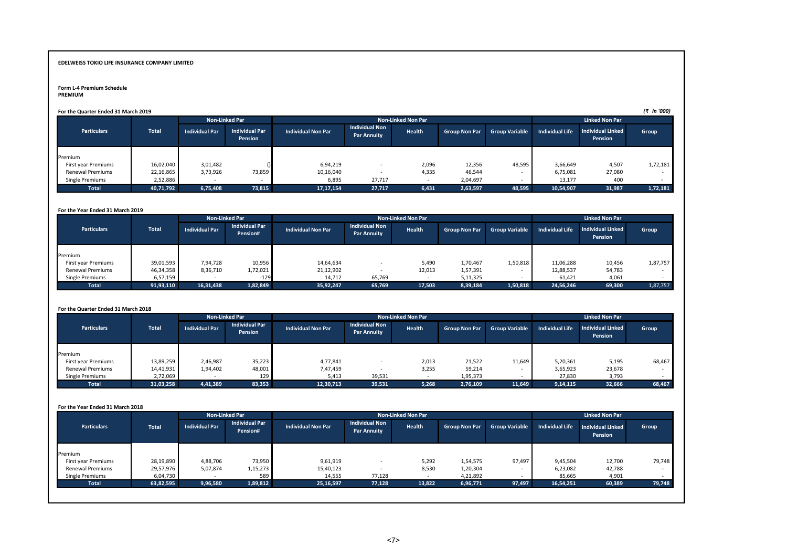### **Form L-4 Premium Schedule**

# **PREMIUM**

| For the Quarter Ended 31 March 2019 |  |  |
|-------------------------------------|--|--|
|-------------------------------------|--|--|

| For the Quarter Ended 31 March 2019 |              |                       |                                  |                           |                                             |        |                       |                       |                        |                                     | (₹ in '000) |
|-------------------------------------|--------------|-----------------------|----------------------------------|---------------------------|---------------------------------------------|--------|-----------------------|-----------------------|------------------------|-------------------------------------|-------------|
|                                     |              |                       | <b>Non-Linked Par</b>            |                           | <b>Non-Linked Non Par</b>                   |        | <b>Linked Non Par</b> |                       |                        |                                     |             |
| <b>Particulars</b>                  | <b>Total</b> | <b>Individual Par</b> | <b>Individual Par</b><br>Pension | <b>Individual Non Par</b> | <b>Individual Non</b><br><b>Par Annuity</b> | Health | <b>Group Non Par</b>  | <b>Group Variable</b> | <b>Individual Life</b> | <b>Individual Linked</b><br>Pension | Group       |
| Premium                             |              |                       |                                  |                           |                                             |        |                       |                       |                        |                                     |             |
| First year Premiums                 | 16,02,040    | 3,01,482              |                                  | 6,94,219                  |                                             | 2,096  | 12,356                | 48,595                | 3,66,649               | 4,507                               | 1,72,181    |
| <b>Renewal Premiums</b>             | 22,16,865    | 3,73,926              | 73,859                           | 10,16,040                 |                                             | 4,335  | 46,544                |                       | 6,75,081               | 27,080                              |             |
| Single Premiums                     | 2,52,886     |                       |                                  | 6,895                     | 27,717                                      |        | 2,04,697              |                       | 13,177                 | 400                                 |             |
| <b>Total</b>                        | 40,71,792    | 6,75,408              | 73,815                           | 17, 17, 154               | 27,717                                      | 6,431  | 2,63,597              | 48,595                | 10,54,907              | 31,987                              | 1,72,181    |

#### **For the Year Ended 31 March 2019**

|                         |           |                       | <b>Non-Linked Par</b>             |                           | <b>Non-Linked Non Par</b>                   |        | <b>Linked Non Par</b> |                       |                        |                                     |          |
|-------------------------|-----------|-----------------------|-----------------------------------|---------------------------|---------------------------------------------|--------|-----------------------|-----------------------|------------------------|-------------------------------------|----------|
| <b>Particulars</b>      | Total     | <b>Individual Par</b> | <b>Individual Par</b><br>Pension# | <b>Individual Non Par</b> | <b>Individual Non</b><br><b>Par Annuity</b> | Health | <b>Group Non Par</b>  | <b>Group Variable</b> | <b>Individual Life</b> | <b>Individual Linked</b><br>Pension | Group    |
| Premium                 |           |                       |                                   |                           |                                             |        |                       |                       |                        |                                     |          |
| First year Premiums     | 39,01,593 | 7,94,728              | 10,956                            | 14,64,634                 |                                             | 5,490  | 1,70,467              | 1,50,818              | 11,06,288              | 10,456                              | 1,87,757 |
| <b>Renewal Premiums</b> | 46,34,358 | 8,36,710              | 1,72,021                          | 21,12,902                 |                                             | 12,013 | 1,57,391              |                       | 12,88,537              | 54,783                              |          |
| Single Premiums         | 6,57,159  |                       | $-129$                            | 14,712                    | 65,769                                      |        | 5,11,325              |                       | 61,421                 | 4,061                               |          |
| <b>Total</b>            | 91,93,110 | 16,31,438             | 1,82,849                          | 35,92,247                 | 65,769                                      | 17,503 | 8,39,184              | 1,50,818              | 24,56,246              | 69,300                              | 1,87,757 |

#### **For the Quarter Ended 31 March 2018**

|                         |              |                       | <b>Non-Linked Par</b>            |                           | <b>Non-Linked Non Par</b>                   | <b>Linked Non Par</b> |                      |                       |                        |                              |        |
|-------------------------|--------------|-----------------------|----------------------------------|---------------------------|---------------------------------------------|-----------------------|----------------------|-----------------------|------------------------|------------------------------|--------|
| <b>Particulars</b>      | <b>Total</b> | <b>Individual Par</b> | <b>Individual Par</b><br>Pension | <b>Individual Non Par</b> | <b>Individual Non</b><br><b>Par Annuity</b> | Health                | <b>Group Non Par</b> | <b>Group Variable</b> | <b>Individual Life</b> | Individual Linked<br>Pension | Group  |
| Premium                 |              |                       |                                  |                           |                                             |                       |                      |                       |                        |                              |        |
| First year Premiums     | 13,89,259    | 2,46,987              | 35,223                           | 4,77,841                  |                                             | 2,013                 | 21,522               | 11,649                | 5,20,361               | 5,195                        | 68,467 |
| <b>Renewal Premiums</b> | 14,41,931    | 1,94,402              | 48,001                           | 7,47,459                  |                                             | 3,255                 | 59,214               | . .                   | 3,65,923               | 23,678                       |        |
| Single Premiums         | 2,72,069     |                       | 129                              | 5,413                     | 39,531                                      |                       | 1,95,373             |                       | 27,830                 | 3,793                        |        |
| <b>Total</b>            | 31,03,258    | 4,41,389              | 83,353                           | 12,30,713                 | 39,531                                      | 5,268                 | 2,76,109             | 11,649                | 9,14,115               | 32,666                       | 68,467 |

#### **For the Year Ended 31 March 2018**

|                         |              |                       | <b>Non-Linked Par</b><br><b>Non-Linked Non Par</b> |                           |                                             |        |                      | <b>Linked Non Par</b>    |                        |                              |        |
|-------------------------|--------------|-----------------------|----------------------------------------------------|---------------------------|---------------------------------------------|--------|----------------------|--------------------------|------------------------|------------------------------|--------|
| <b>Particulars</b>      | <b>Total</b> | <b>Individual Par</b> | <b>Individual Par</b><br>Pension#                  | <b>Individual Non Par</b> | <b>Individual Non</b><br><b>Par Annuity</b> | Health | <b>Group Non Par</b> | <b>Group Variable</b>    | <b>Individual Life</b> | Individual Linked<br>Pension | Group  |
|                         |              |                       |                                                    |                           |                                             |        |                      |                          |                        |                              |        |
| Premium                 |              |                       |                                                    |                           |                                             |        |                      |                          |                        |                              |        |
| First year Premiums     | 28,19,890    | 4,88,706              | 73,950                                             | 9,61,919                  |                                             | 5,292  | 1,54,575             | 97,497                   | 9,45,504               | 12,700                       | 79,748 |
| <b>Renewal Premiums</b> | 29,57,976    | 5,07,874              | 1,15,273                                           | 15,40,123                 |                                             | 8,530  | 1,20,304             | $\overline{\phantom{a}}$ | 6,23,082               | 42,788                       |        |
| Single Premiums         | 6,04,730     |                       | 589                                                | 14,555                    | 77,128                                      |        | 4,21,892             |                          | 85,665                 | 4,901                        |        |
| Total                   | 63,82,595    | 9,96,580              | 1,89,812                                           | 25, 16, 597               | 77,128                                      | 13,822 | 6,96,771             | 97,497                   | 16,54,251              | 60,389                       | 79,748 |
|                         |              |                       |                                                    |                           |                                             |        |                      |                          |                        |                              |        |
|                         |              |                       |                                                    |                           |                                             |        |                      |                          |                        |                              |        |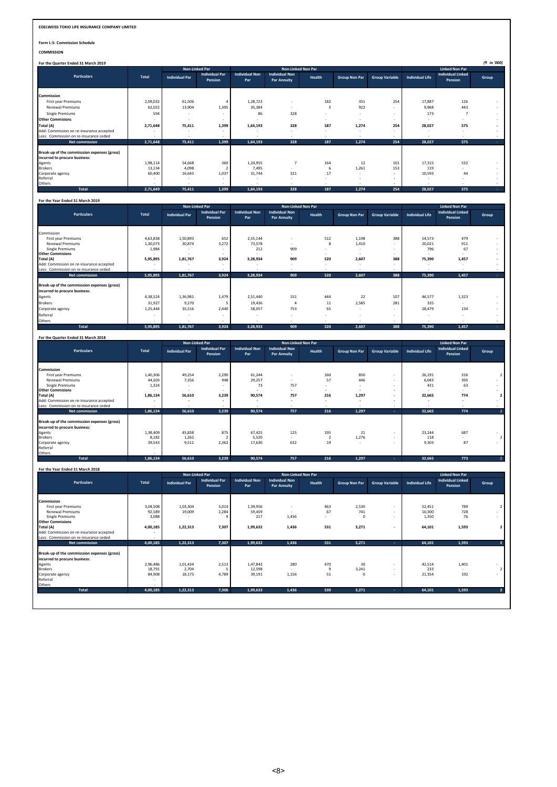**Form L-5- Commission Schedule**

**COMMISSION**

|                                                                               |          | Non-Linked Par        |                                  |                              | <b>Non-Linked Non Par</b>                   |        |                      |                       | <b>Linked Non Par</b>  |                                     |       |
|-------------------------------------------------------------------------------|----------|-----------------------|----------------------------------|------------------------------|---------------------------------------------|--------|----------------------|-----------------------|------------------------|-------------------------------------|-------|
| <b>Particulars</b>                                                            | Total    | <b>Individual Par</b> | <b>Individual Par</b><br>Pension | <b>Individual Non</b><br>Par | <b>Individual Non</b><br><b>Par Annuity</b> | Health | <b>Group Non Par</b> | <b>Group Variable</b> | <b>Individual Life</b> | <b>Individual Linked</b><br>Pension | Group |
| Commission                                                                    |          |                       |                                  |                              |                                             |        |                      |                       |                        |                                     |       |
| First year Premiums                                                           | 2,09,032 | 61,506                |                                  | 1,28,723                     | ٠                                           | 182    | 351                  | 254                   | 17,887                 | 126                                 |       |
| <b>Renewal Premiums</b>                                                       | 62,022   | 13,904                | 1,395                            | 35,384                       | ٠                                           | 5      | 922                  |                       | 9,968                  | 443                                 |       |
| <b>Single Premiums</b>                                                        | 594      | $\sim$                |                                  | 86                           | 328                                         |        | ۰                    |                       | 173                    |                                     |       |
| <b>Other Commisions</b>                                                       |          | $\sim$                | <b>1999</b>                      |                              |                                             |        | ٠                    |                       | $\sim$                 |                                     |       |
| Total (A)                                                                     | 2,71,648 | 75,411                | 1,399                            | 1,64,193                     | 328                                         | 187    | 1,274                | 254                   | 28,027                 | 575                                 |       |
| Add: Commission on re-insurance accepted                                      |          | $\sim$                |                                  |                              | $\sim$                                      |        |                      |                       | $\sim$                 |                                     |       |
| Less: Commission on re-insurance ceded                                        |          |                       |                                  |                              |                                             |        |                      |                       |                        |                                     |       |
| <b>Net commission</b>                                                         | 2,71,648 | 75,411                | 1,399                            | 1,64,193                     | 328                                         | 187    | 1,274                | 254                   | 28,027                 | 575                                 |       |
| Break-up of the commisssion expenses (gross)<br>incurred to procure business: |          |                       |                                  |                              |                                             |        |                      |                       |                        |                                     |       |
| Agents                                                                        | 1,98,114 | 54,668                | 360                              | 1,24,955                     |                                             | 164    | 12                   | 101                   | 17,315                 | 532                                 |       |
| <b>Brokers</b>                                                                | 13,134   | 4,098                 |                                  | 7,495                        |                                             | 6      | 1,261                | 153                   | 119                    |                                     |       |
| Corporate agency                                                              | 60,400   | 16,645                | 1,037                            | 31,744                       | 321                                         | 17     | $\sim$               |                       | 10,593                 | 44                                  |       |
| Referral                                                                      |          | $\sim$                |                                  |                              | $\sim$                                      |        |                      |                       | $\sim$                 | $\overline{\phantom{a}}$            |       |
| Others                                                                        |          | ٠                     |                                  | $\sim$                       | ٠                                           | ٠      |                      |                       | $\sim$                 | ٠                                   |       |
| Total                                                                         | 2,71,649 | 75,411                | 1,399                            | 1,64,193                     | 328                                         | 187    | 1,274                | 254                   | 28,027                 | 575                                 |       |

#### **For the Year Ended 31 March 2019**

|                                                                               |          | <b>Non-Linked Par</b> |                                  |                              |                                             | <b>Non-Linked Non Par</b> |                      |                       | <b>Linked Non Par</b>  |                                     |       |
|-------------------------------------------------------------------------------|----------|-----------------------|----------------------------------|------------------------------|---------------------------------------------|---------------------------|----------------------|-----------------------|------------------------|-------------------------------------|-------|
| <b>Particulars</b>                                                            | Total    | <b>Individual Par</b> | <b>Individual Par</b><br>Pension | <b>Individual Non</b><br>Par | <b>Individual Non</b><br><b>Par Annuity</b> | Health                    | <b>Group Non Par</b> | <b>Group Variable</b> | <b>Individual Life</b> | <b>Individual Linked</b><br>Pension | Group |
| Commission                                                                    |          |                       |                                  |                              |                                             |                           |                      |                       |                        |                                     |       |
| First year Premiums                                                           | 4,63,838 | 1,50,893              | 652                              | 2,55,144                     | <b>1999</b>                                 | 512                       | 1,198                | 388                   | 54,573                 | 479                                 |       |
| <b>Renewal Premiums</b>                                                       | 1,30,073 | 30,874                | 3,272                            | 73,578                       |                                             | 8                         | 1,410                |                       | 20,021                 | 911                                 |       |
| <b>Single Premiums</b>                                                        | 1,984    |                       |                                  | 212                          | 909                                         | $\sim$                    | $\sim$               |                       | 796                    | 67                                  |       |
| <b>Other Commisions</b>                                                       |          | $\sim$                | $\sim$                           |                              | <b>1999</b>                                 |                           | $\sim$               | $\sim$                | ٠                      |                                     |       |
| Total (A)                                                                     | 5,95,895 | 1,81,767              | 3,924                            | 3,28,934                     | 909                                         | 520                       | 2,607                | 388                   | 75,390                 | 1,457                               |       |
| Add: Commission on re-insurance accepted                                      |          |                       |                                  | $\sim$                       | <b>1999</b>                                 |                           | $\sim$               |                       | ٠                      |                                     |       |
| Less: Commission on re-insurance ceded                                        |          |                       |                                  | $\overline{\phantom{a}}$     |                                             | $\sim$                    |                      |                       | $\sim$                 |                                     |       |
| Net commission                                                                | 5,95,895 | 1,81,767              | 3,924                            | 3,28,934                     | 909                                         | 520                       | 2,607                | 388                   | 75,390                 | 1,457                               |       |
| Break-up of the commisssion expenses (gross)<br>incurred to procure business: |          |                       |                                  |                              |                                             |                           |                      |                       |                        |                                     |       |
| Agents                                                                        | 4,38,524 | 1,36,981              | 1,479                            | 2,51,440                     | 151                                         | 444                       | 22                   | 107                   | 46,577                 | 1,323                               |       |
| <b>Brokers</b>                                                                | 31,927   | 9,270                 |                                  | 19,436                       | 4                                           | 11                        | 2,585                | 281                   | 335                    |                                     |       |
| Corporate agency                                                              | 1,25,444 | 35,516                | 2,440                            | 58,057                       | 753                                         | 65                        | $\sim$               | $\sim$                | 28,479                 | 134                                 |       |
| Referral                                                                      |          | ٠                     | ×.                               | ۰                            | . .                                         |                           | $\sim$               | ۰                     | ٠                      | ۰.                                  |       |
| Others                                                                        |          |                       |                                  | $\sim$                       | $\sim$                                      | $\sim$                    | $\sim$               |                       | ٠                      |                                     |       |
| <b>Total</b>                                                                  | 5,95,895 | 1,81,767              | 3,924                            | 3,28,933                     | 909                                         | 520                       | 2,607                | 388                   | 75,390                 | 1,457                               |       |

| For the Quarter Ended 31 March 2018                                           |          |                       |                                  |                              |                                             |                          |                      |                          |                        |                                            |       |
|-------------------------------------------------------------------------------|----------|-----------------------|----------------------------------|------------------------------|---------------------------------------------|--------------------------|----------------------|--------------------------|------------------------|--------------------------------------------|-------|
|                                                                               |          | <b>Non-Linked Par</b> |                                  |                              | Non-Linked Non Par                          |                          |                      |                          |                        | <b>Linked Non Par</b>                      |       |
| <b>Particulars</b>                                                            | Total    | <b>Individual Par</b> | <b>Individual Par</b><br>Pension | <b>Individual Non</b><br>Par | <b>Individual Non</b><br><b>Par Annuity</b> | Health                   | <b>Group Non Par</b> | <b>Group Variable</b>    | <b>Individual Life</b> | <b>Individual Linked</b><br><b>Pension</b> | Group |
| Commission                                                                    |          |                       |                                  |                              |                                             |                          |                      |                          |                        |                                            |       |
| First year Premiums                                                           | 1,40,306 | 49,254                | 2,290                            | 61,244                       | ٠                                           | 160                      | 850                  |                          | 26,191                 | 316                                        |       |
| Renewal Premiums                                                              | 44,503   | 7,356                 | 948                              | 29,257                       | ٠                                           | 57                       | 446                  |                          | 6,043                  | 395                                        |       |
| <b>Single Premiums</b>                                                        | 1,324    | $\sim$                |                                  | 73                           | 757                                         | $\sim$                   |                      |                          | 431                    | 63                                         |       |
| <b>Other Commisions</b>                                                       |          |                       | $\sim$                           | $\overline{\phantom{a}}$     | ٠                                           | $\overline{\phantom{a}}$ |                      | $\overline{\phantom{a}}$ | $\sim$                 | $\sim$                                     |       |
| Total (A)                                                                     | 1,86,134 | 56,610                | 3,239                            | 90,574                       | 757                                         | 216                      | 1,297                |                          | 32,665                 | 774                                        |       |
| Add: Commission on re-insurance accepted                                      |          | ٠                     |                                  | ٠                            | ٠                                           | ۰.                       |                      |                          | $\sim$                 | $\sim$                                     |       |
| Less: Commission on re-insurance ceded                                        |          | $\sim$                |                                  | $\sim$                       | ٠                                           | $\sim$                   |                      | $\sim$                   | $\sim$                 | $\sim$                                     |       |
| Net commission                                                                | 1,86,134 | 56,610                | 3,239                            | 90,574                       | 757                                         | 216                      | 1,297                |                          | 32,665                 | 774                                        |       |
| Break-up of the commisssion expenses (gross)<br>incurred to procure business: |          |                       |                                  |                              |                                             |                          |                      |                          |                        |                                            |       |
| Agents                                                                        | 1,38,409 | 45,838                | 875                              | 67,425                       | 125                                         | 195                      | 21                   |                          | 23,244                 | 687                                        |       |
| <b>Brokers</b>                                                                | 8,182    | 1,262                 |                                  | 5,520                        | $\sim$                                      |                          | 1,276                |                          | 118                    | $\sim$                                     |       |
| Corporate agency                                                              | 39,543   | 9,511                 | 2,362                            | 17,630                       | 632                                         | 19                       | $\sim$               |                          | 9,303                  | 87                                         |       |
| Referral                                                                      |          |                       |                                  |                              |                                             |                          |                      |                          |                        |                                            |       |
| Others                                                                        |          |                       |                                  |                              |                                             |                          |                      |                          |                        |                                            |       |
| Total                                                                         | 1,86,134 | 56,610                | 3,239                            | 90,574                       | 757                                         | 216                      | 1,297                |                          | 32,665                 | 773                                        |       |

**For the Year Ended 31 March 2018**

|                                              |          | <b>Non-Linked Par</b> |                                  |                              | <b>Non-Linked Non Par</b>                   |        |                      |                       | <b>Linked Non Par</b>  |                                     |                |  |
|----------------------------------------------|----------|-----------------------|----------------------------------|------------------------------|---------------------------------------------|--------|----------------------|-----------------------|------------------------|-------------------------------------|----------------|--|
| <b>Particulars</b>                           | Total    | <b>Individual Par</b> | <b>Individual Par</b><br>Pension | <b>Individual Non</b><br>Par | <b>Individual Non</b><br><b>Par Annuity</b> | Health | <b>Group Non Par</b> | <b>Group Variable</b> | <b>Individual Life</b> | <b>Individual Linked</b><br>Pension | Group          |  |
| <b>Commission</b>                            |          |                       |                                  |                              |                                             |        |                      |                       |                        |                                     |                |  |
| First year Premiums                          | 3,04,508 | 1,03,304              | 5,014                            | 1,39,956                     | $\sim$                                      | 463    | 2,530                |                       | 52,451                 | 789                                 |                |  |
| <b>Renewal Premiums</b>                      | 92,589   | 19,009                | 2,284                            | 59,459                       | $\sim$                                      | 67     | 741                  |                       | 10,300                 | 728                                 |                |  |
| <b>Single Premiums</b>                       | 3,088    |                       | ٩                                | 217                          | 1,436                                       | ٠.     |                      |                       | 1,350                  | 76                                  |                |  |
| <b>Other Commisions</b>                      |          |                       |                                  |                              |                                             |        |                      |                       |                        |                                     |                |  |
| Total (A)                                    | 4,00,185 | 1,22,313              | 7,307                            | 1,99,632                     | 1,436                                       | 531    | 3,271                |                       | 64,101                 | 1,593                               | $\overline{2}$ |  |
| Add: Commission on re-insurance accepted     |          |                       |                                  |                              |                                             |        |                      |                       |                        |                                     |                |  |
| Less: Commission on re-insurance ceded       |          |                       |                                  |                              |                                             |        |                      |                       |                        |                                     |                |  |
| Net commission                               | 4,00,185 | 1,22,313              | 7,307                            | 1,99,632                     | 1,436                                       | 531    | 3,271                |                       | 64,101                 | 1,593                               |                |  |
| Break-up of the commisssion expenses (gross) |          |                       |                                  |                              |                                             |        |                      |                       |                        |                                     |                |  |
| incurred to procure business:                |          |                       |                                  |                              |                                             |        |                      |                       |                        |                                     |                |  |
| Agents                                       | 2,96,486 | 1,01,434              | 2,513                            | 1,47,843                     | 280                                         | 470    | 30                   | $\sim$                | 42,514                 | 1,401                               |                |  |
| <b>Brokers</b>                               | 18,791   | 2,704                 |                                  | 12,598                       | <b>A</b>                                    | 9      | 3,241                | $\sim$                | 233                    | $\sim$                              | $\overline{2}$ |  |
| Corporate agency                             | 84,908   | 18,175                | 4,789                            | 39,191                       | 1,156                                       | 51     | $\Omega$             |                       | 21,354                 | 192                                 |                |  |
| Referral                                     |          |                       |                                  |                              |                                             |        |                      |                       |                        |                                     |                |  |
| Others                                       |          |                       |                                  |                              |                                             |        |                      |                       |                        |                                     |                |  |
| <b>Total</b>                                 | 4,00,185 | 1,22,313              | 7,306                            | 1,99,633                     | 1,436                                       | 530    | 3,271                | the co                | 64,101                 | 1,593                               |                |  |
|                                              |          |                       |                                  |                              |                                             |        |                      |                       |                        |                                     |                |  |
|                                              |          |                       |                                  |                              |                                             |        |                      |                       |                        |                                     |                |  |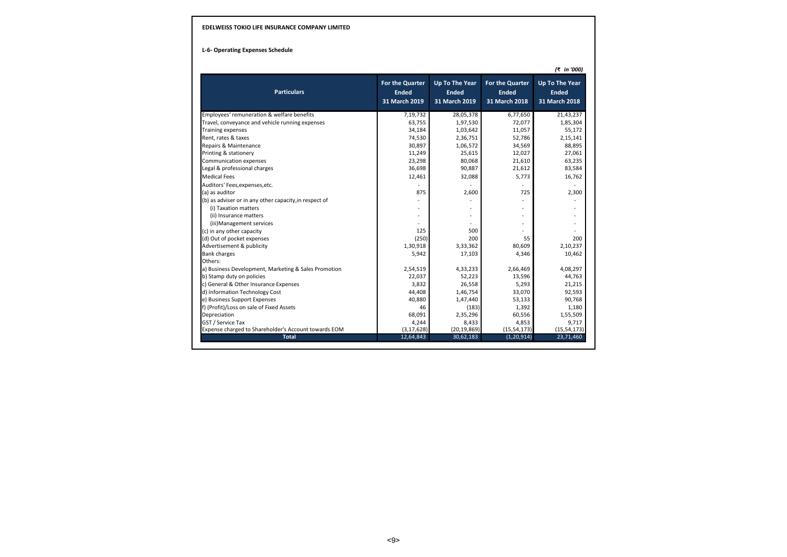#### **L-6- Operating Expenses Schedule**

*(₹ in '000)* Employees' remuneration & welfare benefits 7,19,732 28,05,378 6,77,650 21,43,237 Travel, conveyance and vehicle running expenses  $\begin{array}{cccc} 53,755 & 1,97,530 & 72,077 & 1,85,304 \\ 34,184 & 34,184 & 1,03,642 & 11,057 & 55,172 \end{array}$ Training expenses 34,184 1,03,642 11,057 55,172 Rent, rates & taxes 74,530 2,36,751 52,786 2,15,141 Repairs & Maintenance 68,895 1,06,572 34,569 88,895 1,06,572 34,569 88,895 88,895 88,895 88,895 88,895 88,895 <br>Printine & stationery 27.061 88,895 88,895 11,249 25.615 12.027 27.061 Printing & stationery **11,249** 25,615 12,027 27,061 27,061 27,051 27,061 27,061 27,061 27,061 27,061 27,061 27,061 27,061 27,061 27,061 27,061 27,061 27,061 27,061 27,061 27,061 27,061 27,061 27,061 27,061 27,051 27,051 27 Communication expenses 23,298 21,610 63,235 23,298 21,610 63,235 23,235 21,610 63,235 23,235 21,610 63,235 23,584 Legal & professional charges Medical Fees 12,461 32,088 5,773 16,762 Auditors' Fees,expenses,etc. - - - - (a) as auditor 875 2,600 725 2,300 (b) as adviser or in any other capacity, in respect of the state of the state of the state of the state of the state of the state of the state of the state of the state of the state of the state of the state of the state o (i) Taxation matters - - - - (ii) Insurance matters - - - - (iii)Management services - - - - (c) in any other capacity in a set of the capacity in the capacity of the capacity in the capacity of the capacity of the capacity of the capacity of the capacity of the capacity of the capacity of the capacity of the capa (d) Out of pocket expenses (a) and the control of the control of the control of the control of the control of the control of the control of the control of the control of the control of the control of the control of the con Advertisement & publicity 1,30,918 3,33,362 80,609 2,10,237<br>Bank charges 4,346 10,462 5,942 17,103 4,346 10,462 Bank charges 5,942 17,103 4,346 10,462 17,462 17,103 4,346 10,462 17,103 4,346 10,462 10,462 17,103 10,462 10,462 10,462 17,103 10,462 10,462 10,462 17,103 10,462 10,462 17,103 10,462 10,462 17,103 10,462 17,103 10,462 17, Others: a) Business Development, Marketing & Sales Promotion 2,54,519 4,33,233 2,66,469 4,08,297 4,08,297 4,08297 4,08<br>22.037 13.596 44.763 22.037 52.223 b) Stamp duty on policies **14,763**<br>
c) General & Other Insurance Expenses **14,763** 13,596 **13,596** 14,763<br>
21,215 c) General & Other Insurance Expenses 3,832 3,832 3,832 3,832 3,832 5,293 21,215<br>d) Information Technology Cost 32,593 32,070 92,593 d) Information Technology Cost 62,593<br>
e) Business Support Expenses 60,000 1,47,440 53,133 90,768 90,768 90,768 90,768 90,768 90,768 90,768 90,768 90,768 90,768 90,768 90,768 90,768 90,768 90,768 90,768 90,768 90,768 90,76 e) Business Support Expenses 40,880 1,47,440 53,133 90,768 90,768 1,47,440 53,133 90,768 1,180 53,133 90,768 1,180 90,768 1,180 1,180 1,180 1,180 1,180 1,180 1,180 1,180 1,180 1,180 1,180 1,180 1,180 1,180 1,180 1,180 1,18 f) (Profit)/Loss on sale of Fixed Assets 1.180<br>
Depreciation 1,55,509 1,55,509 1,55,509 1,55,509 1,55,509 1,55,509 1,55,509 1,55,509 1,55,509 1,55,509 1,55,50 Depreciation 68,091 2,35,296 60,556 1,55,509 GST / Service Tax 4,244 8,433 4,853 9,717 Expense charged to Shareholder's Account towards EOM (3,17,628) (20,19,869) (15,54,173) (15,54,173) **Total** 12,64,843 30,62,183 (1,20,914) 23,71,460 **For the Quarter Ended 31 March 2019 Up To The Year For the Quarter Up To The Year Ended 31 March 2019 Ended 31 March 2018 Ended 31 March 2018 Particulars**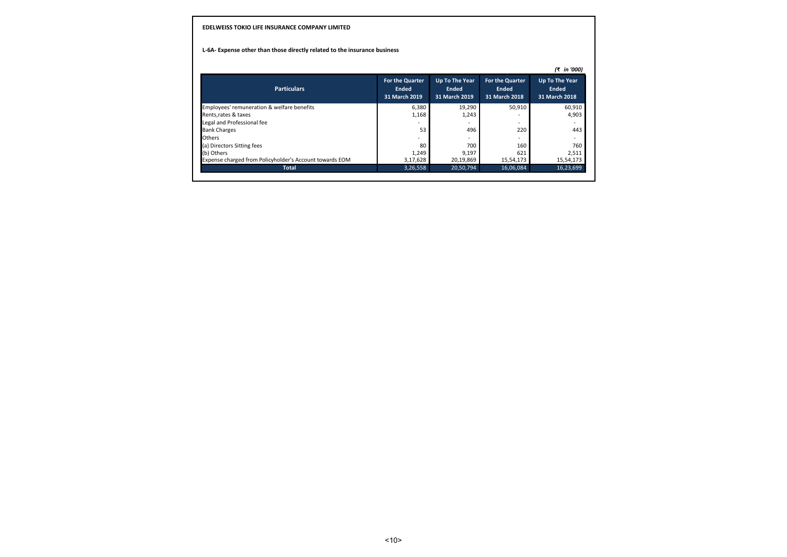### **L-6A- Expense other than those directly related to the insurance business**

|                                                         |                                           |                                          |                                           | (₹ in '000)                              |
|---------------------------------------------------------|-------------------------------------------|------------------------------------------|-------------------------------------------|------------------------------------------|
| <b>Particulars</b>                                      | For the Quarter<br>Ended<br>31 March 2019 | Up To The Year<br>Ended<br>31 March 2019 | For the Quarter<br>Ended<br>31 March 2018 | Up To The Year<br>Ended<br>31 March 2018 |
| Employees' remuneration & welfare benefits              | 6,380                                     | 19,290                                   | 50,910                                    | 60,910                                   |
| Rents, rates & taxes                                    | 1,168                                     | 1,243                                    |                                           | 4,903                                    |
| Legal and Professional fee                              |                                           |                                          | $\overline{\phantom{0}}$                  |                                          |
| <b>Bank Charges</b>                                     | 53                                        | 496                                      | 220                                       | 443                                      |
| <b>Others</b>                                           |                                           |                                          |                                           |                                          |
| (a) Directors Sitting fees                              | 80                                        | 700                                      | 160                                       | 760                                      |
| (b) Others                                              | 1,249                                     | 9.197                                    | 621                                       | 2.511                                    |
| Expense charged from Policyholder's Account towards EOM | 3,17,628                                  | 20,19,869                                | 15,54,173                                 | 15,54,173                                |
| <b>Total</b>                                            | 3,26,558                                  | 20,50,794                                | 16.06.084                                 | 16,23,699                                |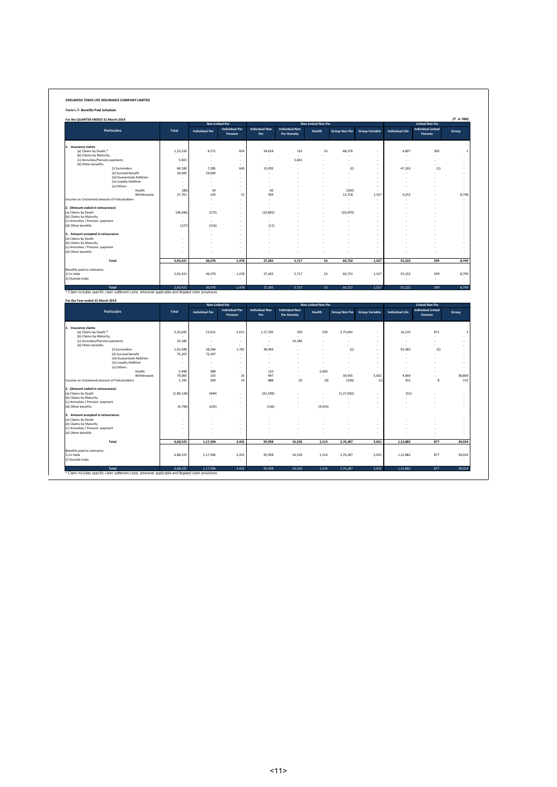| Form L-7- Benefits Paid Schedule                                                                   |                 |                          |                                  |                              |                                             |                    |                      |                       |                        |                                     |                               |
|----------------------------------------------------------------------------------------------------|-----------------|--------------------------|----------------------------------|------------------------------|---------------------------------------------|--------------------|----------------------|-----------------------|------------------------|-------------------------------------|-------------------------------|
| For the QUARTER ENDED 31 March 2019                                                                |                 |                          |                                  |                              |                                             |                    |                      |                       |                        |                                     | (₹ in '000)                   |
|                                                                                                    |                 | Non-Linked Par           |                                  |                              |                                             | Non-Linked Non Par |                      |                       |                        | <b>Linked Non Par</b>               |                               |
| <b>Particulars</b>                                                                                 | Total           | <b>Individual Par</b>    | <b>Individual Par</b><br>Pension | <b>Individual Non</b><br>Par | <b>Individual Non</b><br><b>Par Annuity</b> | <b>Health</b>      | <b>Group Non Par</b> | <b>Group Variable</b> | <b>Individual Life</b> | <b>Individual Linked</b><br>Pension | Group                         |
|                                                                                                    |                 |                          |                                  |                              |                                             |                    |                      |                       |                        |                                     |                               |
| 1. Insurance claims<br>(a) Claims by Death,*                                                       | 1,23,526        | 4,571                    | 814                              | 24,618                       | 116                                         | 23                 | 88,276               | J.                    | 4,807                  | 300                                 | $\mathbf{1}$                  |
| (b) Claims by Maturity,                                                                            |                 |                          | ٠                                |                              |                                             |                    |                      | $\ddot{\phantom{a}}$  |                        |                                     |                               |
| (c) Annuities/Pension payment,<br>(d) Other benefits                                               | 5,601           | $\overline{\phantom{a}}$ | ÷                                | ÷.                           | 5,601                                       | ÷.                 | ÷.                   | ÷                     | ÷                      |                                     | ÷                             |
| (i) Surrenders                                                                                     | 68.180          | 7.285                    | 643                              | 13,093                       |                                             | ÷,                 | (2)                  | ÷                     | 47.163                 | (1)                                 | ÷                             |
| (ii) Survival benefit                                                                              | 24,606          | 24,606                   |                                  |                              |                                             | J.                 |                      | ÷.                    |                        |                                     | $\sim$                        |
| (iii) Guaranteed Addition<br>(iv) Loyalty Addition                                                 | ÷,              | ٠<br>÷,                  | ×<br>÷.                          | i.                           |                                             |                    | ÷,                   | ×,<br>÷               | ÷.                     |                                     | $\epsilon$<br>÷               |
| (v) Others                                                                                         |                 |                          | i,                               |                              |                                             |                    |                      | ÷                     |                        |                                     | ÷                             |
| Health<br>Withdrawals                                                                              | (80)<br>27,761  | 54<br>142                | 21                               | 66<br>304                    |                                             |                    | (200)<br>13,718      | 1,527                 | 3,252                  |                                     | 8,798                         |
| Income on Unclaimed amount of Policyholders                                                        |                 |                          | ٠                                |                              |                                             |                    |                      | ٠                     |                        |                                     | $\sim$                        |
|                                                                                                    |                 | ÷.                       | ÷.                               |                              |                                             |                    | ÷.                   | ×                     |                        |                                     | $\sim$                        |
| 2. (Amount ceded in reinsurance)<br>(a) Claims by Death                                            | (46, 046)       | (172)                    | ÷,                               | (10, 805)                    |                                             |                    | (35,070)             | ÷,                    |                        |                                     | $\overline{\phantom{a}}$<br>÷ |
| (b) Claims by Maturity                                                                             |                 |                          | ٠                                |                              |                                             |                    |                      | ×,                    |                        |                                     | $\epsilon$                    |
| (c) Annuities / Pension payment<br>(d) Other benefits                                              | (127)           | (116)                    | ÷.                               | (11)                         |                                             |                    | ÷,                   | ×,                    |                        |                                     | ÷.                            |
|                                                                                                    |                 |                          | ÷.                               |                              |                                             |                    | ÷.                   | ÷.                    |                        |                                     | ÷                             |
| 3. Amount accepted in reinsurance                                                                  |                 |                          | ×,                               |                              |                                             |                    |                      |                       |                        |                                     | ÷,                            |
| (a) Claims by Death<br>(b) Claims by Maturity                                                      | ÷.<br>ł.        | ÷.                       | ÷.                               |                              |                                             |                    |                      | ÷.                    |                        |                                     | ÷.<br>÷                       |
| (c) Annuities / Pension payment                                                                    | ×,              |                          | ×                                |                              |                                             |                    | ×.                   | ×                     |                        |                                     | ÷                             |
| (d) Other benefits                                                                                 |                 |                          |                                  |                              |                                             |                    |                      |                       |                        |                                     | ×,                            |
| Total                                                                                              | 2,03,421        | 36,370                   | 1,478                            | 27,265                       | 5.717                                       | 23                 | 66,722               | 1,527                 | 55,222                 | 299                                 | 8,799                         |
| Benefits paid to claimants:                                                                        |                 |                          |                                  |                              |                                             |                    |                      |                       |                        |                                     |                               |
| 1) In India                                                                                        | 2,03,421        | 36,370                   | 1,478                            | 27,265                       | 5,717                                       | 23                 | 66,722               | 1,527                 | 55,222                 | 299                                 | 8,799                         |
| 2) Outside India                                                                                   |                 |                          |                                  |                              |                                             |                    |                      |                       |                        |                                     |                               |
|                                                                                                    |                 |                          |                                  |                              |                                             |                    |                      |                       |                        |                                     |                               |
| Total                                                                                              | 2.03.421        | 36.370                   |                                  |                              |                                             |                    |                      |                       |                        | 299                                 |                               |
| Claim includes specific claim settlment costs, wherever applicable and litigated claim provisions. |                 |                          | 1,478                            | 27,265                       | 5,717                                       | 23                 | 66,722               | 1,527                 | 55,222                 |                                     | 8,799                         |
| For the Year ended 31 March 2019                                                                   |                 |                          |                                  |                              |                                             |                    |                      |                       |                        |                                     |                               |
|                                                                                                    |                 | Non-Linked Par           |                                  |                              |                                             | Non-Linked Non Par |                      |                       |                        | <b>Linked Non Par</b>               |                               |
| <b>Particulars</b>                                                                                 | Total           | <b>Individual Par</b>    | <b>Individual Par</b><br>Pension | <b>Individual Non</b><br>Par | <b>Individual Non</b><br><b>Par Annuity</b> | Health             | <b>Group Non Par</b> | <b>Group Variable</b> | <b>Individual Life</b> | <b>Individual Linked</b><br>Pension | Group                         |
|                                                                                                    |                 |                          |                                  |                              |                                             |                    |                      |                       |                        |                                     |                               |
| 1. Insurance claims<br>(a) Claims by Death,*                                                       | 5,23,642        | 13,421                   | 1,611                            | 1,17,705                     | 320                                         | 539                | 3,73,042             | ×,                    | 16,132                 | 871                                 |                               |
| (b) Claims by Maturity,                                                                            |                 |                          |                                  |                              |                                             |                    |                      | ÷.                    |                        |                                     |                               |
| (c) Annuities/Pension payment,                                                                     | 16,186          | ×,                       | ÷,                               | ×,                           | 16,186                                      |                    | í,                   | ÷,<br>÷,              | ×,                     |                                     |                               |
| (d) Other benefits<br>(i) Surrenders                                                               | 1,61,048        | 28,394                   | 1,781                            | 38,494                       |                                             |                    | (2)                  | ÷                     | 92,383                 | (2)                                 | $\epsilon$                    |
| (ii) Survival benefit                                                                              | 75,207          | 75,207                   | $\overline{\phantom{a}}$         |                              |                                             | J.                 | ÷.                   | ÷                     |                        |                                     | ÷                             |
| (iii) Guaranteed Addition<br>(iv) Loyalty Addition                                                 |                 | ÷.                       | ÷<br>J.                          | ×                            |                                             |                    |                      | ÷<br>J.               | ×                      |                                     | $\sim$<br>ä,                  |
| (v) Others                                                                                         |                 |                          | ٠                                |                              |                                             |                    | ÷.                   | ×                     | ×                      |                                     | ÷                             |
| Health                                                                                             | 5.498           | 388                      | ÷                                | 110                          | ÷.                                          | 5,000              |                      |                       |                        |                                     | $\sim$                        |
| Withdrawals<br>Income on Unclaimed amount of Policyholders                                         | 79,083<br>1,785 | 155<br>509               | 25<br>14                         | 497<br>888                   | 20                                          | (0)                | 30,435<br>(158)      | 5,032<br>(1)          | 4,069<br>353           | 8                                   |                               |
|                                                                                                    |                 |                          |                                  |                              |                                             |                    |                      |                       |                        |                                     |                               |
| 2. (Amount ceded in reinsurance):<br>(a) Claims by Death                                           | (1,89,128)      | (444)                    | ÷.                               | (61, 599)                    |                                             | J.                 | (1, 27, 030)         |                       | (55)                   |                                     |                               |
| (b) Claims by Maturity                                                                             |                 | $\overline{\phantom{a}}$ | ÷                                | $\sim$                       |                                             |                    |                      | ÷                     |                        |                                     | ÷                             |
| (c) Annuities / Pension payment                                                                    |                 | (235)                    | ÷<br>÷.                          |                              |                                             |                    | ÷.                   | ÷<br>÷.               | i.                     |                                     | $\sim$<br>÷.                  |
| (d) Other benefits                                                                                 | (4,796)         |                          |                                  | (136)                        |                                             | (4, 425)           |                      |                       |                        |                                     | $\overline{2}$<br>152         |
| 3. Amount accepted in reinsurance:                                                                 |                 |                          |                                  |                              |                                             |                    |                      |                       |                        |                                     | 38,869                        |
| (a) Claims by Death<br>(b) Claims by Maturity                                                      | ٠               | ٠                        | ×                                | и.                           |                                             | ×,                 | ÷.                   | ×                     |                        |                                     | ÷                             |
| (c) Annuities / Pension payment                                                                    | ÷,              |                          | ÷,                               |                              |                                             | ÷,                 | í,                   | ÷,                    |                        |                                     | ÷,                            |
|                                                                                                    |                 |                          | ×,                               |                              |                                             |                    |                      | ×                     |                        |                                     | ×,                            |
| Total                                                                                              | 6,68,525        | 1,17,396                 | 3.431                            | 95.958                       | 16,526                                      | 1.114              | 2.76.287             | 5.031                 | 1.12.882               | 877                                 |                               |
| (d) Other benefits                                                                                 |                 |                          |                                  |                              |                                             |                    |                      |                       |                        |                                     | 39,024                        |
| Benefits paid to claimants:<br>1) In India<br>2) Outside India                                     | 6,68,525        | 1,17,396                 | 3,431                            | 95,958                       | 16,526                                      | 1,114              | 2,76,287             | 5,031                 | 1,12,882               | 877                                 | 39,024                        |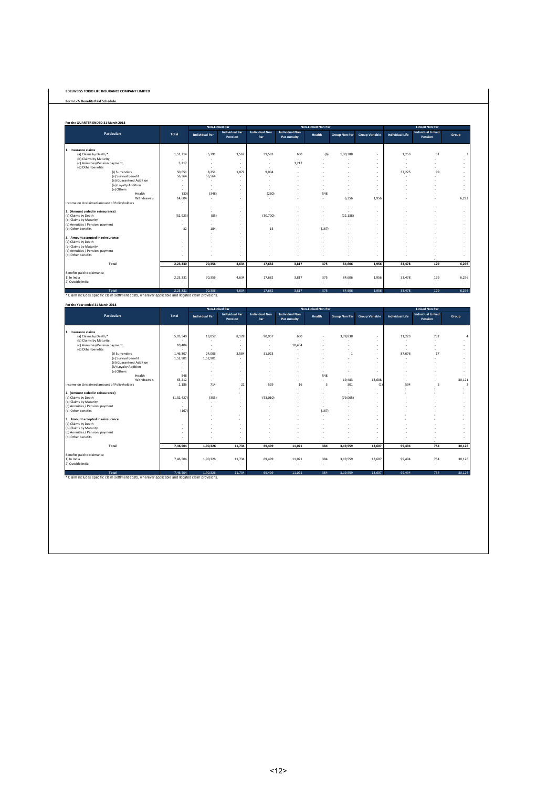**Form L-7- Benefits Paid Schedule**

| <b>Individual Non</b><br><b>Individual Non</b><br><b>Individual Par</b><br><b>Individual Linked</b><br><b>Particulars</b><br><b>Total</b><br><b>Individual Life</b><br><b>Group Variable</b><br><b>Individual Par</b><br>Health<br><b>Group Non Par</b><br>Pension<br>Par<br><b>Par Annuity</b><br>Pension<br>3,562<br>(a) Claims by Death,*<br>39.593<br>600<br>(6)<br>1,253<br>31<br>1,51,214<br>5.791<br>1,00,388<br>$\sim$<br>(b) Claims by Maturity.<br>$\sim$<br>٠<br>$\sim$<br>÷.<br>$\sim$<br>٠<br>(c) Annuities/Pension payment,<br>3.217<br>3.217<br>$\sim$<br>÷.<br>$\sim$<br>$\overline{\phantom{a}}$<br>$\overline{\phantom{a}}$<br>$\overline{\phantom{a}}$<br>٠<br>(d) Other benefits<br>$\sim$<br>. п.<br>$\sim$<br>÷.<br>٠<br>$\overline{\phantom{a}}$<br>$\overline{\phantom{a}}$<br>8,251<br>(i) Surrenders<br>50,651<br>1,072<br>9,004<br>32,225<br>99<br>×.<br>56,564<br>56,564<br>(ii) Survival benefit<br>$\sim$<br>$\sim$<br>٠<br>(iii) Guaranteed Addition<br>. п.<br>×.<br>(iv) Lovalty Addition<br>$\sim$<br>$\sim$<br>$\sim$<br>$\overline{\phantom{a}}$<br>(v) Others<br>$\sim$<br>٠<br>$\overline{a}$<br>$\overline{\phantom{a}}$<br>$\sim$<br>Health<br>(30)<br>(348)<br>(230)<br>548<br>$\sim$<br>$\sim$<br>$\sim$<br>14,604<br>6.356<br>1.956<br>Withdrawals<br>÷.<br>. п.<br>$\sim$<br>$\sim$<br>$\sim$<br>٠<br>٠<br>$\sim$<br>$\sim$<br>$\sim$<br>÷<br>×.<br>$\overline{\phantom{a}}$<br>(52, 923)<br>(85)<br>(30, 700)<br>(22, 138)<br>$\sim$<br>٠<br>$\sim$<br>$\sim$<br>$\sim$<br>×.<br>$\sim$<br>$\overline{\phantom{a}}$<br>$\sim$<br>٠<br>$\sim$<br>٠<br>×.<br>÷<br>$\overline{\phantom{a}}$<br>32<br>184<br>(167)<br>15<br>$\sim$<br>$\sim$<br>$\overline{\phantom{a}}$<br>$\sim$<br>$\sim$<br>٠<br>. п.<br>×.<br>$\sim$<br>$\sim$<br>$\sim$<br>. п.<br>×.<br>$\overline{\phantom{a}}$<br>$\sim$<br>۰.<br>$\sim$<br>$\overline{\phantom{a}}$<br>Total<br>2.23.330<br>70,356<br>4,634<br>17,682<br>3,817<br>375<br>84,606<br>1.956<br>33,478<br>129<br>4,634<br>375<br>2,23,331<br>70,356<br>17.682<br>3.817<br>84,606<br>1,956<br>33,478<br>129<br>٠<br>$\sim$<br>$\sim$<br>٠<br>$\sim$<br>٠<br>× |                     |          | Non-Linked Par |       |        |       | Non-Linked Non Par |        |       | <b>Linked Non Par</b> |     |                          |
|---------------------------------------------------------------------------------------------------------------------------------------------------------------------------------------------------------------------------------------------------------------------------------------------------------------------------------------------------------------------------------------------------------------------------------------------------------------------------------------------------------------------------------------------------------------------------------------------------------------------------------------------------------------------------------------------------------------------------------------------------------------------------------------------------------------------------------------------------------------------------------------------------------------------------------------------------------------------------------------------------------------------------------------------------------------------------------------------------------------------------------------------------------------------------------------------------------------------------------------------------------------------------------------------------------------------------------------------------------------------------------------------------------------------------------------------------------------------------------------------------------------------------------------------------------------------------------------------------------------------------------------------------------------------------------------------------------------------------------------------------------------------------------------------------------------------------------------------------------------------------------------------------------------------------------------------------------------------------------------------------------------------------------------------------------------------------------------------------------------------------------------------|---------------------|----------|----------------|-------|--------|-------|--------------------|--------|-------|-----------------------|-----|--------------------------|
|                                                                                                                                                                                                                                                                                                                                                                                                                                                                                                                                                                                                                                                                                                                                                                                                                                                                                                                                                                                                                                                                                                                                                                                                                                                                                                                                                                                                                                                                                                                                                                                                                                                                                                                                                                                                                                                                                                                                                                                                                                                                                                                                             |                     |          |                |       |        |       |                    |        |       |                       |     | Group                    |
| Income on Unclaimed amount of Policyholders<br>2. (Amount ceded in reinsurance)<br>(a) Claims by Death<br>(b) Claims by Maturity<br>(c) Annuities / Pension payment<br>(d) Other benefits<br>3. Amount accepted in reinsurance<br>(a) Claims by Death<br>(b) Claims by Maturity<br>(c) Annuities / Pension payment<br>(d) Other benefits<br>Benefits paid to claimants:<br>1) In India<br>2) Outside India                                                                                                                                                                                                                                                                                                                                                                                                                                                                                                                                                                                                                                                                                                                                                                                                                                                                                                                                                                                                                                                                                                                                                                                                                                                                                                                                                                                                                                                                                                                                                                                                                                                                                                                                  | 1. Insurance claims |          |                |       |        |       |                    |        |       |                       |     |                          |
|                                                                                                                                                                                                                                                                                                                                                                                                                                                                                                                                                                                                                                                                                                                                                                                                                                                                                                                                                                                                                                                                                                                                                                                                                                                                                                                                                                                                                                                                                                                                                                                                                                                                                                                                                                                                                                                                                                                                                                                                                                                                                                                                             |                     |          |                |       |        |       |                    |        |       |                       |     | $\overline{\mathbf{3}}$  |
|                                                                                                                                                                                                                                                                                                                                                                                                                                                                                                                                                                                                                                                                                                                                                                                                                                                                                                                                                                                                                                                                                                                                                                                                                                                                                                                                                                                                                                                                                                                                                                                                                                                                                                                                                                                                                                                                                                                                                                                                                                                                                                                                             |                     |          |                |       |        |       |                    |        |       |                       |     |                          |
|                                                                                                                                                                                                                                                                                                                                                                                                                                                                                                                                                                                                                                                                                                                                                                                                                                                                                                                                                                                                                                                                                                                                                                                                                                                                                                                                                                                                                                                                                                                                                                                                                                                                                                                                                                                                                                                                                                                                                                                                                                                                                                                                             |                     |          |                |       |        |       |                    |        |       |                       |     | $\sim$                   |
|                                                                                                                                                                                                                                                                                                                                                                                                                                                                                                                                                                                                                                                                                                                                                                                                                                                                                                                                                                                                                                                                                                                                                                                                                                                                                                                                                                                                                                                                                                                                                                                                                                                                                                                                                                                                                                                                                                                                                                                                                                                                                                                                             |                     |          |                |       |        |       |                    |        |       |                       |     | ÷                        |
|                                                                                                                                                                                                                                                                                                                                                                                                                                                                                                                                                                                                                                                                                                                                                                                                                                                                                                                                                                                                                                                                                                                                                                                                                                                                                                                                                                                                                                                                                                                                                                                                                                                                                                                                                                                                                                                                                                                                                                                                                                                                                                                                             |                     |          |                |       |        |       |                    |        |       |                       |     |                          |
|                                                                                                                                                                                                                                                                                                                                                                                                                                                                                                                                                                                                                                                                                                                                                                                                                                                                                                                                                                                                                                                                                                                                                                                                                                                                                                                                                                                                                                                                                                                                                                                                                                                                                                                                                                                                                                                                                                                                                                                                                                                                                                                                             |                     |          |                |       |        |       |                    |        |       |                       |     |                          |
|                                                                                                                                                                                                                                                                                                                                                                                                                                                                                                                                                                                                                                                                                                                                                                                                                                                                                                                                                                                                                                                                                                                                                                                                                                                                                                                                                                                                                                                                                                                                                                                                                                                                                                                                                                                                                                                                                                                                                                                                                                                                                                                                             |                     |          |                |       |        |       |                    |        |       |                       |     | ×.                       |
|                                                                                                                                                                                                                                                                                                                                                                                                                                                                                                                                                                                                                                                                                                                                                                                                                                                                                                                                                                                                                                                                                                                                                                                                                                                                                                                                                                                                                                                                                                                                                                                                                                                                                                                                                                                                                                                                                                                                                                                                                                                                                                                                             |                     |          |                |       |        |       |                    |        |       |                       |     | $\overline{\phantom{a}}$ |
|                                                                                                                                                                                                                                                                                                                                                                                                                                                                                                                                                                                                                                                                                                                                                                                                                                                                                                                                                                                                                                                                                                                                                                                                                                                                                                                                                                                                                                                                                                                                                                                                                                                                                                                                                                                                                                                                                                                                                                                                                                                                                                                                             |                     |          |                |       |        |       |                    |        |       |                       |     | $\overline{\phantom{a}}$ |
|                                                                                                                                                                                                                                                                                                                                                                                                                                                                                                                                                                                                                                                                                                                                                                                                                                                                                                                                                                                                                                                                                                                                                                                                                                                                                                                                                                                                                                                                                                                                                                                                                                                                                                                                                                                                                                                                                                                                                                                                                                                                                                                                             |                     |          |                |       |        |       |                    |        |       |                       |     |                          |
|                                                                                                                                                                                                                                                                                                                                                                                                                                                                                                                                                                                                                                                                                                                                                                                                                                                                                                                                                                                                                                                                                                                                                                                                                                                                                                                                                                                                                                                                                                                                                                                                                                                                                                                                                                                                                                                                                                                                                                                                                                                                                                                                             |                     |          |                |       |        |       |                    |        |       |                       |     | 6.293                    |
|                                                                                                                                                                                                                                                                                                                                                                                                                                                                                                                                                                                                                                                                                                                                                                                                                                                                                                                                                                                                                                                                                                                                                                                                                                                                                                                                                                                                                                                                                                                                                                                                                                                                                                                                                                                                                                                                                                                                                                                                                                                                                                                                             |                     |          |                |       |        |       |                    |        |       |                       |     |                          |
|                                                                                                                                                                                                                                                                                                                                                                                                                                                                                                                                                                                                                                                                                                                                                                                                                                                                                                                                                                                                                                                                                                                                                                                                                                                                                                                                                                                                                                                                                                                                                                                                                                                                                                                                                                                                                                                                                                                                                                                                                                                                                                                                             |                     |          |                |       |        |       |                    |        |       |                       |     | ×.                       |
|                                                                                                                                                                                                                                                                                                                                                                                                                                                                                                                                                                                                                                                                                                                                                                                                                                                                                                                                                                                                                                                                                                                                                                                                                                                                                                                                                                                                                                                                                                                                                                                                                                                                                                                                                                                                                                                                                                                                                                                                                                                                                                                                             |                     |          |                |       |        |       |                    |        |       |                       |     |                          |
|                                                                                                                                                                                                                                                                                                                                                                                                                                                                                                                                                                                                                                                                                                                                                                                                                                                                                                                                                                                                                                                                                                                                                                                                                                                                                                                                                                                                                                                                                                                                                                                                                                                                                                                                                                                                                                                                                                                                                                                                                                                                                                                                             |                     |          |                |       |        |       |                    |        |       |                       |     | ٠                        |
|                                                                                                                                                                                                                                                                                                                                                                                                                                                                                                                                                                                                                                                                                                                                                                                                                                                                                                                                                                                                                                                                                                                                                                                                                                                                                                                                                                                                                                                                                                                                                                                                                                                                                                                                                                                                                                                                                                                                                                                                                                                                                                                                             |                     |          |                |       |        |       |                    |        |       |                       |     | $\overline{\phantom{a}}$ |
|                                                                                                                                                                                                                                                                                                                                                                                                                                                                                                                                                                                                                                                                                                                                                                                                                                                                                                                                                                                                                                                                                                                                                                                                                                                                                                                                                                                                                                                                                                                                                                                                                                                                                                                                                                                                                                                                                                                                                                                                                                                                                                                                             |                     |          |                |       |        |       |                    |        |       |                       |     | ÷                        |
|                                                                                                                                                                                                                                                                                                                                                                                                                                                                                                                                                                                                                                                                                                                                                                                                                                                                                                                                                                                                                                                                                                                                                                                                                                                                                                                                                                                                                                                                                                                                                                                                                                                                                                                                                                                                                                                                                                                                                                                                                                                                                                                                             |                     |          |                |       |        |       |                    |        |       |                       |     | $\overline{\phantom{a}}$ |
|                                                                                                                                                                                                                                                                                                                                                                                                                                                                                                                                                                                                                                                                                                                                                                                                                                                                                                                                                                                                                                                                                                                                                                                                                                                                                                                                                                                                                                                                                                                                                                                                                                                                                                                                                                                                                                                                                                                                                                                                                                                                                                                                             |                     |          |                |       |        |       |                    |        |       |                       |     |                          |
|                                                                                                                                                                                                                                                                                                                                                                                                                                                                                                                                                                                                                                                                                                                                                                                                                                                                                                                                                                                                                                                                                                                                                                                                                                                                                                                                                                                                                                                                                                                                                                                                                                                                                                                                                                                                                                                                                                                                                                                                                                                                                                                                             |                     |          |                |       |        |       |                    |        |       |                       |     |                          |
|                                                                                                                                                                                                                                                                                                                                                                                                                                                                                                                                                                                                                                                                                                                                                                                                                                                                                                                                                                                                                                                                                                                                                                                                                                                                                                                                                                                                                                                                                                                                                                                                                                                                                                                                                                                                                                                                                                                                                                                                                                                                                                                                             |                     |          |                |       |        |       |                    |        |       |                       |     |                          |
|                                                                                                                                                                                                                                                                                                                                                                                                                                                                                                                                                                                                                                                                                                                                                                                                                                                                                                                                                                                                                                                                                                                                                                                                                                                                                                                                                                                                                                                                                                                                                                                                                                                                                                                                                                                                                                                                                                                                                                                                                                                                                                                                             |                     |          |                |       |        |       |                    |        |       |                       |     | ۰.                       |
|                                                                                                                                                                                                                                                                                                                                                                                                                                                                                                                                                                                                                                                                                                                                                                                                                                                                                                                                                                                                                                                                                                                                                                                                                                                                                                                                                                                                                                                                                                                                                                                                                                                                                                                                                                                                                                                                                                                                                                                                                                                                                                                                             |                     |          |                |       |        |       |                    |        |       |                       |     |                          |
|                                                                                                                                                                                                                                                                                                                                                                                                                                                                                                                                                                                                                                                                                                                                                                                                                                                                                                                                                                                                                                                                                                                                                                                                                                                                                                                                                                                                                                                                                                                                                                                                                                                                                                                                                                                                                                                                                                                                                                                                                                                                                                                                             |                     |          |                |       |        |       |                    |        |       |                       |     | ÷                        |
|                                                                                                                                                                                                                                                                                                                                                                                                                                                                                                                                                                                                                                                                                                                                                                                                                                                                                                                                                                                                                                                                                                                                                                                                                                                                                                                                                                                                                                                                                                                                                                                                                                                                                                                                                                                                                                                                                                                                                                                                                                                                                                                                             |                     |          |                |       |        |       |                    |        |       |                       |     | 6,296                    |
|                                                                                                                                                                                                                                                                                                                                                                                                                                                                                                                                                                                                                                                                                                                                                                                                                                                                                                                                                                                                                                                                                                                                                                                                                                                                                                                                                                                                                                                                                                                                                                                                                                                                                                                                                                                                                                                                                                                                                                                                                                                                                                                                             |                     |          |                |       |        |       |                    |        |       |                       |     |                          |
|                                                                                                                                                                                                                                                                                                                                                                                                                                                                                                                                                                                                                                                                                                                                                                                                                                                                                                                                                                                                                                                                                                                                                                                                                                                                                                                                                                                                                                                                                                                                                                                                                                                                                                                                                                                                                                                                                                                                                                                                                                                                                                                                             |                     |          |                |       |        |       |                    |        |       |                       |     | 6,296                    |
|                                                                                                                                                                                                                                                                                                                                                                                                                                                                                                                                                                                                                                                                                                                                                                                                                                                                                                                                                                                                                                                                                                                                                                                                                                                                                                                                                                                                                                                                                                                                                                                                                                                                                                                                                                                                                                                                                                                                                                                                                                                                                                                                             |                     |          |                |       |        |       |                    |        |       |                       |     |                          |
|                                                                                                                                                                                                                                                                                                                                                                                                                                                                                                                                                                                                                                                                                                                                                                                                                                                                                                                                                                                                                                                                                                                                                                                                                                                                                                                                                                                                                                                                                                                                                                                                                                                                                                                                                                                                                                                                                                                                                                                                                                                                                                                                             |                     |          |                |       |        |       |                    |        |       |                       |     |                          |
|                                                                                                                                                                                                                                                                                                                                                                                                                                                                                                                                                                                                                                                                                                                                                                                                                                                                                                                                                                                                                                                                                                                                                                                                                                                                                                                                                                                                                                                                                                                                                                                                                                                                                                                                                                                                                                                                                                                                                                                                                                                                                                                                             | <b>Total</b>        | 2.23.331 | 70.356         | 4.634 | 17.682 | 3.817 | 375                | 84,606 | 1.956 | 33.478                | 129 | 6.296                    |

|                                                           |                                                      | <b>Non-Linked Par</b> |                                                      |                              |                                             | Non-Linked Non Par       |                          |                       |                          | <b>Linked Non Par</b>               |                |
|-----------------------------------------------------------|------------------------------------------------------|-----------------------|------------------------------------------------------|------------------------------|---------------------------------------------|--------------------------|--------------------------|-----------------------|--------------------------|-------------------------------------|----------------|
| <b>Particulars</b>                                        | <b>Total</b>                                         | <b>Individual Par</b> | <b>Individual Par</b><br>Pension                     | <b>Individual Non</b><br>Par | <b>Individual Non</b><br><b>Par Annuity</b> | <b>Health</b>            | <b>Group Non Par</b>     | <b>Group Variable</b> | <b>Individual Life</b>   | <b>Individual Linked</b><br>Pension | Group          |
| 1. Insurance claims                                       |                                                      |                       |                                                      |                              |                                             |                          |                          |                       |                          |                                     |                |
| (a) Claims by Death.*                                     | 5,03,540                                             | 13.057                | 8,128                                                | 90.957                       | 600                                         |                          | 3,78,838                 | $\sim$                | 11.223                   | 732                                 | $\mathbf{A}$   |
| (b) Claims by Maturity,                                   |                                                      | ۰.                    | $\sim$                                               | ٠.                           | $\overline{\phantom{a}}$                    |                          |                          | $\sim$                | $\overline{\phantom{a}}$ |                                     |                |
| (c) Annuities/Pension payment,                            | 10,404                                               | ۰.                    | $\sim$                                               | ٠                            | 10,404                                      |                          |                          | $\sim$                | $\overline{\phantom{a}}$ |                                     |                |
| (d) Other benefits                                        |                                                      | . п.                  | $\sim$                                               | ٠                            |                                             |                          | ٠                        | $\sim$                | $\overline{\phantom{a}}$ | $\sim$                              |                |
| (i) Surrenders                                            | 1.46.307                                             | 24.006                | 3.584                                                | 31.023                       |                                             |                          | 1                        | $\sim$                | 87.676                   | 17                                  |                |
| (ii) Survival benefit                                     | 1,52,901                                             | 1,52,901              | $\sim$                                               |                              |                                             |                          |                          | $\sim$                | ٠.                       |                                     |                |
| (iii) Guaranteed Addition                                 | $\overline{\phantom{a}}$                             |                       | ×.                                                   |                              |                                             |                          |                          | $\sim$                |                          |                                     |                |
| (iv) Loyalty Addition                                     | $\overline{\phantom{a}}$                             | ۰.                    | $\sim$                                               |                              |                                             |                          | $\overline{\phantom{a}}$ | $\sim$                |                          |                                     |                |
| (v) Others                                                |                                                      | ۰.                    | $\sim$                                               |                              |                                             | ۰                        | $\overline{\phantom{a}}$ | $\sim$                |                          |                                     | $\overline{a}$ |
| Health                                                    | 548                                                  | ۰.                    | $\sim$                                               |                              |                                             | 548                      | ×.                       | $\sim$                |                          |                                     |                |
| Withdrawals                                               | 63.212                                               | $\sim$                | $\sim$                                               | ٠                            | $\overline{\phantom{a}}$                    | ۰                        | 19,483                   | 13,608                |                          |                                     | 30.121         |
| Income on Unclaimed amount of Policyholders               | 2.186                                                | 714                   | 22                                                   | 529                          | 16                                          | $\overline{3}$           | 301                      | (1)                   | 594                      | 5                                   | $\overline{2}$ |
|                                                           |                                                      | ×.                    | ×.                                                   | ٠                            |                                             | $\sim$                   | ×.                       | $\sim$                |                          |                                     | ٠              |
| 2. (Amount ceded in reinsurance)                          |                                                      | ×.                    | ÷.                                                   |                              |                                             |                          | ٠                        | ×.                    |                          |                                     |                |
| (a) Claims by Death                                       | (1, 32, 427)                                         | (353)                 | $\sim$                                               | (53,010)                     |                                             |                          | (79, 065)                | $\sim$                |                          |                                     |                |
| (b) Claims by Maturity                                    |                                                      | ÷                     | $\sim$                                               | ٠                            |                                             | ٠                        | ۰.                       | $\sim$                |                          |                                     |                |
| (c) Annuities / Pension payment                           | $\overline{\phantom{a}}$                             |                       | $\sim$                                               |                              |                                             | $\overline{\phantom{a}}$ |                          | $\sim$                |                          |                                     |                |
| (d) Other benefits                                        | (167)                                                | ۰.                    | $\sim$                                               |                              |                                             | (167)                    | ۰.                       | $\sim$                |                          |                                     |                |
|                                                           |                                                      |                       | ÷                                                    |                              |                                             |                          |                          | ×.                    |                          |                                     |                |
| 3. Amount accepted in reinsurance                         |                                                      |                       | ÷.                                                   |                              |                                             |                          |                          | $\sim$                |                          |                                     |                |
| (a) Claims by Death                                       | $\overline{\phantom{a}}$                             |                       | $\sim$                                               |                              |                                             |                          |                          | $\sim$                |                          |                                     |                |
| (b) Claims by Maturity<br>(c) Annuities / Pension payment | $\overline{\phantom{a}}$                             |                       | $\sim$                                               |                              |                                             |                          |                          | $\sim$                |                          |                                     |                |
| (d) Other benefits                                        | $\overline{\phantom{a}}$<br>$\overline{\phantom{a}}$ |                       | $\overline{\phantom{a}}$<br>$\overline{\phantom{a}}$ |                              |                                             |                          |                          | $\sim$<br>$\sim$      |                          |                                     |                |
|                                                           |                                                      |                       |                                                      |                              |                                             |                          |                          |                       |                          |                                     |                |
| Total                                                     | 7,46,504                                             | 1,90,326              | 11,734                                               | 69,499                       | 11,021                                      | 384                      | 3,19,559                 | 13,607                | 99,494                   | 754                                 | 30,126         |
|                                                           |                                                      |                       |                                                      |                              |                                             |                          |                          |                       |                          |                                     |                |
| Benefits paid to claimants:                               |                                                      |                       |                                                      |                              |                                             |                          |                          |                       |                          |                                     |                |
| 1) In India                                               | 7,46,504                                             | 1,90,326              | 11,734                                               | 69,499                       | 11,021                                      | 384                      | 3,19,559                 | 13,607                | 99,494                   | 754                                 | 30,126         |
| 2) Outside India                                          |                                                      |                       | $\sim$                                               | ٠                            | $\overline{\phantom{a}}$                    | ۰                        |                          | $\sim$                | ٠.                       | $\overline{\phantom{a}}$            |                |
| <b>Takel</b>                                              | 7.60,000                                             | 1.00.33c              | 44.704                                               | 00.800                       | 11.004                                      | 008                      | 2.50550                  | 12.02                 | 00.505                   | <b>364</b>                          | 20.120         |

. Total 1,46,504 1,504 1,504,504 1,504,504 1,50,326 1,50,326 1,1,734 69,499 11,021 384 3,19,559 13,607 99,494 754<br>\* Claim includes specific claim settlment costs, wherever applicable and litigated claim provisions.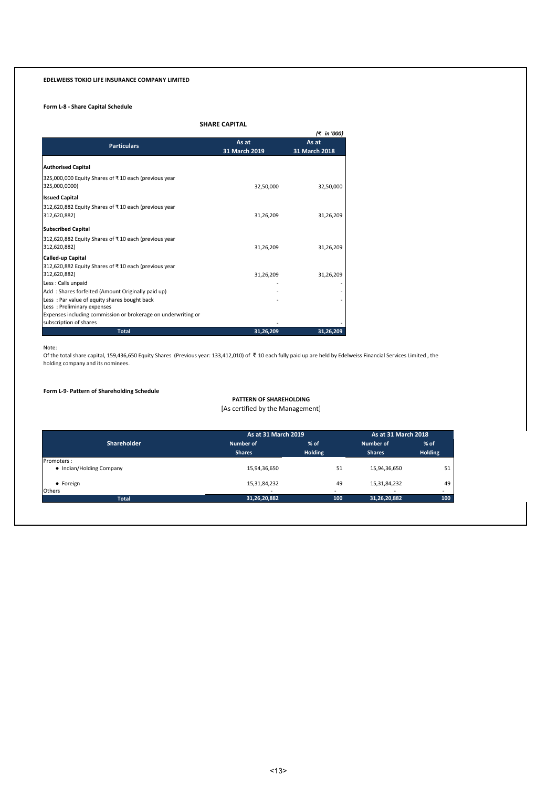# **Form L-8 - Share Capital Schedule**

# **SHARE CAPITAL**

|                                                                       |               | (₹ in '000)   |
|-----------------------------------------------------------------------|---------------|---------------|
| <b>Particulars</b>                                                    | As at         | As at         |
|                                                                       | 31 March 2019 | 31 March 2018 |
| <b>Authorised Capital</b>                                             |               |               |
| 325,000,000 Equity Shares of ₹10 each (previous year<br>325,000,0000) | 32,50,000     | 32,50,000     |
| <b>Issued Capital</b>                                                 |               |               |
| 312,620,882 Equity Shares of ₹10 each (previous year<br>312,620,882)  | 31,26,209     | 31,26,209     |
| <b>Subscribed Capital</b>                                             |               |               |
| 312,620,882 Equity Shares of ₹10 each (previous year                  |               |               |
| 312,620,882)                                                          | 31,26,209     | 31,26,209     |
| <b>Called-up Capital</b>                                              |               |               |
| 312,620,882 Equity Shares of ₹10 each (previous year                  |               |               |
| 312,620,882)                                                          | 31,26,209     | 31,26,209     |
| Less : Calls unpaid                                                   |               |               |
| Add: Shares forfeited (Amount Originally paid up)                     |               |               |
| Less: Par value of equity shares bought back                          |               |               |
| Less: Preliminary expenses                                            |               |               |
| Expenses including commission or brokerage on underwriting or         |               |               |
| subscription of shares                                                |               |               |
| <b>Total</b>                                                          | 31,26,209     | 31,26,209     |

Note:<br>Of the total share capital, 159,436,650 Equity Shares (Previous year: 133,412,010) of ₹ 10 each fully paid up are held by Edelweiss Financial Services Limited , the holding company and its nominees.

### **Form L-9- Pattern of Shareholding Schedule**

# **PATTERN OF SHAREHOLDING**

[As certified by the Management]

|                          | As at 31 March 2019      | As at 31 March 2018      |                          |                          |
|--------------------------|--------------------------|--------------------------|--------------------------|--------------------------|
| <b>Shareholder</b>       | Number of                | $%$ of                   | Number of                | $%$ of                   |
|                          | <b>Shares</b>            | <b>Holding</b>           | <b>Shares</b>            | <b>Holding</b>           |
| Promoters:               |                          |                          |                          |                          |
| • Indian/Holding Company | 15,94,36,650             | 51                       | 15,94,36,650             | 51                       |
| • Foreign                | 15,31,84,232             | 49                       | 15,31,84,232             | 49                       |
| <b>Others</b>            | $\overline{\phantom{a}}$ | $\overline{\phantom{a}}$ | $\overline{\phantom{a}}$ | $\overline{\phantom{a}}$ |
| <b>Total</b>             | 31,26,20,882             | 100                      | 31,26,20,882             | 100                      |

42,50,00,000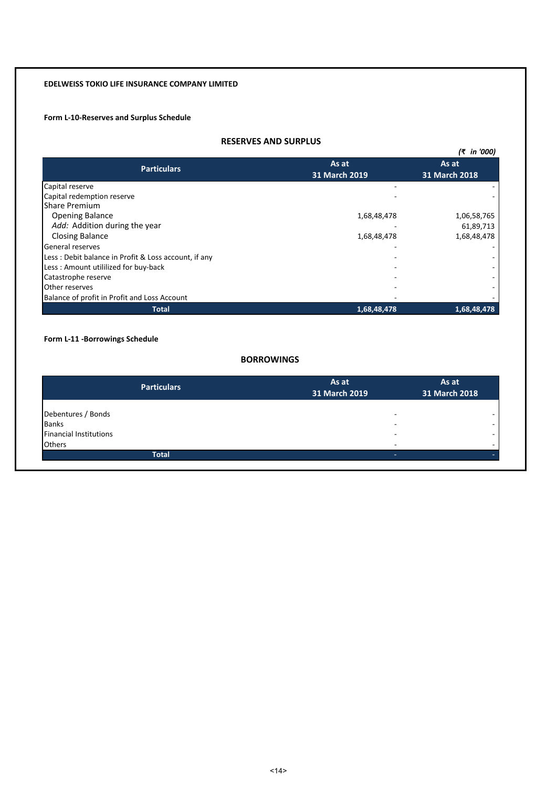# **Form L-10-Reserves and Surplus Schedule**

# **RESERVES AND SURPLUS**

|                                                      |               | (₹ in '000)   |
|------------------------------------------------------|---------------|---------------|
| <b>Particulars</b>                                   | As at         | As at         |
|                                                      | 31 March 2019 | 31 March 2018 |
| Capital reserve                                      |               |               |
| Capital redemption reserve                           |               |               |
| <b>Share Premium</b>                                 |               |               |
| <b>Opening Balance</b>                               | 1,68,48,478   | 1,06,58,765   |
| Add: Addition during the year                        |               | 61,89,713     |
| <b>Closing Balance</b>                               | 1,68,48,478   | 1,68,48,478   |
| General reserves                                     |               |               |
| Less: Debit balance in Profit & Loss account, if any |               |               |
| Less: Amount utililized for buy-back                 |               |               |
| Catastrophe reserve                                  |               |               |
| Other reserves                                       |               |               |
| Balance of profit in Profit and Loss Account         |               |               |
| Total                                                | 1,68,48,478   | 1,68,48,478   |

# **Form L-11 -Borrowings Schedule**

# **BORROWINGS**

| <b>Particulars</b>            | As at<br>31 March 2019 | As at<br>31 March 2018 |
|-------------------------------|------------------------|------------------------|
| Debentures / Bonds            | -                      |                        |
| <b>Banks</b>                  | ۰                      |                        |
| <b>Financial Institutions</b> | -                      |                        |
| <b>Others</b>                 | -                      |                        |
| <b>Total</b>                  |                        |                        |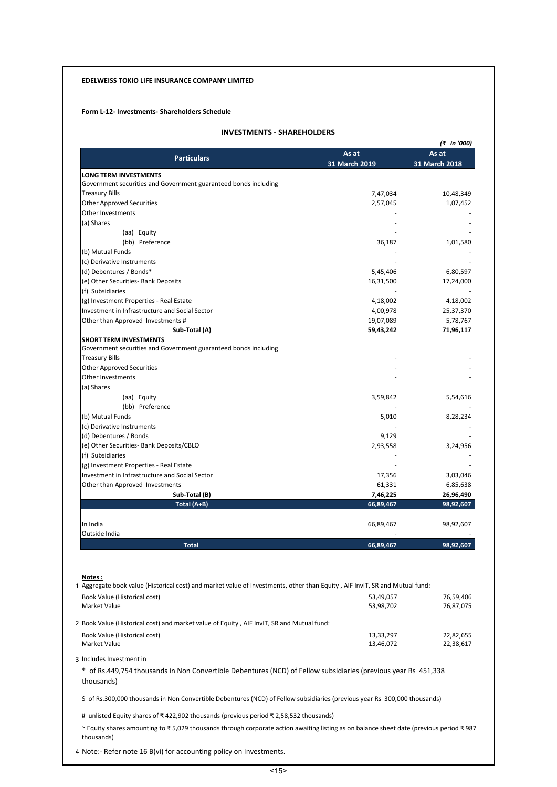# **Form L-12- Investments- Shareholders Schedule**

# **INVESTMENTS - SHAREHOLDERS**

|                                                                                                                                                      |                        | (₹ in '000)            |
|------------------------------------------------------------------------------------------------------------------------------------------------------|------------------------|------------------------|
| <b>Particulars</b>                                                                                                                                   | As at<br>31 March 2019 | As at<br>31 March 2018 |
| <b>LONG TERM INVESTMENTS</b>                                                                                                                         |                        |                        |
| Government securities and Government guaranteed bonds including                                                                                      |                        |                        |
| Treasury Bills<br><b>Other Approved Securities</b>                                                                                                   | 7,47,034<br>2,57,045   | 10,48,349<br>1,07,452  |
| <b>Other Investments</b>                                                                                                                             |                        |                        |
| (a) Shares                                                                                                                                           |                        |                        |
| (aa) Equity                                                                                                                                          |                        |                        |
| (bb) Preference                                                                                                                                      | 36,187                 | 1,01,580               |
| (b) Mutual Funds                                                                                                                                     |                        |                        |
| (c) Derivative Instruments                                                                                                                           |                        |                        |
| (d) Debentures / Bonds*                                                                                                                              | 5,45,406               | 6,80,597               |
| (e) Other Securities- Bank Deposits                                                                                                                  | 16,31,500              | 17,24,000              |
| (f) Subsidiaries                                                                                                                                     |                        |                        |
| (g) Investment Properties - Real Estate                                                                                                              | 4,18,002               | 4,18,002               |
| Investment in Infrastructure and Social Sector                                                                                                       | 4,00,978               | 25,37,370              |
| Other than Approved Investments #                                                                                                                    | 19,07,089              | 5,78,767               |
| Sub-Total (A)                                                                                                                                        | 59,43,242              | 71,96,117              |
| <b>SHORT TERM INVESTMENTS</b>                                                                                                                        |                        |                        |
| Government securities and Government guaranteed bonds including                                                                                      |                        |                        |
| Treasury Bills                                                                                                                                       |                        |                        |
| <b>Other Approved Securities</b>                                                                                                                     |                        |                        |
| Other Investments                                                                                                                                    |                        |                        |
| (a) Shares                                                                                                                                           |                        |                        |
| (aa) Equity                                                                                                                                          | 3,59,842               | 5,54,616               |
| (bb) Preference                                                                                                                                      |                        |                        |
| (b) Mutual Funds                                                                                                                                     | 5,010                  | 8,28,234               |
| (c) Derivative Instruments                                                                                                                           |                        |                        |
| (d) Debentures / Bonds                                                                                                                               | 9,129                  |                        |
| (e) Other Securities- Bank Deposits/CBLO                                                                                                             | 2,93,558               | 3,24,956               |
| (f) Subsidiaries                                                                                                                                     |                        |                        |
| (g) Investment Properties - Real Estate                                                                                                              |                        |                        |
| Investment in Infrastructure and Social Sector                                                                                                       | 17,356                 | 3,03,046               |
| Other than Approved Investments                                                                                                                      | 61,331                 | 6,85,638               |
| Sub-Total (B)                                                                                                                                        | 7,46,225               | 26,96,490              |
| Total (A+B)                                                                                                                                          | 66,89,467              | 98,92,607              |
|                                                                                                                                                      | 66,89,467              | 98,92,607              |
|                                                                                                                                                      |                        |                        |
| <b>Total</b>                                                                                                                                         | 66,89,467              | 98,92,607              |
| In India<br>Outside India                                                                                                                            |                        |                        |
| Notes:<br>1 Aggregate book value (Historical cost) and market value of Investments, other than Equity, AIF InvIT, SR and Mutual fund:                |                        |                        |
| Book Value (Historical cost)                                                                                                                         | 53,49,057              | 76,59,406              |
| Market Value                                                                                                                                         | 53,98,702              | 76,87,075              |
| 2 Book Value (Historical cost) and market value of Equity, AIF InvIT, SR and Mutual fund:                                                            |                        |                        |
|                                                                                                                                                      |                        |                        |
| Book Value (Historical cost)<br>Market Value                                                                                                         | 13,33,297<br>13,46,072 | 22,82,655<br>22,38,617 |
| 3 Includes Investment in                                                                                                                             |                        |                        |
| * of Rs.449,754 thousands in Non Convertible Debentures (NCD) of Fellow subsidiaries (previous year Rs 451,338<br>thousands)                         |                        |                        |
| \$ of Rs.300,000 thousands in Non Convertible Debentures (NCD) of Fellow subsidiaries (previous year Rs 300,000 thousands)                           |                        |                        |
| # unlisted Equity shares of ₹422,902 thousands (previous period ₹2,58,532 thousands)                                                                 |                        |                        |
| ~ Equity shares amounting to ₹5,029 thousands through corporate action awaiting listing as on balance sheet date (previous period ₹987<br>thousands) |                        |                        |

4 Note:- Refer note 16 B(vi) for accounting policy on Investments.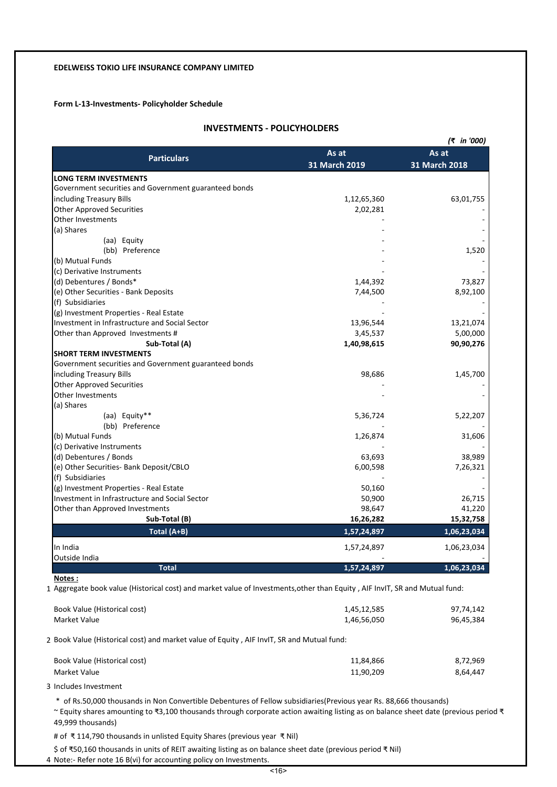# **Form L-13-Investments- Policyholder Schedule**

# **INVESTMENTS - POLICYHOLDERS**

|                                                       |               | (₹ in '000)   |
|-------------------------------------------------------|---------------|---------------|
|                                                       | As at         | As at         |
| <b>Particulars</b>                                    | 31 March 2019 | 31 March 2018 |
| <b>LONG TERM INVESTMENTS</b>                          |               |               |
| Government securities and Government guaranteed bonds |               |               |
| including Treasury Bills                              | 1,12,65,360   | 63,01,755     |
| <b>Other Approved Securities</b>                      | 2,02,281      |               |
| <b>Other Investments</b>                              |               |               |
| (a) Shares                                            |               |               |
| (aa) Equity                                           |               |               |
| (bb) Preference                                       |               | 1,520         |
| (b) Mutual Funds                                      |               |               |
| (c) Derivative Instruments                            |               |               |
| (d) Debentures / Bonds*                               | 1,44,392      | 73,827        |
| (e) Other Securities - Bank Deposits                  | 7,44,500      | 8,92,100      |
| (f) Subsidiaries                                      |               |               |
| (g) Investment Properties - Real Estate               |               |               |
| Investment in Infrastructure and Social Sector        | 13,96,544     | 13,21,074     |
| Other than Approved Investments #                     | 3,45,537      | 5,00,000      |
| Sub-Total (A)                                         | 1,40,98,615   | 90,90,276     |
| <b>SHORT TERM INVESTMENTS</b>                         |               |               |
| Government securities and Government guaranteed bonds |               |               |
| including Treasury Bills                              | 98,686        | 1,45,700      |
| <b>Other Approved Securities</b>                      |               |               |
| <b>Other Investments</b>                              |               |               |
| (a) Shares                                            |               |               |
| (aa) Equity**                                         | 5,36,724      | 5,22,207      |
| (bb) Preference                                       |               |               |
| (b) Mutual Funds                                      | 1,26,874      | 31,606        |
| (c) Derivative Instruments                            |               |               |
| (d) Debentures / Bonds                                | 63,693        | 38,989        |
| (e) Other Securities- Bank Deposit/CBLO               | 6,00,598      | 7,26,321      |
| (f) Subsidiaries                                      |               |               |
| (g) Investment Properties - Real Estate               | 50,160        |               |
| Investment in Infrastructure and Social Sector        | 50,900        | 26,715        |
| Other than Approved Investments                       | 98,647        | 41,220        |
| Sub-Total (B)                                         | 16,26,282     | 15,32,758     |
| Total (A+B)                                           | 1,57,24,897   | 1,06,23,034   |
| In India                                              | 1,57,24,897   | 1,06,23,034   |
| Outside India                                         |               |               |
| <b>Total</b>                                          | 1,57,24,897   | 1,06,23,034   |

**Notes :**

1 Aggregate book value (Historical cost) and market value of Investments,other than Equity , AIF InvIT, SR and Mutual fund:

| Book Value (Historical cost) | 1,45,12,585 | 97,74,142 |
|------------------------------|-------------|-----------|
| Market Value                 | 1,46,56,050 | 96,45,384 |

2 Book Value (Historical cost) and market value of Equity , AIF InvIT, SR and Mutual fund:

| Book Value (Historical cost) | 11.84.866 | 8,72,969 |
|------------------------------|-----------|----------|
| Market Value                 | 11,90,209 | 8.64.447 |

3 Includes Investment

\* of Rs.50,000 thousands in Non Convertible Debentures of Fellow subsidiaries(Previous year Rs. 88,666 thousands)

~ Equity shares amounting to ₹3,100 thousands through corporate action awaiting listing as on balance sheet date (previous period ₹ 49,999 thousands)

# of ₹ 114,790 thousands in unlisted Equity Shares (previous year ₹ Nil)

\$ of ₹50,160 thousands in units of REIT awaiting listing as on balance sheet date (previous period ₹ Nil)

4 Note:- Refer note 16 B(vi) for accounting policy on Investments.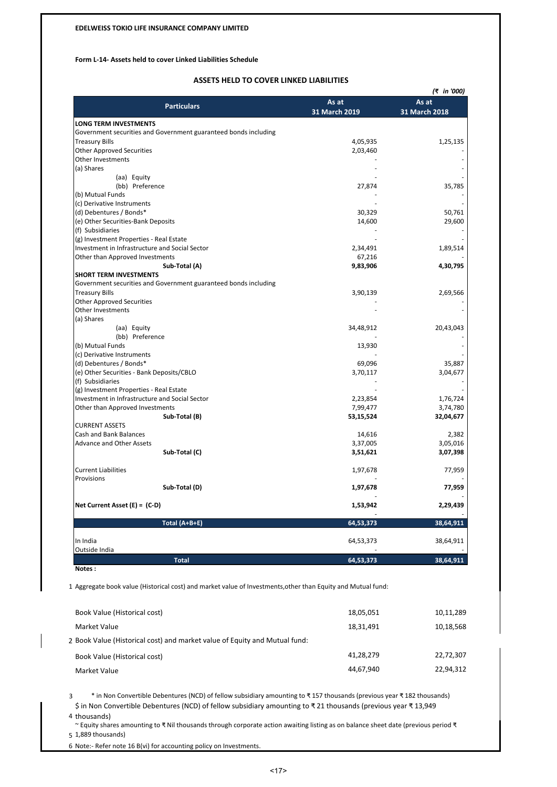## **Form L-14- Assets held to cover Linked Liabilities Schedule**

# **ASSETS HELD TO COVER LINKED LIABILITIES**

|                                                                 |               | (₹ in '000)   |
|-----------------------------------------------------------------|---------------|---------------|
| <b>Particulars</b>                                              | As at         | As at         |
|                                                                 | 31 March 2019 | 31 March 2018 |
| <b>LONG TERM INVESTMENTS</b>                                    |               |               |
| Government securities and Government guaranteed bonds including |               |               |
| <b>Treasury Bills</b>                                           | 4,05,935      | 1,25,135      |
| <b>Other Approved Securities</b>                                | 2,03,460      |               |
| Other Investments                                               |               |               |
| (a) Shares                                                      |               |               |
| (aa) Equity                                                     |               |               |
| (bb) Preference                                                 | 27,874        | 35,785        |
| (b) Mutual Funds                                                |               |               |
| (c) Derivative Instruments                                      |               |               |
| (d) Debentures / Bonds*                                         | 30,329        | 50,761        |
| (e) Other Securities-Bank Deposits                              | 14,600        | 29,600        |
| (f) Subsidiaries                                                |               |               |
| (g) Investment Properties - Real Estate                         |               |               |
| Investment in Infrastructure and Social Sector                  | 2,34,491      | 1,89,514      |
| Other than Approved Investments                                 | 67,216        |               |
| Sub-Total (A)                                                   | 9,83,906      | 4,30,795      |
| <b>SHORT TERM INVESTMENTS</b>                                   |               |               |
| Government securities and Government guaranteed bonds including |               |               |
| <b>Treasury Bills</b>                                           | 3,90,139      | 2,69,566      |
| <b>Other Approved Securities</b>                                |               |               |
| Other Investments                                               |               |               |
| (a) Shares                                                      |               |               |
| (aa) Equity                                                     | 34,48,912     | 20,43,043     |
| (bb) Preference                                                 |               |               |
| (b) Mutual Funds                                                | 13,930        |               |
| (c) Derivative Instruments                                      |               |               |
| (d) Debentures / Bonds*                                         | 69,096        | 35,887        |
| (e) Other Securities - Bank Deposits/CBLO                       | 3,70,117      | 3,04,677      |
| (f) Subsidiaries                                                |               |               |
| (g) Investment Properties - Real Estate                         |               |               |
| Investment in Infrastructure and Social Sector                  | 2,23,854      | 1,76,724      |
| Other than Approved Investments                                 | 7,99,477      | 3,74,780      |
| Sub-Total (B)                                                   | 53,15,524     | 32,04,677     |
| <b>CURRENT ASSETS</b>                                           |               |               |
| <b>Cash and Bank Balances</b>                                   | 14,616        | 2,382         |
| Advance and Other Assets                                        | 3,37,005      | 3,05,016      |
| Sub-Total (C)                                                   | 3,51,621      | 3,07,398      |
|                                                                 |               |               |
| <b>Current Liabilities</b>                                      | 1,97,678      | 77,959        |
| Provisions                                                      |               |               |
| Sub-Total (D)                                                   | 1,97,678      | 77,959        |
|                                                                 |               |               |
| Net Current Asset $(E) = (C-D)$                                 | 1,53,942      | 2,29,439      |
|                                                                 |               |               |
| Total (A+B+E)                                                   | 64,53,373     | 38,64,911     |
|                                                                 |               |               |
| In India                                                        | 64,53,373     | 38,64,911     |
| Outside India                                                   |               |               |
| <b>Total</b>                                                    | 64,53,373     | 38,64,911     |
| Notes:                                                          |               |               |

1 Aggregate book value (Historical cost) and market value of Investments,other than Equity and Mutual fund:

| Book Value (Historical cost)                                               | 18,05,051 | 10,11,289 |
|----------------------------------------------------------------------------|-----------|-----------|
| Market Value                                                               | 18.31.491 | 10,18,568 |
| 2 Book Value (Historical cost) and market value of Equity and Mutual fund: |           |           |
| Book Value (Historical cost)                                               | 41,28,279 | 22,72,307 |
| Market Value                                                               | 44.67.940 | 22,94,312 |
|                                                                            |           |           |

3 \* in Non Convertible Debentures (NCD) of fellow subsidiary amounting to ₹ 157 thousands (previous year ₹ 182 thousands) \$ in Non Convertible Debentures (NCD) of fellow subsidiary amounting to ₹ 21 thousands (previous year ₹ 13,949

4 thousands)

5 1,889 thousands) ~ Equity shares amounting to ₹ Nil thousands through corporate action awaiting listing as on balance sheet date (previous period ₹

6 Note:- Refer note 16 B(vi) for accounting policy on Investments.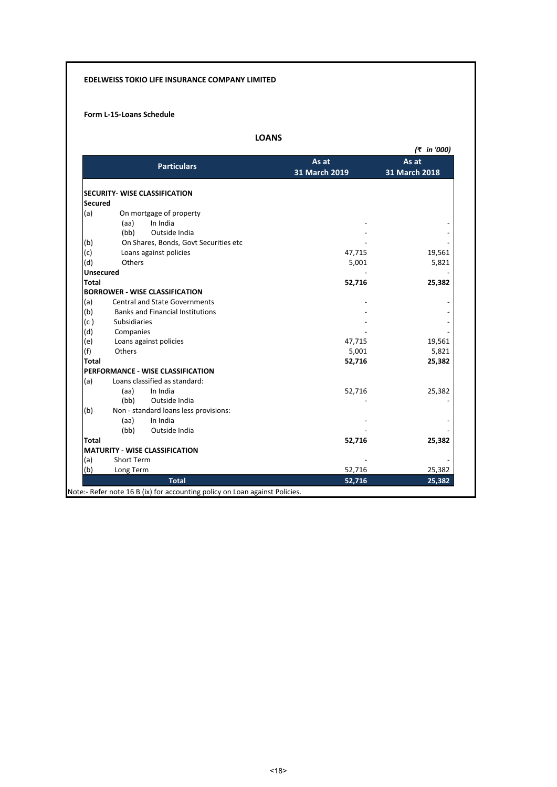# **Form L-15-Loans Schedule**

|                  |                                         | As at         | (₹ in '000)<br>As at |
|------------------|-----------------------------------------|---------------|----------------------|
|                  | <b>Particulars</b>                      | 31 March 2019 | 31 March 2018        |
|                  |                                         |               |                      |
|                  | <b>SECURITY- WISE CLASSIFICATION</b>    |               |                      |
| <b>Secured</b>   |                                         |               |                      |
| (a)              | On mortgage of property                 |               |                      |
|                  | In India<br>(aa)                        |               |                      |
|                  | Outside India<br>(bb)                   |               |                      |
| (b)              | On Shares, Bonds, Govt Securities etc   |               |                      |
| (c)              | Loans against policies                  | 47,715        | 19,561               |
| (d)              | Others                                  | 5,001         | 5,821                |
| <b>Unsecured</b> |                                         |               |                      |
| <b>Total</b>     |                                         | 52,716        | 25,382               |
|                  | <b>BORROWER - WISE CLASSIFICATION</b>   |               |                      |
| (a)              | <b>Central and State Governments</b>    |               |                      |
| (b)              | <b>Banks and Financial Institutions</b> |               |                      |
| (c)              | Subsidiaries                            |               |                      |
| (d)              | Companies                               |               |                      |
| (e)              | Loans against policies                  | 47,715        | 19,561               |
| (f)              | Others                                  | 5,001         | 5,821                |
| <b>Total</b>     |                                         | 52,716        | 25,382               |
|                  | PERFORMANCE - WISE CLASSIFICATION       |               |                      |
| (a)              | Loans classified as standard:           |               |                      |
|                  | In India<br>(aa)                        | 52,716        | 25,382               |
|                  | (bb)<br>Outside India                   |               |                      |
| (b)              | Non - standard loans less provisions:   |               |                      |
|                  | In India<br>(aa)                        |               |                      |
|                  | (bb)<br>Outside India                   |               |                      |
| <b>Total</b>     |                                         | 52,716        | 25,382               |
|                  | <b>MATURITY - WISE CLASSIFICATION</b>   |               |                      |
| (a)              | <b>Short Term</b>                       |               |                      |
| (b)              | Long Term                               | 52,716        | 25,382               |
|                  | <b>Total</b>                            | 52,716        | 25,382               |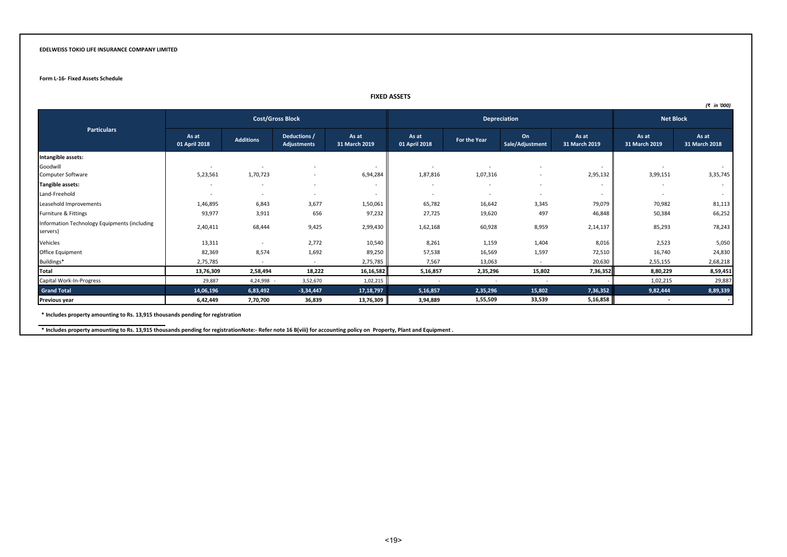#### **Form L-16- Fixed Assets Schedule**

#### **FIXED ASSETS**

|                                                          |                          |                          |                             |                          |                          |                          |                          |                          |                          | (₹ in '000)            |
|----------------------------------------------------------|--------------------------|--------------------------|-----------------------------|--------------------------|--------------------------|--------------------------|--------------------------|--------------------------|--------------------------|------------------------|
|                                                          |                          |                          | <b>Cost/Gross Block</b>     |                          | Depreciation             |                          | <b>Net Block</b>         |                          |                          |                        |
| <b>Particulars</b>                                       | As at<br>01 April 2018   | <b>Additions</b>         | Deductions /<br>Adjustments | As at<br>31 March 2019   | As at<br>01 April 2018   | For the Year             | On<br>Sale/Adjustment    | As at<br>31 March 2019   | As at<br>31 March 2019   | As at<br>31 March 2018 |
| Intangible assets:                                       |                          |                          |                             |                          |                          |                          |                          |                          |                          |                        |
| Goodwill                                                 |                          |                          |                             | $\overline{\phantom{a}}$ | $\overline{\phantom{a}}$ |                          |                          | $\sim$                   | $\sim$                   | $\sim$                 |
| Computer Software                                        | 5,23,561                 | 1,70,723                 |                             | 6,94,284                 | 1,87,816                 | 1,07,316                 | $\overline{\phantom{a}}$ | 2,95,132                 | 3,99,151                 | 3,35,745               |
| <b>Tangible assets:</b>                                  | $\sim$                   | $\overline{\phantom{a}}$ |                             | $\overline{\phantom{a}}$ | $\overline{\phantom{a}}$ | $\sim$                   | $\overline{\phantom{0}}$ | $\overline{\phantom{a}}$ | $\overline{\phantom{a}}$ | $\sim$                 |
| Land-Freehold                                            | $\overline{\phantom{a}}$ | $\overline{\phantom{a}}$ |                             | $\overline{\phantom{a}}$ | $\overline{\phantom{a}}$ | $\overline{\phantom{a}}$ | $\overline{\phantom{a}}$ | $\overline{\phantom{a}}$ | $\overline{\phantom{0}}$ | $\sim$                 |
| Leasehold Improvements                                   | 1,46,895                 | 6,843                    | 3,677                       | 1,50,061                 | 65,782                   | 16,642                   | 3,345                    | 79,079                   | 70,982                   | 81,113                 |
| Furniture & Fittings                                     | 93,977                   | 3,911                    | 656                         | 97,232                   | 27,725                   | 19,620                   | 497                      | 46,848                   | 50,384                   | 66,252                 |
| Information Technology Equipments (including<br>servers) | 2,40,411                 | 68,444                   | 9,425                       | 2,99,430                 | 1,62,168                 | 60,928                   | 8,959                    | 2,14,137                 | 85,293                   | 78,243                 |
| Vehicles                                                 | 13,311                   | $\sim$                   | 2,772                       | 10,540                   | 8,261                    | 1,159                    | 1,404                    | 8,016                    | 2,523                    | 5,050                  |
| Office Equipment                                         | 82,369                   | 8,574                    | 1,692                       | 89,250                   | 57,538                   | 16,569                   | 1,597                    | 72,510                   | 16,740                   | 24,830                 |
| Buildings*                                               | 2,75,785                 |                          |                             | 2,75,785                 | 7,567                    | 13,063                   |                          | 20,630                   | 2,55,155                 | 2,68,218               |
| Total                                                    | 13,76,309                | 2,58,494                 | 18,222                      | 16,16,582                | 5,16,857                 | 2,35,296                 | 15,802                   | 7,36,352                 | 8,80,229                 | 8,59,451               |
| Capital Work-In-Progress                                 | 29,887                   | 4,24,998                 | 3,52,670                    | 1,02,215                 | $\sim$                   | $\sim$                   | $\sim$                   |                          | 1,02,215                 | 29,887                 |
| <b>Grand Total</b>                                       | 14,06,196                | 6,83,492                 | $-3,34,447$                 | 17, 18, 797              | 5,16,857                 | 2,35,296                 | 15,802                   | 7,36,352                 | 9,82,444                 | 8,89,339               |
| Previous year                                            | 6,42,449                 | 7,70,700                 | 36,839                      | 13,76,309                | 3,94,889                 | 1,55,509                 | 33,539                   | 5,16,858                 |                          |                        |

**\* Includes property amounting to Rs. 13,915 thousands pending for registration**

**\* Includes property amounting to Rs. 13,915 thousands pending for registrationNote:- Refer note 16 B(viii) for accounting policy on Property, Plant and Equipment .**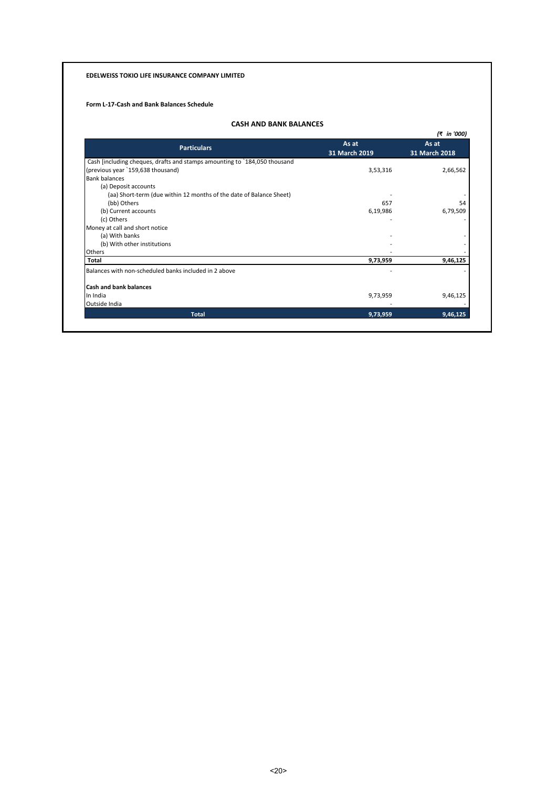# **Form L-17-Cash and Bank Balances Schedule**

# **CASH AND BANK BALANCES**

|                                                                           |               | (₹ in '000)            |  |
|---------------------------------------------------------------------------|---------------|------------------------|--|
| <b>Particulars</b>                                                        | As at         | As at<br>31 March 2018 |  |
|                                                                           | 31 March 2019 |                        |  |
| Cash [including cheques, drafts and stamps amounting to `184,050 thousand |               |                        |  |
| (previous year `159,638 thousand)                                         | 3,53,316      | 2,66,562               |  |
| <b>Bank balances</b>                                                      |               |                        |  |
| (a) Deposit accounts                                                      |               |                        |  |
| (aa) Short-term (due within 12 months of the date of Balance Sheet)       |               |                        |  |
| (bb) Others                                                               | 657           | 54                     |  |
| (b) Current accounts                                                      | 6,19,986      | 6,79,509               |  |
| (c) Others                                                                |               |                        |  |
| Money at call and short notice                                            |               |                        |  |
| (a) With banks                                                            |               |                        |  |
| (b) With other institutions                                               |               |                        |  |
| Others                                                                    |               |                        |  |
| Total                                                                     | 9,73,959      | 9,46,125               |  |
| Balances with non-scheduled banks included in 2 above                     |               |                        |  |
| <b>Cash and bank balances</b>                                             |               |                        |  |
| In India                                                                  | 9,73,959      | 9,46,125               |  |
| Outside India                                                             |               |                        |  |
| <b>Total</b>                                                              | 9,73,959      | 9,46,125               |  |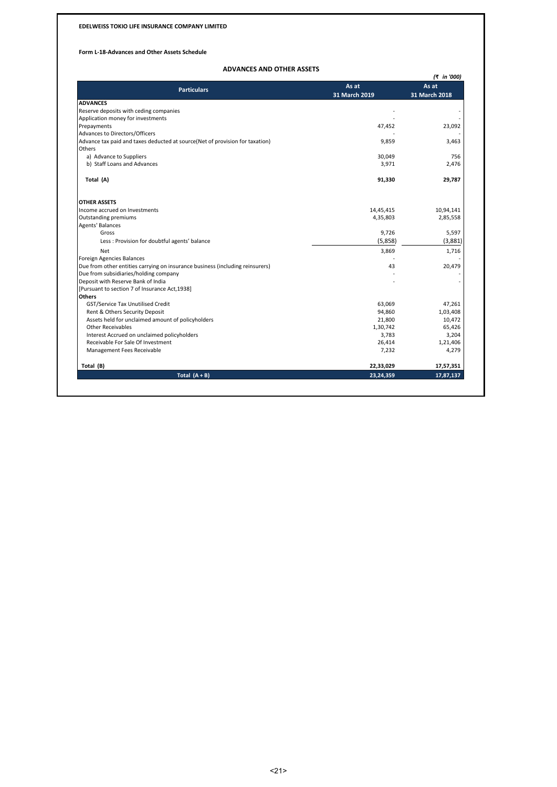### **Form L-18-Advances and Other Assets Schedule**

# **ADVANCES AND OTHER ASSETS**

|                                                                               |               | (₹ in '000)   |
|-------------------------------------------------------------------------------|---------------|---------------|
| <b>Particulars</b>                                                            | As at         | As at         |
|                                                                               | 31 March 2019 | 31 March 2018 |
| <b>ADVANCES</b>                                                               |               |               |
| Reserve deposits with ceding companies                                        |               |               |
| Application money for investments                                             |               |               |
| Prepayments                                                                   | 47,452        | 23,092        |
| Advances to Directors/Officers                                                |               |               |
| Advance tax paid and taxes deducted at source(Net of provision for taxation)  | 9,859         | 3,463         |
| Others                                                                        |               |               |
| a) Advance to Suppliers                                                       | 30,049        | 756           |
| b) Staff Loans and Advances                                                   | 3,971         | 2,476         |
|                                                                               |               |               |
| Total (A)                                                                     | 91,330        | 29,787        |
| <b>OTHER ASSETS</b>                                                           |               |               |
| Income accrued on Investments                                                 | 14,45,415     | 10,94,141     |
| Outstanding premiums                                                          | 4,35,803      | 2,85,558      |
| Agents' Balances                                                              |               |               |
| Gross                                                                         | 9,726         | 5,597         |
| Less: Provision for doubtful agents' balance                                  | (5,858)       | (3,881)       |
| <b>Net</b>                                                                    | 3,869         | 1,716         |
| Foreign Agencies Balances                                                     |               |               |
| Due from other entities carrying on insurance business (including reinsurers) | 43            | 20,479        |
| Due from subsidiaries/holding company                                         |               |               |
| Deposit with Reserve Bank of India                                            |               |               |
| [Pursuant to section 7 of Insurance Act, 1938]                                |               |               |
| <b>Others</b>                                                                 |               |               |
| GST/Service Tax Unutilised Credit                                             | 63,069        | 47,261        |
| Rent & Others Security Deposit                                                | 94,860        | 1,03,408      |
| Assets held for unclaimed amount of policyholders                             | 21,800        | 10,472        |
| <b>Other Receivables</b>                                                      | 1,30,742      | 65,426        |
| Interest Accrued on unclaimed policyholders                                   | 3,783         | 3,204         |
| Receivable For Sale Of Investment                                             | 26,414        | 1,21,406      |
| Management Fees Receivable                                                    | 7,232         | 4,279         |
|                                                                               |               |               |
| Total (B)                                                                     | 22,33,029     | 17,57,351     |
| Total $(A + B)$                                                               | 23,24,359     | 17,87,137     |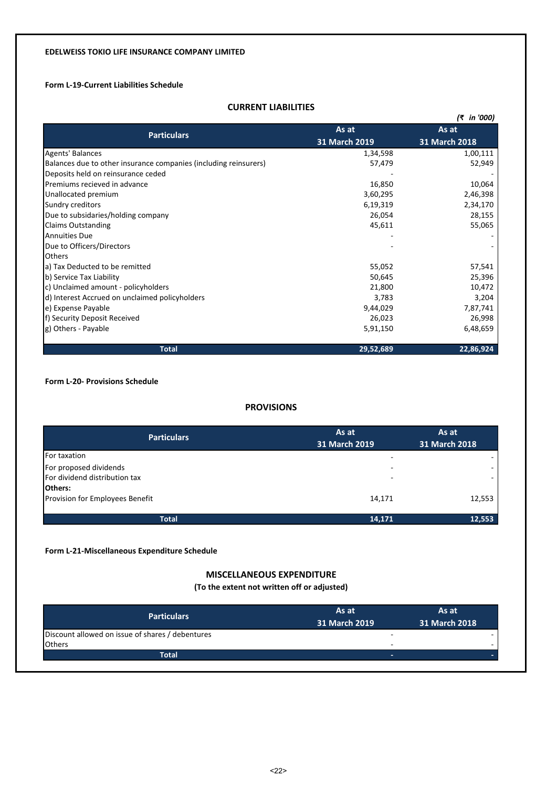# **Form L-19-Current Liabilities Schedule**

# **CURRENT LIABILITIES**

|                                                                  |               | (₹ in '000)   |  |
|------------------------------------------------------------------|---------------|---------------|--|
| <b>Particulars</b>                                               | As at         | As at         |  |
|                                                                  | 31 March 2019 | 31 March 2018 |  |
| <b>Agents' Balances</b>                                          | 1,34,598      | 1,00,111      |  |
| Balances due to other insurance companies (including reinsurers) | 57,479        | 52,949        |  |
| Deposits held on reinsurance ceded                               |               |               |  |
| Premiums recieved in advance                                     | 16,850        | 10,064        |  |
| Unallocated premium                                              | 3,60,295      | 2,46,398      |  |
| Sundry creditors                                                 | 6,19,319      | 2,34,170      |  |
| Due to subsidaries/holding company                               | 26,054        | 28,155        |  |
| <b>Claims Outstanding</b>                                        | 45,611        | 55,065        |  |
| <b>Annuities Due</b>                                             |               |               |  |
| Due to Officers/Directors                                        |               |               |  |
| <b>Others</b>                                                    |               |               |  |
| a) Tax Deducted to be remitted                                   | 55,052        | 57,541        |  |
| b) Service Tax Liability                                         | 50,645        | 25,396        |  |
| c) Unclaimed amount - policyholders                              | 21,800        | 10,472        |  |
| d) Interest Accrued on unclaimed policyholders                   | 3,783         | 3,204         |  |
| e) Expense Payable                                               | 9,44,029      | 7,87,741      |  |
| f) Security Deposit Received                                     | 26,023        | 26,998        |  |
| g) Others - Payable                                              | 5,91,150      | 6,48,659      |  |
| <b>Total</b>                                                     | 29,52,689     | 22,86,924     |  |

**Form L-20- Provisions Schedule**

# **PROVISIONS**

| <b>Particulars</b>              | As at<br>31 March 2019 | As at<br>31 March 2018 |
|---------------------------------|------------------------|------------------------|
| For taxation                    |                        |                        |
| For proposed dividends          |                        |                        |
| For dividend distribution tax   |                        |                        |
| <b>Others:</b>                  |                        |                        |
| Provision for Employees Benefit | 14,171                 | 12,553                 |
|                                 |                        |                        |
| <b>Total</b>                    | 14,171                 | 12,553                 |

**Form L-21-Miscellaneous Expenditure Schedule**

# **MISCELLANEOUS EXPENDITURE**

# **(To the extent not written off or adjusted)**

| <b>Particulars</b>                               | As at<br>31 March 2019   | As at<br>31 March 2018 |
|--------------------------------------------------|--------------------------|------------------------|
| Discount allowed on issue of shares / debentures |                          |                        |
| <b>Others</b>                                    | -                        |                        |
| Total                                            | $\overline{\phantom{a}}$ |                        |
|                                                  |                          |                        |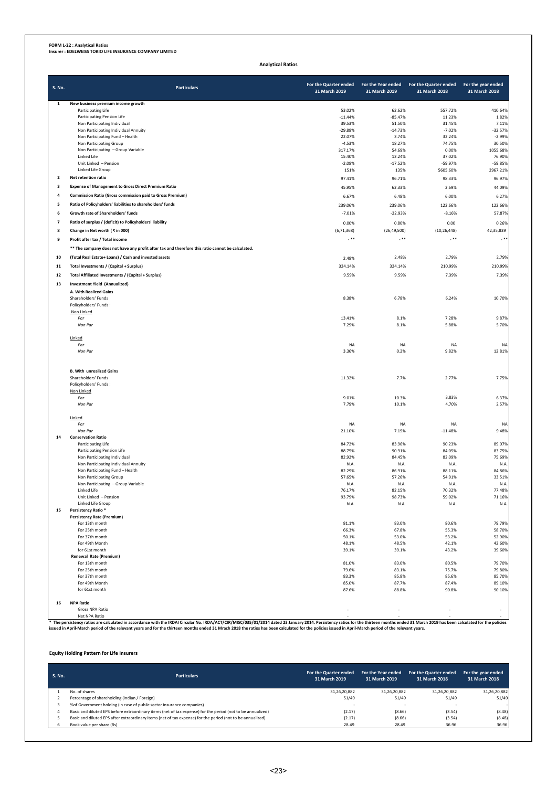**FORM L-22 : Analytical Ratios Insurer : EDELWEISS TOKIO LIFE INSURANCE COMPANY LIMITED**

**Analytical Ratios**

| <b>S. No.</b>            | <b>Particulars</b>                                                                               | For the Quarter ended<br>31 March 2019 | For the Year ended<br>31 March 2019 | For the Quarter ended<br>31 March 2018 | For the year ended<br>31 March 2018 |
|--------------------------|--------------------------------------------------------------------------------------------------|----------------------------------------|-------------------------------------|----------------------------------------|-------------------------------------|
| $\mathbf{1}$             | New business premium income growth                                                               |                                        |                                     |                                        |                                     |
|                          | Participating Life                                                                               | 53.02%<br>$-11.44%$                    | 62.62%<br>$-85.47%$                 | 557.72%<br>11.23%                      | 410.64%<br>1.82%                    |
|                          | Participating Pension Life<br>Non Participating Individual                                       | 39.53%                                 | 51.50%                              | 31.45%                                 | 7.11%                               |
|                          | Non Participating Individual Annuity                                                             | $-29.88%$                              | $-14.73%$                           | $-7.02%$                               | $-32.57%$                           |
|                          | Non Participating Fund - Health                                                                  | 22.07%                                 | 3.74%                               | 32.24%                                 | $-2.99%$                            |
|                          | Non Participating Group                                                                          | $-4.53%$                               | 18.27%                              | 74.75%                                 | 30.50%                              |
|                          | Non Participating - Group Variable                                                               | 317.17%                                | 54.69%                              | 0.00%                                  | 1055.68%                            |
|                          | Linked Life<br>Unit Linked - Pension                                                             | 15.40%<br>$-2.08%$                     | 13.24%<br>$-17.52%$                 | 37.02%<br>$-59.97%$                    | 76.90%<br>$-59.85%$                 |
|                          | Linked Life Group                                                                                | 151%                                   | 135%                                | 5605.60%                               | 2967.21%                            |
| $\mathbf 2$              | Net retention ratio                                                                              | 97.41%                                 | 96.71%                              | 98.33%                                 | 96.97%                              |
| 3                        | <b>Expense of Management to Gross Direct Premium Ratio</b>                                       | 45.95%                                 | 62.33%                              | 2.69%                                  | 44.09%                              |
| 4                        | Commission Ratio (Gross commission paid to Gross Premium)                                        |                                        |                                     |                                        |                                     |
|                          |                                                                                                  | 6.67%                                  | 6.48%                               | 6.00%                                  | 6.27%                               |
| 5                        | Ratio of Policyholders' liabilities to shareholders' funds                                       | 239.06%                                | 239.06%                             | 122.66%                                | 122.66%                             |
| 6                        | Growth rate of Shareholders' funds                                                               | $-7.01%$                               | $-22.93%$                           | $-8.16%$                               | 57.87%                              |
| $\overline{\phantom{a}}$ | Ratio of surplus / (deficit) to Policyholders' liability                                         | 0.00%                                  | 0.80%                               | 0.00                                   | 0.26%                               |
| 8                        | Change in Net worth (₹in 000)                                                                    | (6, 71, 368)                           | (26, 49, 500)                       | (10, 26, 448)                          | 42,35,839                           |
| 9                        | Profit after tax / Total income                                                                  | $. * *$                                | $. * *$                             | $. * *$                                | $. * *$                             |
|                          | ** The company does not have any profit after tax and therefore this ratio cannot be calculated. |                                        |                                     |                                        |                                     |
| 10                       | (Total Real Estate+ Loans) / Cash and invested assets                                            | 2.48%                                  | 2.48%                               | 2.79%                                  | 2.79%                               |
| 11                       | Total Investments / (Capital + Surplus)                                                          | 324.14%                                | 324.14%                             | 210.99%                                | 210.99%                             |
|                          |                                                                                                  |                                        |                                     |                                        |                                     |
| 12                       | Total Affiliated Investments / (Capital + Surplus)                                               | 9.59%                                  | 9.59%                               | 7.39%                                  | 7.39%                               |
| 13                       | <b>Investment Yield (Annualized)</b>                                                             |                                        |                                     |                                        |                                     |
|                          | A. With Realized Gains                                                                           |                                        |                                     |                                        |                                     |
|                          | Shareholders' Funds<br>Policyholders' Funds:                                                     | 8.38%                                  | 6.78%                               | 6.24%                                  | 10.70%                              |
|                          | Non Linked                                                                                       |                                        |                                     |                                        |                                     |
|                          | Par                                                                                              | 13.41%                                 | 8.1%                                | 7.28%                                  | 9.87%                               |
|                          | Non Par                                                                                          | 7.29%                                  | 8.1%                                | 5.88%                                  | 5.70%                               |
|                          |                                                                                                  |                                        |                                     |                                        |                                     |
|                          | Linked                                                                                           |                                        |                                     | <b>NA</b>                              |                                     |
|                          | Par<br>Non Par                                                                                   | <b>NA</b><br>3.36%                     | <b>NA</b><br>0.2%                   | 9.82%                                  | <b>NA</b><br>12.81%                 |
|                          |                                                                                                  |                                        |                                     |                                        |                                     |
|                          | <b>B. With unrealized Gains</b>                                                                  |                                        |                                     |                                        |                                     |
|                          | Shareholders' Funds                                                                              | 11.32%                                 | 7.7%                                | 2.77%                                  | 7.75%                               |
|                          | Policyholders' Funds:                                                                            |                                        |                                     |                                        |                                     |
|                          | Non Linked                                                                                       | 9.01%                                  |                                     | 3.83%                                  |                                     |
|                          | Par<br>Non Par                                                                                   | 7.79%                                  | 10.3%<br>10.1%                      | 4.70%                                  | 6.37%<br>2.57%                      |
|                          |                                                                                                  |                                        |                                     |                                        |                                     |
|                          | Linked                                                                                           |                                        |                                     |                                        |                                     |
|                          | Par                                                                                              | NA                                     | <b>NA</b>                           | <b>NA</b>                              | <b>NA</b>                           |
|                          | Non Par                                                                                          | 21.10%                                 | 7.19%                               | $-11.48%$                              | 9.48%                               |
| 14                       | <b>Conservation Ratio</b>                                                                        |                                        |                                     |                                        |                                     |
|                          | Participating Life<br>Participating Pension Life                                                 | 84.72%<br>88.75%                       | 83.96%<br>90.91%                    | 90.23%<br>84.05%                       | 89.07%<br>83.75%                    |
|                          | Non Participating Individual                                                                     | 82.92%                                 | 84.45%                              | 82.09%                                 | 75.69%                              |
|                          | Non Participating Individual Annuity                                                             | N.A.                                   | N.A.                                | N.A.                                   | N.A                                 |
|                          | Non Participating Fund - Health                                                                  | 82.29%                                 | 86.91%                              | 88.11%                                 | 84.86%                              |
|                          | Non Participating Group                                                                          | 57.65%                                 | 57.26%                              | 54.91%                                 | 33.51%                              |
|                          | Non Participating - Group Variable                                                               | N.A.                                   | N.A.                                | N.A.                                   | N.A.                                |
|                          | Linked Life<br>Unit Linked - Pension                                                             | 76.17%                                 | 82.15%                              | 70.32%                                 | 77.48%                              |
|                          | Linked Life Group                                                                                | 93.79%<br>N.A.                         | 98.73%<br>N.A.                      | 59.02%<br>N.A.                         | 71.16%<br>N.A.                      |
| 15                       | Persistency Ratio *                                                                              |                                        |                                     |                                        |                                     |
|                          | <b>Persistency Rate (Premium)</b>                                                                |                                        |                                     |                                        |                                     |
|                          | For 13th month                                                                                   | 81.1%                                  | 83.0%                               | 80.6%                                  | 79.79%                              |
|                          | For 25th month                                                                                   | 66.3%                                  | 67.8%                               | 55.3%                                  | 58.70%                              |
|                          | For 37th month                                                                                   | 50.1%                                  | 53.0%                               | 53.2%                                  | 52.90%                              |
|                          | For 49th Month<br>for 61st month                                                                 | 48.1%<br>39.1%                         | 48.5%<br>39.1%                      | 42.1%<br>43.2%                         | 42.60%<br>39.60%                    |
|                          | Renewal Rate (Premium)                                                                           |                                        |                                     |                                        |                                     |
|                          | For 13th month                                                                                   | 81.0%                                  | 83.0%                               | 80.5%                                  | 79.70%                              |
|                          | For 25th month                                                                                   | 79.6%                                  | 83.1%                               | 75.7%                                  | 79.80%                              |
|                          | For 37th month                                                                                   | 83.3%                                  | 85.8%                               | 85.6%                                  | 85.70%                              |
|                          | For 49th Month                                                                                   | 85.0%                                  | 87.7%                               | 87.4%                                  | 89.10%                              |
|                          | for 61st month                                                                                   | 87.6%                                  | 88.8%                               | 90.8%                                  | 90.10%                              |
| 16                       | <b>NPA Ratio</b>                                                                                 |                                        |                                     |                                        |                                     |
|                          | Gross NPA Ratio                                                                                  |                                        |                                     |                                        |                                     |

Gross NPA Ratio<br>\* The persitency and the RDA Corolated in accordance with the IRDAI Circular No. IRDA/ACT/CIR/MISC/035/01/2014 dated 23 January 2014. Persistency ratios for the thirteen months ended 31 March 2019 has been

**Equity Holding Pattern for Life Insurers**

| <b>S. No.</b> | <b>Particulars</b>                                                                                          | For the Quarter ended<br>31 March 2019 | For the Year ended<br>31 March 2019 | For the Quarter ended<br>31 March 2018 | For the year ended<br>31 March 2018 |
|---------------|-------------------------------------------------------------------------------------------------------------|----------------------------------------|-------------------------------------|----------------------------------------|-------------------------------------|
|               | No. of shares                                                                                               | 31,26,20,882                           | 31,26,20,882                        | 31,26,20,882                           | 31,26,20,882                        |
|               | Percentage of shareholding (Indian / Foreign)                                                               | 51/49                                  | 51/49                               | 51/49                                  | 51/49                               |
|               | % of Government holding (in case of public sector insurance companies)                                      |                                        |                                     |                                        |                                     |
|               | Basic and diluted EPS before extraordinary items (net of tax expense) for the period (not to be annualized) | (2.17)                                 | (8.66)                              | (3.54)                                 | (8.48)                              |
|               | Basic and diluted EPS after extraordinary items (net of tax expense) for the period (not to be annualized)  | (2.17)                                 | (8.66)                              | (3.54)                                 | (8.48)                              |
|               | Book value per share (Rs)                                                                                   | 28.49                                  | 28.49                               | 36.96                                  | 36.96                               |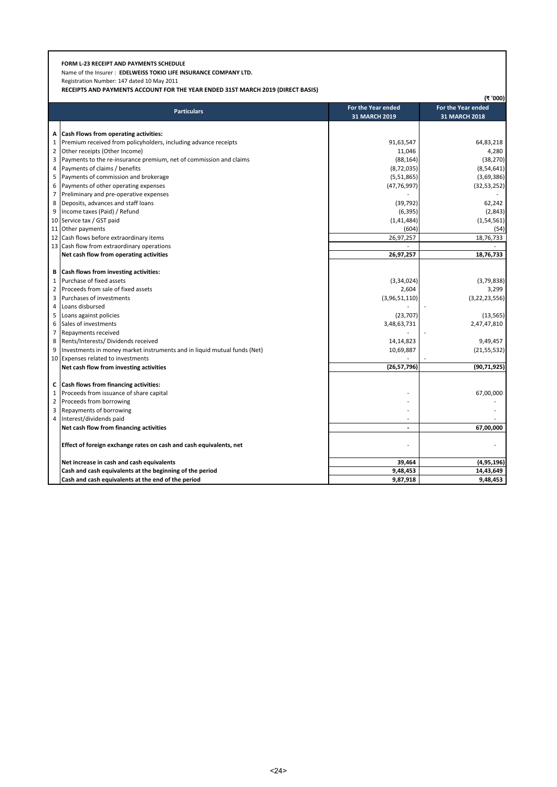# **FORM L-23 RECEIPT AND PAYMENTS SCHEDULE**

Name of the Insurer : **EDELWEISS TOKIO LIFE INSURANCE COMPANY LTD.**

Registration Number: 147 dated 10 May 2011

**RECEIPTS AND PAYMENTS ACCOUNT FOR THE YEAR ENDED 31ST MARCH 2019 (DIRECT BASIS)**

|                |                                                                          |                      | (₹'000)              |
|----------------|--------------------------------------------------------------------------|----------------------|----------------------|
|                | <b>Particulars</b>                                                       | For the Year ended   | For the Year ended   |
|                |                                                                          | <b>31 MARCH 2019</b> | <b>31 MARCH 2018</b> |
|                |                                                                          |                      |                      |
| A              | Cash Flows from operating activities:                                    |                      |                      |
| 1              | Premium received from policyholders, including advance receipts          | 91,63,547            | 64,83,218            |
| $\overline{2}$ | Other receipts (Other Income)                                            | 11,046               | 4,280                |
| 3              | Payments to the re-insurance premium, net of commission and claims       | (88, 164)            | (38, 270)            |
| 4              | Payments of claims / benefits                                            | (8, 72, 035)         | (8, 54, 641)         |
| 5              | Payments of commission and brokerage                                     | (5,51,865)           | (3,69,386)           |
| 6              | Payments of other operating expenses                                     | (47, 76, 997)        | (32, 53, 252)        |
| $\overline{7}$ | Preliminary and pre-operative expenses                                   |                      |                      |
| 8              | Deposits, advances and staff loans                                       | (39, 792)            | 62,242               |
| 9              | Income taxes (Paid) / Refund                                             | (6, 395)             | (2,843)              |
| 10             | Service tax / GST paid                                                   | (1, 41, 484)         | (1, 54, 561)         |
| 11             | Other payments                                                           | (604)                | (54)                 |
| 12             | Cash flows before extraordinary items                                    | 26,97,257            | 18,76,733            |
|                | 13 Cash flow from extraordinary operations                               |                      |                      |
|                | Net cash flow from operating activities                                  | 26,97,257            | 18,76,733            |
|                |                                                                          |                      |                      |
| В              | Cash flows from investing activities:                                    |                      |                      |
| $\mathbf{1}$   | Purchase of fixed assets                                                 | (3,34,024)           | (3,79,838)           |
| $\overline{2}$ | Proceeds from sale of fixed assets                                       | 2,604                | 3,299                |
| 3              | Purchases of investments                                                 | (3,96,51,110)        | (3,22,23,556)        |
| 4              | Loans disbursed                                                          |                      |                      |
| 5              | Loans against policies                                                   | (23, 707)            | (13, 565)            |
| 6              | Sales of investments                                                     | 3,48,63,731          | 2,47,47,810          |
| 7              | Repayments received                                                      |                      |                      |
| 8              | Rents/Interests/ Dividends received                                      | 14,14,823            | 9,49,457             |
| 9              | Investments in money market instruments and in liquid mutual funds (Net) | 10,69,887            | (21, 55, 532)        |
|                | 10 Expenses related to investments                                       |                      |                      |
|                | Net cash flow from investing activities                                  | (26, 57, 796)        | (90, 71, 925)        |
|                |                                                                          |                      |                      |
| C              | Cash flows from financing activities:                                    |                      |                      |
| $\mathbf{1}$   | Proceeds from issuance of share capital                                  |                      | 67,00,000            |
| $\overline{2}$ | Proceeds from borrowing                                                  |                      |                      |
| 3              | Repayments of borrowing                                                  |                      |                      |
| 4              | Interest/dividends paid                                                  |                      |                      |
|                | Net cash flow from financing activities                                  | $\overline{a}$       | 67,00,000            |
|                | Effect of foreign exchange rates on cash and cash equivalents, net       |                      |                      |
|                |                                                                          |                      |                      |
|                | Net increase in cash and cash equivalents                                | 39,464               | (4,95,196)           |
|                | Cash and cash equivalents at the beginning of the period                 | 9,48,453             | 14,43,649            |
|                | Cash and cash equivalents at the end of the period                       | 9,87,918             | 9,48,453             |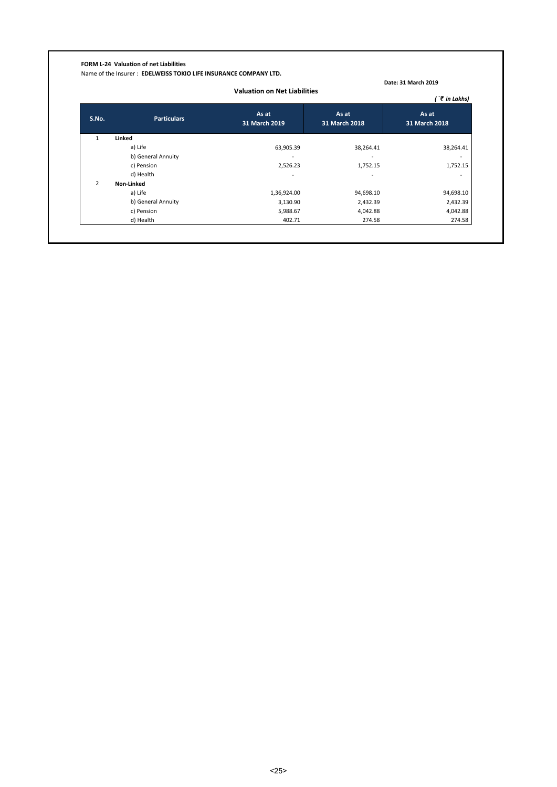# **FORM L-24 Valuation of net Liabilities**

Name of the Insurer : **EDELWEISS TOKIO LIFE INSURANCE COMPANY LTD.**

|                |                    | <b>Valuation on Net Liabilities</b> |                        | (`₹ in Lakhs)            |
|----------------|--------------------|-------------------------------------|------------------------|--------------------------|
| S.No.          | <b>Particulars</b> | As at<br>31 March 2019              | As at<br>31 March 2018 | As at<br>31 March 2018   |
| 1              | Linked             |                                     |                        |                          |
|                | a) Life            | 63,905.39                           | 38,264.41              | 38,264.41                |
|                | b) General Annuity |                                     |                        | $\overline{\phantom{a}}$ |
|                | c) Pension         | 2,526.23                            | 1,752.15               | 1,752.15                 |
|                | d) Health          |                                     |                        | $\overline{\phantom{a}}$ |
| $\overline{2}$ | Non-Linked         |                                     |                        |                          |
|                | a) Life            | 1,36,924.00                         | 94,698.10              | 94,698.10                |
|                | b) General Annuity | 3,130.90                            | 2,432.39               | 2,432.39                 |
|                | c) Pension         | 5,988.67                            | 4,042.88               | 4,042.88                 |
|                | d) Health          | 402.71                              | 274.58                 | 274.58                   |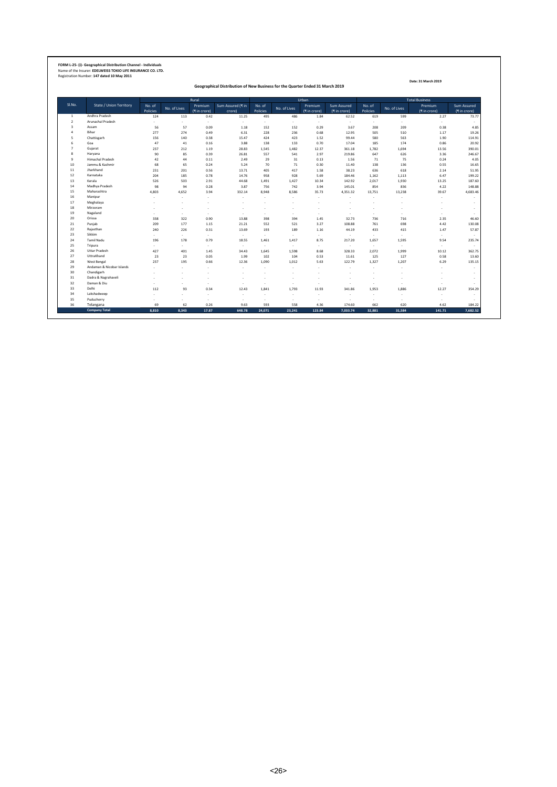# **FORM L-25- (i)- Geographical Distribution Channel - Individuals** Name of the Insurer: **EDELWEISS TOKIO LIFE INSURANCE CO. LTD.** Registration Number: **147 dated 10 May 2011**

**Geographical Distribution of New Business for the Quarter Ended 31 March 2019**

|                         |                                |                                                                                             |              | Rural        |                   |          |              | Urban        |              |          |              | <b>Total Business</b>    |              |
|-------------------------|--------------------------------|---------------------------------------------------------------------------------------------|--------------|--------------|-------------------|----------|--------------|--------------|--------------|----------|--------------|--------------------------|--------------|
| SI.No.                  | <b>State / Union Territory</b> | No. of                                                                                      |              | Premium      | Sum Assured (₹ in | No. of   |              | Premium      | Sum Assured  | No. of   |              | Premium                  | Sum Assured  |
|                         |                                | Policies                                                                                    | No. of Lives | (₹ in crore) | crore)            | Policies | No. of Lives | (₹ in crore) | (₹ in crore) | Policies | No. of Lives | (₹ in crore)             | (₹ in crore) |
| $\mathbf{1}$            | Andhra Pradesh                 | 124<br>0.42<br>11.25<br>113<br>$\sim$<br>÷.<br>$\sim$<br>$\sim$<br>56<br>57<br>0.09<br>1.18 |              | 495          | 486               | 1.84     | 62.52        | 619          | 599          | 2.27     | 73.77        |                          |              |
| $\overline{2}$          | Arunachal Pradesh              |                                                                                             |              |              |                   | ×.       | $\sim$       | ×.           | $\sim$       | ٠        | ۰.           | $\overline{\phantom{a}}$ | $\sim$       |
| $\overline{\mathbf{3}}$ | Assam                          |                                                                                             |              |              |                   | 152      | 152          | 0.29         | 3.67         | 208      | 209          | 0.38                     | 4.85         |
| $\mathfrak{a}$          | Bihar                          | 277                                                                                         | 274          | 0.49         | 6.31              | 228      | 236          | 0.68         | 12.95        | 505      | 510          | 1.17                     | 19.26        |
| 5                       | Chattisgarh                    | 156                                                                                         | 140          | 0.38         | 15.47             | 424      | 423          | 1.52         | 99.44        | 580      | 563          | 1.90                     | 114.91       |
| Goa<br>6                |                                | 47                                                                                          | 41           | 0.16         | 3.88              | 138      | 133          | 0.70         | 17.04        | 185      | 174          | 0.86                     | 20.92        |
|                         | Gujarat                        | 237                                                                                         | 212          | 1.19         | 28.83             | 1,545    | 1.482        | 12.37        | 361.18       | 1.782    | 1,694        | 13.56                    | 390.01       |
| $\mathbf{\hat{z}}$      | Haryana                        | 90                                                                                          | 85           | 0.39         | 26.81             | 557      | 541          | 2.97         | 219.86       | 647      | 626          | 3.36                     | 246.67       |
| 9                       | <b>Himachal Pradesh</b>        | 42                                                                                          | 44           | 0.11         | 2.49              | 29       | 31           | 0.13         | 1.56         | 71       | 75           | 0.24                     | 4.05         |
| 10                      | Jammu & Kashmir                | 68                                                                                          | 65           | 0.24         | 5.24              | 70       | 71           | 0.30         | 11.40        | 138      | 136          | 0.55                     | 16.65        |
| 11                      | Jharkhand                      | 231                                                                                         | 201          | 0.56         | 13.71             | 405      | 417          | 1.58         | 38.23        | 636      | 618          | 2.14                     | 51.95        |
| 12                      | Karnataka                      | 204                                                                                         | 185          | 0.78         | 14.76             | 958      | 928          | 5.69         | 184.46       | 1.162    | 1,113        | 6.47                     | 199.22       |
| 13                      | Kerala                         | 526                                                                                         | 503          | 2.91         | 44.68             | 1,491    | 1,427        | 10.34        | 142.92       | 2,017    | 1,930        | 13.25                    | 187.60       |
| 14                      | Madhya Pradesh                 | 98                                                                                          | 94           | 0.28         | 3.87              | 756      | 742          | 3.94         | 145.01       | 854      | 836          | 4.22                     | 148.88       |
| 15                      | Maharashtra                    | 4,803                                                                                       | 4,652        | 3.94         | 332.14            | 8,948    | 8.586        | 35.73        | 4,351.32     | 13,751   | 13,238       | 39.67                    | 4,683.46     |
| 16                      | Manipur                        | ٠                                                                                           |              | ÷            | $\sim$            | ٠        | ٠            | $\sim$       | ٠            | $\sim$   | ۰.           | ÷                        |              |
| 17                      | Meghalaya                      | ۰                                                                                           |              | ٠.           |                   | ۰.       |              |              |              | ۰        | ۰.           | $\overline{\phantom{a}}$ | $\sim$       |
| 18                      | Mirzoram                       |                                                                                             |              |              |                   |          |              |              |              |          |              |                          | $\sim$       |
| 19                      | Nagaland                       | ×.                                                                                          |              | ٠            | ٠                 | $\sim$   | ٠            | ٠            | ٠            | ٠        | ×            | $\sim$                   | $\sim$       |
| 20                      | Orissa                         | 338                                                                                         | 322          | 0.90         | 13.88             | 398      | 394          | 1.45         | 32.73        | 736      | 716          | 2.35                     | 46.60        |
| 21                      | Punjab                         | 209                                                                                         | 177          | 1.15         | 21.21             | 552      | 521          | 3.27         | 108.88       | 761      | 698          | 4.42                     | 130.08       |
| 22                      | Rajasthan                      | 240                                                                                         | 226          | 0.31         | 13.69             | 193      | 189          | 1.16         | 44.19        | 433      | 415          | 1.47                     | 57.87        |
| 23                      | Sikkim                         | ×.                                                                                          | $\sim$       | $\sim$       | $\sim$            | $\sim$   | $\sim$       | $\sim$       | $\sim$       | $\sim$   | $\sim$       | $\overline{\phantom{a}}$ |              |
| 24                      | <b>Tamil Nadu</b>              | 196                                                                                         | 178          | 0.79         | 18.55             | 1,461    | 1.417        | 8.75         | 217.20       | 1,657    | 1,595        | 9.54                     | 235.74       |
| 25                      | Tripura                        | ÷.                                                                                          | $\sim$       | ×.           | $\sim$            | $\sim$   | $\sim$       | ÷.           | $\sim$       | $\sim$   | $\sim$       | $\sim$                   |              |
| 26                      | <b>Uttar Pradesh</b>           | 427                                                                                         | 401          | 1.45         | 34.43             | 1,645    | 1.598        | 8.68         | 328.33       | 2.072    | 1,999        | 10.12                    | 362.75       |
| 27                      | UttraKhand                     | 23                                                                                          | 23           | 0.05         | 1.99              | 102      | 104          | 0.53         | 11.61        | 125      | 127          | 0.58                     | 13.60        |
| 28                      | West Bengal                    | 237                                                                                         | 195          | 0.66         | 12.36             | 1,090    | 1,012        | 5.63         | 122.79       | 1,327    | 1,207        | 6.29                     | 135.15       |
| 29                      | Andaman & Nicobar Islands      | ÷.                                                                                          |              | ÷.           | $\sim$            | ÷        | $\sim$       | ÷.           | ×            | ÷.       | ×            | $\sim$                   | $\sim$       |
| 30                      | Chandigarh                     | ٠                                                                                           |              |              | $\sim$            |          |              |              |              | ٠        |              | ٠                        | $\sim$       |
| 31                      | Dadra & Nagrahaveli            |                                                                                             |              |              | ٠.                |          |              |              |              | ۰        |              |                          | $\sim$       |
| 32                      | Daman & Diu                    | ٠                                                                                           |              | ٠            | ٠                 | ٠        | ٠            | ٠            | ×            | ٠        |              | ٠                        | ٠            |
| 33                      | Delhi                          | 112                                                                                         | 93           | 0.34         | 12.43             | 1,841    | 1,793        | 11.93        | 341.86       | 1,953    | 1,886        | 12.27                    | 354.29       |
| 34                      | Lakshadweep                    | ÷                                                                                           |              | $\sim$       | . п.              | ٠        | $\sim$       | $\sim$       | ÷.           | ÷.       | ۰.           | $\overline{\phantom{a}}$ | $\sim$       |
| 35                      | Puducherry                     | ×.                                                                                          |              | ٠            | ٠                 | ٠        | ٠            | ٠            | ×            | ٠        |              | ٠                        | $\sim$       |
| 36                      | Telangana                      | 69                                                                                          | 62           | 0.26         | 9.63              | 593      | 558          | 4.36         | 174.60       | 662      | 620          | 4.62                     | 184.22       |
|                         | <b>Company Total</b>           | 8.810                                                                                       | 8.343        | 17.87        | 648.78            | 24.071   | 23.241       | 123.84       | 7.033.74     | 32.881   | 31.584       | 141.71                   | 7.682.52     |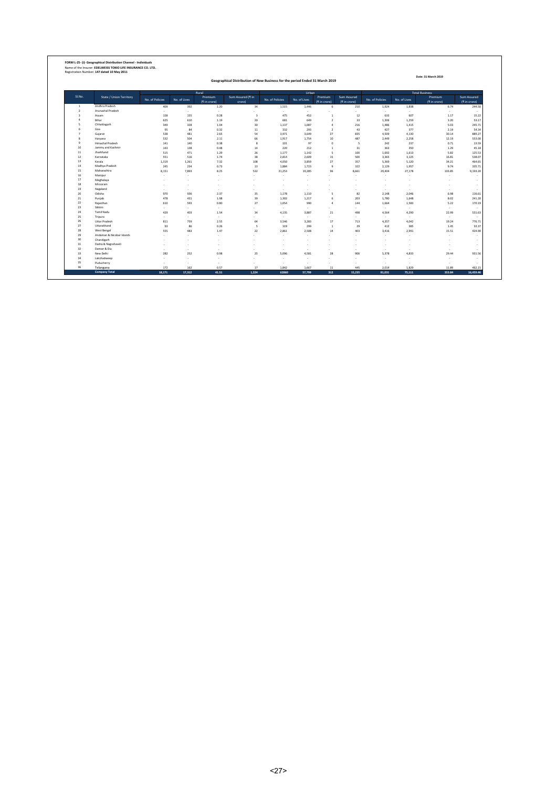|                         |                                    |                                |                          |                          | Geographical Distribution of New Business for the period Ended 31 March 2019 |                 |                 | Date: 31 March 2019              |                                    |                          |                   |                                    |                                        |  |  |
|-------------------------|------------------------------------|--------------------------------|--------------------------|--------------------------|------------------------------------------------------------------------------|-----------------|-----------------|----------------------------------|------------------------------------|--------------------------|-------------------|------------------------------------|----------------------------------------|--|--|
|                         |                                    |                                |                          | Rural                    |                                                                              |                 | Urban           |                                  |                                    |                          |                   | <b>Total Business</b>              |                                        |  |  |
| SI.No.                  | <b>State / Union Territory</b>     | No. of Policies                | No. of Lives             | Premium<br>(* in crore)  | Sum Assured (₹ in<br>crore)                                                  | No. of Policies | No. of Lives    | Premium                          | <b>Sum Assured</b><br>(t in crore) | No. of Policies          | No. of Lives      | Premium<br>(* in crore)            | <b>Sum Assured</b><br>(<br>f in crore) |  |  |
| $\mathbf{1}$            | Andhra Pradesh                     | 409                            | 392                      | 1.20                     | 34                                                                           | 1,515           | 1.446           | -6                               | 210                                | 1.924                    | 1,838             | 6.74                               | 244.50                                 |  |  |
| $\overline{2}$          | Arunachal Pradesh                  | ٠                              | $\sim$                   | ×.                       |                                                                              | ×.              | ×.              |                                  |                                    | ÷                        | и.                | $\sim$                             | ×,                                     |  |  |
| $\overline{\mathbf{3}}$ | Assam                              | 158                            | 155                      | 0.28                     | $\overline{a}$                                                               | 475             | 452             | $\mathbf{1}$                     | 12                                 | 633                      | 607               | 1.17                               | 15.22                                  |  |  |
| $\Delta$<br>5           | Bihar                              | 625                            | 610                      | 1.19                     | 20                                                                           | 681             | 649             | $\overline{2}$                   | 33                                 | 1.306                    | 1.259             | 3.20                               | 53.17                                  |  |  |
| 6                       | Chhattisgarh<br>Goa                | 349<br>95                      | 328<br>84                | 1.04<br>0.32             | 30<br>11                                                                     | 1,137<br>332    | 1.087<br>293    | $\overline{4}$<br>$\overline{2}$ | 216<br>43                          | 1.486<br>427             | 1.415<br>377      | 5.03<br>2.19                       | 245.71<br>54.34                        |  |  |
| $\overline{7}$          | Gujarat                            | 538                            | 481                      | 2.65                     | 54                                                                           | 3,971           | 3,649           | 27                               | 835                                | 4,509                    | 4,130             | 30.14                              | 889.27                                 |  |  |
| 8                       | Haryana                            | 532                            | 504                      | 2.11                     | 66                                                                           | 1,917           | 1,754           | 10                               | 487                                | 2,449                    | 2,258             | 12.19                              | 553.00                                 |  |  |
| $\overline{9}$          | Himachal Pradesh                   | 141                            | 140                      | 0.38                     | $\mathbf{Q}$                                                                 | 101             | 97              | $^{\circ}$                       | 5                                  | 242                      | 237               | 0.71                               | 13.59                                  |  |  |
| 10                      | Jammu and Kashmir                  | 143                            | 138                      | 0.48                     | 14                                                                           | 220             | 212             | $\overline{1}$                   | 31                                 | 363                      | 350               | 1.29                               | 45.18                                  |  |  |
| $11\,$                  | Jharkhand                          | 515                            | 471                      | 1.29                     | 26                                                                           | 1,177           | 1,142           | 5                                | 100                                | 1,692                    | 1,613             | 5.82                               | 125.53                                 |  |  |
| 12                      | Karnataka                          | 551                            | 516                      | 1.74                     | 38                                                                           | 2,814           | 2,609           | 15                               | 500                                | 3.365                    | 3,125             | 16.81                              | 538.07                                 |  |  |
| 13<br>14                | Kerala<br>Madhya Pradesh           | 1.319<br>245                   | 1,261<br>234             | 7.32<br>0.73             | 108<br>13                                                                    | 4.050           | 3,859           | 27<br>$\overline{9}$             | 357                                | 5.369                    | 5,120             | 34.21                              | 464.65                                 |  |  |
| 15                      | Maharashtra                        | 8,151                          | 7,893                    | 8.25                     | 532                                                                          | 1,884<br>21,253 | 1,723<br>19,285 | 96                               | 322<br>8,661                       | 2.129<br>29,404          | 1,957<br>27,178   | 9.74<br>103.85                     | 335.71<br>9,193.20                     |  |  |
| 16                      | Manipur                            | $\overline{\phantom{a}}$       | $\overline{\phantom{a}}$ | ٠                        | ٠                                                                            |                 | ×.              |                                  |                                    | ÷                        |                   | . п.                               | ٠                                      |  |  |
| 17                      | Meghalaya                          | ٠                              |                          | ×                        |                                                                              |                 | ×               |                                  |                                    | ٠                        |                   |                                    | ٠                                      |  |  |
| 18                      | Mirzoram                           | ٠                              | $\sim$                   | ×                        |                                                                              |                 | ×.              |                                  |                                    | ٠                        | $\sim$            | $\sim$                             | ٠                                      |  |  |
| 19                      | Nagaland                           | $\overline{\phantom{a}}$       | $\sim$                   | $\overline{\phantom{a}}$ |                                                                              | <b>.</b>        | ×.              |                                  |                                    | $\sim$                   | <b>.</b>          | $\sim$                             | ٠                                      |  |  |
| 20                      | Odisha                             | 970                            | 936                      | 2.37                     | 35                                                                           | 1.178           | 1.110           | -5                               | 82                                 | 2.148                    | 2.046             | 6.98                               | 116.61                                 |  |  |
| 21                      | Punjab                             | 478                            | 431                      | 1.98                     | 39                                                                           | 1,302           | 1,217           | 6                                | 203                                | 1,780                    | 1,648             | 8.02                               | 241.20                                 |  |  |
| 22<br>23                | Rajasthan<br>Sikkim                | 610                            | 593                      | 0.80                     | 27                                                                           | 1,054           | 990             | $\overline{4}$                   | 144                                | 1,664                    | 1,583             | 5.22                               | 170.19                                 |  |  |
| 24                      | Tamil Nadu                         | ٠<br>429                       | $\sim$<br>403            | ×.<br>1.54               | ٠<br>34                                                                      | и.<br>4.135     | ×.<br>3.887     | 21                               | <b>.</b><br>498                    | $\sim$<br>4.564          | <b>.</b><br>4.290 | $\sim$<br>22.99                    | ÷<br>531.63                            |  |  |
| 25                      | Tripura                            | ٠                              |                          | ×.                       |                                                                              | ×.              | ×.              |                                  |                                    | ٠                        | $\sim$            | $\sim$                             | ×,                                     |  |  |
| 26                      | <b>Uttar Pradesh</b>               | 811                            | 759                      | 2.55                     | 64                                                                           | 3,546           | 3,283           | 17                               | 713                                | 4,357                    | 4,042             | 19.24                              | 776.71                                 |  |  |
| 27                      | Uttarakhand                        | 93                             | 86                       | 0.26                     | <b>S</b>                                                                     | 319             | 299             | $\mathbf{1}$                     | 29                                 | 412                      | 385               | 1.45                               | 33.37                                  |  |  |
| 28                      | West Bengal                        | 555                            | 483                      | 1.47                     | 22                                                                           | 2.861           | 2.508           | 14                               | 403                                | 3.416                    | 2.991             | 15.51                              | 424.90                                 |  |  |
| 29                      | Andaman & Nicobar Islands          | $\overline{\phantom{a}}$       |                          | $\overline{\phantom{a}}$ |                                                                              |                 | ٠               |                                  |                                    | $\overline{\phantom{a}}$ |                   | $\sim$                             | ٠                                      |  |  |
| 30                      | Chandigarh                         | ÷.                             |                          | ٠                        |                                                                              |                 | ٠               |                                  |                                    | $\overline{\phantom{a}}$ |                   | $\sim$                             | $\sim$                                 |  |  |
| 31<br>32                | Dadra & Nagrahaveli<br>Daman & Diu | $\overline{\phantom{a}}$<br>×. |                          | ٠<br>٠                   |                                                                              |                 | ٠<br>٠          |                                  |                                    | ÷<br>÷                   |                   | $\overline{\phantom{a}}$<br>$\sim$ | $\sim$                                 |  |  |
| 33                      | New Delhi                          | 282                            | 252                      | 0.98                     | 25                                                                           | 5,096           | 4,581           | 28                               | 906                                | 5,378                    | 4,833             | 29.44                              | ×,<br>931.56                           |  |  |
| 34                      | Lakshadweep                        | ٠                              | $\sim$                   | $\sim$                   | ٠                                                                            | . .             | ٠               |                                  |                                    | $\overline{\phantom{a}}$ |                   | $\sim$                             | ٠                                      |  |  |
| 35                      | Puducherry                         | ٠                              | $\sim$                   | ÷.                       |                                                                              |                 | ×.              | .                                | и.                                 | ۰.                       | и.                | $\sim$                             | ÷                                      |  |  |
| 36                      | Telangana                          | 172                            | 162                      | 0.57                     | 17                                                                           | 1.842           | 1.667           | 11                               | 445                                | 2.014                    | 1.829             | 11.89                              | 462.15                                 |  |  |
|                         | <b>Company Total</b>               | 18.171                         | 17.312                   | 41.51                    | 1.224                                                                        | 62860           | 57,799          | 312                              | 15.235                             | 81.031                   | 75,111            | 353.84                             | 16,459,46                              |  |  |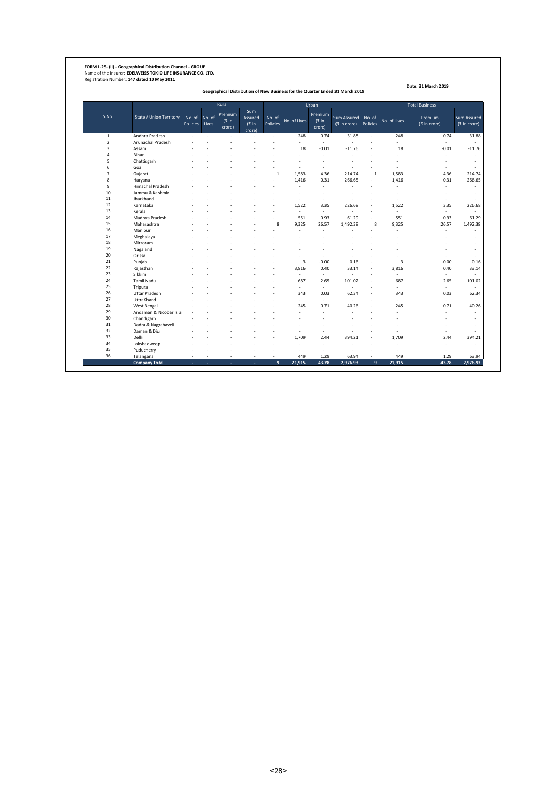**FORM L-25- (ii) - Geographical Distribution Channel - GROUP** Name of the Insurer: **EDELWEISS TOKIO LIFE INSURANCE CO. LTD.** Registration Number: **147 dated 10 May 2011**

**Geographical Distribution of New Business for the Quarter Ended 31 March 2019**

|                |                         |                    |                 | Rural                      |                                         |                      |              | Urban                      |                             |                    |                          | <b>Total Business</b>   |                                    |
|----------------|-------------------------|--------------------|-----------------|----------------------------|-----------------------------------------|----------------------|--------------|----------------------------|-----------------------------|--------------------|--------------------------|-------------------------|------------------------------------|
| S.No.          | State / Union Territory | No. of<br>Policies | No. of<br>Lives | Premium<br>(₹ in<br>crore) | <b>Sum</b><br>Assured<br>(₹in<br>crore) | No. of<br>Policies   | No. of Lives | Premium<br>(₹ in<br>crore) | Sum Assured<br>(₹ in crore) | No. of<br>Policies | No. of Lives             | Premium<br>(₹ in crore) | <b>Sum Assured</b><br>(₹ in crore) |
| $\mathbf 1$    | Andhra Pradesh          | ÷.                 | $\overline{a}$  | ÷.                         |                                         | $\ddot{\phantom{a}}$ | 248          | 0.74                       | 31.88                       | $\sim$             | 248                      | 0.74                    | 31.88                              |
| $\overline{2}$ | Arunachal Pradesh       |                    |                 |                            |                                         |                      | L.           | ÷.                         |                             | ż.                 |                          | ÷.                      |                                    |
| 3              | Assam                   |                    |                 |                            |                                         |                      | 18           | $-0.01$                    | $-11.76$                    | ÷,                 | 18                       | $-0.01$                 | $-11.76$                           |
| 4              | Bihar                   |                    |                 |                            |                                         |                      |              | ż.                         |                             |                    | ÷                        | ä,                      | ÷                                  |
| 5              | Chattisgarh             |                    |                 |                            |                                         |                      | ٠            | ×.                         | ÷                           |                    | ٠                        | ٠                       | ÷                                  |
| 6              | Goa                     |                    |                 |                            |                                         |                      | ٠            | ×.                         | ٠                           | $\sim$             | $\overline{\phantom{a}}$ | ٠                       |                                    |
| $\overline{7}$ | Gujarat                 |                    |                 |                            |                                         | $\overline{1}$       | 1,583        | 4.36                       | 214.74                      | $\mathbf{1}$       | 1,583                    | 4.36                    | 214.74                             |
| 8              | Haryana                 |                    |                 |                            |                                         |                      | 1,416        | 0.31                       | 266.65                      | $\sim$             | 1,416                    | 0.31                    | 266.65                             |
| 9              | <b>Himachal Pradesh</b> |                    |                 |                            |                                         |                      | ÷.           | ÷,                         | ä,                          | ٠                  |                          | ä,                      |                                    |
| 10             | Jammu & Kashmir         |                    |                 |                            |                                         |                      | ä,           | ٠                          | ÷                           |                    | ÷                        | ä,                      | ÷                                  |
| 11             | Jharkhand               |                    |                 |                            |                                         |                      | ٠            | ×.                         | ÷                           |                    | ÷                        | ٠                       |                                    |
| 12             | Karnataka               |                    |                 |                            |                                         |                      | 1.522        | 3.35                       | 226.68                      | ÷,                 | 1.522                    | 3.35                    | 226.68                             |
| 13             | Kerala                  |                    |                 |                            |                                         |                      | ä,           | ÷,                         | L.                          | ÷,                 | L.                       | ä,                      |                                    |
| 14             | Madhya Pradesh          |                    |                 |                            |                                         |                      | 551          | 0.93                       | 61.29                       | $\sim$             | 551                      | 0.93                    | 61.29                              |
| 15             | Maharashtra             |                    |                 |                            |                                         | 8                    | 9.325        | 26.57                      | 1.492.38                    | 8                  | 9.325                    | 26.57                   | 1,492.38                           |
| 16             | Manipur                 |                    |                 |                            |                                         |                      | ÷.           | ÷.                         |                             | ż.                 | ÷                        | ÷.                      |                                    |
| 17             | Meghalaya               |                    |                 |                            |                                         |                      |              |                            |                             |                    |                          |                         |                                    |
| 18             | Mirzoram                |                    |                 |                            |                                         |                      |              |                            |                             |                    |                          |                         | ÷                                  |
| 19             | Nagaland                |                    |                 |                            |                                         |                      |              |                            |                             |                    |                          |                         | ÷                                  |
| 20             | Orissa                  |                    |                 |                            |                                         |                      | ä,           | ٠                          | ÷                           |                    | ÷                        | ä,                      |                                    |
| 21             | Punjab                  |                    |                 |                            |                                         |                      | 3            | $-0.00$                    | 0.16                        | ×.                 | 3                        | $-0.00$                 | 0.16                               |
| 22             | Rajasthan               |                    |                 |                            |                                         |                      | 3,816        | 0.40                       | 33.14                       | ÷,                 | 3,816                    | 0.40                    | 33.14                              |
| 23             | Sikkim                  |                    |                 |                            |                                         |                      | ä,           | ÷.                         | ä,                          | ÷,                 | $\mathbf{r}$             | ÷.                      | ٠                                  |
| 24             | <b>Tamil Nadu</b>       |                    |                 |                            |                                         |                      | 687          | 2.65                       | 101.02                      |                    | 687                      | 2.65                    | 101.02                             |
| 25             | Tripura                 |                    |                 |                            |                                         |                      | ÷.           | $\sim$                     | ä,                          | ÷,                 | ä,                       | ä,                      | ÷                                  |
| 26             | <b>Uttar Pradesh</b>    |                    |                 |                            |                                         |                      | 343          | 0.03                       | 62.34                       | ٠                  | 343                      | 0.03                    | 62.34                              |
| 27             | UttraKhand              |                    |                 |                            |                                         |                      | $\sim$       | ÷.                         | ÷.                          | ×.                 | ÷                        | ÷.                      |                                    |
| 28             | West Bengal             |                    |                 |                            |                                         |                      | 245          | 0.71                       | 40.26                       | ÷,                 | 245                      | 0.71                    | 40.26                              |
| 29             | Andaman & Nicobar Isla  |                    |                 |                            |                                         |                      | ä,           | ÷,                         | ÷                           |                    | ä,                       | ä,                      |                                    |
| 30             | Chandigarh              |                    |                 |                            |                                         |                      | L,           | ż.                         |                             |                    |                          | ä,                      | ÷                                  |
| 31             | Dadra & Nagrahaveli     |                    |                 |                            |                                         |                      |              |                            |                             |                    |                          | L,                      | $\sim$                             |
| 32             | Daman & Diu             |                    |                 |                            |                                         |                      | ٠            | ż.                         |                             |                    |                          | J.                      |                                    |
| 33             | Delhi                   |                    |                 |                            |                                         |                      | 1.709        | 2.44                       | 394.21                      | ż.                 | 1,709                    | 2.44                    | 394.21                             |
| 34             | Lakshadweep             |                    |                 |                            |                                         |                      |              | ÷,                         |                             |                    |                          | ä,                      |                                    |
| 35             | Puducherry              |                    |                 |                            |                                         |                      | ÷.           | ÷.                         | ÷.                          |                    |                          | ż                       |                                    |
| 36             | Telangana               | ÷                  | ÷               | $\sim$                     | $\sim$                                  | ÷                    | 449          | 1.29                       | 63.94                       | ٠                  | 449                      | 1.29                    | 63.94                              |
|                | <b>Company Total</b>    | ÷                  | ÷               | ٠                          | ÷                                       | 9                    | 21.915       | 43.78                      | 2,976.93                    | 9                  | 21,915                   | 43.78                   | 2,976.93                           |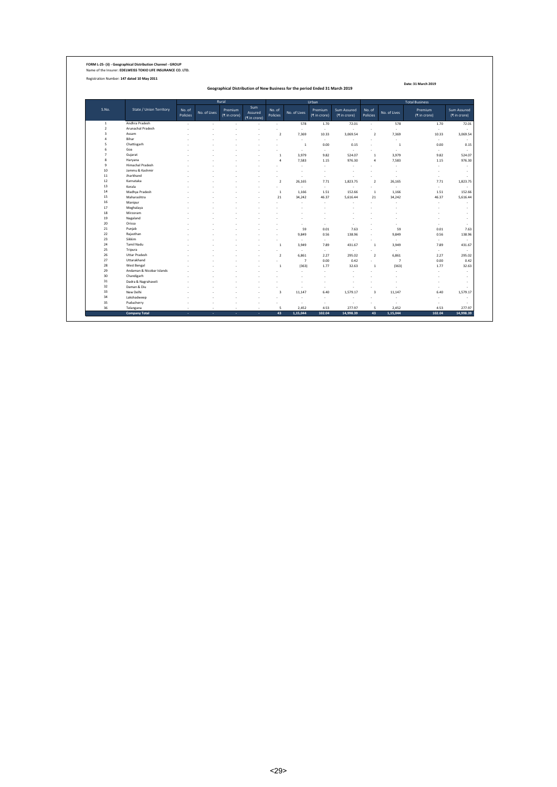**FORM L-25- (ii) - Geographical Distribution Channel - GROUP** Name of the Insurer: **EDELWEISS TOKIO LIFE INSURANCE CO. LTD.**

Registration Number: **147 dated 10 May 2011**

**Geographical Distribution of New Business for the period Ended 31 March 2019**

|                         |                                |                    |              | Rural                   |                                |                         |                | Urban                   |                             |                         |                | <b>Total Business</b>   |                             |
|-------------------------|--------------------------------|--------------------|--------------|-------------------------|--------------------------------|-------------------------|----------------|-------------------------|-----------------------------|-------------------------|----------------|-------------------------|-----------------------------|
| S.No.                   | <b>State / Union Territory</b> | No. of<br>Policies | No. of Lives | Premium<br>(₹ in crore) | Sum<br>Assured<br>(र in crore) | No. of<br>Policies      | No. of Lives   | Premium<br>(₹ in crore) | Sum Assured<br>(र in crore) | No. of<br>Policies      | No. of Lives   | Premium<br>(₹ in crore) | Sum Assured<br>(₹ in crore) |
| $\mathbf{1}$            | Andhra Pradesh                 | $\sim$             | $\sim$       | $\sim$                  | $\sim$                         | $\sim$                  | 578            | 1.70                    | 72.01                       | ÷.                      | 578            | 1.70                    | 72.01                       |
| $\overline{2}$          | Arunachal Pradesh              |                    |              |                         |                                |                         | i.             | $\sim$                  | ÷                           | ٠                       | ÷.             | ÷.                      |                             |
| $\overline{\mathbf{3}}$ | Assam                          |                    |              |                         |                                | $\overline{2}$          | 7,369          | 10.33                   | 3,069.54                    | $\overline{2}$          | 7,369          | 10.33                   | 3,069.54                    |
| $\overline{a}$          | Bihar                          |                    |              |                         |                                |                         | <b>Service</b> | $\sim$                  | $\sim$                      |                         | ٠              | ÷.                      |                             |
| 5                       | Chattisgarh                    |                    |              |                         |                                |                         | $\overline{1}$ | 0.00                    | 0.15                        |                         | 1              | 0.00                    |                             |
| 6                       | Goa                            |                    |              |                         |                                |                         | $\sim$         | $\sim$                  | $\overline{\phantom{a}}$    |                         | ٠              | ×                       |                             |
| $\overline{7}$          | Gujarat                        |                    |              |                         |                                | $\mathbf{1}$            | 3,979          | 9.82                    | 524.07                      | $\mathbf{1}$            | 3,979          | 9.82                    | 524.07                      |
| 8                       | Haryana                        |                    |              |                         |                                | $\mathfrak{a}$          | 7,583          | 1.15                    | 976.30                      | $\overline{a}$          | 7,583          | 1.15                    | 976.30                      |
| $\,9$                   | <b>Himachal Pradesh</b>        |                    |              |                         |                                |                         |                | ×                       | $\overline{\phantom{a}}$    |                         | ł,             | ×,                      |                             |
| $10\,$                  | Jammu & Kashmir                |                    |              |                         |                                |                         |                |                         |                             |                         |                |                         |                             |
| 11                      | Jharkhand                      |                    |              |                         |                                |                         |                | ٠                       | ÷                           |                         | J.             | ÷.                      |                             |
| 12                      | Karnataka                      |                    |              |                         |                                | $\overline{2}$          | 26,165         | 7.71                    | 1,823.75                    | $\overline{2}$          | 26,165         | 7.71                    | 1,823.75                    |
| 13                      | Kerala                         |                    |              |                         |                                |                         | ۰.             | $\sim$                  | $\sim$                      |                         | ÷              | ÷.                      |                             |
| 14                      | Madhya Pradesh                 |                    |              |                         |                                | -1                      | 1,166          | 1.51                    | 152.66                      | $\overline{1}$          | 1,166          | 1.51                    | 152.66                      |
| 15                      | Maharashtra                    |                    |              |                         |                                | 21                      | 34,242         | 46.37                   | 5,616.44                    | 21                      | 34,242         | 46.37                   | 5,616.44                    |
| 16                      | Manipur                        |                    |              |                         |                                |                         |                | J.                      |                             |                         |                | ÷.                      |                             |
| 17                      | Meghalaya                      |                    |              |                         |                                |                         |                |                         |                             |                         |                |                         |                             |
| 18                      | Mirzoram                       |                    |              |                         |                                |                         |                |                         |                             |                         |                |                         |                             |
| 19                      | Nagaland                       |                    |              |                         |                                |                         |                |                         |                             |                         |                |                         |                             |
| 20                      | Orissa                         |                    |              |                         |                                |                         |                | ÷                       |                             |                         |                |                         |                             |
| 21                      | Punjab                         |                    |              |                         |                                |                         | 59             | 0.01                    | 7.63                        |                         | 59             | 0.01                    |                             |
| 22                      | Rajasthan                      |                    |              |                         |                                |                         | 9,849          | 0.56                    | 138.96                      |                         | 9,849          | 0.56                    | 138.96                      |
| 23                      | Sikkim                         |                    |              |                         |                                |                         | $\sim$         | $\sim$                  | $\sim$                      |                         | ÷.             | ×                       |                             |
| 24                      | <b>Tamil Nadu</b>              |                    |              |                         |                                | $\mathbf{1}$            | 3,949          | 7.89                    | 431.67                      | $\mathbf{1}$            | 3.949          | 7.89                    | 431.67                      |
| 25                      | Tripura                        |                    |              |                         |                                |                         | $\sim$         | $\sim$                  | $\sim$                      |                         | ×              | ÷                       |                             |
| 26                      | <b>Uttar Pradesh</b>           |                    |              |                         |                                | $\overline{2}$          | 6.861          | 2.27                    | 295.02                      | $\overline{2}$          | 6,861          | 2.27                    | 295.02                      |
| 27                      | Uttarakhand                    |                    |              |                         |                                |                         | $\overline{7}$ | 0.00                    | 0.42                        | ÷                       | $\overline{7}$ | 0.00                    |                             |
| 28                      | West Bengal                    |                    |              |                         |                                | 1                       | (363)          | 1.77                    | 32.63                       | $\mathbf{1}$            | (363)          | 1.77                    | 32.63                       |
| 29                      | Andaman & Nicobar Islands      |                    |              |                         |                                |                         |                | ÷                       |                             |                         |                | ÷.                      |                             |
| 30                      | Chandigarh                     |                    |              |                         |                                |                         |                |                         |                             |                         |                | ÷.                      |                             |
| 31                      | Dadra & Nagrahaveli            |                    |              |                         |                                |                         |                |                         |                             |                         |                | ÷.                      |                             |
| 32                      | Daman & Diu                    |                    |              |                         |                                |                         |                | ٠                       |                             |                         | ٠              | ×                       |                             |
| 33                      | New Delhi                      |                    |              |                         |                                | $\overline{\mathbf{3}}$ | 11.147         | 6.40                    | 1.579.17                    | $\overline{\mathbf{3}}$ | 11,147         | 6.40                    | 1,579.17                    |
| 34                      | Lakshadweep                    |                    |              |                         | ٠                              | ÷                       | ۰.             | ٠                       | ٠                           |                         | ٠              | ٠                       |                             |
| 35                      | Puducherry                     |                    |              |                         |                                |                         |                | $\sim$                  | $\overline{\phantom{a}}$    |                         | ÷              | ÷.                      |                             |
| 36                      | Telangana                      | ÷                  | ٠            | ٠                       | $\sim$                         | 5                       | 2.452          | 4.53                    | 277.97                      | 5                       | 2.452          | 4.53                    | 277.97                      |
|                         | <b>Company Total</b>           | ×                  | $\sim$       | ٠                       | ×.                             | 43                      | 1.15.044       | 102.04                  | 14.998.39                   | 43                      | 1.15.044       | 102.04                  | 14,998.39                   |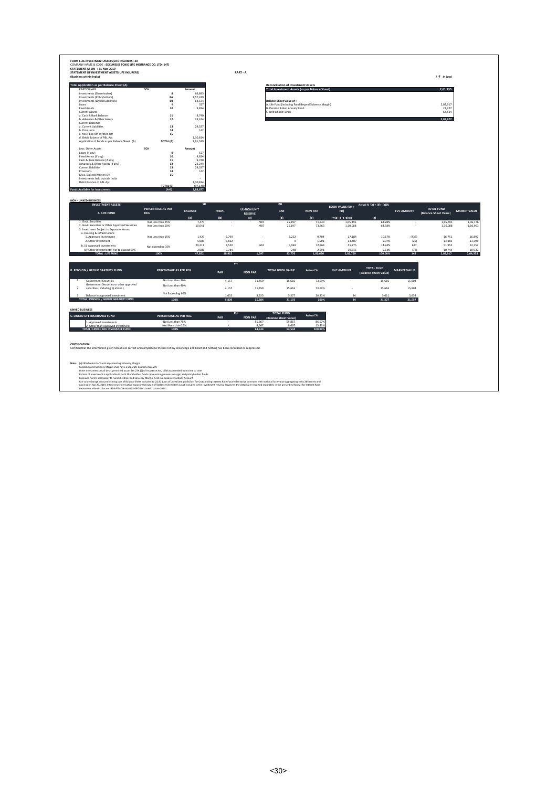| Total Application as per Balance Sheet (A)<br>PARTICULARS<br>Investments (Sharehoders)<br>Investments (Policyholders)<br>Investments (Linked Liabilities)<br>Loans<br><b>Fixed Assets</b> | SCH                       |                 |                |                       |                                                                                              |                   |                              |                                            |                     |                       |                     |
|-------------------------------------------------------------------------------------------------------------------------------------------------------------------------------------------|---------------------------|-----------------|----------------|-----------------------|----------------------------------------------------------------------------------------------|-------------------|------------------------------|--------------------------------------------|---------------------|-----------------------|---------------------|
|                                                                                                                                                                                           |                           | Amount          |                |                       | <b>Reconciliation of Investment Assets</b><br>Total Investment Assets (as per Balance Sheet) |                   |                              |                                            |                     | 2.61.935              |                     |
|                                                                                                                                                                                           | 8                         | 66.895          |                |                       |                                                                                              |                   |                              |                                            |                     |                       |                     |
|                                                                                                                                                                                           | 8A                        | 1,57,249        |                |                       | <b>Balance Sheet Value of :</b>                                                              |                   |                              |                                            |                     |                       |                     |
|                                                                                                                                                                                           | 88<br>$\ddot{q}$          | 64.534<br>527   |                |                       | A. Life Fund (including Fund Beyond Solvency Margin)                                         |                   |                              |                                            |                     | 2,02,917              |                     |
|                                                                                                                                                                                           | 10                        | 9,824           |                |                       | B. Pension & Gen Annuity Fund                                                                |                   |                              |                                            |                     | 21,227                |                     |
| Current Assets                                                                                                                                                                            |                           |                 |                |                       | C. Unit Linked Funds                                                                         |                   |                              |                                            |                     | 64,534                |                     |
| a. Cash & Bank Balance                                                                                                                                                                    | 11                        | 9.740           |                |                       |                                                                                              |                   |                              |                                            |                     |                       |                     |
| b. Advances & Other Assets                                                                                                                                                                | $12\,$                    | 23,244          |                |                       |                                                                                              |                   |                              |                                            |                     | 2.88.677              |                     |
| Current Liabilities                                                                                                                                                                       |                           |                 |                |                       |                                                                                              |                   |                              |                                            |                     |                       |                     |
| a. Current Liabilities<br>b. Provisions                                                                                                                                                   | 13<br>14                  | 29.527<br>142   |                |                       |                                                                                              |                   |                              |                                            |                     |                       |                     |
| c. Misc. Exp not Written Off                                                                                                                                                              | 15                        |                 |                |                       |                                                                                              |                   |                              |                                            |                     |                       |                     |
| d. Debit Balance of P&L A/c                                                                                                                                                               |                           | 1,10,814        |                |                       |                                                                                              |                   |                              |                                            |                     |                       |                     |
| Application of Funds as per Balance Sheet (A)                                                                                                                                             | TOTAL (A)                 | 1,91,529        |                |                       |                                                                                              |                   |                              |                                            |                     |                       |                     |
| Less: Other Assets                                                                                                                                                                        | SCH                       | Amount          |                |                       |                                                                                              |                   |                              |                                            |                     |                       |                     |
| Loans (if any)                                                                                                                                                                            | $\overline{9}$            | 527             |                |                       |                                                                                              |                   |                              |                                            |                     |                       |                     |
| Fixed Assets (if any)<br>Cash & Bank Balance (if any)                                                                                                                                     | $10$                      | 9,824<br>9.740  |                |                       |                                                                                              |                   |                              |                                            |                     |                       |                     |
| Advances & Other Assets (if any)                                                                                                                                                          | $11$<br>$12\,$            | 23,244          |                |                       |                                                                                              |                   |                              |                                            |                     |                       |                     |
| Current Liabilities                                                                                                                                                                       | $13$                      | 29,527          |                |                       |                                                                                              |                   |                              |                                            |                     |                       |                     |
| Provisions                                                                                                                                                                                | 14                        | 142             |                |                       |                                                                                              |                   |                              |                                            |                     |                       |                     |
| Misc. Exp not Written Off                                                                                                                                                                 | 15                        | $\cdot$         |                |                       |                                                                                              |                   |                              |                                            |                     |                       |                     |
| Investments held outside India<br>Debit Balance of P&L A/c                                                                                                                                |                           | 1.10.814        |                |                       |                                                                                              |                   |                              |                                            |                     |                       |                     |
|                                                                                                                                                                                           | TOTAL (B)                 | (97.148)        |                |                       |                                                                                              |                   |                              |                                            |                     |                       |                     |
| <b>Funds Available for Investments</b>                                                                                                                                                    | $(A-B)$                   | 2,88,677        |                |                       |                                                                                              |                   |                              |                                            |                     |                       |                     |
|                                                                                                                                                                                           |                           |                 |                |                       |                                                                                              |                   |                              |                                            |                     |                       |                     |
| <b>NON - LINKED BUSINESS</b>                                                                                                                                                              |                           |                 |                |                       |                                                                                              |                   |                              |                                            |                     |                       |                     |
| <b>INVESTMENT ASSETS</b>                                                                                                                                                                  | PERCENTAGE AS PER         | SH              |                |                       | PH                                                                                           |                   | <b>BOOK VALUE (SH +</b>      | Actual % '(g) = [(f) - (a)]%               |                     | <b>TOTAL FUND</b>     |                     |
| A. LIFE FUND                                                                                                                                                                              | REG.                      | <b>BALANCE</b>  | FRSM+          | <b>UL-NON UNIT</b>    | PAR                                                                                          | <b>NON PAR</b>    | PH)                          |                                            | <b>FVC AMOUNT</b>   | (Balance Sheet Value) | <b>MARKET VALUE</b> |
|                                                                                                                                                                                           |                           | a               | (b)            | <b>RESERVE</b><br>(c) | (d)                                                                                          |                   |                              | (e)                                        |                     |                       |                     |
| 1 Govt Securities                                                                                                                                                                         | Not Less than 25%         | 7,470           |                | 987                   | 25,197                                                                                       | (e)<br>71,840     | $F=[a+ b+c+d+e]$<br>1.05.495 | 63.28%                                     |                     | 1,05,495              | 1,06,176            |
| 2. Govt. Securities or Other Approved Securities                                                                                                                                          | Not Less than 50%         | 10.041          |                | 987                   | 25.197                                                                                       | 73,863            | 1 10 088                     | 64.58%                                     |                     | 1,10,088              | 1,10,963            |
| 3. Investment Subject to Exposure Norms                                                                                                                                                   |                           |                 |                |                       |                                                                                              |                   |                              |                                            |                     |                       |                     |
| a. Housing & Infrastructure                                                                                                                                                               |                           |                 |                |                       |                                                                                              |                   |                              |                                            |                     |                       |                     |
| 1 Annound Investment                                                                                                                                                                      | Not Less than 15%         | 1.429           | 2.799          |                       | 3,252                                                                                        | 9.704             | 17184                        | 10 17%                                     | (433)               | 16.751                | 16.897              |
| 2. Other Investment                                                                                                                                                                       |                           | 5,085           | 6,812          |                       |                                                                                              | 1,501             | 13,407                       | 5.37%                                      | (25)                | 13,383                | 13,398              |
| b. (i) Approved Investments<br>(ii)"Other Investments" not to exceed 15%                                                                                                                  | Not exceeding 35%         | 29,211<br>2,086 | 3,520<br>5.784 | 610                   | 5,069<br>248                                                                                 | 12,864<br>2,698   | 51,275<br>10.815             | 14.24%<br>5.64%                            | 677<br>(72)         | 51,952<br>10.744      | 52,157<br>10.937    |
| TOTAL : LIFE FUND                                                                                                                                                                         | 100%                      | 47.852          | 18.915         | 1,597                 | 33,776                                                                                       | 1.00.630          | 2,02,769                     | 100.00%                                    | 148                 | 2.02.917              | 2.04.353            |
|                                                                                                                                                                                           |                           |                 |                |                       |                                                                                              |                   |                              |                                            |                     |                       |                     |
|                                                                                                                                                                                           |                           |                 | PH             |                       |                                                                                              |                   |                              |                                            |                     |                       |                     |
| <b>B. PENSION / GROUP GRATUITY FUND</b>                                                                                                                                                   | PERCENTAGE AS PER REG.    |                 | PAR            | <b>NON PAR</b>        | <b>TOTAL BOOK VALUE</b>                                                                      | Actual %          | <b>FVC AMOUNT</b>            | <b>TOTAL FUND</b><br>(Balance Sheet Value) | <b>MARKET VALUE</b> |                       |                     |
|                                                                                                                                                                                           |                           |                 |                |                       |                                                                                              |                   |                              |                                            |                     |                       |                     |
| <b>Government Securities</b><br>Ŧ                                                                                                                                                         | Not Less than 20%         |                 | 4,157          | 11,459                | 15,616                                                                                       | 73.69%            |                              | 15,616                                     | 15,904              |                       |                     |
| Government Securities or other approved<br>$\overline{2}$                                                                                                                                 | Not Less than 40%         |                 | 4,157          | 11,459                | 15.616                                                                                       | 73,69%            |                              | 15.616                                     | 15,904              |                       |                     |
| securities (including (i) above )                                                                                                                                                         |                           |                 |                |                       |                                                                                              |                   |                              |                                            |                     |                       |                     |
| Balance in approved investment                                                                                                                                                            | Not Exceeding 60%         |                 | 1,652          | 3,925                 | 5,577                                                                                        | 26.31%            | 34                           | 5,611                                      | 5,653               |                       |                     |
| TOTAL : PENSION / GROUP GRATUITY FUND                                                                                                                                                     | 100%                      |                 | 5.809          | 15,384                | 21,193                                                                                       | 100%              | 2A                           | 21,227                                     | 21,557              |                       |                     |
| <b>LINKED BUSINESS</b>                                                                                                                                                                    |                           |                 |                |                       |                                                                                              |                   |                              |                                            |                     |                       |                     |
| C. LINKED LIFE INSURANCE FUND                                                                                                                                                             | PERCENTAGE AS PER REG.    |                 | PH             |                       | <b>TOTAL FUND</b>                                                                            | Actual %          |                              |                                            |                     |                       |                     |
|                                                                                                                                                                                           |                           |                 | PAR            | <b>NON PAR</b>        | (Balance Sheet Value)                                                                        |                   |                              |                                            |                     |                       |                     |
| . Approved Investments                                                                                                                                                                    | Not Less than 75%         |                 |                | 55,867                | 55.867                                                                                       | 86.579            |                              |                                            |                     |                       |                     |
| 2. Other than Approved Investment<br>TOTAL : LINKED LIFE INSURANCE FUND                                                                                                                   | Not More than 25%<br>100% |                 |                | 8,667<br>64,534       | 8,667<br>64.534                                                                              | 13.43%<br>100.00% |                              |                                            |                     |                       |                     |
|                                                                                                                                                                                           |                           |                 |                |                       |                                                                                              |                   |                              |                                            |                     |                       |                     |
|                                                                                                                                                                                           |                           |                 |                |                       |                                                                                              |                   |                              |                                            |                     |                       |                     |
| <b>CERTIFICATION:</b>                                                                                                                                                                     |                           |                 |                |                       |                                                                                              |                   |                              |                                            |                     |                       |                     |
| Certified that the information given here in are correct and complete to the best of my knowledge and belief and nothing has been concealed or suppressed.                                |                           |                 |                |                       |                                                                                              |                   |                              |                                            |                     |                       |                     |
|                                                                                                                                                                                           |                           |                 |                |                       |                                                                                              |                   |                              |                                            |                     |                       |                     |
| Note: (+) FRSM refers to 'Funds representing Solvency Margin'                                                                                                                             |                           |                 |                |                       |                                                                                              |                   |                              |                                            |                     |                       |                     |
| Funds beyond Solvency Margin shall have a separate Custody Account.<br>Other Investments shall be as permitted as per Sec 27A (2) of Insurance Act, 1938 as amended from time to time     |                           |                 |                |                       |                                                                                              |                   |                              |                                            |                     |                       |                     |

derivatives vide circular no. IRDA-F&I-CIR-INV-138-06-2014 dated 11 June 2014.

<30>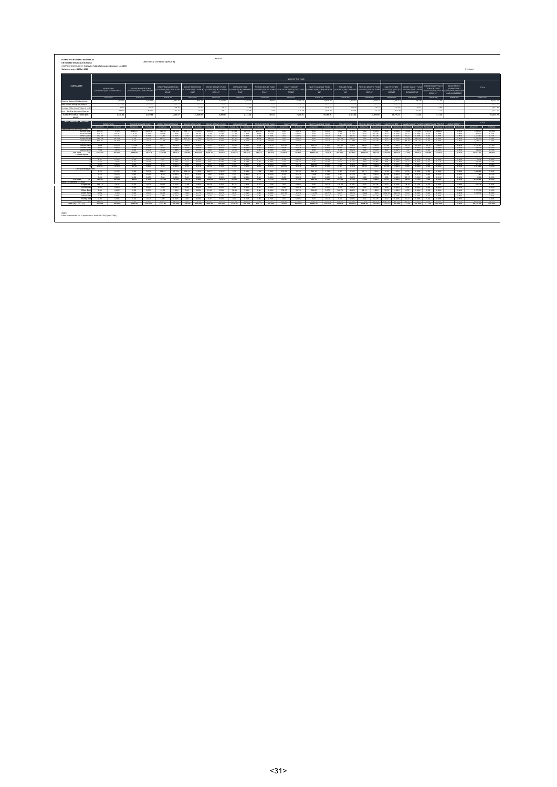|                                                                       |                                  |                             |                                                                                                   |                     |                                                                              |                    |                             |                          |                          |                                                   |                      |                       |                          |                                              |                   | MAME OF THE RUND.                                                                                                 |                                               |                      |                        |                       |                                                                 |                         |                                                 |                            |                   |                                                        |                                                            |                                                                           |                                                                                                                                                                                    |                   |                      |                      |
|-----------------------------------------------------------------------|----------------------------------|-----------------------------|---------------------------------------------------------------------------------------------------|---------------------|------------------------------------------------------------------------------|--------------------|-----------------------------|--------------------------|--------------------------|---------------------------------------------------|----------------------|-----------------------|--------------------------|----------------------------------------------|-------------------|-------------------------------------------------------------------------------------------------------------------|-----------------------------------------------|----------------------|------------------------|-----------------------|-----------------------------------------------------------------|-------------------------|-------------------------------------------------|----------------------------|-------------------|--------------------------------------------------------|------------------------------------------------------------|---------------------------------------------------------------------------|------------------------------------------------------------------------------------------------------------------------------------------------------------------------------------|-------------------|----------------------|----------------------|
| <b>PARTICULARS</b>                                                    | <b>ECND FUND</b>                 | FULIFO0317/DE/1190NDFUND147 | DISCONTINUANCE FUND<br>FULIFO0701/01/1201500NT147                                                 |                     | GROUP BALANCER FUND<br>ULGFOODS/DS/11SFBALANC NJLGF00305/09/11GFBON<br>68147 |                    |                             | GROUP BOND FUND<br>0147  |                          | GROUP GROWTH FUND<br>0899105/09/1109991<br>WTH147 | MANAGED FUND<br>0147 | ULIFODG18/08/11MANAGE |                          | FENSION SECURE FUND<br><b>CR147</b>          |                   | <b>EQUITY MIDEAP</b><br>FULIFODRIA/DI/ISETLIPNSS FUNDULIFOD1107/10/16ETLIMIO TULIFOD118/08/11EOLARGECAP<br>CAP147 | EQUITY LARGE CAP FUND<br>147                  |                      | PE BASED FUND<br>147   | G32A624.000/252003111 | <b>RENSION GROWTH FUND</b><br>TULIFOOR31/03/15ETLIPNS<br>GRT147 |                         | EQUITY TOP 250<br>ULIF0027/07/11E0TO<br>P250047 |                            |                   | MONEY MARKET FUND<br>ULIFO0425/08/11MON<br>EYMARKET147 |                                                            | <b>SCONTINUED ROUCE</b><br>PENSION FUND<br>JF01031/03/15ETLIF<br>NSDSC147 | <b>GROUP MONEY</b><br>MARKET FUND<br>ULGFOOMOS/OR/11GFH<br><b>ONEYMARKET1477</b>                                                                                                   |                   | TOTAL                |                      |
|                                                                       |                                  | Actual Inv.                 | Actual Inc.                                                                                       |                     | Actual Inc.                                                                  |                    |                             | Actuality.               |                          | Actual low.                                       | Actual loy.          |                       |                          | Actual Inv.                                  |                   | Actual Inc.                                                                                                       | Actual low                                    |                      | Actual loy.            |                       | Actual Inv.                                                     |                         |                                                 | Actual Inc.                |                   | Actual Inc.                                            |                                                            | Actual Inv.                                                               | Actual loy.                                                                                                                                                                        |                   | Actual Inv.          |                      |
| Opening Balance (Market Value)<br>Arist - Inflator during the Oceanor |                                  | 2,864.51<br>1.029.22        |                                                                                                   | 5.007.98<br>1292.84 |                                                                              | 1,131.20<br>418.67 |                             | 906.18<br>411.29         |                          | 922.90<br>941.65                                  |                      | 1627.04<br>555.28     |                          | 198.48<br>110.07                             |                   | 5345.7<br>2152.71                                                                                                 |                                               | 14,839.28<br>4247.52 |                        | 2,327.10<br>290.58    |                                                                 | 1,124.52<br>249.09      |                                                 | 12,301.9<br>2644.6         |                   | 406.09<br>241.61                                       |                                                            | 451.04<br>54.55                                                           |                                                                                                                                                                                    |                   |                      | 15,650.95            |
| Increase / (Decrease) Value of Invit                                  |                                  | 29.92                       |                                                                                                   | \$1.10              |                                                                              | 29.76              |                             | 15.45                    |                          | 79.79                                             |                      | 67.68                 |                          | 11.18                                        |                   | 177.25                                                                                                            |                                               | 1136.57              |                        | 109.39                |                                                                 | 74.51                   |                                                 | 761.65                     |                   | 10.21                                                  |                                                            | 6.84                                                                      |                                                                                                                                                                                    |                   |                      |                      |
| Less : Outflow during the Quarter                                     |                                  | 299.54                      |                                                                                                   | SG2.04              |                                                                              | 36.26              |                             | 24.82                    |                          | 49.71                                             |                      | 125.98                |                          | 24.95                                        |                   | 471.69                                                                                                            |                                               | 1038.32              |                        | 243.91                |                                                                 | 53.23                   |                                                 | 916.09                     |                   | 224.87                                                 |                                                            | 41.16                                                                     |                                                                                                                                                                                    |                   |                      | 2.651.32<br>4.522.11 |
| TOTAL INVESTIBLE FUNDS (MKT)<br>100411-071                            |                                  | 3.584.51                    |                                                                                                   | 5.520.88            |                                                                              | 1,543.37           |                             | 1,308.09                 |                          | 2,694.82                                          |                      | 2.114.02              |                          | 604.72                                       |                   | 7,206.01                                                                                                          |                                               | 19,185.05            |                        | 2.483.16              |                                                                 | 1,294.99                |                                                 | 15,791.71                  |                   | 433.23                                                 |                                                            | 471.26                                                                    |                                                                                                                                                                                    |                   |                      | 64,533.73            |
| INVESTMENT OF UNIT FUND                                               |                                  |                             |                                                                                                   |                     |                                                                              |                    |                             |                          |                          |                                                   |                      |                       |                          |                                              |                   |                                                                                                                   |                                               |                      |                        |                       |                                                                 |                         |                                                 |                            |                   |                                                        |                                                            |                                                                           |                                                                                                                                                                                    |                   | TOTAL                |                      |
|                                                                       | <b>CONTRACTOR</b><br>Actual loy. | % Actual                    | DISCONTINUANCE FUND   GROUP EALANCER FUND   GROUP EOND FUND   GROUP GROUP THE LIND<br>Actual Inc. | % Actual            | Actual Inc.                                                                  |                    | % Actual Actuality.         | % Actual                 | Actual Inv.              | % Actual                                          | Actual Inv.          | % Actual              | Actual low               | MANAGED FUND FENSION SECURE FUND<br>% Actual | Actual Inv.       | <b>COURS MIDDLE</b><br>% Actual                                                                                   | <b>COULD LABOR ON FUND THE</b><br>Actual Inv. | % Actual             |                        | Actual Inc. % Actual  | Actuality, %Actual                                              |                         |                                                 |                            |                   |                                                        |                                                            |                                                                           | KI 9AGO FUND KASSON GROWTH FUNDT FOURTY TOP 250 INCINEY MARKET FUNDT DISCONTINUED FOULDY GROUP MONEY<br>Actuality, SAdual Actuality, SActual Actuality, SActual Actuality, SActual |                   | Actual Inc.          | % Actual             |
| Approved Investments (>+75%)                                          |                                  |                             | 4643 67                                                                                           | 44.64%              |                                                                              |                    |                             |                          |                          |                                                   |                      |                       |                          |                                              |                   |                                                                                                                   |                                               |                      |                        |                       |                                                                 |                         |                                                 |                            |                   |                                                        |                                                            |                                                                           |                                                                                                                                                                                    |                   |                      |                      |
| Central Govt<br>State Govern                                          | 125.41<br>301.81                 | 1.78%<br>1.05               | 226.61                                                                                            | 5.92%               | 226.95<br>22.93                                                              | 24.14% 366.77      | $2208 - 64.11$              | 42.22%<br>4.67%          | 609.63<br>7150           | 21.06%<br>2478                                    | 570.60<br>71.20      | 26,99%<br>1375        | $-274.26$<br>22.56       | 45.60%<br>5.05%                              | 0.00<br>$0.00 -$  | 0.00%<br>0.00%                                                                                                    | $0.00 -$<br>$-0.00$                           | $-0.00%$<br>0.005    | 54.22<br>520           | 2.18%<br>$-0.21%$     | $0.00 -$<br>0.00                                                | <b>GOOS</b><br>$-0.005$ | 0.00                                            | $-0.025$<br>$0.00 - 0.005$ | 122.25<br>$-0.00$ | $0.00\%$                                               | 27.76% 418.76 88.86%<br>0.00                               | 0.00%                                                                     |                                                                                                                                                                                    | 0.00%<br>$-0.005$ | 7.960.74<br>919.00   | 12,36%<br>142%       |
| Other Announce                                                        | 347.00                           | $-0.715$                    | 775.73<br>0.00                                                                                    | <b>A GON.</b>       | 7336                                                                         |                    | 4726 1240                   | 4.01%                    | 0433                     | 3.36% 146.35                                      | 161.57               |                       | 4976 1 3144              | 5.20%                                        | $000 -$<br>0.00   | 0.00K<br>a poss                                                                                                   | -6.00<br>0.00                                 | 0.00%                | 91.67<br>165.24        | $-2.81%$              | 0.00                                                            |                         | 0.00% 0.00 0.00%<br>0.00% 0.00 0.00%            |                            | 0.00              |                                                        | 0.00% 0.00 0.00%                                           |                                                                           |                                                                                                                                                                                    | - 0.00%           | 1115.65              | 1.72%<br>2,29%       |
| Corporate Bo<br>Infrastructu                                          | 1201.78<br>\$94.02               | 36.22%<br>19,36%            | 0.00                                                                                              | 0.00%<br>0.00%      | 110.82<br>42.12                                                              |                    | 7,18% 172.46<br>2.79% 41.29 | 12.18%<br>1107           | 81.21<br>185.22          | 2.81%<br>6.40%                                    | 183.82               | 7,64%<br>\$100.       | 90.54<br>62.02           | 14.97%<br>10.09%                             | 0.00              | 0.00%                                                                                                             | 0.00                                          | 0.00%<br>$-0.00%$    | 327.75                 | 6.65%<br>12.50%       | 0.00<br>0.00                                                    |                         | 0.00% 0.00 0.00%                                |                            | 101.67<br>37.49   | 19.27%                                                 | 23,47% 0.00<br>0.00                                        | 0.02%<br>0.00%                                                            |                                                                                                                                                                                    | 0.00%<br>0.00%    | 2.185.40<br>1.599.72 | $2.48\%$             |
| <b>Coulty</b>                                                         | 104.60                           | 2.92%                       | 6.00                                                                                              | 0.00%               | 296.29                                                                       |                    | 19.20% 20.41                | 2225                     | 550.56                   | 32.64%                                            | 588.45               | 27.84%                | 12.92                    | 2.97%                                        | 5771.64           | \$0.12%                                                                                                           | 14545.70                                      | 75.92%               | 1228.61                | 49,89%                | 1034.80                                                         |                         | 24.18% 11967.53 25.28%                          |                            | 12.68             | 2.2%                                                   | $-\infty$                                                  | 0.00%                                                                     |                                                                                                                                                                                    | 0.005             | 36.560.42            | \$6,65%              |
| Money Mark<br>Mutual Fund                                             | 33.07<br>0.00                    | A GONC<br>0.00%             | 155.00<br>0.00                                                                                    | 2.61%<br>0.00%      | 300 17<br>0.00                                                               | 0.00%              | 25.22% 292.83<br>0.00       | 21.026<br>0.00%          | 705.11<br>0.00           | 27.47%<br>appy.                                   | 11.65<br>0.00        | A CON<br>0.00%        | 10 54<br>0.00            | 3.07%<br>0.00%                               | 639.65<br>65.18   | 9.43%<br>0.90%                                                                                                    | 364.73<br>0.00                                | 1,30%<br>0.00%       | 105.03<br>21.00        | 7,48%<br>0.85%        | OR<br>0.00                                                      |                         | 4.45% 613.81 3.92%<br>0.00% 53.11 0.34%         |                            | 49.71<br>0.00     | 0.00%                                                  | 11.36% 50.12<br>0.00                                       | 10 G/K<br>0.02%                                                           |                                                                                                                                                                                    | 0.00%<br>0.00%    | 3 331 17<br>129.30   | C TAN<br>0.22%       |
| Jeposit With                                                          | 72.00                            | 2.01%                       | $-0.00$                                                                                           | $-0.00\%$           | $-2600$                                                                      |                    | $160 - 1500$                | $-1.91%$                 | $-0.00$                  | $0.00\%$                                          | $-15.50$             |                       | $0.725 - 0.00$           | 0.00%                                        | $-0.00$           | 0.00%                                                                                                             | $-0.00$                                       | $-0.005$             | $-0.50$                | $-9.02%$              | $0.00 -$                                                        |                         | $-0.00\%$ $-0.00$ $-0.00\%$                     |                            | $\frac{1}{200}$   |                                                        | 1.62% 0.00 0.00%                                           |                                                                           |                                                                                                                                                                                    | <b>DATE</b>       | 146.00               | 0.22%                |
| Cab Total<br>745                                                      | 2991.42                          | 82,45%                      | C440 60                                                                                           | 98.55%              | 151656 98.276 1342.28 102.615 2787.65 96.326 1749.19 22.745 52.431           |                    |                             |                          |                          |                                                   |                      |                       |                          |                                              | 86,70% 6516.42    | 90,46%                                                                                                            | 14809.93                                      |                      | 77.20% 2073.03 \$3,48% |                       |                                                                 |                         |                                                 |                            |                   |                                                        | 1095.85 78.625 12634.66 80.015 275.69 86.675 66.838 99.505 |                                                                           |                                                                                                                                                                                    | $-1.006$          | \$4,327.37           | \$4,18%              |
| Current Assets:                                                       | 144.52                           | 1.000                       | 34.94                                                                                             | $-0.625$            | 22.03                                                                        |                    | 2,40% 27.74                 | $-2.60%$                 | $\overline{\mathcal{H}}$ | $-0.89%$                                          | $+0.67$              | $+9\%$                | $\overline{\phantom{a}}$ | $-2.025$                                     | -600-             | $-0.00%$                                                                                                          | - 6.00                                        | $-0.00\%$            | 41.82                  | $-1.64%$              | 0.00                                                            |                         | 0.00% 0.00 0.00%                                |                            | - 20 CC           |                                                        | $-4756 - -645$                                             | $-1.36%$                                                                  |                                                                                                                                                                                    | $-0.00%$          | 421.99               | 0.625                |
|                                                                       | 6.42                             | 0.18%                       | $0.00 -$                                                                                          | $0.00\%$            | nas.                                                                         | $-0.005$ $-1.22$   |                             | $-0.10%$                 | $-0.79$                  | 0.025                                             | $\overline{122}$     | 0.06%                 | $\overline{112}$         | 0.19%                                        | 5.62              | 0.08%                                                                                                             | 120                                           | 0.015                | 251                    | 0.10%                 | 0.08                                                            |                         | 0.02% 2.02 0.01%                                |                            | $-0.90$           |                                                        | $0.218 - 0.00$                                             |                                                                           |                                                                                                                                                                                    |                   | 22.28                | 0.04%                |
|                                                                       | 0530<br>000                      | 1.58%                       | 0.51                                                                                              | 0.01%               | 0.64                                                                         | 0.095              | 0.04% 0.62<br>0.00          | 0.05%<br>- DODG          | 0.81<br>4.49             | 0.02%                                             | 0.56                 | 0.02%                 | 0.50                     | 0.09%<br>O DON                               | 0.52              | 0.01%                                                                                                             | 1.90                                          | 0.015<br>O CON.      | 55.35<br>9.03          | 2.22%<br>0.36%        | 0.60                                                            |                         | 0.04% 0.53 0.00%<br>6.65% 131.72 0.82%          |                            | 27.87<br>0.00     | 6.42%                                                  | 0.51<br>$0.00\%$ $0.00$                                    | $0.11\%$<br>0.029                                                         |                                                                                                                                                                                    | a conc<br>0.00%   | MG 16                | 0.72%                |
|                                                                       | $-170.51$                        | 0.00%<br>4.76%              | 0.00<br>$-47.22$                                                                                  | 0.00%<br>$0.96\%$   | 1.36<br>7.50                                                                 |                    | 0.49% 7.50                  | $-0.57%$                 | $-62.56$                 | 0.16%<br>$-216%$                                  | 2.79<br>$-112.42$    | 0.12%<br>5.37%        | 0.00<br>$-8.0$           | 6.07%                                        | 17.41<br>$+29.02$ | 0.24%<br>5.96%                                                                                                    | 111.98<br>894.70                              | 4,66%                | 22.85                  | $-112%$               | 92.92<br>7.3                                                    |                         | 5.62% 692.83 4.42%                              |                            | $-0.00$           |                                                        | $-0.00\%$ $-0.00$                                          | $-0.00%$                                                                  |                                                                                                                                                                                    | $-0.00%$          | 371.50<br>2.572.28   | 0.58%<br>2,99%       |
| Less: Current Liabilities                                             |                                  |                             |                                                                                                   |                     |                                                                              |                    |                             |                          |                          |                                                   |                      |                       |                          |                                              |                   |                                                                                                                   |                                               |                      |                        |                       |                                                                 |                         |                                                 |                            |                   |                                                        |                                                            |                                                                           |                                                                                                                                                                                    |                   |                      |                      |
|                                                                       | \$50<br>4.18                     | 0.15%<br>$0.12\%$           | 0.00<br>2.69                                                                                      | 0.00%<br>0.05%      | 189.64<br>1.58                                                               | 0.10%              | 12.22% 174.64<br>1.27       | 12.35%<br>$0.10\%$       | 299.7<br>2.80            | 12.81%<br>0.10%                                   | 2.34<br>2.59         | 0.12%<br>$0.12\%$     | 34.98<br>0.74            | 2.48%<br>0.12%                               | \$30.93<br>8.51   | 7.92%<br>0.12%                                                                                                    | 294.26<br>23.08                               | 1.52%<br>0.12%       | 5.97<br>3.12           | 0.24%<br>0.12%        | 46.11<br>2.11                                                   | 2.32%<br>0.15%          | 181.32 1.15%                                    | 29.02 0.12%                | 0.00<br>0.32      | 0.00%<br>0.07%                                         | 0.00<br>0.22                                               | 0.02%<br>0.05%                                                            |                                                                                                                                                                                    | 0.00%<br>0.00%    | 1.884.86<br>72.26    | 2.92%                |
|                                                                       | 0.00                             | 0.00%                       | 0.00                                                                                              | 0.00%               | 0.00                                                                         | 0.00%              | 0.00                        | 0.00%                    | 0.00                     | 0.00%                                             | 0.00                 | 0.00%                 | 0.00                     | 0.00%                                        | 0.00              | 0.00%                                                                                                             | 0.00                                          | 0.00%                | 0.00                   | 0.00%                 | 0.00                                                            | 0.00%                   | 0.00                                            | 0.02%                      | 15.37             | 2.55%                                                  | 4.30                                                       | 0.91%                                                                     |                                                                                                                                                                                    | 0.00%             | 19.66                | $0.11\%$<br>0.02%    |
| Sub Total                                                             | 367.02                           | 10.24%                      | 93.09                                                                                             | 1.45%               | $-142.62$                                                                    |                    | $-4.31\%$ $-128.72$         | $-9.045$                 | $-308.04$                | $-10.64%$                                         | 153.42               | 7.26%                 | 34.91                    | 5.77%                                        | $-126.97$         | $-1.76%$                                                                                                          | 692.34                                        | 2.61%                | 127.48                 | \$42%                 | 122.64                                                          |                         | 8,86% 631.75 4.02%                              |                            | 22.64             |                                                        | 7.76% 2.28                                                 | 0.52%                                                                     |                                                                                                                                                                                    | 0.00%             | 1539.42              | 2.29%                |
| Other investments (>175%)                                             |                                  |                             |                                                                                                   |                     |                                                                              |                    |                             |                          |                          |                                                   |                      |                       |                          |                                              |                   |                                                                                                                   |                                               |                      |                        |                       |                                                                 |                         |                                                 |                            |                   |                                                        |                                                            |                                                                           |                                                                                                                                                                                    |                   |                      |                      |
| Corporate                                                             | 165.14                           | 4.61%                       | 0.00                                                                                              | 0.00%               | 80.97                                                                        | 5.25%              | 71.38                       | 5,40%                    | 99.79                    | 2.45%                                             | 13.65                | 3,96%                 | 45.50                    | 7.52%                                        | 0.00              | g.pp%                                                                                                             | 0.00                                          | 0.00%                | 116.74                 | 4,70%                 | 0.00                                                            | apps.                   | 0.00                                            | 0.02%                      | 24.33             | 5.56%                                                  | 0.00                                                       | 0.00%                                                                     |                                                                                                                                                                                    | 0.00%             | 687.26               | 1.09%                |
| Infrastruct<br>Other Equi                                             | 0.00<br>0.00                     | 0.00%<br>0.00%              | 0.00<br>0.00                                                                                      | 0.00%<br>0.00%      | 0.00<br>-24.72                                                               | 0.00%<br>1,60%     | 0.00<br>0.00                | 0.00%<br>0.00%           | 0.00<br>31.90            | appy.<br>2.83%                                    | 0.00<br>50.88        | 0.00%<br><b>2.41%</b> | 0.00<br>0.00             | 0.00%<br>0.00%                               | 0.00<br>706.47    | g.pp%<br>9.81%                                                                                                    | 0.00<br>959.80                                | 0.00%<br>5,00%       | 0.00<br>100.72         | appy.<br>4.06%        | 0.00<br>68.19                                                   | apox.<br>4.89%          | 0.00<br>783.07                                  | 0.026<br>$-4.95%$          | 0.00<br>0.00      | 0.00%                                                  | 0.00% 0.00<br>0.00                                         | 0.02%<br>0.02%                                                            |                                                                                                                                                                                    | 0.00%<br>0.00%    | 2.7%%                | 0.00%<br>4.32%       |
| Other Mutr                                                            | 60.92                            | 1.70%                       | 0.00                                                                                              | 0.00%               | 64.65                                                                        | 4.19%              | 22.15                       | 1.77%                    | 222.52                   | 8.07%                                             | 76.87                | 3,64%                 | 0.00                     | 0.00%                                        | 107.99            | 1,50%                                                                                                             | 2222.98                                       | 14.19%               | 65.19                  | 2.63%                 | 106.21                                                          |                         | 7,62% 2742.42 11,02%                            |                            | 0.00              | 0.00%                                                  | 0.00                                                       | 0.02%                                                                     |                                                                                                                                                                                    | 0.00%             | 5,203.95             | 8.06%                |
| Venture ?                                                             | 0.00                             | 0.00%                       | 0.00                                                                                              | 0.00%               | 0.00                                                                         | 0.00%              | 0.00                        | 0.00%                    | 0.00                     | acons                                             | 0.00                 | 0.00%                 | 0.00                     | 0.00%                                        | 0.00              | g.cox                                                                                                             | 0.00                                          | 0.00%                | 0.00                   | apprs.                | 0.00                                                            | acos:                   | 0.00                                            | 0.02%                      | 0.00              | 0.00%                                                  | 0.00                                                       | 0.02%                                                                     |                                                                                                                                                                                    | 0.00%             |                      | 0.00%                |
| <b>Money Mark</b>                                                     | 0.00                             | 0.00%                       | 0.00                                                                                              | 0.00%               | 0.00                                                                         | 0.00%              | 0.00                        | 0.00%                    | 0.00                     | acos.                                             | 0.00                 | 0.00%                 | 0.00                     | 0.00%                                        | 0.00              | g.cox                                                                                                             | 0.00                                          | 0.00%                | 0.00                   | apprs.                | 0.00                                                            | acos.                   | 0.00                                            | 0.02%                      | 0.00              | 0.00%                                                  | 0.00                                                       | 0.02%                                                                     |                                                                                                                                                                                    | 0.00%             |                      | 0.00%                |
| Sub Total                                                             | 226.06                           | $-6.215$                    | $-0.00$                                                                                           | $-0.00\%$           | 170.34 11.04% 94.53                                                          |                    |                             | $\overline{\phantom{1}}$ | $-415.22$                |                                                   | 14.34% 211.40        | 10.00% 45.50          |                          |                                              | 7.52% 134.46      | 11.31%                                                                                                            | 2692.78                                       | 19.20%               |                        | 282.66 113.38%        |                                                                 |                         |                                                 |                            |                   |                                                        |                                                            | 17440 12.50% 2525.49 15.99% 24.90 5.56% 0.00 0.00%                        |                                                                                                                                                                                    | $-2.005$          | 8,666.92             | 12,425               |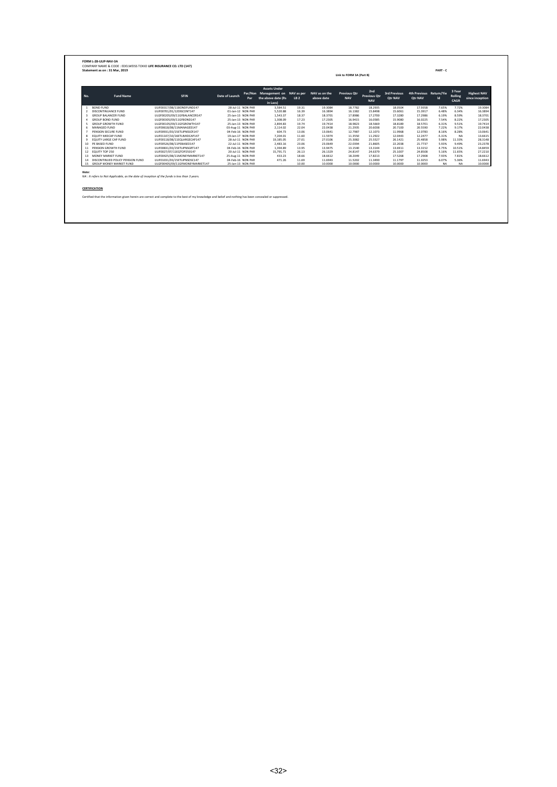|                |                                  |                                 |                   |     | <b>Assets Under</b>                                                |                 |                             |                                   |                                          |                         |                                    |           |                           |                                       |
|----------------|----------------------------------|---------------------------------|-------------------|-----|--------------------------------------------------------------------|-----------------|-----------------------------|-----------------------------------|------------------------------------------|-------------------------|------------------------------------|-----------|---------------------------|---------------------------------------|
| No.            | <b>Fund Name</b>                 | <b>SFIN</b>                     | Date of Launch    | Par | Par/Non Management on NAV as per<br>the above date (Rs<br>in Lacs) | LB <sub>2</sub> | NAV as on the<br>above date | <b>Previous Otr</b><br><b>NAV</b> | 2nd<br><b>Previous Otr</b><br><b>NAV</b> | 3rd Previous<br>Otr NAV | 4th Previous Return/Yie<br>Otr NAV | <b>Id</b> | 3 Year<br>Rolling<br>CAGR | <b>Highest NAV</b><br>since inception |
| $\mathbf{1}$   | <b>BOND FUND</b>                 | ULIF00317/08/11BONDFUND147      | 28-Jul-11 NON PAR |     | 3.584.51                                                           | 19.31           | 19.3084                     | 18,7782                           | 18.2935                                  | 18,0504                 | 17.9358                            | 7.65%     | 7.72%                     | 19.3084                               |
| $\overline{ }$ | DISCONTINUANCE FUND              | ULIF00701/01/12DISCONT147       | 01-Jan-12 NON PAR |     | 5.520.88                                                           | 16.39           | 16.3894                     | 16.1382                           | 15,8498                                  | 15.6061                 | 15.3917                            | 6.48%     | 6.34%                     | 16,3894                               |
| $\overline{a}$ | <b>GROUP BALANCER FUND</b>       | ULGF00205/09/11GFBALANCER147    | 25-Jan-13 NON PAR |     | 1.543.37                                                           | 18.37           | 18.3701                     | 17,8986                           | 17,2700                                  | 17,3280                 | 17.2986                            | 6.19%     | 8.59%                     | 18.3701                               |
| $\Delta$       | <b>GROUP BOND FUND</b>           | ULGF00305/09/11GFBOND147        | 25-Jan-13 NON PAR |     | 1,308.09                                                           | 17.23           | 17.2305                     | 16.9415                           | 16.0585                                  | 15.9080                 | 16.0225                            | 7.54%     | 8.22%                     | 17.2305                               |
| 5              | <b>GROUP GROWTH FUND</b>         | ULGF00105/09/11GFGROWTH147      | 25-Jan-13 NON PAR |     | 2,894.83                                                           | 19.74           | 19.7414                     | 18,9823                           | 18.5669                                  | 18,8189                 | 18.5701                            | 6.31%     | 9.51%                     | 19.7414                               |
| 6              | MANAGED FUND                     | ULIF00618/08/11MANAGED147       | 03-Aug-11 NON PAR |     | 2.114.02                                                           | 22.04           | 22.0438                     | 21.2935                           | 20.6038                                  | 20,7100                 | 20.5590                            | 7.22%     | 9.17%                     | 22.0438                               |
| $\overline{7}$ | PENSION SECURE FUND              | ULIF00931/03/15ETLIPNSSCR147    | 04-Feb-16 NON PAR |     | 604.73                                                             | 13.06           | 13.0641                     | 12,7987                           | 12.1073                                  | 11.9968                 | 12.0783                            | 8.16%     | 8.28%                     | 13.0641                               |
| 8              | FOURTY MIDCAP FUND               | ULIF01107/10/16ETLIMIDCAP147    | 19-Jan-17 NON PAR |     | 7,204.01                                                           | 11.60           | 11.5974                     | 11.3550                           | 11.2922                                  | 12.0443                 | 12,2477                            | $-5.31%$  | <b>NA</b>                 | 13.6615                               |
| 9              | <b>EQUITY LARGE CAP FUND</b>     | ULIF00118/08/11EQLARGECAP147    | 28-Jul-11 NON PAR |     | 19.185.05                                                          | 27.01           | 27.0106                     | 25.3082                           | 25.5527                                  | 26.1421                 | 25.4858                            | 5.98%     | 11.33%                    | 28,3148                               |
| 10             | PE BASED FUND                    | ULIF00526/08/11PEBASED147       | 22-Jul-11 NON PAR |     | 2,483.16                                                           | 23.06           | 23.0649                     | 22.0394                           | 21.8605                                  | 22.2038                 | 21.7737                            | 5.93%     | 9.49%                     | 23,2378                               |
|                | 11 PENSION GROWTH FUND           | ULIF00831/03/15ETLIPNSGRT147    | 04-Feb-16 NON PAR |     | 1.394.89                                                           | 13.95           | 13.9475                     | 13.1540                           | 13.3144                                  | 13.6911                 | 13.3152                            | 4.75%     | 10.51%                    | 14,8459                               |
|                | 12 EQUITY TOP 250                | ULIF0027/07/11EQTOP250147       | 20-Jul-11 NON PAR |     | 15.791.71                                                          | 26.13           | 26.1329                     | 24.8147                           | 24 6379                                  | 25.1007                 | 24,8508                            | 5.16%     | 11.65%                    | 27,2210                               |
| 13             | MONEY MARKET FUND                | ULIF00425/08/11MONEYMARKET147   | 25-Aug-11 NON PAR |     | 433.23                                                             | 18.66           | 18.6612                     | 18,2049                           | 17,8213                                  | 17.5268                 | 17.2908                            | 7.93%     | 7.81%                     | 18.6612                               |
| 14             | DISCONTINUED POLICY PENSION FUND | ULIF01031/03/15ETLIPNSDSC147    | 04-Feb-16 NON PAR |     | 471.26                                                             | 11.69           | 11.6943                     | 11.5202                           | 11,3490                                  | 11.1797                 | 11.0253                            | 6.07%     | 5.36%                     | 11.6943                               |
| 15             | GROUP MONEY MARKET FUND          | ULGF00405/09/11GFMONEYMARKET147 | 25-Jan-13 NON PAR |     | $\sim$                                                             | 10.00           | 10,0000                     | 10,0000                           | 10,0000                                  | 10,0000                 | 10,0000                            | <b>NA</b> | <b>NA</b>                 | 10,0000                               |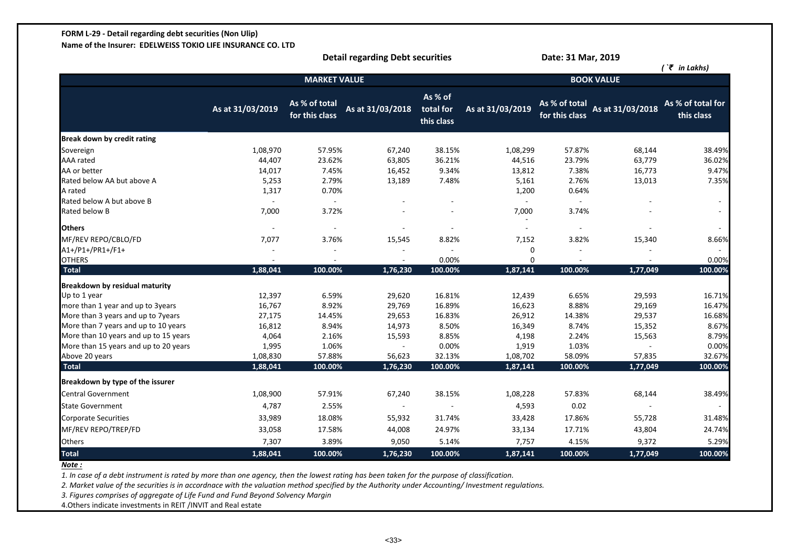# **FORM L-29 - Detail regarding debt securities (Non Ulip)**

**Name of the Insurer: EDELWEISS TOKIO LIFE INSURANCE CO. LTD**

|                                       |                  |                                 | <b>Detail regarding Debt securities</b> |                                    |                  | Date: 31 Mar, 2019              |                   |                                 |
|---------------------------------------|------------------|---------------------------------|-----------------------------------------|------------------------------------|------------------|---------------------------------|-------------------|---------------------------------|
|                                       |                  |                                 |                                         |                                    |                  |                                 |                   | $\int \tilde{\xi}$ in Lakhs)    |
|                                       |                  | <b>MARKET VALUE</b>             |                                         |                                    |                  |                                 | <b>BOOK VALUE</b> |                                 |
|                                       | As at 31/03/2019 | As % of total<br>for this class | As at 31/03/2018                        | As % of<br>total for<br>this class | As at 31/03/2019 | As % of total<br>for this class | As at 31/03/2018  | As % of total for<br>this class |
| Break down by credit rating           |                  |                                 |                                         |                                    |                  |                                 |                   |                                 |
| Sovereign                             | 1,08,970         | 57.95%                          | 67,240                                  | 38.15%                             | 1,08,299         | 57.87%                          | 68,144            | 38.49%                          |
| <b>AAA</b> rated                      | 44,407           | 23.62%                          | 63,805                                  | 36.21%                             | 44,516           | 23.79%                          | 63,779            | 36.02%                          |
| AA or better                          | 14,017           | 7.45%                           | 16,452                                  | 9.34%                              | 13,812           | 7.38%                           | 16,773            | 9.47%                           |
| Rated below AA but above A            | 5,253            | 2.79%                           | 13,189                                  | 7.48%                              | 5,161            | 2.76%                           | 13,013            | 7.35%                           |
| A rated                               | 1,317            | 0.70%                           |                                         |                                    | 1,200            | 0.64%                           |                   |                                 |
| Rated below A but above B             |                  | $\sim$                          |                                         |                                    |                  |                                 |                   |                                 |
| Rated below B                         | 7,000            | 3.72%                           |                                         |                                    | 7,000            | 3.74%                           |                   |                                 |
| <b>Others</b>                         |                  |                                 |                                         |                                    |                  |                                 |                   |                                 |
| MF/REV REPO/CBLO/FD                   | 7,077            | 3.76%                           | 15,545                                  | 8.82%                              | 7,152            | 3.82%                           | 15,340            | 8.66%                           |
| A1+/P1+/PR1+/F1+                      |                  |                                 |                                         |                                    | 0                | $\overline{a}$                  |                   |                                 |
| <b>OTHERS</b>                         |                  |                                 |                                         | 0.00%                              | 0                |                                 |                   | 0.00%                           |
| <b>Total</b>                          | 1,88,041         | 100.00%                         | 1,76,230                                | 100.00%                            | 1,87,141         | 100.00%                         | 1,77,049          | 100.00%                         |
| Breakdown by residual maturity        |                  |                                 |                                         |                                    |                  |                                 |                   |                                 |
| Up to 1 year                          | 12,397           | 6.59%                           | 29,620                                  | 16.81%                             | 12,439           | 6.65%                           | 29,593            | 16.71%                          |
| more than 1 year and up to 3years     | 16,767           | 8.92%                           | 29,769                                  | 16.89%                             | 16,623           | 8.88%                           | 29,169            | 16.47%                          |
| More than 3 years and up to 7years    | 27,175           | 14.45%                          | 29,653                                  | 16.83%                             | 26,912           | 14.38%                          | 29,537            | 16.68%                          |
| More than 7 years and up to 10 years  | 16,812           | 8.94%                           | 14,973                                  | 8.50%                              | 16,349           | 8.74%                           | 15,352            | 8.67%                           |
| More than 10 years and up to 15 years | 4,064            | 2.16%                           | 15,593                                  | 8.85%                              | 4,198            | 2.24%                           | 15,563            | 8.79%                           |
| More than 15 years and up to 20 years | 1,995            | 1.06%                           |                                         | 0.00%                              | 1,919            | 1.03%                           |                   | 0.00%                           |
| Above 20 years                        | 1,08,830         | 57.88%                          | 56,623                                  | 32.13%                             | 1,08,702         | 58.09%                          | 57,835            | 32.67%                          |
| <b>Total</b>                          | 1,88,041         | 100.00%                         | 1,76,230                                | 100.00%                            | 1,87,141         | 100.00%                         | 1,77,049          | 100.00%                         |
| Breakdown by type of the issurer      |                  |                                 |                                         |                                    |                  |                                 |                   |                                 |
| Central Government                    | 1,08,900         | 57.91%                          | 67,240                                  | 38.15%                             | 1,08,228         | 57.83%                          | 68,144            | 38.49%                          |
| <b>State Government</b>               | 4,787            | 2.55%                           |                                         |                                    | 4,593            | 0.02                            |                   |                                 |
| <b>Corporate Securities</b>           | 33,989           | 18.08%                          | 55,932                                  | 31.74%                             | 33,428           | 17.86%                          | 55,728            | 31.48%                          |
| MF/REV REPO/TREP/FD                   | 33,058           | 17.58%                          | 44,008                                  | 24.97%                             | 33,134           | 17.71%                          | 43,804            | 24.74%                          |
| Others                                | 7,307            | 3.89%                           | 9,050                                   | 5.14%                              | 7,757            | 4.15%                           | 9,372             | 5.29%                           |
| <b>Total</b>                          | 1,88,041         | 100.00%                         | 1,76,230                                | 100.00%                            | 1,87,141         | 100.00%                         | 1,77,049          | 100.00%                         |

*Note :*

*1. In case of a debt instrument is rated by more than one agency, then the lowest rating has been taken for the purpose of classification.* 

*2. Market value of the securities is in accordnace with the valuation method specified by the Authority under Accounting/ Investment regulations.*

*3. Figures comprises of aggregate of Life Fund and Fund Beyond Solvency Margin*

4.Others indicate investments in REIT /INVIT and Real estate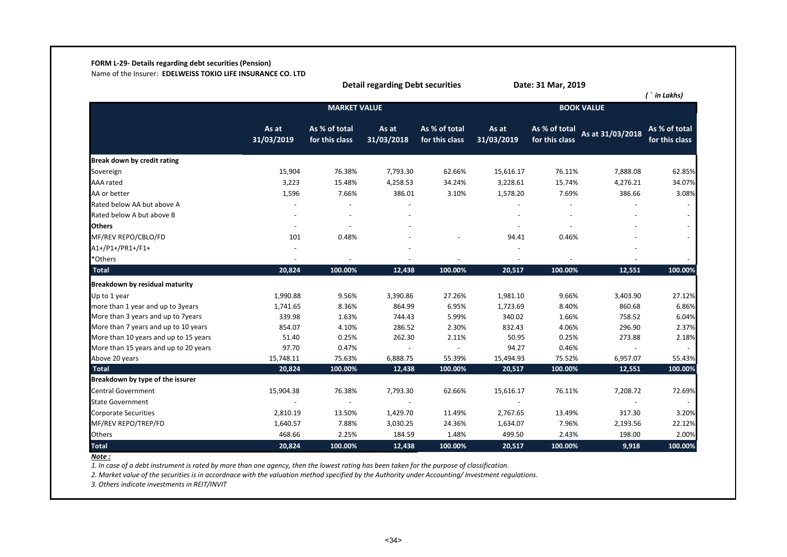# **FORM L-29- Details regarding debt securities (Pension)**

Name of the Insurer: **EDELWEISS TOKIO LIFE INSURANCE CO. LTD**

|                                       |                     |                                 | <b>Detail regarding Debt securities</b> |                                 |                     | Date: 31 Mar, 2019              |                   | $($ ` in Lakhs)                 |
|---------------------------------------|---------------------|---------------------------------|-----------------------------------------|---------------------------------|---------------------|---------------------------------|-------------------|---------------------------------|
|                                       |                     | <b>MARKET VALUE</b>             |                                         |                                 |                     |                                 | <b>BOOK VALUE</b> |                                 |
|                                       | As at<br>31/03/2019 | As % of total<br>for this class | As at<br>31/03/2018                     | As % of total<br>for this class | As at<br>31/03/2019 | As % of total<br>for this class | As at 31/03/2018  | As % of total<br>for this class |
| Break down by credit rating           |                     |                                 |                                         |                                 |                     |                                 |                   |                                 |
| Sovereign                             | 15,904              | 76.38%                          | 7,793.30                                | 62.66%                          | 15,616.17           | 76.11%                          | 7,888.08          | 62.85%                          |
| AAA rated                             | 3,223               | 15.48%                          | 4,258.53                                | 34.24%                          | 3,228.61            | 15.74%                          | 4,276.21          | 34.07%                          |
| AA or better                          | 1,596               | 7.66%                           | 386.01                                  | 3.10%                           | 1,578.20            | 7.69%                           | 386.66            | 3.08%                           |
| Rated below AA but above A            |                     |                                 |                                         |                                 |                     |                                 |                   |                                 |
| Rated below A but above B             |                     |                                 |                                         |                                 |                     |                                 |                   |                                 |
| <b>Others</b>                         |                     |                                 |                                         |                                 |                     |                                 |                   |                                 |
| MF/REV REPO/CBLO/FD                   | 101                 | 0.48%                           |                                         |                                 | 94.41               | 0.46%                           |                   |                                 |
| A1+/P1+/PR1+/F1+                      |                     |                                 |                                         |                                 |                     |                                 |                   |                                 |
| *Others                               |                     |                                 |                                         |                                 |                     |                                 |                   |                                 |
| <b>Total</b>                          | 20,824              | 100.00%                         | 12,438                                  | 100.00%                         | 20,517              | 100.00%                         | 12,551            | 100.00%                         |
| <b>Breakdown by residual maturity</b> |                     |                                 |                                         |                                 |                     |                                 |                   |                                 |
| Up to 1 year                          | 1,990.88            | 9.56%                           | 3,390.86                                | 27.26%                          | 1,981.10            | 9.66%                           | 3,403.90          | 27.12%                          |
| more than 1 year and up to 3years     | 1,741.65            | 8.36%                           | 864.99                                  | 6.95%                           | 1,723.69            | 8.40%                           | 860.68            | 6.86%                           |
| More than 3 years and up to 7years    | 339.98              | 1.63%                           | 744.43                                  | 5.99%                           | 340.02              | 1.66%                           | 758.52            | 6.04%                           |
| More than 7 years and up to 10 years  | 854.07              | 4.10%                           | 286.52                                  | 2.30%                           | 832.43              | 4.06%                           | 296.90            | 2.37%                           |
| More than 10 years and up to 15 years | 51.40               | 0.25%                           | 262.30                                  | 2.11%                           | 50.95               | 0.25%                           | 273.88            | 2.18%                           |
| More than 15 years and up to 20 years | 97.70               | 0.47%                           |                                         |                                 | 94.27               | 0.46%                           |                   |                                 |
| Above 20 years                        | 15,748.11           | 75.63%                          | 6,888.75                                | 55.39%                          | 15,494.93           | 75.52%                          | 6,957.07          | 55.43%                          |
| <b>Total</b>                          | 20,824              | 100.00%                         | 12,438                                  | 100.00%                         | 20,517              | 100.00%                         | 12,551            | 100.00%                         |
| Breakdown by type of the issurer      |                     |                                 |                                         |                                 |                     |                                 |                   |                                 |
| <b>Central Government</b>             | 15,904.38           | 76.38%                          | 7,793.30                                | 62.66%                          | 15,616.17           | 76.11%                          | 7,208.72          | 72.69%                          |
| <b>State Government</b>               |                     |                                 |                                         |                                 |                     |                                 |                   |                                 |
| <b>Corporate Securities</b>           | 2,810.19            | 13.50%                          | 1,429.70                                | 11.49%                          | 2,767.65            | 13.49%                          | 317.30            | 3.20%                           |
| MF/REV REPO/TREP/FD                   | 1,640.57            | 7.88%                           | 3,030.25                                | 24.36%                          | 1,634.07            | 7.96%                           | 2,193.56          | 22.12%                          |
| Others                                | 468.66              | 2.25%                           | 184.59                                  | 1.48%                           | 499.50              | 2.43%                           | 198.00            | 2.00%                           |
| <b>Total</b>                          | 20,824              | 100.00%                         | 12,438                                  | 100.00%                         | 20,517              | 100.00%                         | 9,918             | 100.00%                         |

*Note :*

*1. In case of a debt instrument is rated by more than one agency, then the lowest rating has been taken for the purpose of classification.* 

*2. Market value of the securities is in accordnace with the valuation method specified by the Authority under Accounting/ Investment regulations.*

*3. Others indicate investments in REIT/INVIT*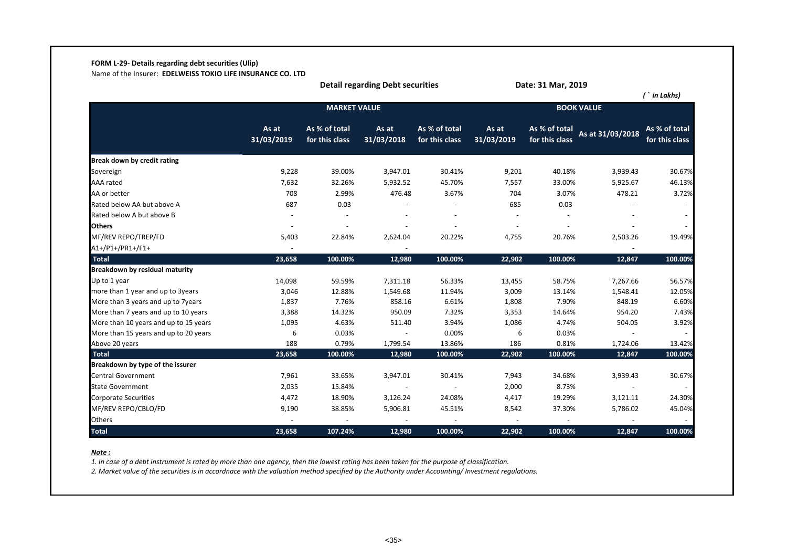# **FORM L-29- Details regarding debt securities (Ulip)**

Name of the Insurer: **EDELWEISS TOKIO LIFE INSURANCE CO. LTD**

|                                       |                     |                                 | <b>Detail regarding Debt securities</b> |                                 |                     | Date: 31 Mar, 2019              |                   |                                 |
|---------------------------------------|---------------------|---------------------------------|-----------------------------------------|---------------------------------|---------------------|---------------------------------|-------------------|---------------------------------|
|                                       |                     |                                 |                                         |                                 |                     |                                 |                   | $($ in Lakhs)                   |
|                                       |                     | <b>MARKET VALUE</b>             |                                         |                                 |                     |                                 | <b>BOOK VALUE</b> |                                 |
|                                       | As at<br>31/03/2019 | As % of total<br>for this class | As at<br>31/03/2018                     | As % of total<br>for this class | As at<br>31/03/2019 | As % of total<br>for this class | As at 31/03/2018  | As % of total<br>for this class |
| Break down by credit rating           |                     |                                 |                                         |                                 |                     |                                 |                   |                                 |
| Sovereign                             | 9,228               | 39.00%                          | 3,947.01                                | 30.41%                          | 9,201               | 40.18%                          | 3,939.43          | 30.67%                          |
| <b>AAA</b> rated                      | 7,632               | 32.26%                          | 5,932.52                                | 45.70%                          | 7,557               | 33.00%                          | 5,925.67          | 46.13%                          |
| AA or better                          | 708                 | 2.99%                           | 476.48                                  | 3.67%                           | 704                 | 3.07%                           | 478.21            | 3.72%                           |
| Rated below AA but above A            | 687                 | 0.03                            |                                         |                                 | 685                 | 0.03                            |                   |                                 |
| Rated below A but above B             |                     |                                 |                                         |                                 |                     |                                 |                   |                                 |
| <b>Others</b>                         |                     |                                 |                                         |                                 | $\sim$              | $\overline{\phantom{a}}$        |                   |                                 |
| MF/REV REPO/TREP/FD                   | 5,403               | 22.84%                          | 2,624.04                                | 20.22%                          | 4,755               | 20.76%                          | 2,503.26          | 19.49%                          |
| A1+/P1+/PR1+/F1+                      |                     |                                 |                                         |                                 |                     |                                 |                   |                                 |
| <b>Total</b>                          | 23,658              | 100.00%                         | 12,980                                  | 100.00%                         | 22,902              | 100.00%                         | 12,847            | 100.00%                         |
| Breakdown by residual maturity        |                     |                                 |                                         |                                 |                     |                                 |                   |                                 |
| Up to 1 year                          | 14,098              | 59.59%                          | 7,311.18                                | 56.33%                          | 13,455              | 58.75%                          | 7,267.66          | 56.57%                          |
| more than 1 year and up to 3years     | 3,046               | 12.88%                          | 1,549.68                                | 11.94%                          | 3,009               | 13.14%                          | 1,548.41          | 12.05%                          |
| More than 3 years and up to 7years    | 1,837               | 7.76%                           | 858.16                                  | 6.61%                           | 1,808               | 7.90%                           | 848.19            | 6.60%                           |
| More than 7 years and up to 10 years  | 3,388               | 14.32%                          | 950.09                                  | 7.32%                           | 3,353               | 14.64%                          | 954.20            | 7.43%                           |
| More than 10 years and up to 15 years | 1,095               | 4.63%                           | 511.40                                  | 3.94%                           | 1,086               | 4.74%                           | 504.05            | 3.92%                           |
| More than 15 years and up to 20 years | 6                   | 0.03%                           |                                         | 0.00%                           | 6                   | 0.03%                           |                   |                                 |
| Above 20 years                        | 188                 | 0.79%                           | 1,799.54                                | 13.86%                          | 186                 | 0.81%                           | 1,724.06          | 13.42%                          |
| <b>Total</b>                          | 23,658              | 100.00%                         | 12,980                                  | 100.00%                         | 22,902              | 100.00%                         | 12,847            | 100.00%                         |
| Breakdown by type of the issurer      |                     |                                 |                                         |                                 |                     |                                 |                   |                                 |
| Central Government                    | 7,961               | 33.65%                          | 3,947.01                                | 30.41%                          | 7,943               | 34.68%                          | 3,939.43          | 30.67%                          |
| <b>State Government</b>               | 2,035               | 15.84%                          |                                         |                                 | 2,000               | 8.73%                           |                   |                                 |
| <b>Corporate Securities</b>           | 4,472               | 18.90%                          | 3,126.24                                | 24.08%                          | 4,417               | 19.29%                          | 3,121.11          | 24.30%                          |
| MF/REV REPO/CBLO/FD                   | 9,190               | 38.85%                          | 5,906.81                                | 45.51%                          | 8,542               | 37.30%                          | 5,786.02          | 45.04%                          |
| Others                                |                     |                                 |                                         |                                 |                     |                                 |                   |                                 |
| <b>Total</b>                          | 23,658              | 107.24%                         | 12,980                                  | 100.00%                         | 22,902              | 100.00%                         | 12,847            | 100.00%                         |

#### *Note :*

*1. In case of a debt instrument is rated by more than one agency, then the lowest rating has been taken for the purpose of classification.* 

*2. Market value of the securities is in accordnace with the valuation method specified by the Authority under Accounting/ Investment regulations.*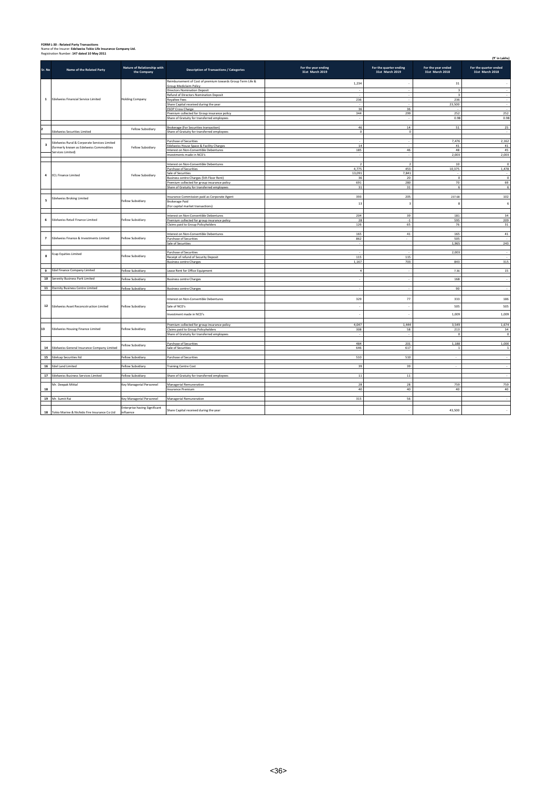# **FORM L-30 : Related Party Transactions** Name of the Insurer: **Edelweiss Tokio Life Insurance Company Ltd.** Registration Number: **147 dated 10 May 2011**

|                | Registration Number: 147 dated 10 May 2011      |                                            |                                                                                       |                                        |                                           |                                       | (₹' in Lakhs)                            |
|----------------|-------------------------------------------------|--------------------------------------------|---------------------------------------------------------------------------------------|----------------------------------------|-------------------------------------------|---------------------------------------|------------------------------------------|
| Sr. No         | Name of the Related Party                       | Nature of Relationship with<br>the Company | <b>Description of Transactions / Categories</b>                                       | For the year ending<br>31st March 2019 | For the quarter ending<br>31st March 2019 | For the year ended<br>31st March 2018 | For the quarter ended<br>31st March 2018 |
|                |                                                 |                                            | Reimbursement of Cost of premium towards Group Term Life &<br>Group Mediclaim Policy  | 1,234                                  |                                           | 31                                    |                                          |
|                |                                                 |                                            | Directors Nomination Deposit                                                          |                                        | $\sim$                                    | $\overline{\mathbf{3}}$               | - 2                                      |
|                |                                                 |                                            | Refund of Directors Nomination Deposit                                                |                                        |                                           | $\overline{\mathbf{3}}$               |                                          |
| $\mathbf{1}$   | <b>Edelweiss Financial Service Limited</b>      | <b>Holding Company</b>                     | <b>Royaltee Fees</b>                                                                  | 236                                    |                                           | 236                                   |                                          |
|                |                                                 |                                            | Share Capital received during the year<br><b>ESOP Cross Charge</b>                    | 36                                     | 36                                        | 23,500                                |                                          |
|                |                                                 |                                            | Premium collected for Group insurance policy                                          | 344                                    | 299                                       | 252                                   | 252                                      |
|                |                                                 |                                            | Share of Gratuity for transferred employees                                           |                                        |                                           | 0.98                                  | 0.98                                     |
|                |                                                 |                                            |                                                                                       |                                        |                                           |                                       |                                          |
|                | <b>Edelweiss Securities Limited</b>             | Fellow Subsidiary                          | Brokerage (For Securities transaction)<br>Share of Gratuity for transferred employee. | 46<br>$\sim$                           | $14\,$<br>$\sim$                          | 51                                    | 25                                       |
|                |                                                 |                                            |                                                                                       |                                        |                                           |                                       |                                          |
|                | Edelweiss Rural & Corporate Services Limited    |                                            | <b>Purchase of Securities</b>                                                         |                                        |                                           | 7,476                                 | 2,162                                    |
| 3              | (formerly known as Edelweiss Commodities        | Fellow Subsidiary                          | Edelweiss House Space & Facility Charges                                              | $14\,$                                 |                                           | 41                                    | 41                                       |
|                | Services Limited)                               |                                            | Interest on Non-Convertible Debentures<br>Investments made in NCD's                   | 185                                    | $46\,$                                    | 48<br>2,003                           | 45<br>2,003                              |
|                |                                                 |                                            |                                                                                       |                                        |                                           |                                       |                                          |
|                |                                                 |                                            | Interest on Non-Convertible Debentures                                                | $\overline{z}$                         | $\rightarrow$                             | 10                                    | $\Omega$                                 |
|                |                                                 |                                            | Purchase of Securities                                                                | 4.775                                  | 453                                       | 10,375                                | 1,478                                    |
| 4              | <b>ECL Finance Limited</b>                      | Fellow Subsidiary                          | Sale of Securities<br>Business centre Charges (5th Floor Rent)                        | 13,091<br>36                           | 7,841<br>$20\,$                           | $\mathbf 0$                           | $\,$ 0                                   |
|                |                                                 |                                            | Premium collected for group insurance policy                                          | 691                                    | 280                                       | 70                                    | 69                                       |
|                |                                                 |                                            | Share of Gratuity for transferred employees                                           | 31                                     | 31                                        | 6                                     | 6                                        |
|                |                                                 |                                            |                                                                                       |                                        |                                           |                                       |                                          |
| 5              | <b>Edelweiss Broking Limited</b>                | Fellow Subsidiary                          | Insurance Commission paid as Corporate Agent                                          | 393                                    | 205                                       | 237.68                                | 102                                      |
|                |                                                 |                                            | <b>Brokerage Paid</b><br>(For capital market transactions)                            | 13                                     | ÷,                                        | 8                                     | 6                                        |
|                |                                                 |                                            |                                                                                       |                                        |                                           |                                       |                                          |
|                |                                                 |                                            | Interest on Non-Convertible Debentures                                                | 204                                    | 39                                        | 181                                   | 34                                       |
| 6              | Edelweiss Retail Finance Limited                | Fellow Subsidiary                          | Premium collected for group insurance policy                                          | 28                                     | $\cdot 1$                                 | 595                                   | 209                                      |
|                |                                                 |                                            | Claims paid to Group Policyholders                                                    | 126                                    | 65                                        | 76                                    | 31                                       |
|                |                                                 |                                            | Interest on Non-Convertible Debentures                                                | 165                                    | 41                                        | 165                                   | 41                                       |
| $\overline{7}$ | Edelweiss Finance & Investments Limited         | Fellow Subsidiary                          | Purchase of Securities                                                                | 862                                    |                                           | 505                                   |                                          |
|                |                                                 |                                            | Sale of Securities                                                                    |                                        |                                           | 1,965                                 | 243                                      |
|                |                                                 |                                            |                                                                                       |                                        |                                           | 2,003                                 |                                          |
| $\bf{8}$       | <b>Ecap Equities Limited</b>                    | Fellow Subsidiary                          | Purchase of Securities<br>Receipt of refund of Security Deposit                       | 115                                    | 115                                       |                                       |                                          |
|                |                                                 |                                            | <b>Business centre Charges</b>                                                        | 1.167                                  | 703                                       | 843                                   | 315                                      |
|                |                                                 |                                            |                                                                                       |                                        |                                           |                                       |                                          |
|                | 9 Edel Finance Company Limited                  | Fellow Subsidiary                          | Lease Rent for Office Equipment                                                       | $\overline{a}$                         |                                           | 7.36                                  | 15                                       |
|                | 10 Serenity Business Park Limited               | Fellow Subsidiary                          | <b>Business centre Charges</b>                                                        |                                        |                                           | 168                                   |                                          |
|                |                                                 |                                            |                                                                                       |                                        |                                           |                                       |                                          |
|                | 11 Eternity Business Centre Limited             | Fellow Subsidiary                          | <b>Business centre Charges</b>                                                        |                                        |                                           | 90                                    |                                          |
|                |                                                 |                                            | Interest on Non-Convertible Debentures                                                | 329                                    | 77                                        | 333                                   | 186                                      |
|                | 12 Edelweiss Asset Reconcstruction Limited      | Fellow Subsidiary                          | Sale of NCD's                                                                         | ÷.                                     | ۰.                                        | 505                                   | 505                                      |
|                |                                                 |                                            |                                                                                       | ÷.                                     | ÷                                         |                                       |                                          |
|                |                                                 |                                            | nvestment made in NCD's                                                               |                                        |                                           | 1,009                                 | 1,009                                    |
|                |                                                 |                                            | Premium collected for group insurance policy                                          | 4,047                                  | 1,444                                     | 3,549                                 | 1,674                                    |
| 13             | <b>Edelweiss Housing Finance Limited</b>        | Fellow Subsidiary                          | Claims paid to Group Policyholders                                                    | 308                                    | 58                                        | 213                                   | 34                                       |
|                |                                                 |                                            | Share of Gratuity for transferred employees                                           |                                        |                                           | $\Omega$                              | $\Omega$                                 |
|                |                                                 |                                            | Purchase of Securities                                                                | 484                                    | 201                                       | 1,188                                 | 1,000                                    |
|                | 14 Edelweiss General Insurance Company Limited  | Fellow Subsidiary                          | Sale of Securities                                                                    | 646                                    | 617                                       | $\overline{1}$                        |                                          |
|                |                                                 |                                            |                                                                                       |                                        |                                           |                                       |                                          |
|                | 15 Edelcap Securities Itd                       | Fellow Subsidiary                          | Purchase of Securities                                                                | 510                                    | 510                                       | $\overline{\phantom{a}}$              |                                          |
|                | 16 Edel Land Limited                            | Fellow Subsidiary                          | <b>Training Centre Cost</b>                                                           | 39                                     | 39                                        |                                       |                                          |
|                |                                                 |                                            |                                                                                       |                                        |                                           |                                       |                                          |
|                | 17 Edelweiss Business Services Limited          | Fellow Subsidiary                          | Share of Gratuity for transferred employees                                           | $11\,$                                 | $11\,$                                    |                                       |                                          |
|                | Mr. Deepak Mittal                               | Key Managerial Personnel                   | Managerial Remuneration                                                               | 28                                     | 28                                        | 759                                   | 759                                      |
| 18             |                                                 |                                            | nsurance Premium                                                                      | 40                                     | 40                                        | 40                                    | 40                                       |
|                |                                                 |                                            |                                                                                       |                                        |                                           |                                       |                                          |
|                | 19 Mr. Sumit Rai                                | Key Managerial Personnel                   | Managerial Remuneration                                                               | 315                                    | 56                                        |                                       |                                          |
|                |                                                 | <b>Enterprise having Significant</b>       |                                                                                       |                                        |                                           |                                       |                                          |
|                | 18 Tokio Marine & Nichido Fire Insurance Co Ltd | ifluence                                   | Share Capital received during the year                                                | ÷.                                     | ×                                         | 43,500                                |                                          |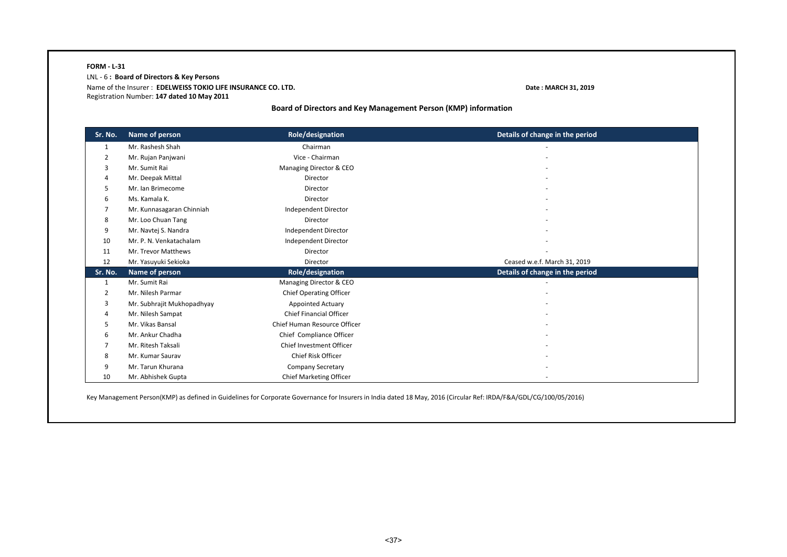## **FORM - L-31** LNL - 6 **: Board of Directors & Key Persons**  Name of the Insurer : **EDELWEISS TOKIO LIFE INSURANCE CO. LTD. Date : MARCH 31, 2019** Registration Number: **147 dated 10 May 2011**

**Board of Directors and Key Management Person (KMP) information**

| Sr. No. | Name of person             | Role/designation               | Details of change in the period |
|---------|----------------------------|--------------------------------|---------------------------------|
| 1       | Mr. Rashesh Shah           | Chairman                       |                                 |
| 2       | Mr. Rujan Panjwani         | Vice - Chairman                |                                 |
| 3       | Mr. Sumit Rai              | Managing Director & CEO        |                                 |
| 4       | Mr. Deepak Mittal          | Director                       |                                 |
| 5.      | Mr. Ian Brimecome          | Director                       |                                 |
| 6       | Ms. Kamala K.              | Director                       |                                 |
|         | Mr. Kunnasagaran Chinniah  | Independent Director           |                                 |
| 8       | Mr. Loo Chuan Tang         | Director                       |                                 |
| 9       | Mr. Navtej S. Nandra       | Independent Director           |                                 |
| 10      | Mr. P. N. Venkatachalam    | Independent Director           |                                 |
| 11      | Mr. Trevor Matthews        | Director                       |                                 |
| 12      | Mr. Yasuyuki Sekioka       | Director                       | Ceased w.e.f. March 31, 2019    |
| Sr. No. | Name of person             | Role/designation               | Details of change in the period |
| 1       | Mr. Sumit Rai              | Managing Director & CEO        |                                 |
| 2       | Mr. Nilesh Parmar          | <b>Chief Operating Officer</b> |                                 |
| 3       | Mr. Subhrajit Mukhopadhyay | <b>Appointed Actuary</b>       |                                 |
| 4       | Mr. Nilesh Sampat          | <b>Chief Financial Officer</b> |                                 |
| 5       | Mr. Vikas Bansal           | Chief Human Resource Officer   |                                 |
| 6       | Mr. Ankur Chadha           | Chief Compliance Officer       |                                 |
| 7       | Mr. Ritesh Taksali         | Chief Investment Officer       |                                 |
| 8       | Mr. Kumar Saurav           | Chief Risk Officer             |                                 |
| 9       | Mr. Tarun Khurana          | <b>Company Secretary</b>       |                                 |
| 10      | Mr. Abhishek Gupta         | Chief Marketing Officer        |                                 |

Key Management Person(KMP) as defined in Guidelines for Corporate Governance for Insurers in India dated 18 May, 2016 (Circular Ref: IRDA/F&A/GDL/CG/100/05/2016)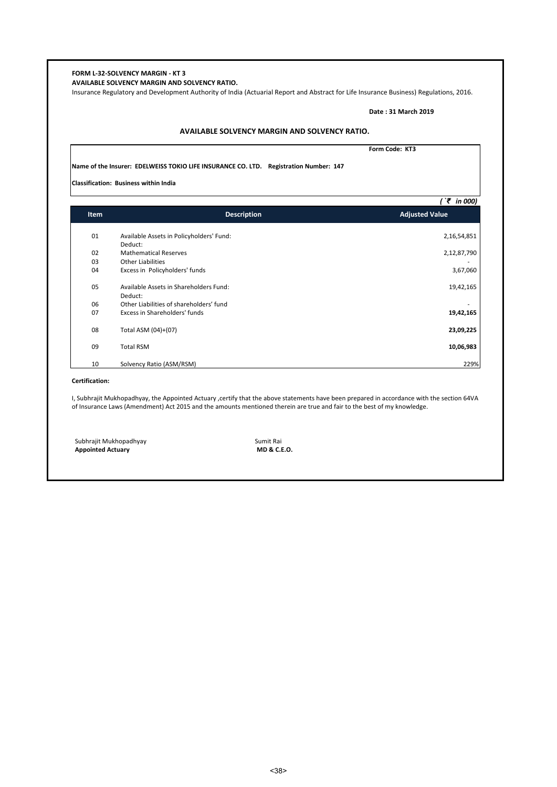# **FORM L-32-SOLVENCY MARGIN - KT 3 AVAILABLE SOLVENCY MARGIN AND SOLVENCY RATIO.**  Insurance Regulatory and Development Authority of India (Actuarial Report and Abstract for Life Insurance Business) Regulations, 2016. **Date : 31 March 2019 Form Code: KT3 Name of the Insurer: EDELWEISS TOKIO LIFE INSURANCE CO. LTD. Registration Number: 147 Classification: Business within India** *( `₹ in 000)* 01 Available Assets in Policyholders' Fund: 2,16,54,851 Deduct: 02 Mathematical Reserves 2,12,87,790<br>03 Other Liabilities 03 Other Liabilities **1986 and 1997 and 1997 and 1997 and 1998 and 1997 and 1998 and 1998 and 1998 and 1998 and 199**<br>1957,060 of the Excess in Policyholders' funds that the second the second temperature is a second tempera Excess in Policyholders' funds 05 Available Assets in Shareholders Fund: 19,42,165 Deduct: 06 Other Liabilities of shareholders' fund<br>
07 Excess in Shareholders' funds by the state of shareholders' funds by the state of the state of the state o<br>
19,42,165 Excess in Shareholders' funds 08 Total ASM (04)+(07) **23,09,225** 09 Total RSM **10,06,983** 10 Solvency Ratio (ASM/RSM) 229% **Certification:** I, Subhrajit Mukhopadhyay, the Appointed Actuary ,certify that the above statements have been prepared in accordance with the section 64VA of Insurance Laws (Amendment) Act 2015 and the amounts mentioned therein are true and fair to the best of my knowledge. Subhrajit Mukhopadhyay **Sumit Rai**<br> **Appointed Actuary** Summan Appointed Actuary Summan Appointed Actuary **AVAILABLE SOLVENCY MARGIN AND SOLVENCY RATIO. Item Description Adjusted Value**

**Appointed Actuary**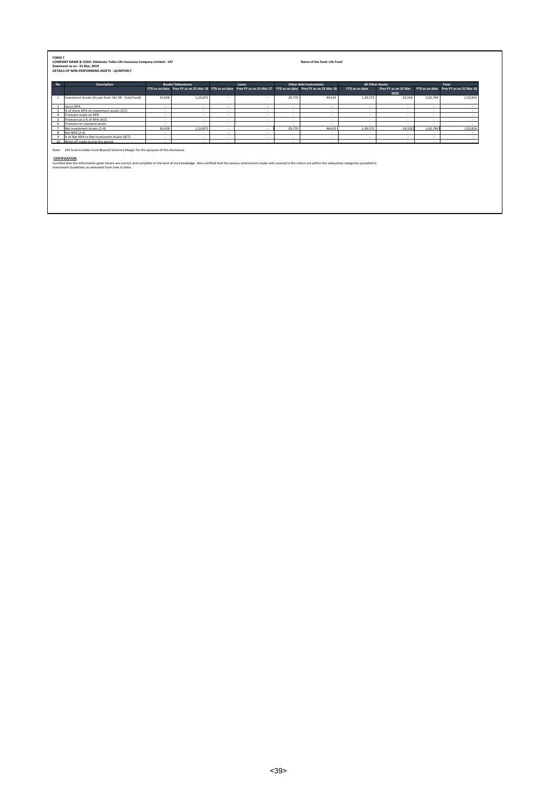#### **COMPANY NAME & CODE: Edelweiss Tokio Life Insurance Company Limited - 147 Name of the fund: Life Fund Statement as on : 31 Mar, 2019 FORM 7**

**DETAILS OF NON-PERFORMING ASSETS - QUARTERLY**

| <b>No</b> | <b>Description</b>                                 |        | <b>Bonds/Debentures</b> |                          | Loans                                                                                                                |        | Other debt Instruments | All Other Assets |                              |                          | Total                                  |
|-----------|----------------------------------------------------|--------|-------------------------|--------------------------|----------------------------------------------------------------------------------------------------------------------|--------|------------------------|------------------|------------------------------|--------------------------|----------------------------------------|
|           |                                                    |        |                         |                          | YTD as on date Prev FY as on 31 Mar 18 YTD as on date Prev FY as on 31 Mar 17 YTD as on date Prev FY as on 31 Mar 18 |        |                        | YTD as on date   | Prev FY as on 31 Mar<br>2018 |                          | YTD as on date Prev FY as on 31 Mar 18 |
|           | Investment Assets (As per form 3A/3B - Total Fund) | 33.428 | 1.23.873                | $\sim$                   |                                                                                                                      | 29.770 | 44.625                 | 1,39,572         | 24.318                       | 2,02,769                 | 1,92,816                               |
|           | Gross NPA                                          |        |                         | $\overline{\phantom{a}}$ |                                                                                                                      | .      |                        | .                |                              | $\overline{\phantom{a}}$ |                                        |
|           | % of Gross NPA on Investment assets (2/1)          |        |                         |                          |                                                                                                                      |        |                        |                  |                              |                          |                                        |
|           | Provision made on NPA                              |        |                         | $\overline{\phantom{a}}$ |                                                                                                                      |        |                        |                  |                              |                          |                                        |
|           | Provision as a % of NPA (4/2)                      |        |                         |                          |                                                                                                                      |        |                        |                  |                              |                          |                                        |
|           | Provision on standard assets                       |        |                         |                          |                                                                                                                      |        |                        |                  |                              |                          |                                        |
|           | Net Investment Assets (1-4)                        | 33.428 | 1.23.873                | . .                      |                                                                                                                      | 29,770 | 44.625                 | 1.39.572         | 24.318                       | 2.02.769                 | 1.92.816                               |
|           | Net NPA (2-4)                                      |        |                         |                          |                                                                                                                      |        |                        |                  |                              |                          |                                        |
|           | % of Net NPA to Net Invetsment Assets (8/7)        |        | $\overline{a}$          | $\overline{\phantom{a}}$ |                                                                                                                      |        | $\sim$                 |                  |                              | $\sim$                   |                                        |
| 10        | Write off made during the period                   |        |                         |                          |                                                                                                                      |        |                        |                  |                              |                          |                                        |

CERTIFICATION<br>Certified that the information given herein are correct and complete to the best of my knowledge. Also certified that the various instruments made and covered in the return are within the exhaustive categorie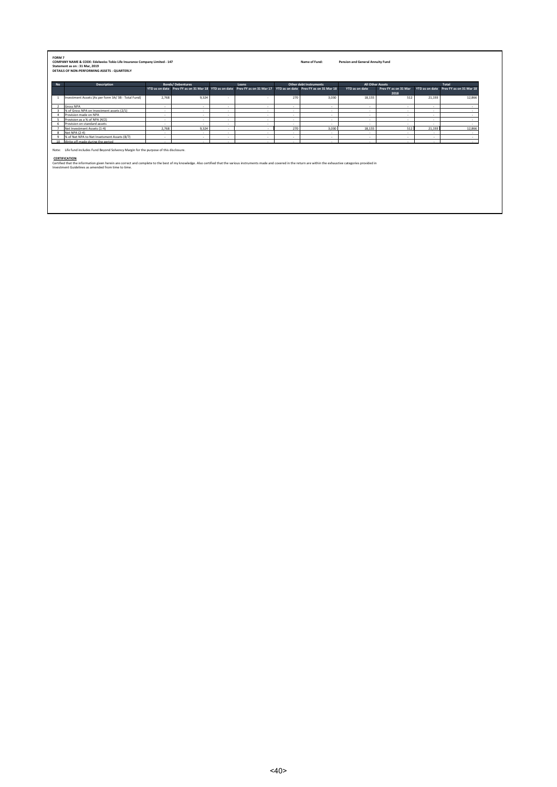| <b>Description</b>                                                                                                                                                                                                                                                                                                                                |        | <b>Bonds/Debentures</b> |                          | Loans                                                                                                                |          | Other debt Instruments | All Other Assets |                              |        | Total                                  |
|---------------------------------------------------------------------------------------------------------------------------------------------------------------------------------------------------------------------------------------------------------------------------------------------------------------------------------------------------|--------|-------------------------|--------------------------|----------------------------------------------------------------------------------------------------------------------|----------|------------------------|------------------|------------------------------|--------|----------------------------------------|
|                                                                                                                                                                                                                                                                                                                                                   |        |                         |                          | YTD as on date Prev FY as on 31 Mar 18 YTD as on date Prev FY as on 31 Mar 17 YTD as on date Prev FY as on 31 Mar 18 |          |                        | YTD as on date   | Prev FY as on 31 Mar<br>2018 |        | YTD as on date Prev FY as on 31 Mar 18 |
| 1 Investment Assets (As per form 3A/3B - Total Fund)                                                                                                                                                                                                                                                                                              | 2,768  | 9,324                   | $\sim$                   | ٠                                                                                                                    | 270      | 3,030                  | 18,155           | 512                          | 21,193 | 12,866                                 |
| <b>Gross NPA</b>                                                                                                                                                                                                                                                                                                                                  | .      | $\sim$                  | $\sim$                   | $\sim$                                                                                                               | $\sim$   | $\sim$                 | .                | $\sim$                       | $\sim$ | $\sim$                                 |
| % of Gross NPA on Investment assets (2/1)                                                                                                                                                                                                                                                                                                         | $\sim$ | $\sim$                  | $\sim$                   | $\sim$                                                                                                               | $\sim$   | $\sim$                 | 14               | $\sim$                       | $\sim$ | $\sim$                                 |
| Provision made on NPA                                                                                                                                                                                                                                                                                                                             | $\sim$ | $\sim$                  | $\sim$                   | $\sim$                                                                                                               | $\sim$   | $\sim$                 | $\sim$           | $\sim$                       | $\sim$ | $\sim$                                 |
| Provision as a % of NPA (4/2)                                                                                                                                                                                                                                                                                                                     | $\sim$ | $\overline{a}$          |                          | $\sim$                                                                                                               | $\sim$   | $\sim$                 | $\sim$           | - 1                          | $\sim$ | $\sim$                                 |
| Provision on standard assets                                                                                                                                                                                                                                                                                                                      | $\sim$ | $\sim$                  | $\sim$                   | $\sim$                                                                                                               | $\sim$   | $\sim$                 | $\sim$           | $\sim$                       | $\sim$ | $\sim$                                 |
| Net Investment Assets (1-4)                                                                                                                                                                                                                                                                                                                       | 2.768  | 9.324                   | $\sim$                   | $\sim$                                                                                                               | 270      | 3.030                  | 18.155           | 512                          | 21.193 | 12,866                                 |
| Net NPA (2-4)                                                                                                                                                                                                                                                                                                                                     | .      | $\overline{a}$          | $\sim$                   | $\sim$                                                                                                               | $\sim$   | $\sim$                 | - 1              | $\sim$                       | $\sim$ | $\sim$                                 |
| % of Net NPA to Net Invetsment Assets (8/7)                                                                                                                                                                                                                                                                                                       | $\sim$ | $\overline{a}$          | $\sim$                   | $\sim$                                                                                                               | <b>.</b> | $\sim$                 | $\sim$           | . .                          | $\sim$ | $\sim$                                 |
| Write off made during the period                                                                                                                                                                                                                                                                                                                  |        |                         | $\overline{\phantom{a}}$ | $\sim$                                                                                                               | .        | $\sim$                 | $\sim$           |                              | $\sim$ |                                        |
| Note: Life fund includes Fund Bevond Solvency Margin for the purpose of this disclosure.<br><b>CERTIFICATION</b><br>Certified that the information given herein are correct and complete to the best of my knowledge. Also certified that the various instruments made and covered in the return are within the exhaustive categories provided in |        |                         |                          |                                                                                                                      |          |                        |                  |                              |        |                                        |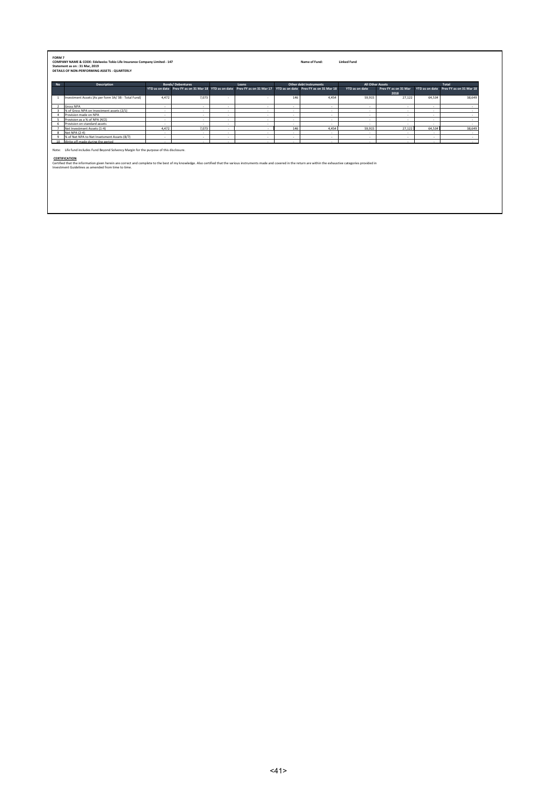|                 | <b>Description</b>                                                                                                                                                                                                                                                                                                                                                                                |        | <b>Bonds/Debentures</b> |        | Loans                                                                                                                |        | Other debt Instruments | All Other Assets |                              |        | Total                                  |
|-----------------|---------------------------------------------------------------------------------------------------------------------------------------------------------------------------------------------------------------------------------------------------------------------------------------------------------------------------------------------------------------------------------------------------|--------|-------------------------|--------|----------------------------------------------------------------------------------------------------------------------|--------|------------------------|------------------|------------------------------|--------|----------------------------------------|
|                 |                                                                                                                                                                                                                                                                                                                                                                                                   |        |                         |        | YTD as on date Prev FY as on 31 Mar 18 YTD as on date Prev FY as on 31 Mar 17 YTD as on date Prev FY as on 31 Mar 18 |        |                        | YTD as on date   | Prev FY as on 31 Mar<br>2018 |        | YTD as on date Prev FY as on 31 Mar 18 |
| $\mathbf{1}$    | Investment Assets (As per form 3A/3B - Total Fund)                                                                                                                                                                                                                                                                                                                                                | 4,472  | 7.073                   | $\sim$ | $\sim$                                                                                                               | 146    | 4,454                  | 59.915           | 27,122                       | 64,534 | 38,649                                 |
|                 | <b>Gross NPA</b>                                                                                                                                                                                                                                                                                                                                                                                  | $\sim$ | $\sim$                  | $\sim$ | $\sim$                                                                                                               | $\sim$ | $\sim$                 | $\sim$           | $\sim$                       | $\sim$ | $\sim$                                 |
|                 | % of Gross NPA on Investment assets (2/1)                                                                                                                                                                                                                                                                                                                                                         | $\sim$ | $\sim$                  | $\sim$ | $\sim$                                                                                                               | $\sim$ | $\sim$                 | $\sim$           | $\sim$                       | $\sim$ | $\sim$                                 |
|                 | Provision made on NPA                                                                                                                                                                                                                                                                                                                                                                             | $\sim$ | $\overline{a}$          | $\sim$ | $\sim$                                                                                                               | $\sim$ | $\sim$                 | $\sim$           | $\sim$                       | $\sim$ | $\overline{a}$                         |
|                 | Provision as a % of NPA (4/2)                                                                                                                                                                                                                                                                                                                                                                     | $\sim$ | $\sim$                  | $\sim$ | $\sim$                                                                                                               | $\sim$ | $\sim$                 | $\sim$           | $\sim$                       | $\sim$ | $\sim$                                 |
|                 | Provision on standard assets                                                                                                                                                                                                                                                                                                                                                                      | $\sim$ | $\overline{a}$          | $\sim$ | $\sim$                                                                                                               | $\sim$ | $\sim$                 | $\sim$           | $\sim$                       | $\sim$ | $\overline{a}$                         |
|                 | Net Investment Assets (1-4)                                                                                                                                                                                                                                                                                                                                                                       | 4.472  | 7.073                   | $\sim$ | $\sim$                                                                                                               | 146    | 4.454                  | 59.915           | 27.122                       | 64,534 | 38,649                                 |
|                 | Net NPA (2-4)                                                                                                                                                                                                                                                                                                                                                                                     | $\sim$ | $\overline{a}$          | $\sim$ | $\sim$                                                                                                               | ٠      | $\sim$                 | $\sim$           | . .                          | $\sim$ | $\tilde{\phantom{a}}$                  |
| 10 <sup>1</sup> | % of Net NPA to Net Invetsment Assets (8/7)                                                                                                                                                                                                                                                                                                                                                       | $\sim$ | $\overline{a}$          | $\sim$ | $\sim$                                                                                                               | $\sim$ | $\sim$                 | .                | $\sim$                       | $\sim$ | $\tilde{\phantom{a}}$                  |
|                 | Write off made during the period                                                                                                                                                                                                                                                                                                                                                                  | . п.   | $\sim$                  | ×.     | $\sim$                                                                                                               | ٠      | $\sim$                 | $\sim$           | $\sim$                       | $\sim$ |                                        |
|                 | Note: Life fund includes Fund Bevond Solvency Margin for the purpose of this disclosure.<br>CERTIFICATION<br>Certified that the information given herein are correct and complete to the best of my knowledge. Also certified that the various instruments made and covered in the return are within the exhaustive categories provided in<br>Investment Guidelines as amended from time to time. |        |                         |        |                                                                                                                      |        |                        |                  |                              |        |                                        |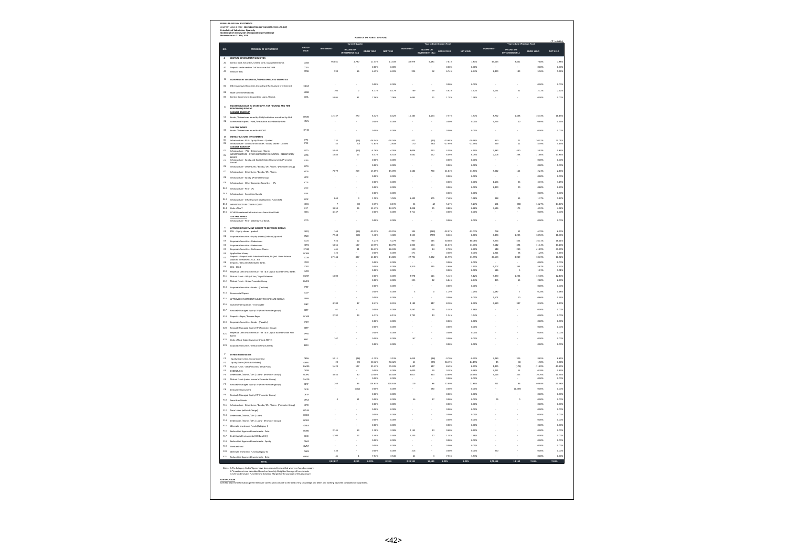| GROUP<br>CODE<br>CATEGORY OF INVESTMENT<br>INCOME ON<br>INVESTMENT (Rs.)<br>INCOME ON<br>INCOME ON<br>INVESTMENT (Rs.)<br>GROSS YIELD<br><b>NET YIELD</b><br>GROSS YIELD<br>NET YIELD<br>GROSS YIELD<br><b>INVESTMENT (Rs.)</b><br>CENTRAL GOVERNMENT SECURITIES<br>96,861<br>2,790<br>11.43%<br>11.43%<br>82,979<br>6,481<br>7.81%<br>7.81%<br>49,023<br>3,861<br>7.88%<br>costs<br>Central Govt. Securities, Central Govt. G<br>coss<br>opps<br>0.0025<br>0.00%<br>o.com<br>o.cox<br>its under section 7 of Insurance Act 1938<br>16<br>6.49%<br>62<br>2,493<br>Treasury Bills<br>CTRB<br>990<br>6.49%<br>924<br>6.74%<br>6.74%<br>149<br>5.96%<br>GOVERNMENT SECURITIES / OTHER APPROVED SECURITIES<br>o ons<br>o ops<br>n nos<br>n now<br>o cos<br>÷.<br>Other Approved Securities (excluding Infrastructure Investments)<br>sona<br>104<br>$\,$ $\,$<br>8.17%<br>8.17%<br>789<br>$^{29}$<br>3.62%<br>3.62%<br>1.061<br>$\bf{22}$<br>2.12%<br>soos<br>State Government Bonds<br>Central Greenment Grananteed Loans / Brends<br>cost<br>sons<br>61<br>7.06%<br>2.095<br>5.095<br>es.<br>1.78%<br>1.78%<br>o cos<br>NG & LOANS TO STATE GOVT. FOR HOUSING AND FIRE<br>TAXABLE BONDS OF<br>12.737<br>270<br>8,42%<br>8.42%<br>15.385<br>1.164<br>7.57%<br>7.57%<br>8.752<br>1.438<br>16.43%<br>Bonds / Debentures issued by NHB/Institution accredited by NHB<br>HTDN<br><b>HTLN</b><br>Commercial Papers - NHB / Institution accredited by NHB<br>0.00%<br>0.003<br>0.00%<br>0.00%<br>5.794<br>40<br>0.69%<br>TAX FREE BONDS<br>res issued by HUDCO<br>HFHD<br>o.ook<br>0.005<br>n nove<br>o.com<br>o.cox<br>INFRASTRUCTURE INVESTMENTS<br>Infrastructure - PSU - Equity Shares - Quoted<br>Infrastructure - Coroorate Securities - Equity Shares - Quoted<br>$\frac{D1}{D2}$<br>232<br>(16)<br>28.04%<br>-2.83%<br>421<br>-10.68%<br>-17.99%<br>$-10.68%$<br>$-17.99%$<br>$\begin{array}{c} 72 \\ 12 \end{array}$<br>20.01%<br>4.49%<br>-28.04%<br>-2.83%<br>$\frac{(45)}{(31)}$<br>360<br>259<br>$rac{1}{1000}$<br>52<br>17<br>TAXABLE BONDS OF<br>b3<br>PTD<br>5.940<br>(64)<br>$-4.26%$<br>$-4.26%$<br>9.006<br>413<br>4.59%<br>4.59%<br>7.382<br>430<br>saas<br>5.839<br>Infrastructure - PSII - Debardures / Ronds<br>NFRASTRUCTURE - OTHER CORPORATE SECURITIES - DEBENTURES/<br>1,086<br>17<br>6.31%<br>6.31%<br>2,662<br>163<br>6.09%<br>6.099<br>238<br>11.86%<br>2,001<br>D4<br>ICTD<br>Infrastructure - Equity and Equity Related Instruments (Promoter<br>opps<br>0.0025<br>0.00%<br>0.00%<br>0.00%<br><b>DS</b><br>iero<br>÷<br>o.com<br>0.005<br>a.cox<br>0.009<br>o.cox<br>Infrastructure - Debentures / Bonds / CPs / loans - (Promoter Group)<br><b>IDPG</b><br><b>rops</b><br>7,079<br>269<br>15.09%<br>15.09%<br>6,686<br>790<br>11.81%<br>11.81%<br>5,022<br>112<br>2.24%<br>Infrastructure - Debentures / Bonds / CPs / loans<br>0.00%<br>0.005<br>0.003<br>0.009<br>o.cox<br>Infrastructure - Equity (Promoter Group)<br>IOPE<br>opps<br>0.0025<br>0.00%<br>o.com<br>1.156<br>36<br>3.15%<br>кo<br>Infrastructure - Other Corporate Securities - CPs<br>o.com<br>o.sox<br>opps<br>0.005<br>o.com<br>2,490<br>$^{20}$<br>Infrastructure - PSU - CPs<br>ipo<br><b>IESA</b><br>0.00%<br>0.002<br>0.00%<br>0.00%<br>0.00%<br>Infrastructure - Securitised Assets<br>$_{13}$<br>863<br>3<br>1.50%<br>1.50%<br>1,409<br>105<br>7.48%<br>7.48%<br>918<br>1.37%<br>Infrastructure - Infrastructure Development Fund (IDF)<br><b>IDDF</b><br>013<br>INFRASTRUCTURE OTHER- EQUITY<br>losa<br>(0)<br>$-0.19%$<br>$-0.19%$<br>$\overline{\mathbf{z}}$<br>(2)<br>$-5.27%$<br>-5.27%<br>151<br>(22)<br>$-14.27%$<br>$-14.279$<br>s.oss<br>96<br>12.47%<br>12.475<br>4,038<br>0.88%<br>0.88%<br>173<br>4.92%<br>3,526<br>35<br>Units of InvIT<br>OTHER Investm<br><b>IOSA</b><br>4,347<br>0.00%<br>0.002<br>2,711<br>0.00%<br>0.00%<br>0.00%<br>ent Infrastructure - Securitized Debt<br>TAX FREE BONDS<br>iero<br>opps<br>0.005<br>o oos<br>o oos<br>o ook<br>rastructure - PSU - Debentures / Bo<br><b><i>UPD INVESTMENT SURFICT TO EXPOSURE NORMS</i></b><br>PSU - Equity shares - quoted<br>EAEO<br>164<br>39.25%<br>$-39.25%$<br>304<br>(280)<br>-92.07%<br>-92.07%<br>768<br>52<br>6.79%<br>(16)<br>7,548<br>$-3.48%$<br>8,535<br>18.56%<br>(66)<br>$-3.48%$<br>(739)<br>$-8.66%$<br>$-8.66%$<br>6,484<br>1,203<br>EACE<br>Corporate Securities - Equity shares (Ordinary)-que<br>Ecos<br>$^{124}$<br>5.27%<br>5.27%<br>60.08%<br>16.11%<br>12<br>$\alpha$<br>ses<br>so osv<br>3,254<br>524<br>Corporate Securities - Debentures<br>$^{64}$<br>Corporate Securities - Debentures<br>EDPG<br>5,056<br>137<br>10.79%<br>10.79%<br>5,033<br>554<br>11.01%<br>11.01%<br>3,542<br>394<br>11.14%<br>11.149<br>461<br>$\overline{\mathbf{31}}$<br>26.43%<br>26.43%<br>14<br>2.70%<br>230<br>41.89%<br>EPNQ<br>530<br>2.70%<br>Corporate Securities - Preference Shares<br>ECAM<br>426<br>0.00%<br>0.002<br>571<br>0.00%<br>0.00%<br>2,211<br>28<br>1.26%<br>www.<br>Application Money<br>Deposits - Deposit with Scheduled Banks, Fis (Incl. Bank Balance<br>- This Incorrected PPH - RBI<br>807<br>11.80%<br>11.80%<br>3,332<br>11.99%<br>11.99%<br>2,949<br>27,144<br>27,791<br>27,503<br>10.72%<br>10.729<br>$\theta$<br>ECOB<br>$\epsilon$<br>Deposits - CDs with Scheduled Banks<br>EDCD<br>0.00%<br>0.002<br>0.00%<br>0.00%<br>0.00%<br>0.009<br>o.oos<br>0.005<br>6,810<br><b>245</b><br>3.60%<br>3.60%<br>5.407<br>sss<br>5.67%<br>ECBO<br>$COL - CBLO$<br>opps<br>0.0025<br>0.00%<br>o.com<br>516<br>1.01%<br>Perpetual Debt Instruments of Tier I & Il Capital issued by PSU Banks<br>EUPO<br>EGMI<br>9,978<br>5.12%<br>5.12%<br>1,224<br>12.40%<br>Mutual Funds - Gilt / G Sec / Liquid Schemes<br>1,000<br>0.005<br>0.005<br>511<br>9,870<br>opps<br>0.0025<br>323<br>$\overline{22}$<br>6.84%<br>6.84%<br>455<br>13<br>2.80%<br>E12<br>EMPG<br>Mutual Funds - Under Promoter Group<br>0.00%<br>0.005<br>0.00%<br>0.00%<br>0.00%<br>$_{513}$<br>.<br>EP EX<br>Corporate Securities - Bonds - (Tax Free)<br>2,487<br>o.oox<br>0.005<br>ś<br>$\theta$<br>1.29%<br>1.29%<br>0.28%<br>ECCP<br>E14<br>Commercial Papers<br>opps<br>0.0025<br>o.oox<br>o.com<br>1.501<br>10<br>0.66%<br><b>E15</b><br>APPROVED INVESTMENT SUBJECT TO EXPOSURE NORMS<br>EAPB<br>4,180<br>87<br>8.41%<br>8.41%<br>4,180<br>347<br>8.30%<br>8.30%<br>4,180<br>347<br>8.30%<br>EINP<br>E16<br>Investment Properties - Immovable<br>61<br>EETF<br>0.00%<br>0.005<br>1,467<br>79<br>5.38%<br>5.38%<br>0.00%<br>617<br>Passively Managed Equity ETF (Non Promoter group)<br>2,792<br>43<br>6.11%<br>2.792<br>6.11%<br>43<br>1.54%<br>1.54%<br>o cos<br>Deposits - Repo / Reverse Repo<br>ECMR<br>opps<br>0.005<br>o.com<br>o.com<br>o.cox<br>EPBT<br>Corporate Securities - Bonds - (Taxable)<br>0.00%<br>0.005<br>0.00%<br>0.00%<br>0.00%<br>EETP<br>E20<br>Passively Managed Equity ETF (Promoter Group)<br>Perpetual Debt Instruments of Tier I & II Capital issued by Non PSU<br>Banks<br>opps<br>0.005<br>a.cox<br>o.cox<br>o.cox<br>EPPD<br>167<br>o ons<br>o opsa<br>167<br>n nosc<br>n now<br>o cos<br>Units of Real Estate Investment Trust (REITs)<br>ERIT<br>0.00%<br>0.00%<br>0.00%<br>0.00%<br>0.00%<br>÷.<br>×,<br>ECDI<br>Corporate Securities - Derivative Instruments<br>OTHER INVESTMENTS<br>5,911<br>(48)<br>$-3.19%$<br>$-3.19%$<br>$-0.70%$<br>$-0.70%$<br>3,489<br>8.85%<br>$\mathfrak{g}_2$<br>Equity Shares (incl. Co-op Societies)<br>OESH<br>5,059<br>(36)<br>309<br>oEPU<br>50.42%<br>50.42%<br>84.19%<br>44.19%<br>$-1.98%$<br>$\overline{\mathbf{z}}$<br>(3)<br>$\overline{a}$<br>(35)<br>45<br>$\alpha$<br>Equity Shares (PSUs & Unlisted)<br>Mutual Funds - Debt/ Income/ Serial Plans<br>OMGS<br>1,423<br>127<br>35.43%<br>35.43%<br>1,497<br>127<br>8.49%<br>8.49%<br>1,495<br>(178)<br>$-11.89%$<br>0.38%<br>0.38%<br>oupe<br>o.oos<br>0.002<br>s.coo<br>3,411<br>$\overline{13}$<br>0.39%<br>DEBENTURES<br>cops<br>3,034<br>80<br>10.40%<br>10.40%<br>3,017<br>323<br>10.69%<br>10.69%<br>3,016<br>325<br>10.76%<br>Debentures / Bonds / CPs / Loans - (Promoter Gro<br>o.com<br>a.cox<br>0.005<br>o.com<br>0.00%<br>Mutual Funds (under Insurer's Promoter Group)<br>OMPG<br>orre<br>263<br>85<br>128.63%<br>128.63%<br>119<br>86<br>72.89%<br>72.89%<br>211<br>86<br>40.68%<br>Passively Managed Equity ETF (Non Promoter group)<br>(502)<br>ones<br>oms<br>sin<br>n nos<br>ones<br>(1.339)<br>ome<br>ŕš.<br>ocn<br>Derivative Inst.<br>opps<br>0.005<br>o.com<br>o.com<br>o.cox<br>$\mathfrak{g}_2$<br>Passively Managed Equity ETF Promoter Group)<br>OETP<br>$\mathbf{1}$<br>0.00%<br>0.005<br>46<br>37<br>0.00%<br>o.com<br>$\overline{16}$<br>$0.00\%$<br>OPSA<br>Securitised Assets<br>opps<br>0.0025<br>0.00%<br>0.00%<br>o.cox<br>iopp<br>Infrastructure - Debentures / Bonds / CPs / Ioans - (Promoter Group)<br>opps<br>0.0025<br>o.oox<br>o.com<br>o.cox<br>onw<br>Term Loans (without Charge)<br>o.com<br>0.005<br>a.oox<br>o.oox<br>o.cox<br>Debentures / Bonds / CPs / Loans<br>HODS<br><b>HOPO</b><br>0.00%<br>0.002<br>0.00%<br>0.00%<br>0.00%<br>Debentures / Bonds / CPs / Loans - (Promoter Group)<br>opps<br>0.0025<br>0.00%<br>o.com<br>o.cox<br>0.465<br>Alternate Investment Funds (Category I)<br>2.145<br>$\overline{13}$<br>2.50<br>2.988<br>2.145<br>$\mathbf{R}$<br>o sov.<br>o sos<br>o ook<br>HORD<br>Reclassified Approved Investments - Debt<br>$\overline{1}$<br>1.38%<br>1,200<br>5.48%<br>5.48%<br>1.38%<br>o.cox<br>1,200<br>17<br>F17<br>Debt Capital Instruments (DCI Basel III)<br>opa<br>OBAS<br>0.00%<br>0.002<br>0.00%<br>0.00%<br>0.00%<br>F18<br>Reclassified Approved Investments - Equity<br>ones<br>oms<br>o ook<br>o oos<br>o ook<br>ow<br>Venture Fund<br>430<br>316<br>o.oox<br>o.ook<br>0.005<br>n now<br>250<br>o.cox<br>F20 Alternate Investment Fund (Category II)<br><b>OAFB</b><br>41<br>7.54%<br>7.54%<br>7.53%<br>7.53%<br>o.cox<br>$\overline{1}$<br>41<br>ŝ<br>ORAD<br>Reclassified Approved Investments - Deb<br>13,160<br><b>TOTAL TOTAL TOTAL</b><br>2.02.837<br>4.250<br>8.39%<br>8.39%<br>2.20.181<br>15.113<br>8.23%<br>8.23%<br>1.72.118<br>7.65%<br>1.The Category Codes/figures have been restated/reclassified wherever found net<br>2.*Investments are calculated based on Monthly Weighted Average of Investmen<br>3. Life fund includes Fund Beyond Solvency Margin for the purpose |                     | on<br>Periodicity of Submission: Quarterly<br>STATEMENT OF INVESTMENT AND INCOME ON INVESTMENT<br>Statement as on : 31 Mar. 2019 |  | NAME OF THE FUND : LIFE FUND |  |  |  |  |                    |
|-------------------------------------------------------------------------------------------------------------------------------------------------------------------------------------------------------------------------------------------------------------------------------------------------------------------------------------------------------------------------------------------------------------------------------------------------------------------------------------------------------------------------------------------------------------------------------------------------------------------------------------------------------------------------------------------------------------------------------------------------------------------------------------------------------------------------------------------------------------------------------------------------------------------------------------------------------------------------------------------------------------------------------------------------------------------------------------------------------------------------------------------------------------------------------------------------------------------------------------------------------------------------------------------------------------------------------------------------------------------------------------------------------------------------------------------------------------------------------------------------------------------------------------------------------------------------------------------------------------------------------------------------------------------------------------------------------------------------------------------------------------------------------------------------------------------------------------------------------------------------------------------------------------------------------------------------------------------------------------------------------------------------------------------------------------------------------------------------------------------------------------------------------------------------------------------------------------------------------------------------------------------------------------------------------------------------------------------------------------------------------------------------------------------------------------------------------------------------------------------------------------------------------------------------------------------------------------------------------------------------------------------------------------------------------------------------------------------------------------------------------------------------------------------------------------------------------------------------------------------------------------------------------------------------------------------------------------------------------------------------------------------------------------------------------------------------------------------------------------------------------------------------------------------------------------------------------------------------------------------------------------------------------------------------------------------------------------------------------------------------------------------------------------------------------------------------------------------------------------------------------------------------------------------------------------------------------------------------------------------------------------------------------------------------------------------------------------------------------------------------------------------------------------------------------------------------------------------------------------------------------------------------------------------------------------------------------------------------------------------------------------------------------------------------------------------------------------------------------------------------------------------------------------------------------------------------------------------------------------------------------------------------------------------------------------------------------------------------------------------------------------------------------------------------------------------------------------------------------------------------------------------------------------------------------------------------------------------------------------------------------------------------------------------------------------------------------------------------------------------------------------------------------------------------------------------------------------------------------------------------------------------------------------------------------------------------------------------------------------------------------------------------------------------------------------------------------------------------------------------------------------------------------------------------------------------------------------------------------------------------------------------------------------------------------------------------------------------------------------------------------------------------------------------------------------------------------------------------------------------------------------------------------------------------------------------------------------------------------------------------------------------------------------------------------------------------------------------------------------------------------------------------------------------------------------------------------------------------------------------------------------------------------------------------------------------------------------------------------------------------------------------------------------------------------------------------------------------------------------------------------------------------------------------------------------------------------------------------------------------------------------------------------------------------------------------------------------------------------------------------------------------------------------------------------------------------------------------------------------------------------------------------------------------------------------------------------------------------------------------------------------------------------------------------------------------------------------------------------------------------------------------------------------------------------------------------------------------------------------------------------------------------------------------------------------------------------------------------------------------------------------------------------------------------------------------------------------------------------------------------------------------------------------------------------------------------------------------------------------------------------------------------------------------------------------------------------------------------------------------------------------------------------------------------------------------------------------------------------------------------------------------------------------------------------------------------------------------------------------------------------------------------------------------------------------------------------------------------------------------------------------------------------------------------------------------------------------------------------------------------------------------------------------------------------------------------------------------------------------------------------------------------------------------------------------------------------------------------------------------------------------------------------------------------------------------------------------------------------------------------------------------------------------------------------------------------------------------------------------------------------------------------------------------------------------------------------------------------------------------------------------------------------------------------------------------------------------------------------------------------------------------------------------------------------------------------------------------------------------------------------------------------------------------------------------------------------------------------------------------------------------------------------------------------------------------------------------------------------------------------------------------------------------------------------------------------------------------------------------------------------------------------------------------------------------------------------------------------------------------------------------------------------------------------------------------------------------------------------------------------------------------------------------------------------------------------------------------------------------------------------------------------------------------------------------------------------------------------------------------------------------------------------------------------------------------------------------------------------------------------------------------------------------------------------------------------------------------------------------------------------------------------------------------------------------------------------------------------------------------------------------------------------------------------------------------------------------------------------------------------------------------------------------------------------------------------------------------------------------------------------------------------------------------------------------------------------------------------------------------------------------------|---------------------|----------------------------------------------------------------------------------------------------------------------------------|--|------------------------------|--|--|--|--|--------------------|
|                                                                                                                                                                                                                                                                                                                                                                                                                                                                                                                                                                                                                                                                                                                                                                                                                                                                                                                                                                                                                                                                                                                                                                                                                                                                                                                                                                                                                                                                                                                                                                                                                                                                                                                                                                                                                                                                                                                                                                                                                                                                                                                                                                                                                                                                                                                                                                                                                                                                                                                                                                                                                                                                                                                                                                                                                                                                                                                                                                                                                                                                                                                                                                                                                                                                                                                                                                                                                                                                                                                                                                                                                                                                                                                                                                                                                                                                                                                                                                                                                                                                                                                                                                                                                                                                                                                                                                                                                                                                                                                                                                                                                                                                                                                                                                                                                                                                                                                                                                                                                                                                                                                                                                                                                                                                                                                                                                                                                                                                                                                                                                                                                                                                                                                                                                                                                                                                                                                                                                                                                                                                                                                                                                                                                                                                                                                                                                                                                                                                                                                                                                                                                                                                                                                                                                                                                                                                                                                                                                                                                                                                                                                                                                                                                                                                                                                                                                                                                                                                                                                                                                                                                                                                                                                                                                                                                                                                                                                                                                                                                                                                                                                                                                                                                                                                                                                                                                                                                                                                                                                                                                                                                                                                                                                                                                                                                                                                                                                                                                                                                                                                                                                                                                                                                                                                                                                                                                                                                                                                                                                                                                                                                                                                                                                                                                                                                                                                                                                                                                                                                                                                                                                                                                                                                                                                                                                                                                                           | NO.                 |                                                                                                                                  |  |                              |  |  |  |  | <b>NET YIELD</b>   |
|                                                                                                                                                                                                                                                                                                                                                                                                                                                                                                                                                                                                                                                                                                                                                                                                                                                                                                                                                                                                                                                                                                                                                                                                                                                                                                                                                                                                                                                                                                                                                                                                                                                                                                                                                                                                                                                                                                                                                                                                                                                                                                                                                                                                                                                                                                                                                                                                                                                                                                                                                                                                                                                                                                                                                                                                                                                                                                                                                                                                                                                                                                                                                                                                                                                                                                                                                                                                                                                                                                                                                                                                                                                                                                                                                                                                                                                                                                                                                                                                                                                                                                                                                                                                                                                                                                                                                                                                                                                                                                                                                                                                                                                                                                                                                                                                                                                                                                                                                                                                                                                                                                                                                                                                                                                                                                                                                                                                                                                                                                                                                                                                                                                                                                                                                                                                                                                                                                                                                                                                                                                                                                                                                                                                                                                                                                                                                                                                                                                                                                                                                                                                                                                                                                                                                                                                                                                                                                                                                                                                                                                                                                                                                                                                                                                                                                                                                                                                                                                                                                                                                                                                                                                                                                                                                                                                                                                                                                                                                                                                                                                                                                                                                                                                                                                                                                                                                                                                                                                                                                                                                                                                                                                                                                                                                                                                                                                                                                                                                                                                                                                                                                                                                                                                                                                                                                                                                                                                                                                                                                                                                                                                                                                                                                                                                                                                                                                                                                                                                                                                                                                                                                                                                                                                                                                                                                                                                                                           | $\mathbf{A}$        |                                                                                                                                  |  |                              |  |  |  |  | 7.88               |
|                                                                                                                                                                                                                                                                                                                                                                                                                                                                                                                                                                                                                                                                                                                                                                                                                                                                                                                                                                                                                                                                                                                                                                                                                                                                                                                                                                                                                                                                                                                                                                                                                                                                                                                                                                                                                                                                                                                                                                                                                                                                                                                                                                                                                                                                                                                                                                                                                                                                                                                                                                                                                                                                                                                                                                                                                                                                                                                                                                                                                                                                                                                                                                                                                                                                                                                                                                                                                                                                                                                                                                                                                                                                                                                                                                                                                                                                                                                                                                                                                                                                                                                                                                                                                                                                                                                                                                                                                                                                                                                                                                                                                                                                                                                                                                                                                                                                                                                                                                                                                                                                                                                                                                                                                                                                                                                                                                                                                                                                                                                                                                                                                                                                                                                                                                                                                                                                                                                                                                                                                                                                                                                                                                                                                                                                                                                                                                                                                                                                                                                                                                                                                                                                                                                                                                                                                                                                                                                                                                                                                                                                                                                                                                                                                                                                                                                                                                                                                                                                                                                                                                                                                                                                                                                                                                                                                                                                                                                                                                                                                                                                                                                                                                                                                                                                                                                                                                                                                                                                                                                                                                                                                                                                                                                                                                                                                                                                                                                                                                                                                                                                                                                                                                                                                                                                                                                                                                                                                                                                                                                                                                                                                                                                                                                                                                                                                                                                                                                                                                                                                                                                                                                                                                                                                                                                                                                                                                                           | $\Delta$            |                                                                                                                                  |  |                              |  |  |  |  | 0.005              |
|                                                                                                                                                                                                                                                                                                                                                                                                                                                                                                                                                                                                                                                                                                                                                                                                                                                                                                                                                                                                                                                                                                                                                                                                                                                                                                                                                                                                                                                                                                                                                                                                                                                                                                                                                                                                                                                                                                                                                                                                                                                                                                                                                                                                                                                                                                                                                                                                                                                                                                                                                                                                                                                                                                                                                                                                                                                                                                                                                                                                                                                                                                                                                                                                                                                                                                                                                                                                                                                                                                                                                                                                                                                                                                                                                                                                                                                                                                                                                                                                                                                                                                                                                                                                                                                                                                                                                                                                                                                                                                                                                                                                                                                                                                                                                                                                                                                                                                                                                                                                                                                                                                                                                                                                                                                                                                                                                                                                                                                                                                                                                                                                                                                                                                                                                                                                                                                                                                                                                                                                                                                                                                                                                                                                                                                                                                                                                                                                                                                                                                                                                                                                                                                                                                                                                                                                                                                                                                                                                                                                                                                                                                                                                                                                                                                                                                                                                                                                                                                                                                                                                                                                                                                                                                                                                                                                                                                                                                                                                                                                                                                                                                                                                                                                                                                                                                                                                                                                                                                                                                                                                                                                                                                                                                                                                                                                                                                                                                                                                                                                                                                                                                                                                                                                                                                                                                                                                                                                                                                                                                                                                                                                                                                                                                                                                                                                                                                                                                                                                                                                                                                                                                                                                                                                                                                                                                                                                                                           | A3                  |                                                                                                                                  |  |                              |  |  |  |  | 5.969              |
|                                                                                                                                                                                                                                                                                                                                                                                                                                                                                                                                                                                                                                                                                                                                                                                                                                                                                                                                                                                                                                                                                                                                                                                                                                                                                                                                                                                                                                                                                                                                                                                                                                                                                                                                                                                                                                                                                                                                                                                                                                                                                                                                                                                                                                                                                                                                                                                                                                                                                                                                                                                                                                                                                                                                                                                                                                                                                                                                                                                                                                                                                                                                                                                                                                                                                                                                                                                                                                                                                                                                                                                                                                                                                                                                                                                                                                                                                                                                                                                                                                                                                                                                                                                                                                                                                                                                                                                                                                                                                                                                                                                                                                                                                                                                                                                                                                                                                                                                                                                                                                                                                                                                                                                                                                                                                                                                                                                                                                                                                                                                                                                                                                                                                                                                                                                                                                                                                                                                                                                                                                                                                                                                                                                                                                                                                                                                                                                                                                                                                                                                                                                                                                                                                                                                                                                                                                                                                                                                                                                                                                                                                                                                                                                                                                                                                                                                                                                                                                                                                                                                                                                                                                                                                                                                                                                                                                                                                                                                                                                                                                                                                                                                                                                                                                                                                                                                                                                                                                                                                                                                                                                                                                                                                                                                                                                                                                                                                                                                                                                                                                                                                                                                                                                                                                                                                                                                                                                                                                                                                                                                                                                                                                                                                                                                                                                                                                                                                                                                                                                                                                                                                                                                                                                                                                                                                                                                                                                           | $\mathbf{B}$        |                                                                                                                                  |  |                              |  |  |  |  |                    |
|                                                                                                                                                                                                                                                                                                                                                                                                                                                                                                                                                                                                                                                                                                                                                                                                                                                                                                                                                                                                                                                                                                                                                                                                                                                                                                                                                                                                                                                                                                                                                                                                                                                                                                                                                                                                                                                                                                                                                                                                                                                                                                                                                                                                                                                                                                                                                                                                                                                                                                                                                                                                                                                                                                                                                                                                                                                                                                                                                                                                                                                                                                                                                                                                                                                                                                                                                                                                                                                                                                                                                                                                                                                                                                                                                                                                                                                                                                                                                                                                                                                                                                                                                                                                                                                                                                                                                                                                                                                                                                                                                                                                                                                                                                                                                                                                                                                                                                                                                                                                                                                                                                                                                                                                                                                                                                                                                                                                                                                                                                                                                                                                                                                                                                                                                                                                                                                                                                                                                                                                                                                                                                                                                                                                                                                                                                                                                                                                                                                                                                                                                                                                                                                                                                                                                                                                                                                                                                                                                                                                                                                                                                                                                                                                                                                                                                                                                                                                                                                                                                                                                                                                                                                                                                                                                                                                                                                                                                                                                                                                                                                                                                                                                                                                                                                                                                                                                                                                                                                                                                                                                                                                                                                                                                                                                                                                                                                                                                                                                                                                                                                                                                                                                                                                                                                                                                                                                                                                                                                                                                                                                                                                                                                                                                                                                                                                                                                                                                                                                                                                                                                                                                                                                                                                                                                                                                                                                                                           | 81                  |                                                                                                                                  |  |                              |  |  |  |  | 0.00               |
|                                                                                                                                                                                                                                                                                                                                                                                                                                                                                                                                                                                                                                                                                                                                                                                                                                                                                                                                                                                                                                                                                                                                                                                                                                                                                                                                                                                                                                                                                                                                                                                                                                                                                                                                                                                                                                                                                                                                                                                                                                                                                                                                                                                                                                                                                                                                                                                                                                                                                                                                                                                                                                                                                                                                                                                                                                                                                                                                                                                                                                                                                                                                                                                                                                                                                                                                                                                                                                                                                                                                                                                                                                                                                                                                                                                                                                                                                                                                                                                                                                                                                                                                                                                                                                                                                                                                                                                                                                                                                                                                                                                                                                                                                                                                                                                                                                                                                                                                                                                                                                                                                                                                                                                                                                                                                                                                                                                                                                                                                                                                                                                                                                                                                                                                                                                                                                                                                                                                                                                                                                                                                                                                                                                                                                                                                                                                                                                                                                                                                                                                                                                                                                                                                                                                                                                                                                                                                                                                                                                                                                                                                                                                                                                                                                                                                                                                                                                                                                                                                                                                                                                                                                                                                                                                                                                                                                                                                                                                                                                                                                                                                                                                                                                                                                                                                                                                                                                                                                                                                                                                                                                                                                                                                                                                                                                                                                                                                                                                                                                                                                                                                                                                                                                                                                                                                                                                                                                                                                                                                                                                                                                                                                                                                                                                                                                                                                                                                                                                                                                                                                                                                                                                                                                                                                                                                                                                                                                           | 82                  |                                                                                                                                  |  |                              |  |  |  |  | 2.129              |
|                                                                                                                                                                                                                                                                                                                                                                                                                                                                                                                                                                                                                                                                                                                                                                                                                                                                                                                                                                                                                                                                                                                                                                                                                                                                                                                                                                                                                                                                                                                                                                                                                                                                                                                                                                                                                                                                                                                                                                                                                                                                                                                                                                                                                                                                                                                                                                                                                                                                                                                                                                                                                                                                                                                                                                                                                                                                                                                                                                                                                                                                                                                                                                                                                                                                                                                                                                                                                                                                                                                                                                                                                                                                                                                                                                                                                                                                                                                                                                                                                                                                                                                                                                                                                                                                                                                                                                                                                                                                                                                                                                                                                                                                                                                                                                                                                                                                                                                                                                                                                                                                                                                                                                                                                                                                                                                                                                                                                                                                                                                                                                                                                                                                                                                                                                                                                                                                                                                                                                                                                                                                                                                                                                                                                                                                                                                                                                                                                                                                                                                                                                                                                                                                                                                                                                                                                                                                                                                                                                                                                                                                                                                                                                                                                                                                                                                                                                                                                                                                                                                                                                                                                                                                                                                                                                                                                                                                                                                                                                                                                                                                                                                                                                                                                                                                                                                                                                                                                                                                                                                                                                                                                                                                                                                                                                                                                                                                                                                                                                                                                                                                                                                                                                                                                                                                                                                                                                                                                                                                                                                                                                                                                                                                                                                                                                                                                                                                                                                                                                                                                                                                                                                                                                                                                                                                                                                                                                                           | as                  |                                                                                                                                  |  |                              |  |  |  |  | 0.001              |
|                                                                                                                                                                                                                                                                                                                                                                                                                                                                                                                                                                                                                                                                                                                                                                                                                                                                                                                                                                                                                                                                                                                                                                                                                                                                                                                                                                                                                                                                                                                                                                                                                                                                                                                                                                                                                                                                                                                                                                                                                                                                                                                                                                                                                                                                                                                                                                                                                                                                                                                                                                                                                                                                                                                                                                                                                                                                                                                                                                                                                                                                                                                                                                                                                                                                                                                                                                                                                                                                                                                                                                                                                                                                                                                                                                                                                                                                                                                                                                                                                                                                                                                                                                                                                                                                                                                                                                                                                                                                                                                                                                                                                                                                                                                                                                                                                                                                                                                                                                                                                                                                                                                                                                                                                                                                                                                                                                                                                                                                                                                                                                                                                                                                                                                                                                                                                                                                                                                                                                                                                                                                                                                                                                                                                                                                                                                                                                                                                                                                                                                                                                                                                                                                                                                                                                                                                                                                                                                                                                                                                                                                                                                                                                                                                                                                                                                                                                                                                                                                                                                                                                                                                                                                                                                                                                                                                                                                                                                                                                                                                                                                                                                                                                                                                                                                                                                                                                                                                                                                                                                                                                                                                                                                                                                                                                                                                                                                                                                                                                                                                                                                                                                                                                                                                                                                                                                                                                                                                                                                                                                                                                                                                                                                                                                                                                                                                                                                                                                                                                                                                                                                                                                                                                                                                                                                                                                                                                                           | ¢                   |                                                                                                                                  |  |                              |  |  |  |  |                    |
|                                                                                                                                                                                                                                                                                                                                                                                                                                                                                                                                                                                                                                                                                                                                                                                                                                                                                                                                                                                                                                                                                                                                                                                                                                                                                                                                                                                                                                                                                                                                                                                                                                                                                                                                                                                                                                                                                                                                                                                                                                                                                                                                                                                                                                                                                                                                                                                                                                                                                                                                                                                                                                                                                                                                                                                                                                                                                                                                                                                                                                                                                                                                                                                                                                                                                                                                                                                                                                                                                                                                                                                                                                                                                                                                                                                                                                                                                                                                                                                                                                                                                                                                                                                                                                                                                                                                                                                                                                                                                                                                                                                                                                                                                                                                                                                                                                                                                                                                                                                                                                                                                                                                                                                                                                                                                                                                                                                                                                                                                                                                                                                                                                                                                                                                                                                                                                                                                                                                                                                                                                                                                                                                                                                                                                                                                                                                                                                                                                                                                                                                                                                                                                                                                                                                                                                                                                                                                                                                                                                                                                                                                                                                                                                                                                                                                                                                                                                                                                                                                                                                                                                                                                                                                                                                                                                                                                                                                                                                                                                                                                                                                                                                                                                                                                                                                                                                                                                                                                                                                                                                                                                                                                                                                                                                                                                                                                                                                                                                                                                                                                                                                                                                                                                                                                                                                                                                                                                                                                                                                                                                                                                                                                                                                                                                                                                                                                                                                                                                                                                                                                                                                                                                                                                                                                                                                                                                                                                           | $\alpha$            |                                                                                                                                  |  |                              |  |  |  |  | 16.439             |
|                                                                                                                                                                                                                                                                                                                                                                                                                                                                                                                                                                                                                                                                                                                                                                                                                                                                                                                                                                                                                                                                                                                                                                                                                                                                                                                                                                                                                                                                                                                                                                                                                                                                                                                                                                                                                                                                                                                                                                                                                                                                                                                                                                                                                                                                                                                                                                                                                                                                                                                                                                                                                                                                                                                                                                                                                                                                                                                                                                                                                                                                                                                                                                                                                                                                                                                                                                                                                                                                                                                                                                                                                                                                                                                                                                                                                                                                                                                                                                                                                                                                                                                                                                                                                                                                                                                                                                                                                                                                                                                                                                                                                                                                                                                                                                                                                                                                                                                                                                                                                                                                                                                                                                                                                                                                                                                                                                                                                                                                                                                                                                                                                                                                                                                                                                                                                                                                                                                                                                                                                                                                                                                                                                                                                                                                                                                                                                                                                                                                                                                                                                                                                                                                                                                                                                                                                                                                                                                                                                                                                                                                                                                                                                                                                                                                                                                                                                                                                                                                                                                                                                                                                                                                                                                                                                                                                                                                                                                                                                                                                                                                                                                                                                                                                                                                                                                                                                                                                                                                                                                                                                                                                                                                                                                                                                                                                                                                                                                                                                                                                                                                                                                                                                                                                                                                                                                                                                                                                                                                                                                                                                                                                                                                                                                                                                                                                                                                                                                                                                                                                                                                                                                                                                                                                                                                                                                                                                                           | $\alpha$            |                                                                                                                                  |  |                              |  |  |  |  | 0.699              |
|                                                                                                                                                                                                                                                                                                                                                                                                                                                                                                                                                                                                                                                                                                                                                                                                                                                                                                                                                                                                                                                                                                                                                                                                                                                                                                                                                                                                                                                                                                                                                                                                                                                                                                                                                                                                                                                                                                                                                                                                                                                                                                                                                                                                                                                                                                                                                                                                                                                                                                                                                                                                                                                                                                                                                                                                                                                                                                                                                                                                                                                                                                                                                                                                                                                                                                                                                                                                                                                                                                                                                                                                                                                                                                                                                                                                                                                                                                                                                                                                                                                                                                                                                                                                                                                                                                                                                                                                                                                                                                                                                                                                                                                                                                                                                                                                                                                                                                                                                                                                                                                                                                                                                                                                                                                                                                                                                                                                                                                                                                                                                                                                                                                                                                                                                                                                                                                                                                                                                                                                                                                                                                                                                                                                                                                                                                                                                                                                                                                                                                                                                                                                                                                                                                                                                                                                                                                                                                                                                                                                                                                                                                                                                                                                                                                                                                                                                                                                                                                                                                                                                                                                                                                                                                                                                                                                                                                                                                                                                                                                                                                                                                                                                                                                                                                                                                                                                                                                                                                                                                                                                                                                                                                                                                                                                                                                                                                                                                                                                                                                                                                                                                                                                                                                                                                                                                                                                                                                                                                                                                                                                                                                                                                                                                                                                                                                                                                                                                                                                                                                                                                                                                                                                                                                                                                                                                                                                                                           | $_{\rm cs}$         |                                                                                                                                  |  |                              |  |  |  |  | 0.005              |
|                                                                                                                                                                                                                                                                                                                                                                                                                                                                                                                                                                                                                                                                                                                                                                                                                                                                                                                                                                                                                                                                                                                                                                                                                                                                                                                                                                                                                                                                                                                                                                                                                                                                                                                                                                                                                                                                                                                                                                                                                                                                                                                                                                                                                                                                                                                                                                                                                                                                                                                                                                                                                                                                                                                                                                                                                                                                                                                                                                                                                                                                                                                                                                                                                                                                                                                                                                                                                                                                                                                                                                                                                                                                                                                                                                                                                                                                                                                                                                                                                                                                                                                                                                                                                                                                                                                                                                                                                                                                                                                                                                                                                                                                                                                                                                                                                                                                                                                                                                                                                                                                                                                                                                                                                                                                                                                                                                                                                                                                                                                                                                                                                                                                                                                                                                                                                                                                                                                                                                                                                                                                                                                                                                                                                                                                                                                                                                                                                                                                                                                                                                                                                                                                                                                                                                                                                                                                                                                                                                                                                                                                                                                                                                                                                                                                                                                                                                                                                                                                                                                                                                                                                                                                                                                                                                                                                                                                                                                                                                                                                                                                                                                                                                                                                                                                                                                                                                                                                                                                                                                                                                                                                                                                                                                                                                                                                                                                                                                                                                                                                                                                                                                                                                                                                                                                                                                                                                                                                                                                                                                                                                                                                                                                                                                                                                                                                                                                                                                                                                                                                                                                                                                                                                                                                                                                                                                                                                                           | n                   |                                                                                                                                  |  |                              |  |  |  |  |                    |
|                                                                                                                                                                                                                                                                                                                                                                                                                                                                                                                                                                                                                                                                                                                                                                                                                                                                                                                                                                                                                                                                                                                                                                                                                                                                                                                                                                                                                                                                                                                                                                                                                                                                                                                                                                                                                                                                                                                                                                                                                                                                                                                                                                                                                                                                                                                                                                                                                                                                                                                                                                                                                                                                                                                                                                                                                                                                                                                                                                                                                                                                                                                                                                                                                                                                                                                                                                                                                                                                                                                                                                                                                                                                                                                                                                                                                                                                                                                                                                                                                                                                                                                                                                                                                                                                                                                                                                                                                                                                                                                                                                                                                                                                                                                                                                                                                                                                                                                                                                                                                                                                                                                                                                                                                                                                                                                                                                                                                                                                                                                                                                                                                                                                                                                                                                                                                                                                                                                                                                                                                                                                                                                                                                                                                                                                                                                                                                                                                                                                                                                                                                                                                                                                                                                                                                                                                                                                                                                                                                                                                                                                                                                                                                                                                                                                                                                                                                                                                                                                                                                                                                                                                                                                                                                                                                                                                                                                                                                                                                                                                                                                                                                                                                                                                                                                                                                                                                                                                                                                                                                                                                                                                                                                                                                                                                                                                                                                                                                                                                                                                                                                                                                                                                                                                                                                                                                                                                                                                                                                                                                                                                                                                                                                                                                                                                                                                                                                                                                                                                                                                                                                                                                                                                                                                                                                                                                                                                                           |                     |                                                                                                                                  |  |                              |  |  |  |  | 20.01%<br>4.49%    |
|                                                                                                                                                                                                                                                                                                                                                                                                                                                                                                                                                                                                                                                                                                                                                                                                                                                                                                                                                                                                                                                                                                                                                                                                                                                                                                                                                                                                                                                                                                                                                                                                                                                                                                                                                                                                                                                                                                                                                                                                                                                                                                                                                                                                                                                                                                                                                                                                                                                                                                                                                                                                                                                                                                                                                                                                                                                                                                                                                                                                                                                                                                                                                                                                                                                                                                                                                                                                                                                                                                                                                                                                                                                                                                                                                                                                                                                                                                                                                                                                                                                                                                                                                                                                                                                                                                                                                                                                                                                                                                                                                                                                                                                                                                                                                                                                                                                                                                                                                                                                                                                                                                                                                                                                                                                                                                                                                                                                                                                                                                                                                                                                                                                                                                                                                                                                                                                                                                                                                                                                                                                                                                                                                                                                                                                                                                                                                                                                                                                                                                                                                                                                                                                                                                                                                                                                                                                                                                                                                                                                                                                                                                                                                                                                                                                                                                                                                                                                                                                                                                                                                                                                                                                                                                                                                                                                                                                                                                                                                                                                                                                                                                                                                                                                                                                                                                                                                                                                                                                                                                                                                                                                                                                                                                                                                                                                                                                                                                                                                                                                                                                                                                                                                                                                                                                                                                                                                                                                                                                                                                                                                                                                                                                                                                                                                                                                                                                                                                                                                                                                                                                                                                                                                                                                                                                                                                                                                                                           |                     |                                                                                                                                  |  |                              |  |  |  |  |                    |
|                                                                                                                                                                                                                                                                                                                                                                                                                                                                                                                                                                                                                                                                                                                                                                                                                                                                                                                                                                                                                                                                                                                                                                                                                                                                                                                                                                                                                                                                                                                                                                                                                                                                                                                                                                                                                                                                                                                                                                                                                                                                                                                                                                                                                                                                                                                                                                                                                                                                                                                                                                                                                                                                                                                                                                                                                                                                                                                                                                                                                                                                                                                                                                                                                                                                                                                                                                                                                                                                                                                                                                                                                                                                                                                                                                                                                                                                                                                                                                                                                                                                                                                                                                                                                                                                                                                                                                                                                                                                                                                                                                                                                                                                                                                                                                                                                                                                                                                                                                                                                                                                                                                                                                                                                                                                                                                                                                                                                                                                                                                                                                                                                                                                                                                                                                                                                                                                                                                                                                                                                                                                                                                                                                                                                                                                                                                                                                                                                                                                                                                                                                                                                                                                                                                                                                                                                                                                                                                                                                                                                                                                                                                                                                                                                                                                                                                                                                                                                                                                                                                                                                                                                                                                                                                                                                                                                                                                                                                                                                                                                                                                                                                                                                                                                                                                                                                                                                                                                                                                                                                                                                                                                                                                                                                                                                                                                                                                                                                                                                                                                                                                                                                                                                                                                                                                                                                                                                                                                                                                                                                                                                                                                                                                                                                                                                                                                                                                                                                                                                                                                                                                                                                                                                                                                                                                                                                                                                                           |                     |                                                                                                                                  |  |                              |  |  |  |  | 11.86              |
|                                                                                                                                                                                                                                                                                                                                                                                                                                                                                                                                                                                                                                                                                                                                                                                                                                                                                                                                                                                                                                                                                                                                                                                                                                                                                                                                                                                                                                                                                                                                                                                                                                                                                                                                                                                                                                                                                                                                                                                                                                                                                                                                                                                                                                                                                                                                                                                                                                                                                                                                                                                                                                                                                                                                                                                                                                                                                                                                                                                                                                                                                                                                                                                                                                                                                                                                                                                                                                                                                                                                                                                                                                                                                                                                                                                                                                                                                                                                                                                                                                                                                                                                                                                                                                                                                                                                                                                                                                                                                                                                                                                                                                                                                                                                                                                                                                                                                                                                                                                                                                                                                                                                                                                                                                                                                                                                                                                                                                                                                                                                                                                                                                                                                                                                                                                                                                                                                                                                                                                                                                                                                                                                                                                                                                                                                                                                                                                                                                                                                                                                                                                                                                                                                                                                                                                                                                                                                                                                                                                                                                                                                                                                                                                                                                                                                                                                                                                                                                                                                                                                                                                                                                                                                                                                                                                                                                                                                                                                                                                                                                                                                                                                                                                                                                                                                                                                                                                                                                                                                                                                                                                                                                                                                                                                                                                                                                                                                                                                                                                                                                                                                                                                                                                                                                                                                                                                                                                                                                                                                                                                                                                                                                                                                                                                                                                                                                                                                                                                                                                                                                                                                                                                                                                                                                                                                                                                                                                           |                     |                                                                                                                                  |  |                              |  |  |  |  | 0.001              |
|                                                                                                                                                                                                                                                                                                                                                                                                                                                                                                                                                                                                                                                                                                                                                                                                                                                                                                                                                                                                                                                                                                                                                                                                                                                                                                                                                                                                                                                                                                                                                                                                                                                                                                                                                                                                                                                                                                                                                                                                                                                                                                                                                                                                                                                                                                                                                                                                                                                                                                                                                                                                                                                                                                                                                                                                                                                                                                                                                                                                                                                                                                                                                                                                                                                                                                                                                                                                                                                                                                                                                                                                                                                                                                                                                                                                                                                                                                                                                                                                                                                                                                                                                                                                                                                                                                                                                                                                                                                                                                                                                                                                                                                                                                                                                                                                                                                                                                                                                                                                                                                                                                                                                                                                                                                                                                                                                                                                                                                                                                                                                                                                                                                                                                                                                                                                                                                                                                                                                                                                                                                                                                                                                                                                                                                                                                                                                                                                                                                                                                                                                                                                                                                                                                                                                                                                                                                                                                                                                                                                                                                                                                                                                                                                                                                                                                                                                                                                                                                                                                                                                                                                                                                                                                                                                                                                                                                                                                                                                                                                                                                                                                                                                                                                                                                                                                                                                                                                                                                                                                                                                                                                                                                                                                                                                                                                                                                                                                                                                                                                                                                                                                                                                                                                                                                                                                                                                                                                                                                                                                                                                                                                                                                                                                                                                                                                                                                                                                                                                                                                                                                                                                                                                                                                                                                                                                                                                                                           | b6                  |                                                                                                                                  |  |                              |  |  |  |  | 0.00               |
|                                                                                                                                                                                                                                                                                                                                                                                                                                                                                                                                                                                                                                                                                                                                                                                                                                                                                                                                                                                                                                                                                                                                                                                                                                                                                                                                                                                                                                                                                                                                                                                                                                                                                                                                                                                                                                                                                                                                                                                                                                                                                                                                                                                                                                                                                                                                                                                                                                                                                                                                                                                                                                                                                                                                                                                                                                                                                                                                                                                                                                                                                                                                                                                                                                                                                                                                                                                                                                                                                                                                                                                                                                                                                                                                                                                                                                                                                                                                                                                                                                                                                                                                                                                                                                                                                                                                                                                                                                                                                                                                                                                                                                                                                                                                                                                                                                                                                                                                                                                                                                                                                                                                                                                                                                                                                                                                                                                                                                                                                                                                                                                                                                                                                                                                                                                                                                                                                                                                                                                                                                                                                                                                                                                                                                                                                                                                                                                                                                                                                                                                                                                                                                                                                                                                                                                                                                                                                                                                                                                                                                                                                                                                                                                                                                                                                                                                                                                                                                                                                                                                                                                                                                                                                                                                                                                                                                                                                                                                                                                                                                                                                                                                                                                                                                                                                                                                                                                                                                                                                                                                                                                                                                                                                                                                                                                                                                                                                                                                                                                                                                                                                                                                                                                                                                                                                                                                                                                                                                                                                                                                                                                                                                                                                                                                                                                                                                                                                                                                                                                                                                                                                                                                                                                                                                                                                                                                                                                           | D7                  |                                                                                                                                  |  |                              |  |  |  |  | 2.24%              |
|                                                                                                                                                                                                                                                                                                                                                                                                                                                                                                                                                                                                                                                                                                                                                                                                                                                                                                                                                                                                                                                                                                                                                                                                                                                                                                                                                                                                                                                                                                                                                                                                                                                                                                                                                                                                                                                                                                                                                                                                                                                                                                                                                                                                                                                                                                                                                                                                                                                                                                                                                                                                                                                                                                                                                                                                                                                                                                                                                                                                                                                                                                                                                                                                                                                                                                                                                                                                                                                                                                                                                                                                                                                                                                                                                                                                                                                                                                                                                                                                                                                                                                                                                                                                                                                                                                                                                                                                                                                                                                                                                                                                                                                                                                                                                                                                                                                                                                                                                                                                                                                                                                                                                                                                                                                                                                                                                                                                                                                                                                                                                                                                                                                                                                                                                                                                                                                                                                                                                                                                                                                                                                                                                                                                                                                                                                                                                                                                                                                                                                                                                                                                                                                                                                                                                                                                                                                                                                                                                                                                                                                                                                                                                                                                                                                                                                                                                                                                                                                                                                                                                                                                                                                                                                                                                                                                                                                                                                                                                                                                                                                                                                                                                                                                                                                                                                                                                                                                                                                                                                                                                                                                                                                                                                                                                                                                                                                                                                                                                                                                                                                                                                                                                                                                                                                                                                                                                                                                                                                                                                                                                                                                                                                                                                                                                                                                                                                                                                                                                                                                                                                                                                                                                                                                                                                                                                                                                                                           | DS.                 |                                                                                                                                  |  |                              |  |  |  |  | $_{\alpha\alpha}$  |
|                                                                                                                                                                                                                                                                                                                                                                                                                                                                                                                                                                                                                                                                                                                                                                                                                                                                                                                                                                                                                                                                                                                                                                                                                                                                                                                                                                                                                                                                                                                                                                                                                                                                                                                                                                                                                                                                                                                                                                                                                                                                                                                                                                                                                                                                                                                                                                                                                                                                                                                                                                                                                                                                                                                                                                                                                                                                                                                                                                                                                                                                                                                                                                                                                                                                                                                                                                                                                                                                                                                                                                                                                                                                                                                                                                                                                                                                                                                                                                                                                                                                                                                                                                                                                                                                                                                                                                                                                                                                                                                                                                                                                                                                                                                                                                                                                                                                                                                                                                                                                                                                                                                                                                                                                                                                                                                                                                                                                                                                                                                                                                                                                                                                                                                                                                                                                                                                                                                                                                                                                                                                                                                                                                                                                                                                                                                                                                                                                                                                                                                                                                                                                                                                                                                                                                                                                                                                                                                                                                                                                                                                                                                                                                                                                                                                                                                                                                                                                                                                                                                                                                                                                                                                                                                                                                                                                                                                                                                                                                                                                                                                                                                                                                                                                                                                                                                                                                                                                                                                                                                                                                                                                                                                                                                                                                                                                                                                                                                                                                                                                                                                                                                                                                                                                                                                                                                                                                                                                                                                                                                                                                                                                                                                                                                                                                                                                                                                                                                                                                                                                                                                                                                                                                                                                                                                                                                                                                                           | ba                  |                                                                                                                                  |  |                              |  |  |  |  | 3.159              |
|                                                                                                                                                                                                                                                                                                                                                                                                                                                                                                                                                                                                                                                                                                                                                                                                                                                                                                                                                                                                                                                                                                                                                                                                                                                                                                                                                                                                                                                                                                                                                                                                                                                                                                                                                                                                                                                                                                                                                                                                                                                                                                                                                                                                                                                                                                                                                                                                                                                                                                                                                                                                                                                                                                                                                                                                                                                                                                                                                                                                                                                                                                                                                                                                                                                                                                                                                                                                                                                                                                                                                                                                                                                                                                                                                                                                                                                                                                                                                                                                                                                                                                                                                                                                                                                                                                                                                                                                                                                                                                                                                                                                                                                                                                                                                                                                                                                                                                                                                                                                                                                                                                                                                                                                                                                                                                                                                                                                                                                                                                                                                                                                                                                                                                                                                                                                                                                                                                                                                                                                                                                                                                                                                                                                                                                                                                                                                                                                                                                                                                                                                                                                                                                                                                                                                                                                                                                                                                                                                                                                                                                                                                                                                                                                                                                                                                                                                                                                                                                                                                                                                                                                                                                                                                                                                                                                                                                                                                                                                                                                                                                                                                                                                                                                                                                                                                                                                                                                                                                                                                                                                                                                                                                                                                                                                                                                                                                                                                                                                                                                                                                                                                                                                                                                                                                                                                                                                                                                                                                                                                                                                                                                                                                                                                                                                                                                                                                                                                                                                                                                                                                                                                                                                                                                                                                                                                                                                                                           | 010                 |                                                                                                                                  |  |                              |  |  |  |  | 0.809              |
|                                                                                                                                                                                                                                                                                                                                                                                                                                                                                                                                                                                                                                                                                                                                                                                                                                                                                                                                                                                                                                                                                                                                                                                                                                                                                                                                                                                                                                                                                                                                                                                                                                                                                                                                                                                                                                                                                                                                                                                                                                                                                                                                                                                                                                                                                                                                                                                                                                                                                                                                                                                                                                                                                                                                                                                                                                                                                                                                                                                                                                                                                                                                                                                                                                                                                                                                                                                                                                                                                                                                                                                                                                                                                                                                                                                                                                                                                                                                                                                                                                                                                                                                                                                                                                                                                                                                                                                                                                                                                                                                                                                                                                                                                                                                                                                                                                                                                                                                                                                                                                                                                                                                                                                                                                                                                                                                                                                                                                                                                                                                                                                                                                                                                                                                                                                                                                                                                                                                                                                                                                                                                                                                                                                                                                                                                                                                                                                                                                                                                                                                                                                                                                                                                                                                                                                                                                                                                                                                                                                                                                                                                                                                                                                                                                                                                                                                                                                                                                                                                                                                                                                                                                                                                                                                                                                                                                                                                                                                                                                                                                                                                                                                                                                                                                                                                                                                                                                                                                                                                                                                                                                                                                                                                                                                                                                                                                                                                                                                                                                                                                                                                                                                                                                                                                                                                                                                                                                                                                                                                                                                                                                                                                                                                                                                                                                                                                                                                                                                                                                                                                                                                                                                                                                                                                                                                                                                                                                           | $_{011}$            |                                                                                                                                  |  |                              |  |  |  |  | 0.009              |
|                                                                                                                                                                                                                                                                                                                                                                                                                                                                                                                                                                                                                                                                                                                                                                                                                                                                                                                                                                                                                                                                                                                                                                                                                                                                                                                                                                                                                                                                                                                                                                                                                                                                                                                                                                                                                                                                                                                                                                                                                                                                                                                                                                                                                                                                                                                                                                                                                                                                                                                                                                                                                                                                                                                                                                                                                                                                                                                                                                                                                                                                                                                                                                                                                                                                                                                                                                                                                                                                                                                                                                                                                                                                                                                                                                                                                                                                                                                                                                                                                                                                                                                                                                                                                                                                                                                                                                                                                                                                                                                                                                                                                                                                                                                                                                                                                                                                                                                                                                                                                                                                                                                                                                                                                                                                                                                                                                                                                                                                                                                                                                                                                                                                                                                                                                                                                                                                                                                                                                                                                                                                                                                                                                                                                                                                                                                                                                                                                                                                                                                                                                                                                                                                                                                                                                                                                                                                                                                                                                                                                                                                                                                                                                                                                                                                                                                                                                                                                                                                                                                                                                                                                                                                                                                                                                                                                                                                                                                                                                                                                                                                                                                                                                                                                                                                                                                                                                                                                                                                                                                                                                                                                                                                                                                                                                                                                                                                                                                                                                                                                                                                                                                                                                                                                                                                                                                                                                                                                                                                                                                                                                                                                                                                                                                                                                                                                                                                                                                                                                                                                                                                                                                                                                                                                                                                                                                                                                                           | D12                 |                                                                                                                                  |  |                              |  |  |  |  | 1.375              |
|                                                                                                                                                                                                                                                                                                                                                                                                                                                                                                                                                                                                                                                                                                                                                                                                                                                                                                                                                                                                                                                                                                                                                                                                                                                                                                                                                                                                                                                                                                                                                                                                                                                                                                                                                                                                                                                                                                                                                                                                                                                                                                                                                                                                                                                                                                                                                                                                                                                                                                                                                                                                                                                                                                                                                                                                                                                                                                                                                                                                                                                                                                                                                                                                                                                                                                                                                                                                                                                                                                                                                                                                                                                                                                                                                                                                                                                                                                                                                                                                                                                                                                                                                                                                                                                                                                                                                                                                                                                                                                                                                                                                                                                                                                                                                                                                                                                                                                                                                                                                                                                                                                                                                                                                                                                                                                                                                                                                                                                                                                                                                                                                                                                                                                                                                                                                                                                                                                                                                                                                                                                                                                                                                                                                                                                                                                                                                                                                                                                                                                                                                                                                                                                                                                                                                                                                                                                                                                                                                                                                                                                                                                                                                                                                                                                                                                                                                                                                                                                                                                                                                                                                                                                                                                                                                                                                                                                                                                                                                                                                                                                                                                                                                                                                                                                                                                                                                                                                                                                                                                                                                                                                                                                                                                                                                                                                                                                                                                                                                                                                                                                                                                                                                                                                                                                                                                                                                                                                                                                                                                                                                                                                                                                                                                                                                                                                                                                                                                                                                                                                                                                                                                                                                                                                                                                                                                                                                                                           | 014                 |                                                                                                                                  |  |                              |  |  |  |  | 4.929              |
|                                                                                                                                                                                                                                                                                                                                                                                                                                                                                                                                                                                                                                                                                                                                                                                                                                                                                                                                                                                                                                                                                                                                                                                                                                                                                                                                                                                                                                                                                                                                                                                                                                                                                                                                                                                                                                                                                                                                                                                                                                                                                                                                                                                                                                                                                                                                                                                                                                                                                                                                                                                                                                                                                                                                                                                                                                                                                                                                                                                                                                                                                                                                                                                                                                                                                                                                                                                                                                                                                                                                                                                                                                                                                                                                                                                                                                                                                                                                                                                                                                                                                                                                                                                                                                                                                                                                                                                                                                                                                                                                                                                                                                                                                                                                                                                                                                                                                                                                                                                                                                                                                                                                                                                                                                                                                                                                                                                                                                                                                                                                                                                                                                                                                                                                                                                                                                                                                                                                                                                                                                                                                                                                                                                                                                                                                                                                                                                                                                                                                                                                                                                                                                                                                                                                                                                                                                                                                                                                                                                                                                                                                                                                                                                                                                                                                                                                                                                                                                                                                                                                                                                                                                                                                                                                                                                                                                                                                                                                                                                                                                                                                                                                                                                                                                                                                                                                                                                                                                                                                                                                                                                                                                                                                                                                                                                                                                                                                                                                                                                                                                                                                                                                                                                                                                                                                                                                                                                                                                                                                                                                                                                                                                                                                                                                                                                                                                                                                                                                                                                                                                                                                                                                                                                                                                                                                                                                                                                           | D <sub>15</sub>     |                                                                                                                                  |  |                              |  |  |  |  | 0.00%              |
|                                                                                                                                                                                                                                                                                                                                                                                                                                                                                                                                                                                                                                                                                                                                                                                                                                                                                                                                                                                                                                                                                                                                                                                                                                                                                                                                                                                                                                                                                                                                                                                                                                                                                                                                                                                                                                                                                                                                                                                                                                                                                                                                                                                                                                                                                                                                                                                                                                                                                                                                                                                                                                                                                                                                                                                                                                                                                                                                                                                                                                                                                                                                                                                                                                                                                                                                                                                                                                                                                                                                                                                                                                                                                                                                                                                                                                                                                                                                                                                                                                                                                                                                                                                                                                                                                                                                                                                                                                                                                                                                                                                                                                                                                                                                                                                                                                                                                                                                                                                                                                                                                                                                                                                                                                                                                                                                                                                                                                                                                                                                                                                                                                                                                                                                                                                                                                                                                                                                                                                                                                                                                                                                                                                                                                                                                                                                                                                                                                                                                                                                                                                                                                                                                                                                                                                                                                                                                                                                                                                                                                                                                                                                                                                                                                                                                                                                                                                                                                                                                                                                                                                                                                                                                                                                                                                                                                                                                                                                                                                                                                                                                                                                                                                                                                                                                                                                                                                                                                                                                                                                                                                                                                                                                                                                                                                                                                                                                                                                                                                                                                                                                                                                                                                                                                                                                                                                                                                                                                                                                                                                                                                                                                                                                                                                                                                                                                                                                                                                                                                                                                                                                                                                                                                                                                                                                                                                                                                           |                     |                                                                                                                                  |  |                              |  |  |  |  | o.cos              |
|                                                                                                                                                                                                                                                                                                                                                                                                                                                                                                                                                                                                                                                                                                                                                                                                                                                                                                                                                                                                                                                                                                                                                                                                                                                                                                                                                                                                                                                                                                                                                                                                                                                                                                                                                                                                                                                                                                                                                                                                                                                                                                                                                                                                                                                                                                                                                                                                                                                                                                                                                                                                                                                                                                                                                                                                                                                                                                                                                                                                                                                                                                                                                                                                                                                                                                                                                                                                                                                                                                                                                                                                                                                                                                                                                                                                                                                                                                                                                                                                                                                                                                                                                                                                                                                                                                                                                                                                                                                                                                                                                                                                                                                                                                                                                                                                                                                                                                                                                                                                                                                                                                                                                                                                                                                                                                                                                                                                                                                                                                                                                                                                                                                                                                                                                                                                                                                                                                                                                                                                                                                                                                                                                                                                                                                                                                                                                                                                                                                                                                                                                                                                                                                                                                                                                                                                                                                                                                                                                                                                                                                                                                                                                                                                                                                                                                                                                                                                                                                                                                                                                                                                                                                                                                                                                                                                                                                                                                                                                                                                                                                                                                                                                                                                                                                                                                                                                                                                                                                                                                                                                                                                                                                                                                                                                                                                                                                                                                                                                                                                                                                                                                                                                                                                                                                                                                                                                                                                                                                                                                                                                                                                                                                                                                                                                                                                                                                                                                                                                                                                                                                                                                                                                                                                                                                                                                                                                                                           | E1                  |                                                                                                                                  |  |                              |  |  |  |  | 6.79%              |
|                                                                                                                                                                                                                                                                                                                                                                                                                                                                                                                                                                                                                                                                                                                                                                                                                                                                                                                                                                                                                                                                                                                                                                                                                                                                                                                                                                                                                                                                                                                                                                                                                                                                                                                                                                                                                                                                                                                                                                                                                                                                                                                                                                                                                                                                                                                                                                                                                                                                                                                                                                                                                                                                                                                                                                                                                                                                                                                                                                                                                                                                                                                                                                                                                                                                                                                                                                                                                                                                                                                                                                                                                                                                                                                                                                                                                                                                                                                                                                                                                                                                                                                                                                                                                                                                                                                                                                                                                                                                                                                                                                                                                                                                                                                                                                                                                                                                                                                                                                                                                                                                                                                                                                                                                                                                                                                                                                                                                                                                                                                                                                                                                                                                                                                                                                                                                                                                                                                                                                                                                                                                                                                                                                                                                                                                                                                                                                                                                                                                                                                                                                                                                                                                                                                                                                                                                                                                                                                                                                                                                                                                                                                                                                                                                                                                                                                                                                                                                                                                                                                                                                                                                                                                                                                                                                                                                                                                                                                                                                                                                                                                                                                                                                                                                                                                                                                                                                                                                                                                                                                                                                                                                                                                                                                                                                                                                                                                                                                                                                                                                                                                                                                                                                                                                                                                                                                                                                                                                                                                                                                                                                                                                                                                                                                                                                                                                                                                                                                                                                                                                                                                                                                                                                                                                                                                                                                                                                                           | $\mathbf{e}$        |                                                                                                                                  |  |                              |  |  |  |  | 18.569             |
|                                                                                                                                                                                                                                                                                                                                                                                                                                                                                                                                                                                                                                                                                                                                                                                                                                                                                                                                                                                                                                                                                                                                                                                                                                                                                                                                                                                                                                                                                                                                                                                                                                                                                                                                                                                                                                                                                                                                                                                                                                                                                                                                                                                                                                                                                                                                                                                                                                                                                                                                                                                                                                                                                                                                                                                                                                                                                                                                                                                                                                                                                                                                                                                                                                                                                                                                                                                                                                                                                                                                                                                                                                                                                                                                                                                                                                                                                                                                                                                                                                                                                                                                                                                                                                                                                                                                                                                                                                                                                                                                                                                                                                                                                                                                                                                                                                                                                                                                                                                                                                                                                                                                                                                                                                                                                                                                                                                                                                                                                                                                                                                                                                                                                                                                                                                                                                                                                                                                                                                                                                                                                                                                                                                                                                                                                                                                                                                                                                                                                                                                                                                                                                                                                                                                                                                                                                                                                                                                                                                                                                                                                                                                                                                                                                                                                                                                                                                                                                                                                                                                                                                                                                                                                                                                                                                                                                                                                                                                                                                                                                                                                                                                                                                                                                                                                                                                                                                                                                                                                                                                                                                                                                                                                                                                                                                                                                                                                                                                                                                                                                                                                                                                                                                                                                                                                                                                                                                                                                                                                                                                                                                                                                                                                                                                                                                                                                                                                                                                                                                                                                                                                                                                                                                                                                                                                                                                                                                           | $_{2}$              |                                                                                                                                  |  |                              |  |  |  |  | 16.119             |
|                                                                                                                                                                                                                                                                                                                                                                                                                                                                                                                                                                                                                                                                                                                                                                                                                                                                                                                                                                                                                                                                                                                                                                                                                                                                                                                                                                                                                                                                                                                                                                                                                                                                                                                                                                                                                                                                                                                                                                                                                                                                                                                                                                                                                                                                                                                                                                                                                                                                                                                                                                                                                                                                                                                                                                                                                                                                                                                                                                                                                                                                                                                                                                                                                                                                                                                                                                                                                                                                                                                                                                                                                                                                                                                                                                                                                                                                                                                                                                                                                                                                                                                                                                                                                                                                                                                                                                                                                                                                                                                                                                                                                                                                                                                                                                                                                                                                                                                                                                                                                                                                                                                                                                                                                                                                                                                                                                                                                                                                                                                                                                                                                                                                                                                                                                                                                                                                                                                                                                                                                                                                                                                                                                                                                                                                                                                                                                                                                                                                                                                                                                                                                                                                                                                                                                                                                                                                                                                                                                                                                                                                                                                                                                                                                                                                                                                                                                                                                                                                                                                                                                                                                                                                                                                                                                                                                                                                                                                                                                                                                                                                                                                                                                                                                                                                                                                                                                                                                                                                                                                                                                                                                                                                                                                                                                                                                                                                                                                                                                                                                                                                                                                                                                                                                                                                                                                                                                                                                                                                                                                                                                                                                                                                                                                                                                                                                                                                                                                                                                                                                                                                                                                                                                                                                                                                                                                                                                                           | ts                  |                                                                                                                                  |  |                              |  |  |  |  | 41.89              |
|                                                                                                                                                                                                                                                                                                                                                                                                                                                                                                                                                                                                                                                                                                                                                                                                                                                                                                                                                                                                                                                                                                                                                                                                                                                                                                                                                                                                                                                                                                                                                                                                                                                                                                                                                                                                                                                                                                                                                                                                                                                                                                                                                                                                                                                                                                                                                                                                                                                                                                                                                                                                                                                                                                                                                                                                                                                                                                                                                                                                                                                                                                                                                                                                                                                                                                                                                                                                                                                                                                                                                                                                                                                                                                                                                                                                                                                                                                                                                                                                                                                                                                                                                                                                                                                                                                                                                                                                                                                                                                                                                                                                                                                                                                                                                                                                                                                                                                                                                                                                                                                                                                                                                                                                                                                                                                                                                                                                                                                                                                                                                                                                                                                                                                                                                                                                                                                                                                                                                                                                                                                                                                                                                                                                                                                                                                                                                                                                                                                                                                                                                                                                                                                                                                                                                                                                                                                                                                                                                                                                                                                                                                                                                                                                                                                                                                                                                                                                                                                                                                                                                                                                                                                                                                                                                                                                                                                                                                                                                                                                                                                                                                                                                                                                                                                                                                                                                                                                                                                                                                                                                                                                                                                                                                                                                                                                                                                                                                                                                                                                                                                                                                                                                                                                                                                                                                                                                                                                                                                                                                                                                                                                                                                                                                                                                                                                                                                                                                                                                                                                                                                                                                                                                                                                                                                                                                                                                                                           | 66                  |                                                                                                                                  |  |                              |  |  |  |  | 1.269              |
|                                                                                                                                                                                                                                                                                                                                                                                                                                                                                                                                                                                                                                                                                                                                                                                                                                                                                                                                                                                                                                                                                                                                                                                                                                                                                                                                                                                                                                                                                                                                                                                                                                                                                                                                                                                                                                                                                                                                                                                                                                                                                                                                                                                                                                                                                                                                                                                                                                                                                                                                                                                                                                                                                                                                                                                                                                                                                                                                                                                                                                                                                                                                                                                                                                                                                                                                                                                                                                                                                                                                                                                                                                                                                                                                                                                                                                                                                                                                                                                                                                                                                                                                                                                                                                                                                                                                                                                                                                                                                                                                                                                                                                                                                                                                                                                                                                                                                                                                                                                                                                                                                                                                                                                                                                                                                                                                                                                                                                                                                                                                                                                                                                                                                                                                                                                                                                                                                                                                                                                                                                                                                                                                                                                                                                                                                                                                                                                                                                                                                                                                                                                                                                                                                                                                                                                                                                                                                                                                                                                                                                                                                                                                                                                                                                                                                                                                                                                                                                                                                                                                                                                                                                                                                                                                                                                                                                                                                                                                                                                                                                                                                                                                                                                                                                                                                                                                                                                                                                                                                                                                                                                                                                                                                                                                                                                                                                                                                                                                                                                                                                                                                                                                                                                                                                                                                                                                                                                                                                                                                                                                                                                                                                                                                                                                                                                                                                                                                                                                                                                                                                                                                                                                                                                                                                                                                                                                                                                           |                     |                                                                                                                                  |  |                              |  |  |  |  |                    |
|                                                                                                                                                                                                                                                                                                                                                                                                                                                                                                                                                                                                                                                                                                                                                                                                                                                                                                                                                                                                                                                                                                                                                                                                                                                                                                                                                                                                                                                                                                                                                                                                                                                                                                                                                                                                                                                                                                                                                                                                                                                                                                                                                                                                                                                                                                                                                                                                                                                                                                                                                                                                                                                                                                                                                                                                                                                                                                                                                                                                                                                                                                                                                                                                                                                                                                                                                                                                                                                                                                                                                                                                                                                                                                                                                                                                                                                                                                                                                                                                                                                                                                                                                                                                                                                                                                                                                                                                                                                                                                                                                                                                                                                                                                                                                                                                                                                                                                                                                                                                                                                                                                                                                                                                                                                                                                                                                                                                                                                                                                                                                                                                                                                                                                                                                                                                                                                                                                                                                                                                                                                                                                                                                                                                                                                                                                                                                                                                                                                                                                                                                                                                                                                                                                                                                                                                                                                                                                                                                                                                                                                                                                                                                                                                                                                                                                                                                                                                                                                                                                                                                                                                                                                                                                                                                                                                                                                                                                                                                                                                                                                                                                                                                                                                                                                                                                                                                                                                                                                                                                                                                                                                                                                                                                                                                                                                                                                                                                                                                                                                                                                                                                                                                                                                                                                                                                                                                                                                                                                                                                                                                                                                                                                                                                                                                                                                                                                                                                                                                                                                                                                                                                                                                                                                                                                                                                                                                                                           | $\epsilon$          |                                                                                                                                  |  |                              |  |  |  |  | 5.679              |
|                                                                                                                                                                                                                                                                                                                                                                                                                                                                                                                                                                                                                                                                                                                                                                                                                                                                                                                                                                                                                                                                                                                                                                                                                                                                                                                                                                                                                                                                                                                                                                                                                                                                                                                                                                                                                                                                                                                                                                                                                                                                                                                                                                                                                                                                                                                                                                                                                                                                                                                                                                                                                                                                                                                                                                                                                                                                                                                                                                                                                                                                                                                                                                                                                                                                                                                                                                                                                                                                                                                                                                                                                                                                                                                                                                                                                                                                                                                                                                                                                                                                                                                                                                                                                                                                                                                                                                                                                                                                                                                                                                                                                                                                                                                                                                                                                                                                                                                                                                                                                                                                                                                                                                                                                                                                                                                                                                                                                                                                                                                                                                                                                                                                                                                                                                                                                                                                                                                                                                                                                                                                                                                                                                                                                                                                                                                                                                                                                                                                                                                                                                                                                                                                                                                                                                                                                                                                                                                                                                                                                                                                                                                                                                                                                                                                                                                                                                                                                                                                                                                                                                                                                                                                                                                                                                                                                                                                                                                                                                                                                                                                                                                                                                                                                                                                                                                                                                                                                                                                                                                                                                                                                                                                                                                                                                                                                                                                                                                                                                                                                                                                                                                                                                                                                                                                                                                                                                                                                                                                                                                                                                                                                                                                                                                                                                                                                                                                                                                                                                                                                                                                                                                                                                                                                                                                                                                                                                                           | E10                 |                                                                                                                                  |  |                              |  |  |  |  | 1.019              |
|                                                                                                                                                                                                                                                                                                                                                                                                                                                                                                                                                                                                                                                                                                                                                                                                                                                                                                                                                                                                                                                                                                                                                                                                                                                                                                                                                                                                                                                                                                                                                                                                                                                                                                                                                                                                                                                                                                                                                                                                                                                                                                                                                                                                                                                                                                                                                                                                                                                                                                                                                                                                                                                                                                                                                                                                                                                                                                                                                                                                                                                                                                                                                                                                                                                                                                                                                                                                                                                                                                                                                                                                                                                                                                                                                                                                                                                                                                                                                                                                                                                                                                                                                                                                                                                                                                                                                                                                                                                                                                                                                                                                                                                                                                                                                                                                                                                                                                                                                                                                                                                                                                                                                                                                                                                                                                                                                                                                                                                                                                                                                                                                                                                                                                                                                                                                                                                                                                                                                                                                                                                                                                                                                                                                                                                                                                                                                                                                                                                                                                                                                                                                                                                                                                                                                                                                                                                                                                                                                                                                                                                                                                                                                                                                                                                                                                                                                                                                                                                                                                                                                                                                                                                                                                                                                                                                                                                                                                                                                                                                                                                                                                                                                                                                                                                                                                                                                                                                                                                                                                                                                                                                                                                                                                                                                                                                                                                                                                                                                                                                                                                                                                                                                                                                                                                                                                                                                                                                                                                                                                                                                                                                                                                                                                                                                                                                                                                                                                                                                                                                                                                                                                                                                                                                                                                                                                                                                                                           | E11                 |                                                                                                                                  |  |                              |  |  |  |  | 12.409<br>2,80%    |
|                                                                                                                                                                                                                                                                                                                                                                                                                                                                                                                                                                                                                                                                                                                                                                                                                                                                                                                                                                                                                                                                                                                                                                                                                                                                                                                                                                                                                                                                                                                                                                                                                                                                                                                                                                                                                                                                                                                                                                                                                                                                                                                                                                                                                                                                                                                                                                                                                                                                                                                                                                                                                                                                                                                                                                                                                                                                                                                                                                                                                                                                                                                                                                                                                                                                                                                                                                                                                                                                                                                                                                                                                                                                                                                                                                                                                                                                                                                                                                                                                                                                                                                                                                                                                                                                                                                                                                                                                                                                                                                                                                                                                                                                                                                                                                                                                                                                                                                                                                                                                                                                                                                                                                                                                                                                                                                                                                                                                                                                                                                                                                                                                                                                                                                                                                                                                                                                                                                                                                                                                                                                                                                                                                                                                                                                                                                                                                                                                                                                                                                                                                                                                                                                                                                                                                                                                                                                                                                                                                                                                                                                                                                                                                                                                                                                                                                                                                                                                                                                                                                                                                                                                                                                                                                                                                                                                                                                                                                                                                                                                                                                                                                                                                                                                                                                                                                                                                                                                                                                                                                                                                                                                                                                                                                                                                                                                                                                                                                                                                                                                                                                                                                                                                                                                                                                                                                                                                                                                                                                                                                                                                                                                                                                                                                                                                                                                                                                                                                                                                                                                                                                                                                                                                                                                                                                                                                                                                                           |                     |                                                                                                                                  |  |                              |  |  |  |  | 0.005              |
|                                                                                                                                                                                                                                                                                                                                                                                                                                                                                                                                                                                                                                                                                                                                                                                                                                                                                                                                                                                                                                                                                                                                                                                                                                                                                                                                                                                                                                                                                                                                                                                                                                                                                                                                                                                                                                                                                                                                                                                                                                                                                                                                                                                                                                                                                                                                                                                                                                                                                                                                                                                                                                                                                                                                                                                                                                                                                                                                                                                                                                                                                                                                                                                                                                                                                                                                                                                                                                                                                                                                                                                                                                                                                                                                                                                                                                                                                                                                                                                                                                                                                                                                                                                                                                                                                                                                                                                                                                                                                                                                                                                                                                                                                                                                                                                                                                                                                                                                                                                                                                                                                                                                                                                                                                                                                                                                                                                                                                                                                                                                                                                                                                                                                                                                                                                                                                                                                                                                                                                                                                                                                                                                                                                                                                                                                                                                                                                                                                                                                                                                                                                                                                                                                                                                                                                                                                                                                                                                                                                                                                                                                                                                                                                                                                                                                                                                                                                                                                                                                                                                                                                                                                                                                                                                                                                                                                                                                                                                                                                                                                                                                                                                                                                                                                                                                                                                                                                                                                                                                                                                                                                                                                                                                                                                                                                                                                                                                                                                                                                                                                                                                                                                                                                                                                                                                                                                                                                                                                                                                                                                                                                                                                                                                                                                                                                                                                                                                                                                                                                                                                                                                                                                                                                                                                                                                                                                                                                           |                     |                                                                                                                                  |  |                              |  |  |  |  | 0.289              |
|                                                                                                                                                                                                                                                                                                                                                                                                                                                                                                                                                                                                                                                                                                                                                                                                                                                                                                                                                                                                                                                                                                                                                                                                                                                                                                                                                                                                                                                                                                                                                                                                                                                                                                                                                                                                                                                                                                                                                                                                                                                                                                                                                                                                                                                                                                                                                                                                                                                                                                                                                                                                                                                                                                                                                                                                                                                                                                                                                                                                                                                                                                                                                                                                                                                                                                                                                                                                                                                                                                                                                                                                                                                                                                                                                                                                                                                                                                                                                                                                                                                                                                                                                                                                                                                                                                                                                                                                                                                                                                                                                                                                                                                                                                                                                                                                                                                                                                                                                                                                                                                                                                                                                                                                                                                                                                                                                                                                                                                                                                                                                                                                                                                                                                                                                                                                                                                                                                                                                                                                                                                                                                                                                                                                                                                                                                                                                                                                                                                                                                                                                                                                                                                                                                                                                                                                                                                                                                                                                                                                                                                                                                                                                                                                                                                                                                                                                                                                                                                                                                                                                                                                                                                                                                                                                                                                                                                                                                                                                                                                                                                                                                                                                                                                                                                                                                                                                                                                                                                                                                                                                                                                                                                                                                                                                                                                                                                                                                                                                                                                                                                                                                                                                                                                                                                                                                                                                                                                                                                                                                                                                                                                                                                                                                                                                                                                                                                                                                                                                                                                                                                                                                                                                                                                                                                                                                                                                                                           |                     |                                                                                                                                  |  |                              |  |  |  |  | 0.665              |
|                                                                                                                                                                                                                                                                                                                                                                                                                                                                                                                                                                                                                                                                                                                                                                                                                                                                                                                                                                                                                                                                                                                                                                                                                                                                                                                                                                                                                                                                                                                                                                                                                                                                                                                                                                                                                                                                                                                                                                                                                                                                                                                                                                                                                                                                                                                                                                                                                                                                                                                                                                                                                                                                                                                                                                                                                                                                                                                                                                                                                                                                                                                                                                                                                                                                                                                                                                                                                                                                                                                                                                                                                                                                                                                                                                                                                                                                                                                                                                                                                                                                                                                                                                                                                                                                                                                                                                                                                                                                                                                                                                                                                                                                                                                                                                                                                                                                                                                                                                                                                                                                                                                                                                                                                                                                                                                                                                                                                                                                                                                                                                                                                                                                                                                                                                                                                                                                                                                                                                                                                                                                                                                                                                                                                                                                                                                                                                                                                                                                                                                                                                                                                                                                                                                                                                                                                                                                                                                                                                                                                                                                                                                                                                                                                                                                                                                                                                                                                                                                                                                                                                                                                                                                                                                                                                                                                                                                                                                                                                                                                                                                                                                                                                                                                                                                                                                                                                                                                                                                                                                                                                                                                                                                                                                                                                                                                                                                                                                                                                                                                                                                                                                                                                                                                                                                                                                                                                                                                                                                                                                                                                                                                                                                                                                                                                                                                                                                                                                                                                                                                                                                                                                                                                                                                                                                                                                                                                                           |                     |                                                                                                                                  |  |                              |  |  |  |  | 8.309              |
|                                                                                                                                                                                                                                                                                                                                                                                                                                                                                                                                                                                                                                                                                                                                                                                                                                                                                                                                                                                                                                                                                                                                                                                                                                                                                                                                                                                                                                                                                                                                                                                                                                                                                                                                                                                                                                                                                                                                                                                                                                                                                                                                                                                                                                                                                                                                                                                                                                                                                                                                                                                                                                                                                                                                                                                                                                                                                                                                                                                                                                                                                                                                                                                                                                                                                                                                                                                                                                                                                                                                                                                                                                                                                                                                                                                                                                                                                                                                                                                                                                                                                                                                                                                                                                                                                                                                                                                                                                                                                                                                                                                                                                                                                                                                                                                                                                                                                                                                                                                                                                                                                                                                                                                                                                                                                                                                                                                                                                                                                                                                                                                                                                                                                                                                                                                                                                                                                                                                                                                                                                                                                                                                                                                                                                                                                                                                                                                                                                                                                                                                                                                                                                                                                                                                                                                                                                                                                                                                                                                                                                                                                                                                                                                                                                                                                                                                                                                                                                                                                                                                                                                                                                                                                                                                                                                                                                                                                                                                                                                                                                                                                                                                                                                                                                                                                                                                                                                                                                                                                                                                                                                                                                                                                                                                                                                                                                                                                                                                                                                                                                                                                                                                                                                                                                                                                                                                                                                                                                                                                                                                                                                                                                                                                                                                                                                                                                                                                                                                                                                                                                                                                                                                                                                                                                                                                                                                                                                           |                     |                                                                                                                                  |  |                              |  |  |  |  | 0.009              |
|                                                                                                                                                                                                                                                                                                                                                                                                                                                                                                                                                                                                                                                                                                                                                                                                                                                                                                                                                                                                                                                                                                                                                                                                                                                                                                                                                                                                                                                                                                                                                                                                                                                                                                                                                                                                                                                                                                                                                                                                                                                                                                                                                                                                                                                                                                                                                                                                                                                                                                                                                                                                                                                                                                                                                                                                                                                                                                                                                                                                                                                                                                                                                                                                                                                                                                                                                                                                                                                                                                                                                                                                                                                                                                                                                                                                                                                                                                                                                                                                                                                                                                                                                                                                                                                                                                                                                                                                                                                                                                                                                                                                                                                                                                                                                                                                                                                                                                                                                                                                                                                                                                                                                                                                                                                                                                                                                                                                                                                                                                                                                                                                                                                                                                                                                                                                                                                                                                                                                                                                                                                                                                                                                                                                                                                                                                                                                                                                                                                                                                                                                                                                                                                                                                                                                                                                                                                                                                                                                                                                                                                                                                                                                                                                                                                                                                                                                                                                                                                                                                                                                                                                                                                                                                                                                                                                                                                                                                                                                                                                                                                                                                                                                                                                                                                                                                                                                                                                                                                                                                                                                                                                                                                                                                                                                                                                                                                                                                                                                                                                                                                                                                                                                                                                                                                                                                                                                                                                                                                                                                                                                                                                                                                                                                                                                                                                                                                                                                                                                                                                                                                                                                                                                                                                                                                                                                                                                                                           | E18                 |                                                                                                                                  |  |                              |  |  |  |  | 0.00               |
|                                                                                                                                                                                                                                                                                                                                                                                                                                                                                                                                                                                                                                                                                                                                                                                                                                                                                                                                                                                                                                                                                                                                                                                                                                                                                                                                                                                                                                                                                                                                                                                                                                                                                                                                                                                                                                                                                                                                                                                                                                                                                                                                                                                                                                                                                                                                                                                                                                                                                                                                                                                                                                                                                                                                                                                                                                                                                                                                                                                                                                                                                                                                                                                                                                                                                                                                                                                                                                                                                                                                                                                                                                                                                                                                                                                                                                                                                                                                                                                                                                                                                                                                                                                                                                                                                                                                                                                                                                                                                                                                                                                                                                                                                                                                                                                                                                                                                                                                                                                                                                                                                                                                                                                                                                                                                                                                                                                                                                                                                                                                                                                                                                                                                                                                                                                                                                                                                                                                                                                                                                                                                                                                                                                                                                                                                                                                                                                                                                                                                                                                                                                                                                                                                                                                                                                                                                                                                                                                                                                                                                                                                                                                                                                                                                                                                                                                                                                                                                                                                                                                                                                                                                                                                                                                                                                                                                                                                                                                                                                                                                                                                                                                                                                                                                                                                                                                                                                                                                                                                                                                                                                                                                                                                                                                                                                                                                                                                                                                                                                                                                                                                                                                                                                                                                                                                                                                                                                                                                                                                                                                                                                                                                                                                                                                                                                                                                                                                                                                                                                                                                                                                                                                                                                                                                                                                                                                                                                           | E19                 |                                                                                                                                  |  |                              |  |  |  |  | o.cos              |
|                                                                                                                                                                                                                                                                                                                                                                                                                                                                                                                                                                                                                                                                                                                                                                                                                                                                                                                                                                                                                                                                                                                                                                                                                                                                                                                                                                                                                                                                                                                                                                                                                                                                                                                                                                                                                                                                                                                                                                                                                                                                                                                                                                                                                                                                                                                                                                                                                                                                                                                                                                                                                                                                                                                                                                                                                                                                                                                                                                                                                                                                                                                                                                                                                                                                                                                                                                                                                                                                                                                                                                                                                                                                                                                                                                                                                                                                                                                                                                                                                                                                                                                                                                                                                                                                                                                                                                                                                                                                                                                                                                                                                                                                                                                                                                                                                                                                                                                                                                                                                                                                                                                                                                                                                                                                                                                                                                                                                                                                                                                                                                                                                                                                                                                                                                                                                                                                                                                                                                                                                                                                                                                                                                                                                                                                                                                                                                                                                                                                                                                                                                                                                                                                                                                                                                                                                                                                                                                                                                                                                                                                                                                                                                                                                                                                                                                                                                                                                                                                                                                                                                                                                                                                                                                                                                                                                                                                                                                                                                                                                                                                                                                                                                                                                                                                                                                                                                                                                                                                                                                                                                                                                                                                                                                                                                                                                                                                                                                                                                                                                                                                                                                                                                                                                                                                                                                                                                                                                                                                                                                                                                                                                                                                                                                                                                                                                                                                                                                                                                                                                                                                                                                                                                                                                                                                                                                                                                                           |                     |                                                                                                                                  |  |                              |  |  |  |  | 0.009              |
|                                                                                                                                                                                                                                                                                                                                                                                                                                                                                                                                                                                                                                                                                                                                                                                                                                                                                                                                                                                                                                                                                                                                                                                                                                                                                                                                                                                                                                                                                                                                                                                                                                                                                                                                                                                                                                                                                                                                                                                                                                                                                                                                                                                                                                                                                                                                                                                                                                                                                                                                                                                                                                                                                                                                                                                                                                                                                                                                                                                                                                                                                                                                                                                                                                                                                                                                                                                                                                                                                                                                                                                                                                                                                                                                                                                                                                                                                                                                                                                                                                                                                                                                                                                                                                                                                                                                                                                                                                                                                                                                                                                                                                                                                                                                                                                                                                                                                                                                                                                                                                                                                                                                                                                                                                                                                                                                                                                                                                                                                                                                                                                                                                                                                                                                                                                                                                                                                                                                                                                                                                                                                                                                                                                                                                                                                                                                                                                                                                                                                                                                                                                                                                                                                                                                                                                                                                                                                                                                                                                                                                                                                                                                                                                                                                                                                                                                                                                                                                                                                                                                                                                                                                                                                                                                                                                                                                                                                                                                                                                                                                                                                                                                                                                                                                                                                                                                                                                                                                                                                                                                                                                                                                                                                                                                                                                                                                                                                                                                                                                                                                                                                                                                                                                                                                                                                                                                                                                                                                                                                                                                                                                                                                                                                                                                                                                                                                                                                                                                                                                                                                                                                                                                                                                                                                                                                                                                                                                           | 621                 |                                                                                                                                  |  |                              |  |  |  |  | 0.005              |
|                                                                                                                                                                                                                                                                                                                                                                                                                                                                                                                                                                                                                                                                                                                                                                                                                                                                                                                                                                                                                                                                                                                                                                                                                                                                                                                                                                                                                                                                                                                                                                                                                                                                                                                                                                                                                                                                                                                                                                                                                                                                                                                                                                                                                                                                                                                                                                                                                                                                                                                                                                                                                                                                                                                                                                                                                                                                                                                                                                                                                                                                                                                                                                                                                                                                                                                                                                                                                                                                                                                                                                                                                                                                                                                                                                                                                                                                                                                                                                                                                                                                                                                                                                                                                                                                                                                                                                                                                                                                                                                                                                                                                                                                                                                                                                                                                                                                                                                                                                                                                                                                                                                                                                                                                                                                                                                                                                                                                                                                                                                                                                                                                                                                                                                                                                                                                                                                                                                                                                                                                                                                                                                                                                                                                                                                                                                                                                                                                                                                                                                                                                                                                                                                                                                                                                                                                                                                                                                                                                                                                                                                                                                                                                                                                                                                                                                                                                                                                                                                                                                                                                                                                                                                                                                                                                                                                                                                                                                                                                                                                                                                                                                                                                                                                                                                                                                                                                                                                                                                                                                                                                                                                                                                                                                                                                                                                                                                                                                                                                                                                                                                                                                                                                                                                                                                                                                                                                                                                                                                                                                                                                                                                                                                                                                                                                                                                                                                                                                                                                                                                                                                                                                                                                                                                                                                                                                                                                                           | E22                 |                                                                                                                                  |  |                              |  |  |  |  | occa               |
|                                                                                                                                                                                                                                                                                                                                                                                                                                                                                                                                                                                                                                                                                                                                                                                                                                                                                                                                                                                                                                                                                                                                                                                                                                                                                                                                                                                                                                                                                                                                                                                                                                                                                                                                                                                                                                                                                                                                                                                                                                                                                                                                                                                                                                                                                                                                                                                                                                                                                                                                                                                                                                                                                                                                                                                                                                                                                                                                                                                                                                                                                                                                                                                                                                                                                                                                                                                                                                                                                                                                                                                                                                                                                                                                                                                                                                                                                                                                                                                                                                                                                                                                                                                                                                                                                                                                                                                                                                                                                                                                                                                                                                                                                                                                                                                                                                                                                                                                                                                                                                                                                                                                                                                                                                                                                                                                                                                                                                                                                                                                                                                                                                                                                                                                                                                                                                                                                                                                                                                                                                                                                                                                                                                                                                                                                                                                                                                                                                                                                                                                                                                                                                                                                                                                                                                                                                                                                                                                                                                                                                                                                                                                                                                                                                                                                                                                                                                                                                                                                                                                                                                                                                                                                                                                                                                                                                                                                                                                                                                                                                                                                                                                                                                                                                                                                                                                                                                                                                                                                                                                                                                                                                                                                                                                                                                                                                                                                                                                                                                                                                                                                                                                                                                                                                                                                                                                                                                                                                                                                                                                                                                                                                                                                                                                                                                                                                                                                                                                                                                                                                                                                                                                                                                                                                                                                                                                                                                           | E23                 |                                                                                                                                  |  |                              |  |  |  |  | 0.00%              |
|                                                                                                                                                                                                                                                                                                                                                                                                                                                                                                                                                                                                                                                                                                                                                                                                                                                                                                                                                                                                                                                                                                                                                                                                                                                                                                                                                                                                                                                                                                                                                                                                                                                                                                                                                                                                                                                                                                                                                                                                                                                                                                                                                                                                                                                                                                                                                                                                                                                                                                                                                                                                                                                                                                                                                                                                                                                                                                                                                                                                                                                                                                                                                                                                                                                                                                                                                                                                                                                                                                                                                                                                                                                                                                                                                                                                                                                                                                                                                                                                                                                                                                                                                                                                                                                                                                                                                                                                                                                                                                                                                                                                                                                                                                                                                                                                                                                                                                                                                                                                                                                                                                                                                                                                                                                                                                                                                                                                                                                                                                                                                                                                                                                                                                                                                                                                                                                                                                                                                                                                                                                                                                                                                                                                                                                                                                                                                                                                                                                                                                                                                                                                                                                                                                                                                                                                                                                                                                                                                                                                                                                                                                                                                                                                                                                                                                                                                                                                                                                                                                                                                                                                                                                                                                                                                                                                                                                                                                                                                                                                                                                                                                                                                                                                                                                                                                                                                                                                                                                                                                                                                                                                                                                                                                                                                                                                                                                                                                                                                                                                                                                                                                                                                                                                                                                                                                                                                                                                                                                                                                                                                                                                                                                                                                                                                                                                                                                                                                                                                                                                                                                                                                                                                                                                                                                                                                                                                                                           |                     |                                                                                                                                  |  |                              |  |  |  |  |                    |
|                                                                                                                                                                                                                                                                                                                                                                                                                                                                                                                                                                                                                                                                                                                                                                                                                                                                                                                                                                                                                                                                                                                                                                                                                                                                                                                                                                                                                                                                                                                                                                                                                                                                                                                                                                                                                                                                                                                                                                                                                                                                                                                                                                                                                                                                                                                                                                                                                                                                                                                                                                                                                                                                                                                                                                                                                                                                                                                                                                                                                                                                                                                                                                                                                                                                                                                                                                                                                                                                                                                                                                                                                                                                                                                                                                                                                                                                                                                                                                                                                                                                                                                                                                                                                                                                                                                                                                                                                                                                                                                                                                                                                                                                                                                                                                                                                                                                                                                                                                                                                                                                                                                                                                                                                                                                                                                                                                                                                                                                                                                                                                                                                                                                                                                                                                                                                                                                                                                                                                                                                                                                                                                                                                                                                                                                                                                                                                                                                                                                                                                                                                                                                                                                                                                                                                                                                                                                                                                                                                                                                                                                                                                                                                                                                                                                                                                                                                                                                                                                                                                                                                                                                                                                                                                                                                                                                                                                                                                                                                                                                                                                                                                                                                                                                                                                                                                                                                                                                                                                                                                                                                                                                                                                                                                                                                                                                                                                                                                                                                                                                                                                                                                                                                                                                                                                                                                                                                                                                                                                                                                                                                                                                                                                                                                                                                                                                                                                                                                                                                                                                                                                                                                                                                                                                                                                                                                                                                                           |                     |                                                                                                                                  |  |                              |  |  |  |  | 8.859              |
|                                                                                                                                                                                                                                                                                                                                                                                                                                                                                                                                                                                                                                                                                                                                                                                                                                                                                                                                                                                                                                                                                                                                                                                                                                                                                                                                                                                                                                                                                                                                                                                                                                                                                                                                                                                                                                                                                                                                                                                                                                                                                                                                                                                                                                                                                                                                                                                                                                                                                                                                                                                                                                                                                                                                                                                                                                                                                                                                                                                                                                                                                                                                                                                                                                                                                                                                                                                                                                                                                                                                                                                                                                                                                                                                                                                                                                                                                                                                                                                                                                                                                                                                                                                                                                                                                                                                                                                                                                                                                                                                                                                                                                                                                                                                                                                                                                                                                                                                                                                                                                                                                                                                                                                                                                                                                                                                                                                                                                                                                                                                                                                                                                                                                                                                                                                                                                                                                                                                                                                                                                                                                                                                                                                                                                                                                                                                                                                                                                                                                                                                                                                                                                                                                                                                                                                                                                                                                                                                                                                                                                                                                                                                                                                                                                                                                                                                                                                                                                                                                                                                                                                                                                                                                                                                                                                                                                                                                                                                                                                                                                                                                                                                                                                                                                                                                                                                                                                                                                                                                                                                                                                                                                                                                                                                                                                                                                                                                                                                                                                                                                                                                                                                                                                                                                                                                                                                                                                                                                                                                                                                                                                                                                                                                                                                                                                                                                                                                                                                                                                                                                                                                                                                                                                                                                                                                                                                                                                           | $\mathbf{r}_{2}$    |                                                                                                                                  |  |                              |  |  |  |  | $-1.989$           |
|                                                                                                                                                                                                                                                                                                                                                                                                                                                                                                                                                                                                                                                                                                                                                                                                                                                                                                                                                                                                                                                                                                                                                                                                                                                                                                                                                                                                                                                                                                                                                                                                                                                                                                                                                                                                                                                                                                                                                                                                                                                                                                                                                                                                                                                                                                                                                                                                                                                                                                                                                                                                                                                                                                                                                                                                                                                                                                                                                                                                                                                                                                                                                                                                                                                                                                                                                                                                                                                                                                                                                                                                                                                                                                                                                                                                                                                                                                                                                                                                                                                                                                                                                                                                                                                                                                                                                                                                                                                                                                                                                                                                                                                                                                                                                                                                                                                                                                                                                                                                                                                                                                                                                                                                                                                                                                                                                                                                                                                                                                                                                                                                                                                                                                                                                                                                                                                                                                                                                                                                                                                                                                                                                                                                                                                                                                                                                                                                                                                                                                                                                                                                                                                                                                                                                                                                                                                                                                                                                                                                                                                                                                                                                                                                                                                                                                                                                                                                                                                                                                                                                                                                                                                                                                                                                                                                                                                                                                                                                                                                                                                                                                                                                                                                                                                                                                                                                                                                                                                                                                                                                                                                                                                                                                                                                                                                                                                                                                                                                                                                                                                                                                                                                                                                                                                                                                                                                                                                                                                                                                                                                                                                                                                                                                                                                                                                                                                                                                                                                                                                                                                                                                                                                                                                                                                                                                                                                                                           | 13                  |                                                                                                                                  |  |                              |  |  |  |  | $-11.899$<br>0.391 |
|                                                                                                                                                                                                                                                                                                                                                                                                                                                                                                                                                                                                                                                                                                                                                                                                                                                                                                                                                                                                                                                                                                                                                                                                                                                                                                                                                                                                                                                                                                                                                                                                                                                                                                                                                                                                                                                                                                                                                                                                                                                                                                                                                                                                                                                                                                                                                                                                                                                                                                                                                                                                                                                                                                                                                                                                                                                                                                                                                                                                                                                                                                                                                                                                                                                                                                                                                                                                                                                                                                                                                                                                                                                                                                                                                                                                                                                                                                                                                                                                                                                                                                                                                                                                                                                                                                                                                                                                                                                                                                                                                                                                                                                                                                                                                                                                                                                                                                                                                                                                                                                                                                                                                                                                                                                                                                                                                                                                                                                                                                                                                                                                                                                                                                                                                                                                                                                                                                                                                                                                                                                                                                                                                                                                                                                                                                                                                                                                                                                                                                                                                                                                                                                                                                                                                                                                                                                                                                                                                                                                                                                                                                                                                                                                                                                                                                                                                                                                                                                                                                                                                                                                                                                                                                                                                                                                                                                                                                                                                                                                                                                                                                                                                                                                                                                                                                                                                                                                                                                                                                                                                                                                                                                                                                                                                                                                                                                                                                                                                                                                                                                                                                                                                                                                                                                                                                                                                                                                                                                                                                                                                                                                                                                                                                                                                                                                                                                                                                                                                                                                                                                                                                                                                                                                                                                                                                                                                                                           | $_{15}$             |                                                                                                                                  |  |                              |  |  |  |  | 10.769             |
|                                                                                                                                                                                                                                                                                                                                                                                                                                                                                                                                                                                                                                                                                                                                                                                                                                                                                                                                                                                                                                                                                                                                                                                                                                                                                                                                                                                                                                                                                                                                                                                                                                                                                                                                                                                                                                                                                                                                                                                                                                                                                                                                                                                                                                                                                                                                                                                                                                                                                                                                                                                                                                                                                                                                                                                                                                                                                                                                                                                                                                                                                                                                                                                                                                                                                                                                                                                                                                                                                                                                                                                                                                                                                                                                                                                                                                                                                                                                                                                                                                                                                                                                                                                                                                                                                                                                                                                                                                                                                                                                                                                                                                                                                                                                                                                                                                                                                                                                                                                                                                                                                                                                                                                                                                                                                                                                                                                                                                                                                                                                                                                                                                                                                                                                                                                                                                                                                                                                                                                                                                                                                                                                                                                                                                                                                                                                                                                                                                                                                                                                                                                                                                                                                                                                                                                                                                                                                                                                                                                                                                                                                                                                                                                                                                                                                                                                                                                                                                                                                                                                                                                                                                                                                                                                                                                                                                                                                                                                                                                                                                                                                                                                                                                                                                                                                                                                                                                                                                                                                                                                                                                                                                                                                                                                                                                                                                                                                                                                                                                                                                                                                                                                                                                                                                                                                                                                                                                                                                                                                                                                                                                                                                                                                                                                                                                                                                                                                                                                                                                                                                                                                                                                                                                                                                                                                                                                                                                           | 16                  |                                                                                                                                  |  |                              |  |  |  |  | 0.00               |
|                                                                                                                                                                                                                                                                                                                                                                                                                                                                                                                                                                                                                                                                                                                                                                                                                                                                                                                                                                                                                                                                                                                                                                                                                                                                                                                                                                                                                                                                                                                                                                                                                                                                                                                                                                                                                                                                                                                                                                                                                                                                                                                                                                                                                                                                                                                                                                                                                                                                                                                                                                                                                                                                                                                                                                                                                                                                                                                                                                                                                                                                                                                                                                                                                                                                                                                                                                                                                                                                                                                                                                                                                                                                                                                                                                                                                                                                                                                                                                                                                                                                                                                                                                                                                                                                                                                                                                                                                                                                                                                                                                                                                                                                                                                                                                                                                                                                                                                                                                                                                                                                                                                                                                                                                                                                                                                                                                                                                                                                                                                                                                                                                                                                                                                                                                                                                                                                                                                                                                                                                                                                                                                                                                                                                                                                                                                                                                                                                                                                                                                                                                                                                                                                                                                                                                                                                                                                                                                                                                                                                                                                                                                                                                                                                                                                                                                                                                                                                                                                                                                                                                                                                                                                                                                                                                                                                                                                                                                                                                                                                                                                                                                                                                                                                                                                                                                                                                                                                                                                                                                                                                                                                                                                                                                                                                                                                                                                                                                                                                                                                                                                                                                                                                                                                                                                                                                                                                                                                                                                                                                                                                                                                                                                                                                                                                                                                                                                                                                                                                                                                                                                                                                                                                                                                                                                                                                                                                                           | $\bar{r}$           |                                                                                                                                  |  |                              |  |  |  |  | 40.689<br>0.001    |
|                                                                                                                                                                                                                                                                                                                                                                                                                                                                                                                                                                                                                                                                                                                                                                                                                                                                                                                                                                                                                                                                                                                                                                                                                                                                                                                                                                                                                                                                                                                                                                                                                                                                                                                                                                                                                                                                                                                                                                                                                                                                                                                                                                                                                                                                                                                                                                                                                                                                                                                                                                                                                                                                                                                                                                                                                                                                                                                                                                                                                                                                                                                                                                                                                                                                                                                                                                                                                                                                                                                                                                                                                                                                                                                                                                                                                                                                                                                                                                                                                                                                                                                                                                                                                                                                                                                                                                                                                                                                                                                                                                                                                                                                                                                                                                                                                                                                                                                                                                                                                                                                                                                                                                                                                                                                                                                                                                                                                                                                                                                                                                                                                                                                                                                                                                                                                                                                                                                                                                                                                                                                                                                                                                                                                                                                                                                                                                                                                                                                                                                                                                                                                                                                                                                                                                                                                                                                                                                                                                                                                                                                                                                                                                                                                                                                                                                                                                                                                                                                                                                                                                                                                                                                                                                                                                                                                                                                                                                                                                                                                                                                                                                                                                                                                                                                                                                                                                                                                                                                                                                                                                                                                                                                                                                                                                                                                                                                                                                                                                                                                                                                                                                                                                                                                                                                                                                                                                                                                                                                                                                                                                                                                                                                                                                                                                                                                                                                                                                                                                                                                                                                                                                                                                                                                                                                                                                                                                                           |                     |                                                                                                                                  |  |                              |  |  |  |  | 0.00               |
|                                                                                                                                                                                                                                                                                                                                                                                                                                                                                                                                                                                                                                                                                                                                                                                                                                                                                                                                                                                                                                                                                                                                                                                                                                                                                                                                                                                                                                                                                                                                                                                                                                                                                                                                                                                                                                                                                                                                                                                                                                                                                                                                                                                                                                                                                                                                                                                                                                                                                                                                                                                                                                                                                                                                                                                                                                                                                                                                                                                                                                                                                                                                                                                                                                                                                                                                                                                                                                                                                                                                                                                                                                                                                                                                                                                                                                                                                                                                                                                                                                                                                                                                                                                                                                                                                                                                                                                                                                                                                                                                                                                                                                                                                                                                                                                                                                                                                                                                                                                                                                                                                                                                                                                                                                                                                                                                                                                                                                                                                                                                                                                                                                                                                                                                                                                                                                                                                                                                                                                                                                                                                                                                                                                                                                                                                                                                                                                                                                                                                                                                                                                                                                                                                                                                                                                                                                                                                                                                                                                                                                                                                                                                                                                                                                                                                                                                                                                                                                                                                                                                                                                                                                                                                                                                                                                                                                                                                                                                                                                                                                                                                                                                                                                                                                                                                                                                                                                                                                                                                                                                                                                                                                                                                                                                                                                                                                                                                                                                                                                                                                                                                                                                                                                                                                                                                                                                                                                                                                                                                                                                                                                                                                                                                                                                                                                                                                                                                                                                                                                                                                                                                                                                                                                                                                                                                                                                                                                           | F10                 |                                                                                                                                  |  |                              |  |  |  |  | 0.00               |
|                                                                                                                                                                                                                                                                                                                                                                                                                                                                                                                                                                                                                                                                                                                                                                                                                                                                                                                                                                                                                                                                                                                                                                                                                                                                                                                                                                                                                                                                                                                                                                                                                                                                                                                                                                                                                                                                                                                                                                                                                                                                                                                                                                                                                                                                                                                                                                                                                                                                                                                                                                                                                                                                                                                                                                                                                                                                                                                                                                                                                                                                                                                                                                                                                                                                                                                                                                                                                                                                                                                                                                                                                                                                                                                                                                                                                                                                                                                                                                                                                                                                                                                                                                                                                                                                                                                                                                                                                                                                                                                                                                                                                                                                                                                                                                                                                                                                                                                                                                                                                                                                                                                                                                                                                                                                                                                                                                                                                                                                                                                                                                                                                                                                                                                                                                                                                                                                                                                                                                                                                                                                                                                                                                                                                                                                                                                                                                                                                                                                                                                                                                                                                                                                                                                                                                                                                                                                                                                                                                                                                                                                                                                                                                                                                                                                                                                                                                                                                                                                                                                                                                                                                                                                                                                                                                                                                                                                                                                                                                                                                                                                                                                                                                                                                                                                                                                                                                                                                                                                                                                                                                                                                                                                                                                                                                                                                                                                                                                                                                                                                                                                                                                                                                                                                                                                                                                                                                                                                                                                                                                                                                                                                                                                                                                                                                                                                                                                                                                                                                                                                                                                                                                                                                                                                                                                                                                                                                                           | $f_{11}$            |                                                                                                                                  |  |                              |  |  |  |  | 0.005              |
|                                                                                                                                                                                                                                                                                                                                                                                                                                                                                                                                                                                                                                                                                                                                                                                                                                                                                                                                                                                                                                                                                                                                                                                                                                                                                                                                                                                                                                                                                                                                                                                                                                                                                                                                                                                                                                                                                                                                                                                                                                                                                                                                                                                                                                                                                                                                                                                                                                                                                                                                                                                                                                                                                                                                                                                                                                                                                                                                                                                                                                                                                                                                                                                                                                                                                                                                                                                                                                                                                                                                                                                                                                                                                                                                                                                                                                                                                                                                                                                                                                                                                                                                                                                                                                                                                                                                                                                                                                                                                                                                                                                                                                                                                                                                                                                                                                                                                                                                                                                                                                                                                                                                                                                                                                                                                                                                                                                                                                                                                                                                                                                                                                                                                                                                                                                                                                                                                                                                                                                                                                                                                                                                                                                                                                                                                                                                                                                                                                                                                                                                                                                                                                                                                                                                                                                                                                                                                                                                                                                                                                                                                                                                                                                                                                                                                                                                                                                                                                                                                                                                                                                                                                                                                                                                                                                                                                                                                                                                                                                                                                                                                                                                                                                                                                                                                                                                                                                                                                                                                                                                                                                                                                                                                                                                                                                                                                                                                                                                                                                                                                                                                                                                                                                                                                                                                                                                                                                                                                                                                                                                                                                                                                                                                                                                                                                                                                                                                                                                                                                                                                                                                                                                                                                                                                                                                                                                                                                           | f12                 |                                                                                                                                  |  |                              |  |  |  |  | o.co               |
|                                                                                                                                                                                                                                                                                                                                                                                                                                                                                                                                                                                                                                                                                                                                                                                                                                                                                                                                                                                                                                                                                                                                                                                                                                                                                                                                                                                                                                                                                                                                                                                                                                                                                                                                                                                                                                                                                                                                                                                                                                                                                                                                                                                                                                                                                                                                                                                                                                                                                                                                                                                                                                                                                                                                                                                                                                                                                                                                                                                                                                                                                                                                                                                                                                                                                                                                                                                                                                                                                                                                                                                                                                                                                                                                                                                                                                                                                                                                                                                                                                                                                                                                                                                                                                                                                                                                                                                                                                                                                                                                                                                                                                                                                                                                                                                                                                                                                                                                                                                                                                                                                                                                                                                                                                                                                                                                                                                                                                                                                                                                                                                                                                                                                                                                                                                                                                                                                                                                                                                                                                                                                                                                                                                                                                                                                                                                                                                                                                                                                                                                                                                                                                                                                                                                                                                                                                                                                                                                                                                                                                                                                                                                                                                                                                                                                                                                                                                                                                                                                                                                                                                                                                                                                                                                                                                                                                                                                                                                                                                                                                                                                                                                                                                                                                                                                                                                                                                                                                                                                                                                                                                                                                                                                                                                                                                                                                                                                                                                                                                                                                                                                                                                                                                                                                                                                                                                                                                                                                                                                                                                                                                                                                                                                                                                                                                                                                                                                                                                                                                                                                                                                                                                                                                                                                                                                                                                                                                           | F13                 |                                                                                                                                  |  |                              |  |  |  |  | $_{0.00}$          |
|                                                                                                                                                                                                                                                                                                                                                                                                                                                                                                                                                                                                                                                                                                                                                                                                                                                                                                                                                                                                                                                                                                                                                                                                                                                                                                                                                                                                                                                                                                                                                                                                                                                                                                                                                                                                                                                                                                                                                                                                                                                                                                                                                                                                                                                                                                                                                                                                                                                                                                                                                                                                                                                                                                                                                                                                                                                                                                                                                                                                                                                                                                                                                                                                                                                                                                                                                                                                                                                                                                                                                                                                                                                                                                                                                                                                                                                                                                                                                                                                                                                                                                                                                                                                                                                                                                                                                                                                                                                                                                                                                                                                                                                                                                                                                                                                                                                                                                                                                                                                                                                                                                                                                                                                                                                                                                                                                                                                                                                                                                                                                                                                                                                                                                                                                                                                                                                                                                                                                                                                                                                                                                                                                                                                                                                                                                                                                                                                                                                                                                                                                                                                                                                                                                                                                                                                                                                                                                                                                                                                                                                                                                                                                                                                                                                                                                                                                                                                                                                                                                                                                                                                                                                                                                                                                                                                                                                                                                                                                                                                                                                                                                                                                                                                                                                                                                                                                                                                                                                                                                                                                                                                                                                                                                                                                                                                                                                                                                                                                                                                                                                                                                                                                                                                                                                                                                                                                                                                                                                                                                                                                                                                                                                                                                                                                                                                                                                                                                                                                                                                                                                                                                                                                                                                                                                                                                                                                                                           | 614.                |                                                                                                                                  |  |                              |  |  |  |  | 0.009              |
|                                                                                                                                                                                                                                                                                                                                                                                                                                                                                                                                                                                                                                                                                                                                                                                                                                                                                                                                                                                                                                                                                                                                                                                                                                                                                                                                                                                                                                                                                                                                                                                                                                                                                                                                                                                                                                                                                                                                                                                                                                                                                                                                                                                                                                                                                                                                                                                                                                                                                                                                                                                                                                                                                                                                                                                                                                                                                                                                                                                                                                                                                                                                                                                                                                                                                                                                                                                                                                                                                                                                                                                                                                                                                                                                                                                                                                                                                                                                                                                                                                                                                                                                                                                                                                                                                                                                                                                                                                                                                                                                                                                                                                                                                                                                                                                                                                                                                                                                                                                                                                                                                                                                                                                                                                                                                                                                                                                                                                                                                                                                                                                                                                                                                                                                                                                                                                                                                                                                                                                                                                                                                                                                                                                                                                                                                                                                                                                                                                                                                                                                                                                                                                                                                                                                                                                                                                                                                                                                                                                                                                                                                                                                                                                                                                                                                                                                                                                                                                                                                                                                                                                                                                                                                                                                                                                                                                                                                                                                                                                                                                                                                                                                                                                                                                                                                                                                                                                                                                                                                                                                                                                                                                                                                                                                                                                                                                                                                                                                                                                                                                                                                                                                                                                                                                                                                                                                                                                                                                                                                                                                                                                                                                                                                                                                                                                                                                                                                                                                                                                                                                                                                                                                                                                                                                                                                                                                                                                           | F15                 |                                                                                                                                  |  |                              |  |  |  |  | o.co<br>o.co       |
|                                                                                                                                                                                                                                                                                                                                                                                                                                                                                                                                                                                                                                                                                                                                                                                                                                                                                                                                                                                                                                                                                                                                                                                                                                                                                                                                                                                                                                                                                                                                                                                                                                                                                                                                                                                                                                                                                                                                                                                                                                                                                                                                                                                                                                                                                                                                                                                                                                                                                                                                                                                                                                                                                                                                                                                                                                                                                                                                                                                                                                                                                                                                                                                                                                                                                                                                                                                                                                                                                                                                                                                                                                                                                                                                                                                                                                                                                                                                                                                                                                                                                                                                                                                                                                                                                                                                                                                                                                                                                                                                                                                                                                                                                                                                                                                                                                                                                                                                                                                                                                                                                                                                                                                                                                                                                                                                                                                                                                                                                                                                                                                                                                                                                                                                                                                                                                                                                                                                                                                                                                                                                                                                                                                                                                                                                                                                                                                                                                                                                                                                                                                                                                                                                                                                                                                                                                                                                                                                                                                                                                                                                                                                                                                                                                                                                                                                                                                                                                                                                                                                                                                                                                                                                                                                                                                                                                                                                                                                                                                                                                                                                                                                                                                                                                                                                                                                                                                                                                                                                                                                                                                                                                                                                                                                                                                                                                                                                                                                                                                                                                                                                                                                                                                                                                                                                                                                                                                                                                                                                                                                                                                                                                                                                                                                                                                                                                                                                                                                                                                                                                                                                                                                                                                                                                                                                                                                                                                           | $\mathsf{f16}$      |                                                                                                                                  |  |                              |  |  |  |  | 0.005              |
|                                                                                                                                                                                                                                                                                                                                                                                                                                                                                                                                                                                                                                                                                                                                                                                                                                                                                                                                                                                                                                                                                                                                                                                                                                                                                                                                                                                                                                                                                                                                                                                                                                                                                                                                                                                                                                                                                                                                                                                                                                                                                                                                                                                                                                                                                                                                                                                                                                                                                                                                                                                                                                                                                                                                                                                                                                                                                                                                                                                                                                                                                                                                                                                                                                                                                                                                                                                                                                                                                                                                                                                                                                                                                                                                                                                                                                                                                                                                                                                                                                                                                                                                                                                                                                                                                                                                                                                                                                                                                                                                                                                                                                                                                                                                                                                                                                                                                                                                                                                                                                                                                                                                                                                                                                                                                                                                                                                                                                                                                                                                                                                                                                                                                                                                                                                                                                                                                                                                                                                                                                                                                                                                                                                                                                                                                                                                                                                                                                                                                                                                                                                                                                                                                                                                                                                                                                                                                                                                                                                                                                                                                                                                                                                                                                                                                                                                                                                                                                                                                                                                                                                                                                                                                                                                                                                                                                                                                                                                                                                                                                                                                                                                                                                                                                                                                                                                                                                                                                                                                                                                                                                                                                                                                                                                                                                                                                                                                                                                                                                                                                                                                                                                                                                                                                                                                                                                                                                                                                                                                                                                                                                                                                                                                                                                                                                                                                                                                                                                                                                                                                                                                                                                                                                                                                                                                                                                                                                           |                     |                                                                                                                                  |  |                              |  |  |  |  | 0.009              |
|                                                                                                                                                                                                                                                                                                                                                                                                                                                                                                                                                                                                                                                                                                                                                                                                                                                                                                                                                                                                                                                                                                                                                                                                                                                                                                                                                                                                                                                                                                                                                                                                                                                                                                                                                                                                                                                                                                                                                                                                                                                                                                                                                                                                                                                                                                                                                                                                                                                                                                                                                                                                                                                                                                                                                                                                                                                                                                                                                                                                                                                                                                                                                                                                                                                                                                                                                                                                                                                                                                                                                                                                                                                                                                                                                                                                                                                                                                                                                                                                                                                                                                                                                                                                                                                                                                                                                                                                                                                                                                                                                                                                                                                                                                                                                                                                                                                                                                                                                                                                                                                                                                                                                                                                                                                                                                                                                                                                                                                                                                                                                                                                                                                                                                                                                                                                                                                                                                                                                                                                                                                                                                                                                                                                                                                                                                                                                                                                                                                                                                                                                                                                                                                                                                                                                                                                                                                                                                                                                                                                                                                                                                                                                                                                                                                                                                                                                                                                                                                                                                                                                                                                                                                                                                                                                                                                                                                                                                                                                                                                                                                                                                                                                                                                                                                                                                                                                                                                                                                                                                                                                                                                                                                                                                                                                                                                                                                                                                                                                                                                                                                                                                                                                                                                                                                                                                                                                                                                                                                                                                                                                                                                                                                                                                                                                                                                                                                                                                                                                                                                                                                                                                                                                                                                                                                                                                                                                                                           | F19                 |                                                                                                                                  |  |                              |  |  |  |  | o.co               |
|                                                                                                                                                                                                                                                                                                                                                                                                                                                                                                                                                                                                                                                                                                                                                                                                                                                                                                                                                                                                                                                                                                                                                                                                                                                                                                                                                                                                                                                                                                                                                                                                                                                                                                                                                                                                                                                                                                                                                                                                                                                                                                                                                                                                                                                                                                                                                                                                                                                                                                                                                                                                                                                                                                                                                                                                                                                                                                                                                                                                                                                                                                                                                                                                                                                                                                                                                                                                                                                                                                                                                                                                                                                                                                                                                                                                                                                                                                                                                                                                                                                                                                                                                                                                                                                                                                                                                                                                                                                                                                                                                                                                                                                                                                                                                                                                                                                                                                                                                                                                                                                                                                                                                                                                                                                                                                                                                                                                                                                                                                                                                                                                                                                                                                                                                                                                                                                                                                                                                                                                                                                                                                                                                                                                                                                                                                                                                                                                                                                                                                                                                                                                                                                                                                                                                                                                                                                                                                                                                                                                                                                                                                                                                                                                                                                                                                                                                                                                                                                                                                                                                                                                                                                                                                                                                                                                                                                                                                                                                                                                                                                                                                                                                                                                                                                                                                                                                                                                                                                                                                                                                                                                                                                                                                                                                                                                                                                                                                                                                                                                                                                                                                                                                                                                                                                                                                                                                                                                                                                                                                                                                                                                                                                                                                                                                                                                                                                                                                                                                                                                                                                                                                                                                                                                                                                                                                                                                                                           |                     |                                                                                                                                  |  |                              |  |  |  |  | o.co               |
|                                                                                                                                                                                                                                                                                                                                                                                                                                                                                                                                                                                                                                                                                                                                                                                                                                                                                                                                                                                                                                                                                                                                                                                                                                                                                                                                                                                                                                                                                                                                                                                                                                                                                                                                                                                                                                                                                                                                                                                                                                                                                                                                                                                                                                                                                                                                                                                                                                                                                                                                                                                                                                                                                                                                                                                                                                                                                                                                                                                                                                                                                                                                                                                                                                                                                                                                                                                                                                                                                                                                                                                                                                                                                                                                                                                                                                                                                                                                                                                                                                                                                                                                                                                                                                                                                                                                                                                                                                                                                                                                                                                                                                                                                                                                                                                                                                                                                                                                                                                                                                                                                                                                                                                                                                                                                                                                                                                                                                                                                                                                                                                                                                                                                                                                                                                                                                                                                                                                                                                                                                                                                                                                                                                                                                                                                                                                                                                                                                                                                                                                                                                                                                                                                                                                                                                                                                                                                                                                                                                                                                                                                                                                                                                                                                                                                                                                                                                                                                                                                                                                                                                                                                                                                                                                                                                                                                                                                                                                                                                                                                                                                                                                                                                                                                                                                                                                                                                                                                                                                                                                                                                                                                                                                                                                                                                                                                                                                                                                                                                                                                                                                                                                                                                                                                                                                                                                                                                                                                                                                                                                                                                                                                                                                                                                                                                                                                                                                                                                                                                                                                                                                                                                                                                                                                                                                                                                                                                           | $\mathfrak{p}_{22}$ |                                                                                                                                  |  |                              |  |  |  |  | 0.009              |
|                                                                                                                                                                                                                                                                                                                                                                                                                                                                                                                                                                                                                                                                                                                                                                                                                                                                                                                                                                                                                                                                                                                                                                                                                                                                                                                                                                                                                                                                                                                                                                                                                                                                                                                                                                                                                                                                                                                                                                                                                                                                                                                                                                                                                                                                                                                                                                                                                                                                                                                                                                                                                                                                                                                                                                                                                                                                                                                                                                                                                                                                                                                                                                                                                                                                                                                                                                                                                                                                                                                                                                                                                                                                                                                                                                                                                                                                                                                                                                                                                                                                                                                                                                                                                                                                                                                                                                                                                                                                                                                                                                                                                                                                                                                                                                                                                                                                                                                                                                                                                                                                                                                                                                                                                                                                                                                                                                                                                                                                                                                                                                                                                                                                                                                                                                                                                                                                                                                                                                                                                                                                                                                                                                                                                                                                                                                                                                                                                                                                                                                                                                                                                                                                                                                                                                                                                                                                                                                                                                                                                                                                                                                                                                                                                                                                                                                                                                                                                                                                                                                                                                                                                                                                                                                                                                                                                                                                                                                                                                                                                                                                                                                                                                                                                                                                                                                                                                                                                                                                                                                                                                                                                                                                                                                                                                                                                                                                                                                                                                                                                                                                                                                                                                                                                                                                                                                                                                                                                                                                                                                                                                                                                                                                                                                                                                                                                                                                                                                                                                                                                                                                                                                                                                                                                                                                                                                                                                                           |                     |                                                                                                                                  |  |                              |  |  |  |  | 7.65%              |
|                                                                                                                                                                                                                                                                                                                                                                                                                                                                                                                                                                                                                                                                                                                                                                                                                                                                                                                                                                                                                                                                                                                                                                                                                                                                                                                                                                                                                                                                                                                                                                                                                                                                                                                                                                                                                                                                                                                                                                                                                                                                                                                                                                                                                                                                                                                                                                                                                                                                                                                                                                                                                                                                                                                                                                                                                                                                                                                                                                                                                                                                                                                                                                                                                                                                                                                                                                                                                                                                                                                                                                                                                                                                                                                                                                                                                                                                                                                                                                                                                                                                                                                                                                                                                                                                                                                                                                                                                                                                                                                                                                                                                                                                                                                                                                                                                                                                                                                                                                                                                                                                                                                                                                                                                                                                                                                                                                                                                                                                                                                                                                                                                                                                                                                                                                                                                                                                                                                                                                                                                                                                                                                                                                                                                                                                                                                                                                                                                                                                                                                                                                                                                                                                                                                                                                                                                                                                                                                                                                                                                                                                                                                                                                                                                                                                                                                                                                                                                                                                                                                                                                                                                                                                                                                                                                                                                                                                                                                                                                                                                                                                                                                                                                                                                                                                                                                                                                                                                                                                                                                                                                                                                                                                                                                                                                                                                                                                                                                                                                                                                                                                                                                                                                                                                                                                                                                                                                                                                                                                                                                                                                                                                                                                                                                                                                                                                                                                                                                                                                                                                                                                                                                                                                                                                                                                                                                                                                                           |                     |                                                                                                                                  |  |                              |  |  |  |  |                    |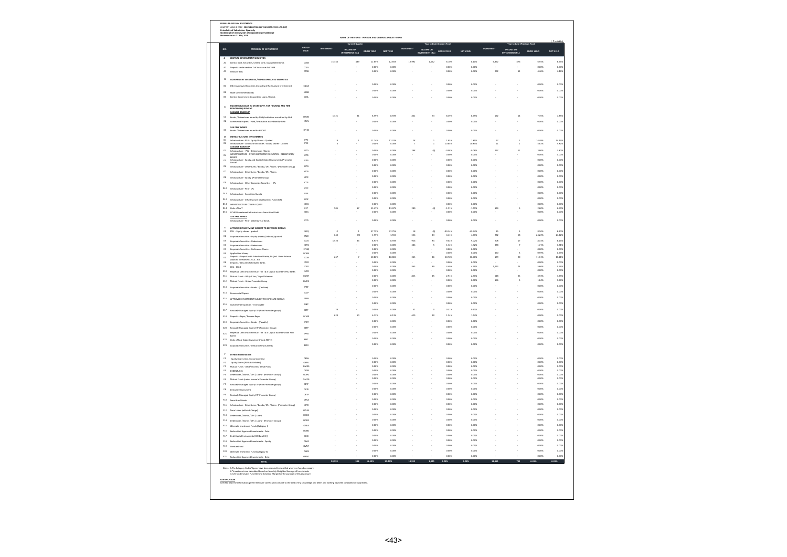| NO.                              | <b>CATEGORY OF INVESTMENT</b>                                                                                                                                                                                                                                   | GROUP<br>CODE              | Invest                                 | <b>Current Quarter</b><br>INCOME ON<br>INVESTMENT (Rs.) | GROSS YIELD             | NET YIELD            |                | Year to Date (Current Year)<br>INCOME ON GROSS YIELD |                 | NET YIELD         |                                                 | Year to Date (Previous Year)<br>INCOME ON<br>/ESTMENT (Rs.) | GROSS VIELD     | NET YIELD         |
|----------------------------------|-----------------------------------------------------------------------------------------------------------------------------------------------------------------------------------------------------------------------------------------------------------------|----------------------------|----------------------------------------|---------------------------------------------------------|-------------------------|----------------------|----------------|------------------------------------------------------|-----------------|-------------------|-------------------------------------------------|-------------------------------------------------------------|-----------------|-------------------|
|                                  | CENTRAL GOVERNMENT SECURITIES                                                                                                                                                                                                                                   |                            |                                        |                                                         |                         |                      | ×.             |                                                      |                 |                   | <b>A</b>                                        |                                                             |                 |                   |
|                                  | anteed Bonds<br>Central Govt. Securities, Central Govt. G.                                                                                                                                                                                                      | cost                       | 15.346                                 | 489                                                     | 12.65%                  | 12.65%               | 12.992         | 1.052                                                | 8.10%           | 8.10%             | 6.852                                           | 476                                                         | 6.94%           | 6.949             |
| AS                               | sits under section 7 of Insurance Act 1938<br>Treasury Bills                                                                                                                                                                                                    | coss<br>cras               | ×                                      |                                                         | opps<br>0.00%           | 0.0025<br>0.002      |                |                                                      | o.com<br>0.00%  | o.com<br>0.00%    | 272                                             | $12\,$                                                      | o.cox<br>4.46%  | 0.00<br>4.469     |
|                                  |                                                                                                                                                                                                                                                                 |                            |                                        |                                                         |                         |                      |                |                                                      |                 |                   |                                                 |                                                             |                 |                   |
| $\mathbf{B}$                     | GOVERNMENT SECURITIES / OTHER APPROVED SECURITIES                                                                                                                                                                                                               |                            |                                        |                                                         | opps                    | 0.0025               |                |                                                      | o.com           |                   |                                                 |                                                             | o.cox           |                   |
| $\mathbf{a}$                     | Other Approved Securities (excluding Infrastructure Investme                                                                                                                                                                                                    | soon                       |                                        |                                                         | opps                    | 0.0025               |                |                                                      | o.com           | o.com<br>n now    |                                                 |                                                             | o.cox           | 0.00              |
| $\overline{a}$<br>ss.            |                                                                                                                                                                                                                                                                 | soop<br>cost               |                                        |                                                         |                         |                      |                |                                                      |                 |                   |                                                 |                                                             |                 | 0.00              |
|                                  | Central Government Guaranteed Loans / Bonds                                                                                                                                                                                                                     |                            |                                        |                                                         | o.ook                   | 0.002                |                |                                                      | n now           | n now             |                                                 |                                                             | o cos           | 0.00              |
|                                  | HOUSING & LOANS TO STATE GOVT. FOR HOUSING AND FIRE<br>G EQUII                                                                                                                                                                                                  |                            |                                        |                                                         |                         |                      |                |                                                      |                 |                   |                                                 |                                                             |                 |                   |
|                                  | TAXABLE BONDS OF                                                                                                                                                                                                                                                |                            | 1.421                                  | $\overline{\mathbf{31}}$                                | 8.59%                   | a sono               | 862            | 73                                                   | 8.49%           | 8,49%             | 192                                             | 14                                                          | 7.35%           | 7.359             |
| C1<br>$\alpha$                   | Bonds / Debentures issued by NHB/Institution accredited by NHB<br>nercial Papers - NHB / Institution accredited by NHB<br>Corr                                                                                                                                  | <b>HTDN</b><br><b>HTLN</b> | ×                                      | ä,                                                      | 0.00%                   | 0.00%                | ×,             | ÷.                                                   | 0.00%           | 0.00%             |                                                 |                                                             | 0.00%           | 0.009             |
|                                  | TAX FREE BONDS                                                                                                                                                                                                                                                  |                            |                                        |                                                         |                         |                      |                |                                                      |                 |                   |                                                 |                                                             |                 |                   |
| $_{cs}$                          | OOCUM vd beussi aw                                                                                                                                                                                                                                              | HFHD                       |                                        |                                                         | o.ook                   | 0.002                |                |                                                      | o.com           | o om              |                                                 |                                                             | o.cox           | $_{\alpha\alpha}$ |
|                                  | <b>FRASTRUCTURE INVESTMENTS</b>                                                                                                                                                                                                                                 |                            |                                        | $\overline{a}$                                          | 12.74%                  | 12.74%               |                |                                                      |                 | 1.85%             |                                                 |                                                             | 14.49%          |                   |
| $\frac{D1}{D2}$                  | Infrastructure - PSU - Equity Shares - Quoted<br>Infrastructure - Corporate Securities - Equity Shares - Quoted                                                                                                                                                 | me<br>rrce                 | $\begin{array}{c} 18 \\ 3 \end{array}$ |                                                         | 0.00%                   | 0.00%                | $\frac{28}{3}$ | $\frac{1}{1}$                                        | 1.85%<br>10.84% | 10.84%            | $\begin{array}{c} 1 \, 7 \\ 1 \, 1 \end{array}$ | $\frac{2}{1}$                                               | 5.82%           | 14.499<br>5.829   |
| b3                               | TAXABLE BONDS OF<br>.<br>Change - PSII - Debardsmas / Bonds                                                                                                                                                                                                     | PTD                        |                                        |                                                         | o.ook                   | 0.0026               | 298            | $\omega$                                             | opex            | 0.08%             | 297                                             | $\mathbf{11}$                                               | 3,80%           | 3.809             |
| D4                               | INFRASTRUCTURE - OTHER CORPORATE SECURITIES - DEBENTURES/                                                                                                                                                                                                       | ICTD                       |                                        |                                                         | 0.00%                   | $\frac{1}{2}$        |                |                                                      | 0.003           | o.oox             |                                                 |                                                             | o.cox           | 0.00              |
| <b>DS</b>                        | Infrastructure - Equity and Equity Related Instruments (Promoter                                                                                                                                                                                                | iέR                        |                                        |                                                         | o.ook<br>o.oos          | 0.0026<br>0.002      |                |                                                      | 0.00%<br>a.cox  | 0.00%<br>o.cox    |                                                 |                                                             | 0.00%<br>o.cox  | o.co<br>$_{0.00}$ |
| D6<br>D2                         | Infrastructure - Debentures / Bonds / CPs / loans - (Promoter Group)<br>Infrastructure - Debentures / Bonds / CPs / Ioans                                                                                                                                       | <b>IDPG</b><br><b>rops</b> |                                        |                                                         | 0.00%                   | 0.00%                |                |                                                      | 0.00%           | 0.00%             |                                                 |                                                             | 0.00%           | 0.005             |
| DS                               | Infrastructure - Equity (Promoter Group)                                                                                                                                                                                                                        | IDPE                       |                                        |                                                         | opps                    | acces                |                |                                                      | o.com           | o.com             |                                                 |                                                             | 0.00%           | 0.00              |
| b9                               | Infrastructure - Other Corporate Securities - CPs                                                                                                                                                                                                               | кo                         |                                        |                                                         | 0.00%                   | 0.00%                |                |                                                      | 0.00%           | 0.00%             |                                                 |                                                             | 0.00%           | 0.009             |
| 010                              | Infrastructure - PSU - CPs                                                                                                                                                                                                                                      | inco                       |                                        |                                                         | ones                    | o oper               |                |                                                      | o oos           | n now             |                                                 |                                                             | occa            | 0.00              |
| $_{011}$                         | Infrastructure - Securitised Assets                                                                                                                                                                                                                             | .<br>IfKa                  |                                        |                                                         | 0.00%                   | 0.00%                |                |                                                      | 0.00%           | 0.00%             |                                                 |                                                             | 0.00%           | 0.005             |
| D12                              | Infrastructure - Infrastructure Development Fund (IDF)                                                                                                                                                                                                          | ippe                       |                                        |                                                         | opps                    | acces                |                |                                                      | o.com           | o.com             |                                                 |                                                             | o.cox           | 0.00              |
| 013<br>014                       | INFRASTRUCTURE OTHER- EQUITY<br>Units of InvIT                                                                                                                                                                                                                  | <b>IOEQ</b><br>ĖΙΤ         | sos                                    | $\overline{17}$                                         | 0.00%<br>13.47%         | 0.00%<br>13.47%      | 280            | $^{(4)}$                                             | 0.00%<br>1.51%  | 0.00%<br>$-1.51%$ | 194                                             |                                                             | 0.00%<br>2.60%  | 0.00<br>2.60!     |
| D15                              | OTHER Investment Infrastructure - Securitized Debt                                                                                                                                                                                                              | <b>IOSA</b>                |                                        |                                                         | 0.00%                   | 0.00%                |                |                                                      | 0.00%           | 0.00%             |                                                 |                                                             | 0.00%           | 0.005             |
|                                  | TAX FREE BONDS<br>Infrastructure - PSU - Debentures / Bonds                                                                                                                                                                                                     | IPFD.                      |                                        |                                                         | o.ook                   | 0.0026               |                |                                                      | o.oox           | 0.00%             |                                                 |                                                             | 0.00%           | o.co              |
|                                  | APPROVED INVESTMENT SUBJECT TO EXPOSURE NORMS.                                                                                                                                                                                                                  |                            |                                        |                                                         |                         |                      |                |                                                      |                 |                   |                                                 |                                                             |                 |                   |
| E1                               | PSU - Equity shares - quoted                                                                                                                                                                                                                                    | EAEO                       | 12                                     |                                                         | 37.75%                  | 37.75%               | 18             | (g)                                                  | 49.34%          | 49.34%            | 35                                              |                                                             | 8.10%           | 8.103             |
| $\Omega$<br><b>PE</b>            | Corporate Securities - Equity shares (Ordinary)-quoted                                                                                                                                                                                                          | EACE<br>sons.              | 643<br>1,520                           | $\left( 3\right)$<br>$^{34}$                            | $-1.55%$<br><b>ROTK</b> | 1.553<br><b>ROTH</b> | 526<br>026     | $_{23}$<br>$\mathbf{z}$                              | 4.41%<br>9.025  | 4.41%<br>9.02%    | 282<br>208                                      | 68<br>12                                                    | 24.22%<br>8.14% | 24.22%<br>8.14    |
| 64                               | Corporate Securities - Debentures<br>Corporate Securities - Debentures                                                                                                                                                                                          | EDPO                       |                                        |                                                         | 0.00%                   | 0.00%                | 386            |                                                      | 1.32%           | 1.32%             | 388                                             |                                                             | 1.71%           | 1.719             |
| $_{\rm es}$<br>66                | Corporate Securities - Preference Shares<br><b>Application Money</b>                                                                                                                                                                                            | EPNO<br>ECAM               |                                        |                                                         | opps<br>0.00%           | o oper<br>0.00%      |                |                                                      | o oos<br>0.00%  | o oos<br>0.00%    | 450                                             |                                                             | o.cox<br>0.59%  | o.cos<br>0.59     |
| $\epsilon$                       | sits - Deposit with Scheduled Banks, Fis (Incl. Bank Balance                                                                                                                                                                                                    | ECDB                       | 267                                    |                                                         | 10.86%                  | 10.86%               | 243            | $_{26}$                                              | 10.76%          | 10.76%            | 179                                             | $^{20}$                                                     | 11.11%          | 11.119            |
| $\epsilon$                       | Deposits - CDs with Scheduled Banks                                                                                                                                                                                                                             | EDCD                       |                                        |                                                         | 0.00%                   | 0.00%                |                |                                                      | 0.009           | 0.00%             |                                                 |                                                             | 0.00%           | 0.00              |
| $\epsilon$<br><b>E10</b>         | $ccu$ - $cuc$<br>Perpetual Debt Instruments of Tier I & II Capital issued by PSU Banks                                                                                                                                                                          | ECBO<br>Euro               |                                        |                                                         | o.ook<br>0.00%          | 0.0026<br>0.00%      | 865            | 39                                                   | 4.49%<br>0.00%  | 4.49%<br>0.00%    | 1.292                                           | 73                                                          | 5,66%<br>0.00%  | 5,669<br>0.005    |
| $_{611}$                         | Mutual Funds - Gilt / G Sec / Liquid Schemes                                                                                                                                                                                                                    | EGMF                       |                                        |                                                         | opps                    | 0.0025               | asa            | $\overline{25}$                                      | 2.91%           | 2.91%             | 628                                             | 25                                                          | 3.93%           | 3.935             |
| $_{52}$                          | Mutual Funds - Under Promoter Group                                                                                                                                                                                                                             | EMPO                       |                                        |                                                         | 0.00%                   | 0.00%                |                |                                                      | 0.00%           | o.cox             | 166                                             | $\mathbf{3}$                                                | 1.84%           | 1.849             |
|                                  | E13 Corporate Securities - Bonds - (Tax Free)                                                                                                                                                                                                                   | ross                       |                                        |                                                         | o.oox                   | 0.002                |                |                                                      | a.cox           | o.cox             |                                                 |                                                             | o.cox           | $_{0.00}$         |
| E14                              | <b>Com</b><br>nerrial Paners                                                                                                                                                                                                                                    | ECCP                       |                                        |                                                         | ones                    | o opsa               |                |                                                      | n now           | n now             |                                                 |                                                             | occa            | $_{0.00}$         |
| <b>ELS</b>                       | APPROVED INVESTMENT SUBJECT TO EXPOSURE NORMS                                                                                                                                                                                                                   | EAPB                       |                                        |                                                         | 0.00%<br>0.00%          | 0.00%<br>0.005       |                |                                                      | 0.00%<br>0.00%  | 0.00%             |                                                 |                                                             | 0.00%<br>0.00%  | 0.005             |
| E16                              | ent Properties - Immovable                                                                                                                                                                                                                                      | EINF                       | $_{28}$                                |                                                         | opps                    | acces                | 42             |                                                      | 0.31%           | 0.00%<br>0.31%    |                                                 |                                                             | o.cox           | 0.00<br>0.00      |
| E17                              | Passively Managed Equity ETF (Non Promoter gros                                                                                                                                                                                                                 | EETF                       | 629                                    | 10                                                      | 6.13%                   | 6.13%                | 629            | 10                                                   | 1.54%           | 1.54%             |                                                 |                                                             | 0.00%           | 0.009             |
| £18                              | Deposits - Repo / Reverse Repo                                                                                                                                                                                                                                  | ECMI<br>EPBT               |                                        |                                                         | 0.00%                   | 0.00%                |                |                                                      | 0.00%           | 0.00%             |                                                 |                                                             | 0.00%           | 0.00              |
| E19<br><b>E20</b>                | Corporate Securities - Bonds - (Taxable)<br>$\mathbf{a}$                                                                                                                                                                                                        | EETP                       |                                        |                                                         | 0.005                   |                      |                |                                                      | 0.003           |                   |                                                 |                                                             | 0.003           | $_{0.00}$         |
| 621                              | ely Managed Equity ETF (Promoter Group)<br>Perpetual Debt Instruments of Tier I & Il Capital issued by Non PSU                                                                                                                                                  | EPPD                       |                                        |                                                         | o.ook                   | 0.0025               |                |                                                      | o.oox           | 0.00%             |                                                 |                                                             | 0.00%           | o.cos             |
| 622                              | Ranks<br>Units of Real Estate Investment Trust (REITs)                                                                                                                                                                                                          | Farr                       |                                        |                                                         | 0.00%                   | 0.00%                |                |                                                      | 0.00%           | 0.00%             |                                                 |                                                             | 0.00%           | 0.00              |
| 623                              | Corp<br>rate Securities - Derivative Instrum                                                                                                                                                                                                                    | <b>FON</b>                 |                                        |                                                         | o.oox                   | 0.005                |                |                                                      | a.cox           | o.oox             |                                                 |                                                             | o.cos           | 0.00              |
|                                  |                                                                                                                                                                                                                                                                 |                            |                                        |                                                         |                         |                      |                |                                                      |                 |                   |                                                 |                                                             |                 |                   |
| $\mathbf{r}_1$                   | OTHER INVESTMENTS<br>Equity Shares (incl. Co-op Societies)                                                                                                                                                                                                      | otse                       |                                        |                                                         | o ons                   | o opsa               |                |                                                      | n nos           | n nos             |                                                 |                                                             | o nos           | 0.00              |
| $\mathfrak{p}_2$                 | Equity Shares (PSUs & Unlisted)                                                                                                                                                                                                                                 | otru                       |                                        |                                                         | 0.00%                   | 0.00%                |                |                                                      | 0.00%           | o.cox             |                                                 |                                                             | 0.00%           | 0.009             |
| $\mathbf{r}_3$<br>$^{64}$        | Mutual Funds - Debt/ Income/ Serial Plans<br><b>DEBENTURES</b>                                                                                                                                                                                                  | oM35<br>ous                |                                        |                                                         | opps<br>0.00%           | 0.0025<br>0.00%      |                |                                                      | o.com<br>0.00%  | o.com<br>0.00%    |                                                 |                                                             | o.cox<br>0.00%  | 0.001<br>0.005    |
| $_{5}$                           | Debentures / Bonds / CPs / Loans - (Promoter Group)                                                                                                                                                                                                             | oped                       |                                        |                                                         | opps                    | acos                 |                |                                                      | o.com           | o.com             |                                                 |                                                             | o.cox           | o.co              |
| f6                               | Mutual Funds (under Insurer's Promoter Group)                                                                                                                                                                                                                   | OMPO                       |                                        |                                                         | o.ook<br>opps           | 0.0026<br>o oper     |                |                                                      | 0.00%<br>o.com  | 0.00%<br>o.com    |                                                 |                                                             | 0.00%<br>o.cox  | o.cos<br>0.00     |
| $\boldsymbol{\theta}$<br>$_{rs}$ | Passively Managed Equity ETF (Non Promoter group)<br>Derivative Instrument                                                                                                                                                                                      | OETF<br>occo               |                                        |                                                         | 0.00%                   | 0.00%                |                |                                                      | 0.00%           | 0.00%             |                                                 |                                                             | 0.00%           | 0.00              |
| $\mathbf{r}$                     | $p_{46}$<br>ely Managed Equity ETF Promoter Group)                                                                                                                                                                                                              | orre                       |                                        |                                                         | 0.00%                   | 0.00%                |                |                                                      | 0.00%           | 0.00%             |                                                 |                                                             | 0.00%           | 0.005             |
| F10                              | <b>Securitised Assets</b>                                                                                                                                                                                                                                       | opsa                       |                                        |                                                         | o.ook                   | 0.0025               |                |                                                      | 0.00%           | 0.00%             |                                                 |                                                             | 0.00%           | 0.00              |
| f11                              | Infrastructure - Debentures / Bonds / CPs / Joans - (Promoter Group)                                                                                                                                                                                            | IOPD                       |                                        |                                                         | o.oos<br>0.00%          | o opsa<br>0.002      |                |                                                      | a.cox<br>a.cox  | n now<br>o.cox    |                                                 |                                                             | o.cox<br>o.cox  | $_{0.00}$         |
| F12<br>F13                       | Term Loans (without Charge)<br>Debentures / Bonds / CPs / Loans                                                                                                                                                                                                 | onw<br>HODS                |                                        |                                                         | 0.00%                   | 0.00%                |                |                                                      | 0.00%           | 0.00%             |                                                 |                                                             | 0.00%           | 0.00<br>0.005     |
|                                  | F14 Debentures / Bonds / CPs / Loans - (Promoter Group)                                                                                                                                                                                                         | HOPO                       |                                        |                                                         | o.ook                   | acces                |                |                                                      | o.oox           | 0.00%             |                                                 |                                                             | 0.00%           | o.cos             |
|                                  | F15 Alternate Investment Funds (Category I)                                                                                                                                                                                                                     | <b>OAFA</b>                |                                        |                                                         | o.com                   | 0.002                |                |                                                      | a.com           | o.oox             |                                                 |                                                             | o.cox           | $_{0.00}$         |
| <b>F16</b>                       | Reclassified Approved Investments - Debt                                                                                                                                                                                                                        | HORD                       |                                        |                                                         | 0.00%                   | 0.00%                |                |                                                      | 0.00%           | 0.00%             |                                                 |                                                             | 0.00%           | 0.00              |
| F17                              | Debt Capital Instruments (DCI Basel II))                                                                                                                                                                                                                        | opci                       |                                        |                                                         | 0.00%<br>ones           | 0.00%<br>o oper      |                |                                                      | 0.00%<br>o ook  | 0.00%<br>ones     |                                                 |                                                             | 0.00%<br>occio  | 0.009             |
| F18                              | Reclassified Approved Investments - Equity                                                                                                                                                                                                                      | ORAE                       |                                        |                                                         | o.oos                   | o.com                |                |                                                      | 0.00%           | o.com             |                                                 |                                                             | 0.00%           | 0.00<br>0.00      |
|                                  | F19 Venture Fund<br>F20 Alternate Investment Fund (Category II)                                                                                                                                                                                                 | own<br>OAFB                |                                        |                                                         | 0.00%                   | 0.00%                |                |                                                      | o.cox           | 0.00%             |                                                 |                                                             | $0.00\%$        | 0.00              |
| f22                              | Reclassified Approved Investments - Debt<br>TOTAL                                                                                                                                                                                                               | ORAD                       |                                        |                                                         | o.ook                   | 0.0026               |                |                                                      | 0.00%           | 0.00%             |                                                 |                                                             | 0.00%           | o.cos             |
|                                  |                                                                                                                                                                                                                                                                 |                            | 20,393                                 | 588                                                     | 11.43%                  | 11,43%               | 18,955         | 1,325                                                | 9.28%           | 9.283             | 11,461                                          | 739                                                         | 6,45%           |                   |
|                                  | Note: 1.The Category Cod<br>1.The Category Codes/Rigures have been restated/reclassified wherever found ne<br>2.*Investments are calculated based on Monthly Weighted Average of Investmen<br>3. Life fund includes Fund Beyond Solvency Margin for the purpose |                            |                                        |                                                         |                         |                      |                |                                                      |                 |                   |                                                 |                                                             |                 |                   |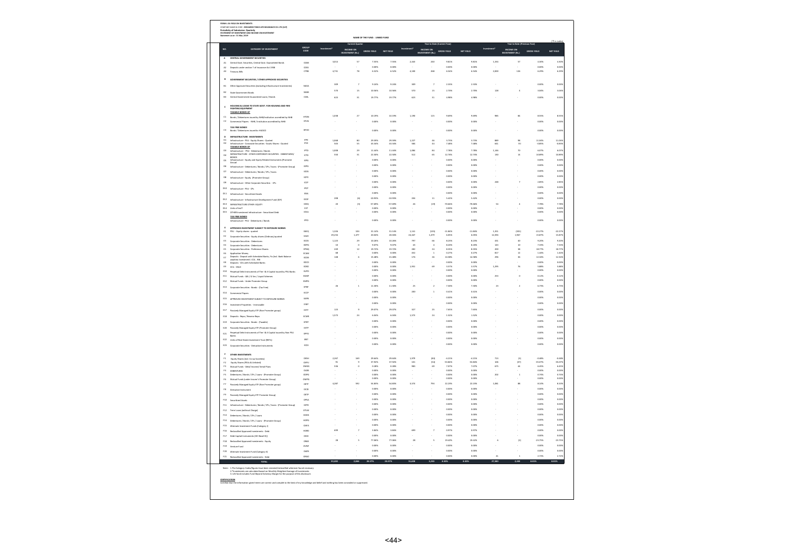| NO.                  | <b>CATEGORY OF INVESTMENT</b>                                                                                  |                       | Investment* | <b>Current Oparter</b>  |                    |                  |              | Year to Date (Current Year) |                 |                  |              | Year to Date (Previous Year) |                    |                    |
|----------------------|----------------------------------------------------------------------------------------------------------------|-----------------------|-------------|-------------------------|--------------------|------------------|--------------|-----------------------------|-----------------|------------------|--------------|------------------------------|--------------------|--------------------|
|                      |                                                                                                                | GROUP<br>CODE         |             | : ON<br>IT (Rs.)        | GROSS YIELD        |                  |              | ICOME ON<br>STMENT (Rs.)    | GROSS YIELD     | NET YIELD        |              | :OME ON<br>TMENT (Rs.)       | GROSS YIELD        |                    |
| A<br>A1              | CENTRAL GOVERNMENT SECURITIES<br>Central Govt. Securities, Central Govt. Guaranteed Bonds                      | cost                  | 3.014       | 57                      | 7.55%              | 7.55%            | 2.443        | 240                         | 9.81%           | 9.81%            | 1.334        | 57                           | 4.30%              | 4.305              |
| A2                   | Deposits under section 7 of Insurance Act 1938                                                                 | coss                  |             |                         | o.oos              | 0.002            |              |                             | 0.009           | o.oox            |              |                              | o.cox              | $_{0.00}$          |
| AS                   | Treasury Bills                                                                                                 | cres                  | 4.731       | 78                      | 652%               | 6.52%            | 4.100        | 268                         | 6.54%           | 6.54%            | 2.000        | 126                          | 6.29%              | 6.299              |
|                      | IMENT SECURITIES / OTHER APPROVED SECURITIES                                                                   |                       |             |                         |                    |                  |              |                             |                 |                  |              |                              |                    |                    |
| $\mathbf{a}$         | Other Approved Securities (excluding Infrastructure Investr                                                    | sona                  | 309         |                         | 9.24%              | 9.24%            | 3CS          |                             | 2.33%           | 2.33%            |              |                              | o.cox              | 0.00               |
| $\overline{a}$       | State Government Bonds                                                                                         | sons                  | 570         | 15                      | 10.56%             | 10.56%           | 570          | $15\,$                      | 2.70%           | 2.70%            | 128          | $\overline{a}$               | 3.04%              | 3.04               |
| as                   | vemment Guaranteed Loans / Bo<br>Central Gr                                                                    | cost                  | 623         | $\overline{\mathbf{3}}$ | 19.77%             | 19.775           | 623          | $\overline{\mathbf{H}}$     | 4.989           | 4.98%            |              |                              | 0.003              | 0.00               |
| ¢                    | HOUSING & LOANS TO STATE GOVT. FOR HOUSING AND FIRE<br>TING EQUI                                               |                       |             |                         |                    |                  |              |                             |                 |                  |              |                              |                    |                    |
| $\alpha$             | TAXABLE BONDS OF<br>Bonds / Debentures issued by NHB/Institution accredited by NHB                             | <b>HTDN</b>           | 1,038       | $\overline{z}$          | 10.19%             | 10.19%           | 1,190        | 115                         | 9.69%           | 9.69%            | 985          | 84                           | asss               | 8.55               |
| $^{12}$              | preial Danars - NHR / Institution according to NHR<br>Com                                                      | HTLN                  |             |                         | o one.             | o opsa           |              |                             | n now           | n nos            |              |                              | o cost             | 0.001              |
| $\alpha$             | TAX FREE BONDS                                                                                                 | няю                   |             |                         |                    |                  |              |                             |                 |                  |              |                              |                    |                    |
|                      | Bonds / Debentures issued by HUDCO                                                                             |                       | ÷.          |                         | 0.00%              | 0.00%            | ×            |                             | 0.00%           | 0.00%            |              |                              | 0.00%              | 0.001              |
| D <sub>2</sub>       | INFRASTRUCTURE INVESTMENTS<br>Infrastructure - PSU - Equity Shares - Quoted                                    | me                    | 1.068       | 80<br>55                | 29.59%             | 29.59%           | 1.227        | $\frac{46}{44}$             | 3.73%           | 3.73%            | 889          | 98                           | 11.04%             | 11.049             |
| D2                   | <b>Schule Cont</b><br>orate Securities - Equity Shares - Quoted<br>TAXABLE BONDS OF                            | mos                   | sos         |                         | 43.34%             | 43.34%           | 584          |                             | 7,48%           | 7.48%            | 641          | $\overline{151}$             | oass               | oss                |
| bà                   | ucture - PSU - D<br>tures / Bo<br>INFRASTRUCTURE - OTHER CORPORATE SECURITIES - DEBENTURES/                    | oto<br>icto           | 1,00<br>550 | z<br>31                 | 11.44%<br>22.50%   | 11.449<br>22.50% | 1,084<br>512 | 34<br>65                    | 7.78%<br>12.74% | 7.78%<br>12.74%  | 1,146<br>130 | $\overline{10}$<br>$14$      | 6.07%<br>10.89%    | 6.07<br>10.899     |
| $_{04}$<br><b>DS</b> | cture - Equity and Equity Related Instruments (Promoter                                                        | <b>IEPG</b>           |             |                         | 0.00%              | 0.003            |              |                             | 0.005           | 0.003            |              |                              | 0.003              | o.co               |
| bs                   | Infrastructure - Debentures / Bonds / CPs / Ioans - (Promoter Group)                                           | <b>IDPO</b>           |             |                         | o pos              | 0.0025           |              |                             | 0.00%           | 0.00%            |              |                              | 0.00%              | o.co               |
| D7                   | Infrastructure - Debentures / Bonds / CPs / Ioans                                                              | <b>IODS</b>           |             |                         | o pos              | oms              |              |                             | 0.002           | o om             |              |                              | o.cox              | 0.00               |
| bà                   | Infrastructure - Equity (Promoter Group)                                                                       | <b>IOPE</b>           |             |                         | 0.00%              | 0.002            |              |                             | 0.00%           | o.cox            |              |                              | 0.00%              | 0.00               |
| D <sub>3</sub>       | Infrastructure - Other Corporate Securities - CPs                                                              | KO                    |             |                         | o.oos              | 0.002            |              |                             | a.com           |                  | 248          |                              | 2.85%              | 2.85               |
| $_{010}$             | Infrastructure - PSU - CPs                                                                                     | øc                    |             |                         | 0.00%              | 0.002            |              |                             | 0.00%           | 0.00%            |              |                              | 0.00%              | 0.005              |
| 011                  | Infrastructure - Securitised Assets                                                                            | IESA                  | 208         | (6)                     | o.ook<br>$-10.93%$ | oms<br>10.93%    | 204          | 11                          | n nove<br>5.42% | o om<br>5.42%    |              |                              | o.cox<br>0.00%     | $_{0.00}$<br>0.001 |
| $_{012}$<br>013      | Infrastructure - Infrastructure Development Fund (IDF)<br>INFRASTRUCTURE OTHER- EQUITY                         | <b>IDD</b><br>ioeg    | $^{20}$     | (3)                     | 57,69%             | 57.69%           | 26           | (19)                        | 70.66%          | -<br>70.66%      | s.           |                              | 7.78%              | 7.785              |
| 014                  | There's ed boatt                                                                                               | EIT                   |             |                         | 0.00%              | 0.00%            |              |                             | 0.00%           | 0.00%            |              |                              | 0.00%              | 0.001              |
| <b>D15</b>           | OTHER Investment Infrastructure - Securitized Debt<br>TAX FREE BONDS                                           | 1054                  |             |                         | 0.00%              | 0.003            |              |                             |                 |                  |              |                              | o.cox              | $_{0.00}$          |
|                      | Infrastructure - PSU - Debentures / Bonds                                                                      | IPFD                  |             |                         | 0.00%              | 0.002            |              |                             | 0.00%           | o.cox            |              |                              | 0.00%              | 0.005              |
| $\epsilon_1$         | VED INVESTMENT SURJECT TO EXPOSURE NORMS<br>PSU - Equity shares - quoted                                       | EAEQ                  | 1,326       | 104                     | 31.14%             | 31.14%           | 1,141        | (135)                       | $-11.84%$       | $-11.84%$        | 1,351        | (301)                        | $-22.27%$          | $-22.27$           |
| $_{2}$               | Corporate Securities - Equity shares (Ordinary)-quoted                                                         | EACE                  | 29.234      | 1.477                   | 20.04%             | 20.04%           | 24.447       | 1.479                       | 6.05%           | 6.05%            | 12.394       | 1.967                        | 15.87%             | 15.87              |
| $\mathfrak{e}_3$     | Corporate Securities - Debentures                                                                              | Ecos<br>EDPG          | 1,123<br>10 | 29                      | 10.26%<br>9.07%    | 10.26%<br>9.07%  | 797<br>43    | 66                          | 8.23%<br>8.20%  | 8.23%<br>8.20%   | 431<br>143   | 40<br>10                     | 9.20%<br>7.33%     | 9.209<br>7.33%     |
| 64<br>$\mathbf{e}$   | <b>Corporate Securities - Debentures</b><br>rate Securities - Preference Share<br>$\epsilon_{\text{in}}$       | EPNO                  | 249         | $\overline{12}$         | 19.72%             | 19.72%           | 282          | $^{24}$                     | 8.35%           | 8.35%            | 200          | 38                           | 18.77%             | 18.77              |
| <b>E6</b>            | Application Money<br>Deposits - Deposit with Scheduled Banks, Fis (Incl. Bank Balance                          | ECAM                  | 148         | $\epsilon$              | 0.00%<br>15,48%    | 15,48%           | 453<br>176   | $^{26}$                     | 0.279<br>14.58% | 0.27%<br>14.58%  | š1<br>296    | $\overline{12}$<br>36        | 1.44%<br>12.34%    | 1.44<br>12:34      |
| Đ<br>$_{\rm{es}}$    | Deposits - CDs with Scheduled Banks                                                                            | ECDE<br>EDCC          |             |                         | 0.00%              | 0.005            |              |                             | a.com           | o.com            |              |                              | o.cox              | $_{0.00}$          |
| $\mathbf{e}$         | $CDL - CDLO$                                                                                                   | ECBO                  |             |                         | 0.00%              | 0.00%            | 1,931        | 69                          | 3.57%           | 3.57%            | 1,295        | 76                           | 5.88%              | 5.889              |
| <b>E10</b><br>611    | ints of Tier I & II Capital issued by PSU Banks<br>Perp<br><b>Bual Dalet Instru</b>                            | Eupo<br>FOME          |             |                         | 0.00%<br>o ons     | 0.005<br>o opsa  |              |                             | 0.00%<br>n now  | 0.00%<br>n nos   | 253          | $\alpha$                     | 0.00%<br>0.12%     | 0.00<br>0.125      |
| $_{512}$             | Mutual Funds - Gilt / G Sec / Liquid Scheme<br>Mutual Funds - Under Promoter Group                             | EMPO                  |             |                         | 0.00%              | 0.00%            |              |                             | 0.00%           | 0.00%            |              |                              | 0.00%              | 0.00               |
| 613                  | Corp<br>ate Securities - Bonds - (Tax Free)                                                                    | EPER                  | $^{26}$     | j,                      | 11.30%             | 11.50%           | $\mathbf{z}$ | $\overline{2}$              | 7.30%           | 7.30%            | $_{23}$      | $\overline{z}$               | 6.73%              | 6.73               |
| E14                  | Commercial Papers                                                                                              | ECCP                  |             |                         | o one.             | o opsa           | 200          | $\overline{1}$              | 0.41%           | 0.41%            |              |                              | o cos              | 0.00               |
| E15                  | APPROVED INVESTMENT SUBJECT TO EXPOSURE NORMS                                                                  | <b>FAN</b>            |             |                         | 0.00%              | 0.002            |              |                             | 0.00%           | o.cox            |              |                              | 0.00%              | 0.005              |
| ns.                  | nt Properties - Immovable                                                                                      | <b>Find</b>           |             |                         | o.oos              | 0.002            |              |                             | 0.009           | 0.009            |              |                              | o.cox              | 0.00               |
| E17                  | Passively Managed Equity ETF (Non Promoter group)                                                              | EETF                  | 123         |                         | 29.07%             | 20.029           | 327          | $\overline{25}$             | 7.65%           | 2.65%            |              |                              | o cos              | $_{\alpha\alpha}$  |
| <b>ELE</b>           | Deposits - Repo / Reverse Repo                                                                                 | ECMI                  | 1,573       | $^{24}$                 | 6.04%              | 6.04%            | 1,573        | $^{24}$                     | 1.52%           | 1.52%            |              |                              | 0.00%              | 0.00               |
| E19                  | Corporate Securities - Bonds - (Taxable)                                                                       | EPBT                  |             |                         | 0.00%              | 0.00%            |              |                             | 0.00%           | 0.009            |              |                              | 0.00%              | 0.00               |
| 620                  | ily Managed Equity ETF (Promoter Group)<br>Perpetual Debt Instruments of Tier I & Il Capital issued by Non PSU | EETP                  | ł,          |                         | 0.00%<br>o pos     | 0.005<br>0.0025  |              |                             | 0.003<br>0.00%  | o.cox            |              |                              | o.cox<br>o.cox     | $_{0.00}$<br>o.cos |
| E21                  | <b>Banks</b>                                                                                                   | EPPD                  |             |                         | 0.00%              | 0.002            |              |                             | 0.00%           | 0.00%            |              |                              | 0.00%              | 0.005              |
| $_{22}$<br>23        | Units of Real Estate Investment Trust (REITs)                                                                  | ERIT<br>$\epsilon$ co |             |                         | 0.00%              | 0.005            |              |                             | a.cox           | 0.00%            |              |                              | 0.00%              | 0.00               |
|                      | Corporate Securities - Derivative Instru                                                                       |                       |             |                         |                    |                  |              |                             |                 |                  |              |                              |                    |                    |
|                      | OTHER INVESTMENTS                                                                                              |                       |             |                         |                    |                  |              |                             |                 |                  |              |                              |                    |                    |
| ŕ.<br>F <sub>2</sub> | Equity Shares (incl. Co-op Societies)<br>Ferrity Shares (ISTI); & Endistant                                    | otse<br>OEPU          | 2,267<br>91 | 169<br>×                | 29.64%<br>37.92%   | 20.64%<br>37.92% | 1.979<br>101 | (83)<br>(54)                | 4.21%<br>53.84% | 4.21%<br>-53.84% | 713<br>106   | (3)<br>871                   | 0.48%<br>$-35.07%$ | 0.481<br>$-35.079$ |
| $\mathfrak{p}_3$     | Mutual Funds - Debt/ Income/ Serial Plans                                                                      | OMGS                  | 536         |                         | 0.28%              | 0.285            | 983          |                             | 7.07%           | 7.07%            | 675          |                              | 6.45%              | 6.455              |
| $^{14}$<br>55        | DEBENTURES<br>Debentures / Bonds / CPs / Loans - (Promoter Group)                                              | ouse<br><b>ODPG</b>   |             |                         | o pos<br>0.00%     | 0.0025<br>0.005  |              |                             | 0.00%<br>0.009  | 0.00%<br>o.oox   | 202          | $\overline{1}$               | o.cox<br>0.74%     | o.cos<br>0.74      |
| f6                   | Mutual Funds (under Insurer's Promoter Group)                                                                  | OMPG                  |             |                         | o nove             | o oper           |              |                             | ones            | o ook            |              |                              | onne               | o.co               |
| $\mathbf{r}$         | Passively Managed Equity ETF (Non Promoter group)                                                              | orre                  | 4,287       | 592                     | 54.83%             | 54.83%           | 3,574        | 294                         | 22.23%          | 22.23%           | 1,081        | 38                           | 8.10%              | 8.10               |
| rs.<br>ø             | <b>De</b><br>tive Instrument                                                                                   | ocos<br>orra          |             |                         | 0.00%<br>o.ook     | 0.002<br>0.0025  |              |                             | 0.00%<br>0.00%  | 0.00%<br>0.00%   |              |                              | 0.00%<br>0.00%     | 0.005<br>o.co      |
| F10                  | Passively Managed Equity ETF Promoter Group)<br>Securitised Assets                                             | OPSA                  |             |                         | opps               | oms              |              |                             | n now           | n now            |              |                              | o.cox              | 0.00               |
| $f_{11}$             | Infrastructure - Debentures / Bonds / CPs / Ioans - (Promoter Group)                                           | <b>IOPD</b>           |             |                         | 0.00%              | 0.00%            |              |                             | 0.00%           | 0.00%            |              |                              | 0.00%              | 0.00               |
| $12^{12}$            | Term Loans (without Charge)                                                                                    | onw                   |             |                         | 0.00%              | 0.002            |              |                             | 0.00%           | 0.00%            |              |                              | 0.00%              | 0.005              |
| F13                  | Debentures / Bonds / CPs / Loans                                                                               | HODS                  |             |                         | o pos<br>0.00%     | 0.0025<br>0.002  |              |                             | 0.00%<br>a.com  | o.oox<br>o.com   |              |                              | 0.00%<br>o.cox     | o.co<br>$_{0.00}$  |
| F14<br>f15           | Debentures / Bonds / CPs / Loans - (Promoter Group)<br>Aber                                                    | HOPG<br>nuis          |             |                         | 0.00%              | 0.00%            |              |                             | 0.00%           | 0.00%            |              |                              | 0.00%              | 0.005              |
| F16                  | nate Investment Funds (Category 1)<br>Rec<br>sified Approved Investments - Debt                                | HORD                  | 699         | b.                      | 3.84%              | 3.84%            | 699          | $\overline{2}$              | 0.97%           | 0.97%            |              |                              | 0.00%              | 0.005              |
| F17                  | Debt Capital Instruments (DCI Basel III)                                                                       | ODCI                  |             |                         | o nove             | o oper           |              |                             | o oos           | n nove           |              |                              | onne               | 0.00               |
| 518                  | <b>Barb</b><br>sified Approved Investments - Equity                                                            | ONE                   | $_{\rm 28}$ |                         | 77.06%             | 77.05%           | $_{28}$      |                             | 19.42%          | 19.42%           | 6            |                              | $-23.75%$          | $-23.755$          |
| 610                  | Venture Fund                                                                                                   | own                   |             |                         | 0.00%<br>o.ook     | 0.00%<br>0.0025  |              |                             | 0.00%<br>0.00%  | 0.00%<br>0.00%   |              |                              | 0.00%<br>0.00%     | 0.009<br>o.co      |
| F20<br>f21           | Alternate Investment Fund (Category II)<br>Reclassified Approved Investments - Debt                            | <b>GAFB</b><br>ORAD   |             |                         | o.oox              | o.cox            |              |                             | a.cox           | n nos            | 41           | $\mathbf{1}$                 | 2.72%              | 2.728              |
|                      | TOTAL                                                                                                          |                       | 55,430      | 2,846                   | 20.37%             | 20.37%           | 51,628       | 3,230                       | 8.30%           | 8,50%            | 27,580       | 2,430                        | 8.81%              | 8.81%              |
|                      |                                                                                                                |                       |             |                         |                    |                  |              |                             |                 |                  |              |                              |                    |                    |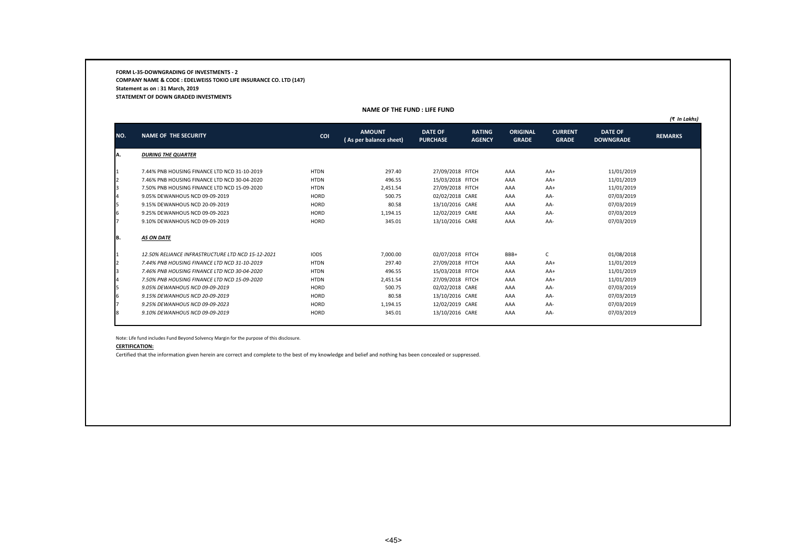**FORM L-35-DOWNGRADING OF INVESTMENTS - 2 COMPANY NAME & CODE : EDELWEISS TOKIO LIFE INSURANCE CO. LTD (147) Statement as on : 31 March, 2019 STATEMENT OF DOWN GRADED INVESTMENTS**

|                |                                                   |             |                                         |                                   |                                |                                 |                                |                                    | (₹ In Lakhs)   |
|----------------|---------------------------------------------------|-------------|-----------------------------------------|-----------------------------------|--------------------------------|---------------------------------|--------------------------------|------------------------------------|----------------|
| NO.            | <b>NAME OF THE SECURITY</b>                       | COI         | <b>AMOUNT</b><br>(As per balance sheet) | <b>DATE OF</b><br><b>PURCHASE</b> | <b>RATING</b><br><b>AGENCY</b> | <b>ORIGINAL</b><br><b>GRADE</b> | <b>CURRENT</b><br><b>GRADE</b> | <b>DATE OF</b><br><b>DOWNGRADE</b> | <b>REMARKS</b> |
| A.             | <b>DURING THE QUARTER</b>                         |             |                                         |                                   |                                |                                 |                                |                                    |                |
|                | 7.44% PNB HOUSING FINANCE LTD NCD 31-10-2019      | <b>HTDN</b> | 297.40                                  | 27/09/2018 FITCH                  |                                | AAA                             | $AA+$                          | 11/01/2019                         |                |
| $\overline{2}$ | 7.46% PNB HOUSING FINANCE LTD NCD 30-04-2020      | <b>HTDN</b> | 496.55                                  | 15/03/2018 FITCH                  |                                | AAA                             | $AA+$                          | 11/01/2019                         |                |
| 3              | 7.50% PNB HOUSING FINANCE LTD NCD 15-09-2020      | <b>HTDN</b> | 2,451.54                                | 27/09/2018 FITCH                  |                                | AAA                             | AA+                            | 11/01/2019                         |                |
| 14             | 9.05% DEWANHOUS NCD 09-09-2019                    | HORD        | 500.75                                  | 02/02/2018 CARE                   |                                | AAA                             | AA-                            | 07/03/2019                         |                |
| 5              | 9.15% DEWANHOUS NCD 20-09-2019                    | HORD        | 80.58                                   | 13/10/2016 CARE                   |                                | AAA                             | AA-                            | 07/03/2019                         |                |
| 6              | 9.25% DEWANHOUS NCD 09-09-2023                    | HORD        | 1,194.15                                | 12/02/2019 CARE                   |                                | AAA                             | AA-                            | 07/03/2019                         |                |
|                | 9.10% DEWANHOUS NCD 09-09-2019                    | HORD        | 345.01                                  | 13/10/2016 CARE                   |                                | AAA                             | AA-                            | 07/03/2019                         |                |
| IΒ.            | <b>AS ON DATE</b>                                 |             |                                         |                                   |                                |                                 |                                |                                    |                |
|                | 12.50% RELIANCE INFRASTRUCTURE LTD NCD 15-12-2021 | <b>IODS</b> | 7,000.00                                | 02/07/2018 FITCH                  |                                | BBB+                            | C                              | 01/08/2018                         |                |
| $\overline{2}$ | 7.44% PNB HOUSING FINANCE LTD NCD 31-10-2019      | <b>HTDN</b> | 297.40                                  | 27/09/2018 FITCH                  |                                | AAA                             | $AA+$                          | 11/01/2019                         |                |
| 3              | 7.46% PNB HOUSING FINANCE LTD NCD 30-04-2020      | <b>HTDN</b> | 496.55                                  | 15/03/2018 FITCH                  |                                | AAA                             | $AA+$                          | 11/01/2019                         |                |
|                | 7.50% PNB HOUSING FINANCE LTD NCD 15-09-2020      | <b>HTDN</b> | 2,451.54                                | 27/09/2018 FITCH                  |                                | AAA                             | $AA+$                          | 11/01/2019                         |                |
| 5              | 9.05% DEWANHOUS NCD 09-09-2019                    | HORD        | 500.75                                  | 02/02/2018 CARE                   |                                | AAA                             | AA-                            | 07/03/2019                         |                |
| 6              | 9.15% DEWANHOUS NCD 20-09-2019                    | HORD        | 80.58                                   | 13/10/2016 CARE                   |                                | AAA                             | AA-                            | 07/03/2019                         |                |
|                | 9.25% DEWANHOUS NCD 09-09-2023                    | HORD        | 1,194.15                                | 12/02/2019 CARE                   |                                | AAA                             | AA-                            | 07/03/2019                         |                |
|                | 9.10% DEWANHOUS NCD 09-09-2019                    | HORD        | 345.01                                  | 13/10/2016 CARE                   |                                | AAA                             | AA-                            | 07/03/2019                         |                |
|                |                                                   |             |                                         |                                   |                                |                                 |                                |                                    |                |

**NAME OF THE FUND : LIFE FUND**

Note: Life fund includes Fund Beyond Solvency Margin for the purpose of this disclosure.

### **CERTIFICATION:**

Certified that the information given herein are correct and complete to the best of my knowledge and belief and nothing has been concealed or suppressed.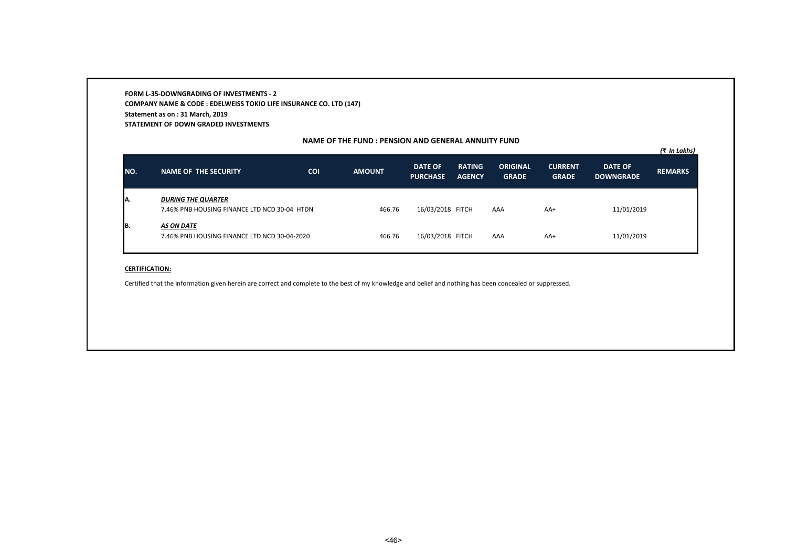**FORM L-35-DOWNGRADING OF INVESTMENTS - 2 COMPANY NAME & CODE : EDELWEISS TOKIO LIFE INSURANCE CO. LTD (147) Statement as on : 31 March, 2019 STATEMENT OF DOWN GRADED INVESTMENTS**

### **NAME OF THE FUND : PENSION AND GENERAL ANNUITY FUND**

| NO. | <b>NAME OF THE SECURITY</b>                                               | COI | <b>AMOUNT</b> | <b>DATE OF</b><br><b>PURCHASE</b> | <b>RATING</b><br><b>AGENCY</b> | <b>ORIGINAL</b><br><b>GRADE</b> | <b>CURRENT</b><br><b>GRADE</b> | <b>DATE OF</b><br><b>DOWNGRADE</b> | (₹ In Lakhs)<br><b>REMARKS</b> |
|-----|---------------------------------------------------------------------------|-----|---------------|-----------------------------------|--------------------------------|---------------------------------|--------------------------------|------------------------------------|--------------------------------|
| IA. | <b>DURING THE QUARTER</b><br>7.46% PNB HOUSING FINANCE LTD NCD 30-04 HTDN |     | 466.76        | 16/03/2018 FITCH                  |                                | AAA                             | $AA+$                          | 11/01/2019                         |                                |
| B.  | AS ON DATE<br>7.46% PNB HOUSING FINANCE LTD NCD 30-04-2020                |     | 466.76        | 16/03/2018 FITCH                  |                                | AAA                             | $AA+$                          | 11/01/2019                         |                                |

#### **CERTIFICATION:**

Certified that the information given herein are correct and complete to the best of my knowledge and belief and nothing has been concealed or suppressed.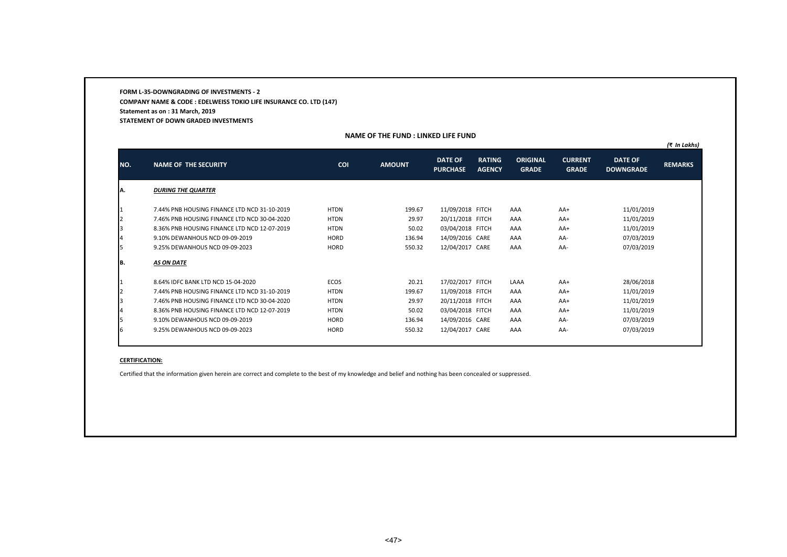**FORM L-35-DOWNGRADING OF INVESTMENTS - 2 COMPANY NAME & CODE : EDELWEISS TOKIO LIFE INSURANCE CO. LTD (147) Statement as on : 31 March, 2019 STATEMENT OF DOWN GRADED INVESTMENTS**

# **NAME OF THE FUND : LINKED LIFE FUND**

|               |                                              |             |               |                                   |                                |                                 |                                |                                    | (₹ In Lakhs)   |
|---------------|----------------------------------------------|-------------|---------------|-----------------------------------|--------------------------------|---------------------------------|--------------------------------|------------------------------------|----------------|
| NO.           | <b>NAME OF THE SECURITY</b>                  | <b>COI</b>  | <b>AMOUNT</b> | <b>DATE OF</b><br><b>PURCHASE</b> | <b>RATING</b><br><b>AGENCY</b> | <b>ORIGINAL</b><br><b>GRADE</b> | <b>CURRENT</b><br><b>GRADE</b> | <b>DATE OF</b><br><b>DOWNGRADE</b> | <b>REMARKS</b> |
| IA.           | <b>DURING THE QUARTER</b>                    |             |               |                                   |                                |                                 |                                |                                    |                |
| $\mathbf{I}$  | 7.44% PNB HOUSING FINANCE LTD NCD 31-10-2019 | <b>HTDN</b> | 199.67        | 11/09/2018 FITCH                  |                                | AAA                             | $AA+$                          | 11/01/2019                         |                |
| $\mathbf{I}$  | 7.46% PNB HOUSING FINANCE LTD NCD 30-04-2020 | <b>HTDN</b> | 29.97         | 20/11/2018 FITCH                  |                                | AAA                             | $AA+$                          | 11/01/2019                         |                |
| 13            | 8.36% PNB HOUSING FINANCE LTD NCD 12-07-2019 | <b>HTDN</b> | 50.02         | 03/04/2018 FITCH                  |                                | AAA                             | $AA+$                          | 11/01/2019                         |                |
| 14            | 9.10% DEWANHOUS NCD 09-09-2019               | <b>HORD</b> | 136.94        | 14/09/2016 CARE                   |                                | AAA                             | AA-                            | 07/03/2019                         |                |
| I5            | 9.25% DEWANHOUS NCD 09-09-2023               | <b>HORD</b> | 550.32        | 12/04/2017 CARE                   |                                | AAA                             | AA-                            | 07/03/2019                         |                |
| IB.           | AS ON DATE                                   |             |               |                                   |                                |                                 |                                |                                    |                |
| $\mathbf{I}$  | 8.64% IDFC BANK LTD NCD 15-04-2020           | <b>ECOS</b> | 20.21         | 17/02/2017 FITCH                  |                                | LAAA                            | $AA+$                          | 28/06/2018                         |                |
| $\mathsf{I}2$ | 7.44% PNB HOUSING FINANCE LTD NCD 31-10-2019 | <b>HTDN</b> | 199.67        | 11/09/2018 FITCH                  |                                | AAA                             | $AA+$                          | 11/01/2019                         |                |
| l3            | 7.46% PNB HOUSING FINANCE LTD NCD 30-04-2020 | <b>HTDN</b> | 29.97         | 20/11/2018 FITCH                  |                                | AAA                             | $AA+$                          | 11/01/2019                         |                |
| 14            | 8.36% PNB HOUSING FINANCE LTD NCD 12-07-2019 | <b>HTDN</b> | 50.02         | 03/04/2018 FITCH                  |                                | AAA                             | $AA+$                          | 11/01/2019                         |                |
| I5            | 9.10% DEWANHOUS NCD 09-09-2019               | HORD        | 136.94        | 14/09/2016 CARE                   |                                | AAA                             | AA-                            | 07/03/2019                         |                |
| 6             | 9.25% DEWANHOUS NCD 09-09-2023               | <b>HORD</b> | 550.32        | 12/04/2017 CARE                   |                                | AAA                             | AA-                            | 07/03/2019                         |                |

#### **CERTIFICATION:**

Certified that the information given herein are correct and complete to the best of my knowledge and belief and nothing has been concealed or suppressed.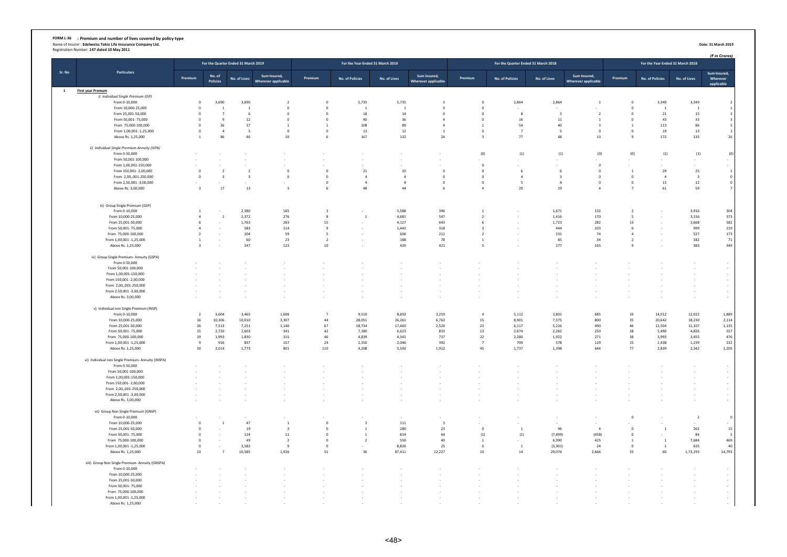# FORM L-36 : Premium and number of lives covered by policy type<br>Name of Insurer : Edelweiss Tokio Life Insurance Company Ltd.<br>Registration Number: 147 dated 10 May 2011

|              |                                                          |                         |                                  | For the Quarter Ended 31 March 2019 |                            |                                            | For the Year Ended 31 March 2019 |                                                      |                                                      |                                  |                        | For the Quarter Ended 31 March 2018 |                                  |                                  |                        | For the Year Ended 31 March 2018 | (₹ in Crores)            |
|--------------|----------------------------------------------------------|-------------------------|----------------------------------|-------------------------------------|----------------------------|--------------------------------------------|----------------------------------|------------------------------------------------------|------------------------------------------------------|----------------------------------|------------------------|-------------------------------------|----------------------------------|----------------------------------|------------------------|----------------------------------|--------------------------|
| Sr. No       | <b>Particulars</b>                                       |                         | No. of                           |                                     | Sum Insured,               |                                            |                                  |                                                      | Sum Insured,                                         |                                  |                        |                                     | Sum Insured.                     |                                  |                        |                                  | Sum Insured,             |
|              |                                                          | Premium                 | <b>Policies</b>                  | No. of Lives                        | <b>Wherever applicable</b> | Premium                                    | No. of Policies                  | No. of Lives                                         | <b>Wherever applicable</b>                           | Premium                          | No. of Policies        | No. of Lives                        | <b>Wherever applicable</b>       | Premium                          | <b>No. of Policies</b> | No. of Lives                     | Wherever<br>applicable   |
| $\mathbf{1}$ | <b>First year Premum</b>                                 |                         |                                  |                                     |                            |                                            |                                  |                                                      |                                                      |                                  |                        |                                     |                                  |                                  |                        |                                  |                          |
|              | i) Individual Single Premium (ISP)                       |                         |                                  |                                     |                            |                                            |                                  |                                                      |                                                      |                                  |                        |                                     |                                  |                                  |                        |                                  |                          |
|              | From 0-10,000                                            | $\,$ 0                  | 3,690                            | 3,690                               | $\overline{2}$             | $\,$ 0 $\,$                                | 5,735                            | 5,735                                                | $\overline{\mathbf{3}}$                              | $\,$ 0                           | 2,864                  | 2,864                               | $\overline{1}$                   | $\,$ 0                           | 3,349                  | 3,349                            |                          |
|              | From 10,000-25,000                                       | $\circ$<br>$\Omega$     | $\overline{1}$<br>$\overline{7}$ | $\mathbf{1}$                        | $\mathbf 0$                | $\circ$                                    | $\mathbf{1}$<br>18               | $\overline{1}$<br>14                                 | $\overline{0}$                                       | $\overline{\mathbf{0}}$          |                        | $\overline{3}$                      |                                  | $\circ$<br>$\Omega$              | $\overline{1}$         | $\overline{1}$                   | $\overline{3}$           |
|              | From 25,001-50,000<br>From 50,001-75,000                 | $^{\circ}$              | -9                               | 6<br>12                             | $^{\circ}$<br>$^{\circ}$   | $^{\circ}$<br>$^{\circ}$                   | 40                               | 36                                                   | $\overline{0}$<br>$\mathbf{A}$                       | $\overline{0}$<br>$\overline{0}$ | 8<br>16                | $11\,$                              | $\overline{2}$<br>$\overline{1}$ | $\overline{0}$                   | ${\bf 21}$<br>43       | 15<br>33                         | $\overline{\mathbf{3}}$  |
|              | From 75,000-100,000                                      | $^{\circ}$              | 36                               | 37                                  | $\,$ 1                     | $\mathbf{1}$                               | 108                              | 89                                                   | $\overline{4}$                                       | 1                                | 54                     | 40                                  | $\overline{\mathbf{3}}$          | <sup>1</sup>                     | 113                    | 86                               | 5                        |
|              | From 1,00,001 -1,25,000                                  | $\mathbf 0$             | $\overline{4}$                   | 5                                   | $\mathbf 0$                | $\,$ 0 $\,$                                | $13\,$                           | 12                                                   | <sup>1</sup>                                         | $\mathbf 0$                      | $\overline{7}$         | 5                                   | $\mathbf 0$                      | $\circ$                          | 19                     | 13                               | $\mathbf{1}$             |
|              | Above Rs. 1,25,000                                       | $\mathbf{1}$            | 46                               | 46                                  | $10\,$                     | 6                                          | 167                              | 132                                                  | 24                                                   | $\overline{\mathbf{3}}$          | 77                     | $\bf 48$                            | 13                               | $\mathbf{q}$                     | 172                    | 135                              | 26                       |
|              | ii) Individual Single Premium-Annuity (ISPA)             |                         |                                  |                                     |                            |                                            |                                  |                                                      |                                                      |                                  |                        |                                     |                                  |                                  |                        |                                  |                          |
|              | From 0-50,000                                            |                         |                                  |                                     |                            |                                            |                                  | $\tilde{\phantom{a}}$                                |                                                      | (0)                              | (1)                    | (1)                                 | (0)                              | (0)                              | (1)                    | (1)                              | (0)                      |
|              | From 50,001-100,000<br>From 1,00,001-150,000             |                         | ÷                                |                                     |                            |                                            | ÷                                | $\cdot$<br>٠                                         |                                                      | $\overline{0}$                   |                        |                                     | $\mathbf 0$                      |                                  |                        |                                  | $\sim$<br>$\sim$         |
|              | From 150,001-2,00,000                                    | $\circ$                 | $\overline{2}$                   | $\overline{2}$                      | $\circ$                    | $\circ$                                    | 21                               | 20                                                   | $\overline{0}$                                       | $\overline{\mathbf{0}}$          | 6                      | 6                                   | $\mathbf 0$                      | $\overline{1}$                   | 29                     | 25                               | $\mathbf{1}$             |
|              | From 2.00001-250.000                                     | $\circ$                 | $\overline{\mathbf{3}}$          | $\overline{\mathbf{3}}$             | $\circ$                    | $\circ$                                    | $\sim$                           | $\overline{4}$                                       | $\overline{0}$                                       | $\overline{0}$                   | 4                      | $\overline{\mathbf{3}}$             | $\mathbf 0$                      | $\overline{0}$                   | $\overline{4}$         | $\overline{\mathbf{3}}$          | $\mathbf 0$              |
|              | From 2,50,001 -3,00,000                                  |                         |                                  |                                     |                            | $\,0\,$                                    | $\overline{4}$                   | $\overline{4}$                                       | $\circ$                                              | $\overline{0}$                   | 5                      | $\overline{a}$                      | $\mathbf 0$                      | $\,$ 0                           | 13                     | 12                               | $\mathbf 0$              |
|              | Above Rs. 3,00,000                                       | $\overline{\mathbf{3}}$ | 17                               | 13                                  | $\overline{\mathbf{3}}$    | 6                                          | 48                               | 44                                                   | 6                                                    | $\overline{4}$                   | 29                     | 29                                  | $\overline{4}$                   | $\overline{7}$                   | 61                     | 59                               | $\overline{7}$           |
|              | iii) Group Single Premium (GSP)                          |                         |                                  |                                     |                            |                                            |                                  |                                                      |                                                      |                                  |                        |                                     |                                  |                                  |                        |                                  |                          |
|              | From 0-10,000                                            | $\mathbf{1}$            | $\sim$                           | 2,380                               | 165                        | $\overline{\mathbf{3}}$                    | $\overline{\phantom{a}}$         | 5,588                                                | 396                                                  | $\mathbf{1}$                     | $\sim$                 | 1,671                               | 132                              | $\overline{2}$                   |                        | 3,916                            | 304                      |
|              | From 10,000-25,000                                       | $\sqrt{4}$              | $\mathbf{1}$                     | 2,372                               | 276                        | $\mathbf{8}$                               | $\mathbf 1$                      | 4,681                                                | 547                                                  | $\overline{2}$                   | $\sim$                 | 1,416                               | 170                              | -5                               |                        | 3,156                            | 373                      |
|              | From 25,001-50,000                                       | 6                       |                                  | 1,763                               | 263                        | 15                                         |                                  | 4,127                                                | 643                                                  | 6                                |                        | 1,723                               | 282                              | 13                               |                        | 3,668                            | 582                      |
|              | From 50,001-75,000                                       | $\overline{a}$          | $\sim$                           | 583                                 | 114                        | 9                                          | $\overline{\phantom{a}}$         | 1,442                                                | 318                                                  | $\overline{\mathbf{3}}$          | $\sim$                 | 444                                 | 103                              | 6                                |                        | 999                              | 219                      |
|              | From 75,000-100,000<br>From 1,00,001 -1,25,000           | $\overline{2}$<br>-1    | ÷.<br>$\sim$                     | 204<br>60                           | 59<br>23                   | $\overline{\phantom{0}}$<br>$\overline{2}$ | ٠<br>٠                           | 606<br>188                                           | ${\bf 212}$<br>78                                    | $\overline{2}$<br>-1             | $\sim$<br>$\sim$       | 231<br>85                           | 74<br>34                         | $\overline{4}$<br>$\overline{2}$ |                        | 527<br>182                       | 173<br>71                |
|              | Above Rs. 1,25,000                                       | $\overline{\mathbf{3}}$ |                                  | 147                                 | 123                        | $10\,$                                     |                                  | 420                                                  | 421                                                  | $\overline{\phantom{a}}$         |                        | 177                                 | 165                              |                                  |                        | 383                              | 349                      |
|              | iv) Group Single Premium- Annuity (GSPA)                 |                         |                                  |                                     |                            |                                            |                                  |                                                      |                                                      |                                  |                        |                                     |                                  |                                  |                        |                                  |                          |
|              | From 0-50,000<br>From 50,001-100,000                     |                         |                                  |                                     |                            |                                            |                                  | $\overline{\phantom{a}}$<br>$\overline{\phantom{a}}$ | $\overline{\phantom{a}}$<br>$\overline{\phantom{a}}$ |                                  |                        |                                     |                                  |                                  |                        | ×<br>٠                           | $\sim$<br>$\sim$         |
|              | From 1,00,001-150,000                                    |                         |                                  |                                     |                            |                                            |                                  | $\cdot$                                              | $\blacksquare$                                       |                                  |                        |                                     |                                  |                                  |                        |                                  | $\sim$                   |
|              | From 150,001-2,00,000                                    |                         |                                  |                                     |                            |                                            |                                  |                                                      |                                                      |                                  |                        |                                     |                                  |                                  |                        |                                  | $\overline{\phantom{a}}$ |
|              | From 2,00,,001-250,000                                   |                         |                                  |                                     |                            | ٠                                          | $\overline{\phantom{a}}$         | $\overline{\phantom{a}}$                             | $\cdot$                                              |                                  | ٠.                     |                                     |                                  |                                  |                        | $\sim$                           | $\sim$                   |
|              | From 2,50,001 -3,00,000                                  |                         |                                  |                                     |                            |                                            | $\overline{\phantom{a}}$         | $\overline{\phantom{a}}$                             | $\cdot$                                              |                                  |                        |                                     |                                  |                                  |                        | $\cdot$                          | $\sim$                   |
|              | Above Rs. 3,00,000                                       |                         |                                  |                                     |                            |                                            | $\overline{\phantom{a}}$         | $\overline{\phantom{a}}$                             | $\sim$                                               |                                  |                        |                                     |                                  |                                  |                        | $\sim$                           | $\sim$                   |
|              | v) Individual non Single Premium (INSP)<br>From 0-10,000 | $\overline{2}$          | 3,604                            | 3.465                               | 1.606                      | $\overline{7}$                             | 9,510                            | 8,692                                                | 3.259                                                | $\overline{4}$                   | 5,112                  | 3,801                               | 685                              | 10                               | 14,012                 | 12,022                           | 1,889                    |
|              | From 10,000-25,000                                       | 16                      | 10.306                           | 10,010                              | 3,307                      | 44                                         | 28,051                           | 26.261                                               | 6.763                                                | 15                               | 8.901                  | 7.375                               | 800                              | 35                               | 20.642                 | 18,230                           | 2,114                    |
|              | From 25,001-50,000                                       | 26                      | 7,513                            | 7.251                               | 1.140                      | 67                                         | 18,734                           | 17.465                                               | 2.520                                                | 23                               | 6.117                  | 5,226                               | 490                              | 46                               | 12.504                 | 11,107                           | 1,135                    |
|              | From 50,001-75,000                                       | 15                      | 2,720                            | 2,603                               | 341                        | 42                                         | 7,180                            | 6,623                                                | 833                                                  | 13                               | 2,674                  | 2,262                               | 250                              | 28                               | 5,490                  | 4,826                            | 557                      |
|              | From 75,000-100,000                                      | 19                      | 1,993                            | 1,830                               | 315                        | 46                                         | 4,839                            | 4,341                                                | 737                                                  | 22                               | 2,280                  | 1,922                               | 271                              | 38                               | 3,993                  | 3,455                            | 476                      |
|              | From 1,00,001 -1,25,000<br>Above Rs. 1,25,000            | $9\,$<br>50             | 916<br>2,014                     | 837<br>1,773                        | 157<br>801                 | 24<br>110                                  | 2,350<br>4,208                   | 2,046<br>3,592                                       | 392<br>1,912                                         | $\overline{7}$<br>45             | 709<br>1,737           | 578<br>1,398                        | 129<br>644                       | 15<br>77                         | 1,438<br>2,839         | 1,239<br>2,342                   | 232<br>1,205             |
|              | vi) Individual non Single Premium- Annuity (INSPA)       |                         |                                  |                                     |                            |                                            |                                  |                                                      |                                                      |                                  |                        |                                     |                                  |                                  |                        |                                  |                          |
|              | From 0-50,000                                            |                         |                                  |                                     |                            |                                            |                                  |                                                      |                                                      |                                  |                        |                                     |                                  |                                  |                        |                                  | $\sim$                   |
|              | From 50,001-100,000                                      |                         |                                  |                                     |                            |                                            |                                  | $\overline{\phantom{a}}$                             | ٠                                                    |                                  |                        |                                     |                                  |                                  |                        |                                  | $\sim$                   |
|              | From 1,00,001-150,000                                    |                         |                                  |                                     |                            |                                            |                                  | ٠.                                                   | $\overline{\phantom{a}}$                             |                                  |                        |                                     |                                  |                                  |                        |                                  | $\sim$                   |
|              | From 150,001-2,00,000<br>From 2,00,,001-250,000          |                         |                                  |                                     |                            | $\sim$<br>$\overline{\phantom{a}}$         | ٠<br>٠                           | $\overline{\phantom{a}}$<br>$\overline{\phantom{a}}$ | $\overline{\phantom{a}}$<br>$\overline{\phantom{a}}$ |                                  | $\sim$<br>$\sim$       |                                     | $\sim$                           |                                  |                        | ٠<br>$\sim$                      | $\sim$<br>$\sim$         |
|              | From 2,50,001 -3,00,000                                  |                         |                                  |                                     |                            | $\overline{\phantom{a}}$                   | $\overline{\phantom{a}}$         | $\cdot$                                              | $\overline{\phantom{a}}$                             |                                  | $\sim$                 |                                     |                                  |                                  |                        | $\overline{\phantom{a}}$         | $\sim$                   |
|              | Above Rs. 3,00,000                                       |                         |                                  |                                     |                            |                                            |                                  |                                                      |                                                      |                                  |                        |                                     |                                  |                                  |                        |                                  | $\sim$                   |
|              | vii) Group Non Single Premium (GNSP)                     |                         |                                  |                                     |                            |                                            |                                  |                                                      |                                                      |                                  |                        |                                     |                                  |                                  |                        |                                  |                          |
|              | From 0-10,000<br>From 10,000-25,000                      | $\mathbf 0$             | $\mathbf 1$                      | 47                                  | $\mathbf{1}$               | $\,0\,$                                    | $\overline{2}$                   | $111\,$                                              | $\overline{\mathbf{3}}$                              |                                  |                        |                                     |                                  | $\overline{0}$                   |                        | $\overline{2}$                   | $\circ$                  |
|              | From 25,001-50,000                                       | $^{\circ}$              |                                  | 19                                  | $\overline{\mathbf{3}}$    | $\circ$                                    | <sup>1</sup>                     | 280                                                  | 23                                                   | $\,$ 0 $\,$                      | $\overline{1}$         | 96                                  | $\overline{4}$                   | $\circ$                          | $\mathbf{1}$           | 262                              | $\sim$<br>15             |
|              | From 50,001-75,000                                       | $^{\circ}$              | $\sim$                           | 124                                 | 11                         | $\circ$                                    | $\mathbf{1}$                     | 814                                                  | 64                                                   | (1)                              | (1)                    | (7, 499)                            | (458)                            | $\overline{0}$                   |                        | 84                               | 5                        |
|              | From 75,000-100,000                                      | $\Omega$                | $\sim$                           | 49                                  | $\overline{2}$             | $\Omega$                                   | $\overline{2}$                   | 550                                                  | 40                                                   | -1                               | $\sim$                 | 6.990                               | 425                              | $\overline{1}$                   | $\overline{1}$         | 7,684                            | 469                      |
|              | From 1,00,001 -1,25,000<br>Above Rs. 1,25,000            | $\Omega$<br>23          | $\sim$<br>$7\overline{ }$        | 3.582<br>10,585                     | $\mathbf{q}$<br>1,926      | $\Omega$<br>51                             | $\overline{\phantom{a}}$<br>36   | 8.826<br>87,411                                      | 25<br>12,227                                         | $\,$ 0 $\,$<br>$10\,$            | <sup>1</sup><br>$14\,$ | (3, 301)<br>29,074                  | 24<br>2,666                      | $\Omega$<br>33                   | $\overline{1}$<br>60   | 635<br>1,73,193                  | 40<br>14,793             |
|              | viii) Group Non Single Premium- Annuity (GNSPA)          |                         |                                  |                                     |                            |                                            |                                  |                                                      |                                                      |                                  |                        |                                     |                                  |                                  |                        |                                  |                          |
|              | From 0-10,000                                            |                         |                                  |                                     |                            |                                            |                                  | $\cdot$                                              | $\overline{\phantom{a}}$                             |                                  |                        |                                     |                                  |                                  |                        | $\sim$                           | $\sim$                   |
|              | From 10.000-25.000                                       |                         |                                  |                                     |                            |                                            |                                  | $\cdot$                                              | $\sim$                                               |                                  |                        |                                     |                                  |                                  |                        |                                  | $\sim$                   |
|              | From 25,001-50,000                                       |                         |                                  |                                     |                            |                                            |                                  | $\overline{\phantom{a}}$                             | $\overline{\phantom{a}}$                             |                                  |                        |                                     |                                  |                                  |                        |                                  | $\sim$                   |
|              | From 50,001-75,000                                       |                         |                                  |                                     |                            |                                            |                                  | $\overline{\phantom{a}}$                             | $\blacksquare$                                       |                                  |                        |                                     |                                  |                                  |                        |                                  | $\cdot$<br>$\cdot$       |
|              | From 75,000-100,000<br>From 1,00,001 -1,25,000           |                         |                                  |                                     |                            |                                            |                                  |                                                      |                                                      |                                  |                        |                                     |                                  |                                  |                        |                                  |                          |
|              | Ahove Rs. 1.25,000                                       |                         |                                  |                                     |                            |                                            |                                  |                                                      |                                                      |                                  |                        |                                     |                                  |                                  |                        |                                  |                          |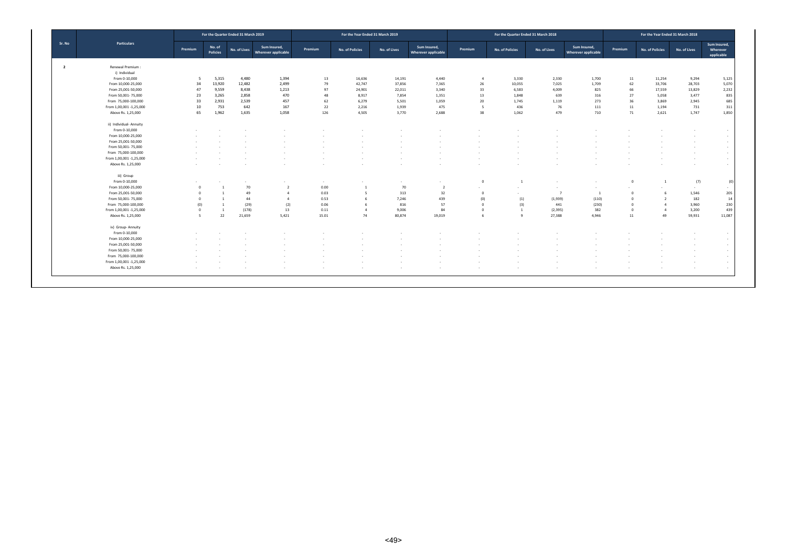|                |                         |                |                           | For the Quarter Ended 31 March 2019 |                                     |         | For the Year Ended 31 March 2019 |              |                                            |                | For the Quarter Ended 31 March 2018 |                |                                     |                | For the Year Ended 31 March 2018 |              |                                        |
|----------------|-------------------------|----------------|---------------------------|-------------------------------------|-------------------------------------|---------|----------------------------------|--------------|--------------------------------------------|----------------|-------------------------------------|----------------|-------------------------------------|----------------|----------------------------------|--------------|----------------------------------------|
| Sr. No         | <b>Particulars</b>      | Premium        | No. of<br><b>Policies</b> | No. of Lives                        | Sum Insured,<br>Wherever applicable | Premium | <b>No. of Policies</b>           | No. of Lives | Sum Insured,<br><b>Wherever applicable</b> | Premium        | <b>No. of Policies</b>              | No. of Lives   | Sum Insured,<br>Wherever applicable | Premium        | <b>No. of Policies</b>           | No. of Lives | Sum Insured,<br>Wherever<br>applicable |
| $\overline{2}$ | Renewal Premium         |                |                           |                                     |                                     |         |                                  |              |                                            |                |                                     |                |                                     |                |                                  |              |                                        |
|                | i) Individual           |                |                           |                                     |                                     |         |                                  |              |                                            |                |                                     |                |                                     |                |                                  |              |                                        |
|                | From 0-10,000           | - 5            | 5,315                     | 4,480                               | 1,394                               | 13      | 16,636                           | 14,191       | 4,440                                      | $\overline{a}$ | 3,330                               | 2,330          | 1,700                               | 11             | 11,254                           | 9,294        | 5,125                                  |
|                | From 10.000-25.000      | 34             | 13,920                    | 12,482                              | 2,499                               | 79      | 42,747                           | 37,856       | 7,365                                      | 26             | 10,055                              | 7,025          | 1,709                               | 62             | 33,706                           | 28,703       | 5,070                                  |
|                | From 25,001-50,000      | 47             | 9,559                     | 8,438                               | 1,213                               | 97      | 24,901                           | 22,011       | 3,340                                      | 33             | 6,583                               | 4,009          | 825                                 | 66             | 17,559                           | 13,829       | 2,232                                  |
|                | From 50,001-75,000      | 23             | 3,265                     | 2.858                               | 470                                 | 48      | 8,917                            | 7,854        | 1,351                                      | 13             | 1.848                               | 639            | 316                                 | 27             | 5,058                            | 3,477        | 835                                    |
|                | From 75,000-100,000     | 33             | 2,931                     | 2,539                               | 457                                 | 62      | 6,279                            | 5,501        | 1,059                                      | 20             | 1,745                               | 1,119          | 273                                 | 36             | 3,869                            | 2,945        | 685                                    |
|                | From 1,00,001 -1,25,000 | 10             | 753                       | 642                                 | 167                                 | 22      | 2,216                            | 1,939        | 475                                        | - 5            | 436                                 | 76             | 111                                 | 11             | 1,194                            | 731          | 311                                    |
|                | Above Rs. 1,25,000      | 65             | 1,962                     | 1,635                               | 1,058                               | 126     | 4,505                            | 3,770        | 2,688                                      | 38             | 1,062                               | 479            | 710                                 | 71             | 2,621                            | 1,747        | 1,850                                  |
|                | ii) Individual- Annuity |                |                           |                                     |                                     |         |                                  |              |                                            |                |                                     |                |                                     |                |                                  |              |                                        |
|                | From 0-10,000           |                |                           |                                     |                                     |         |                                  |              |                                            |                |                                     |                |                                     |                |                                  |              | $\overline{\phantom{a}}$               |
|                | From 10,000-25,000      |                |                           |                                     |                                     |         |                                  |              |                                            |                |                                     |                |                                     |                |                                  |              | $\sim$                                 |
|                | From 25,001-50,000      |                |                           |                                     |                                     |         |                                  |              |                                            |                |                                     |                |                                     |                |                                  |              |                                        |
|                | From 50,001-75,000      |                |                           |                                     |                                     |         |                                  |              |                                            |                |                                     |                |                                     |                |                                  |              |                                        |
|                | From 75,000-100,000     |                |                           |                                     |                                     |         |                                  |              |                                            |                |                                     |                |                                     |                |                                  |              |                                        |
|                | From 1,00,001 -1,25,000 |                |                           |                                     |                                     |         |                                  |              |                                            |                |                                     |                |                                     |                |                                  |              |                                        |
|                | Above Rs. 1,25,000      |                |                           |                                     |                                     |         |                                  |              |                                            |                |                                     |                |                                     |                |                                  |              | $\sim$                                 |
|                | iii) Group              |                |                           |                                     |                                     |         |                                  |              |                                            |                |                                     |                |                                     |                |                                  |              |                                        |
|                | From 0-10,000           |                |                           | $\sim$                              |                                     | $\sim$  | $\overline{\phantom{a}}$         | $\sim$       | $\sim$                                     | $\Omega$       |                                     |                |                                     | $\overline{0}$ | $\overline{1}$                   | (7)          |                                        |
|                | From 10,000-25,000      |                |                           | 70                                  |                                     | 0.00    |                                  | 70           | $\overline{2}$                             |                |                                     | <b>1999</b>    |                                     |                | $\sim$                           | $\sim$       |                                        |
|                | From 25,001-50,000      | $\Omega$       | $\overline{1}$            | 49                                  | $\overline{4}$                      | 0.03    | 5                                | 313          | 32                                         | $\circ$        |                                     | $\overline{7}$ | $\overline{1}$                      | $\circ$        | -6                               | 1,546        |                                        |
|                | From 50,001-75,000      | $\sqrt{2}$     | $\overline{1}$            | 44                                  | $\overline{4}$                      | 0.53    | -6                               | 7,246        | 439                                        | (0)            | (1)                                 | (1,939)        | (110)                               | $\Omega$       | $\overline{2}$                   | 182          |                                        |
|                | From 75,000-100,000     | (0)            |                           | (29)                                | (2)                                 | 0.06    | -6                               | 816          | 57                                         |                | (3)                                 | 441            | (230)                               | $\Omega$       | $\overline{a}$                   | 3,960        | 230                                    |
|                | From 1,00,001 -1,25,000 | $\circ$        | $\overline{1}$            | (178)                               | 13                                  | 0.11    | $\overline{4}$                   | 9,006        | 84                                         | $\Omega$       | $\overline{1}$                      | (2,395)        | 382                                 | $\Omega$       | $\sim$                           | 3,200        | 439                                    |
|                | Above Rs. 1,25,000      | $\overline{5}$ | 22                        | 21,659                              | 5,421                               | 15.01   | 74                               | 80,874       | 19,019                                     | 6              | $\mathbf{q}$                        | 27,388         | 4,946                               | 11             | 49                               | 59,931       | 11,087                                 |
|                | iv) Group-Annuity       |                |                           |                                     |                                     |         |                                  |              |                                            |                |                                     |                |                                     |                |                                  |              |                                        |
|                | From 0-10,000           |                |                           |                                     |                                     |         |                                  |              |                                            |                |                                     |                |                                     |                |                                  |              |                                        |
|                | From 10,000-25,000      |                |                           |                                     |                                     |         |                                  |              |                                            |                |                                     |                |                                     |                |                                  |              |                                        |
|                | From 25.001-50.000      |                |                           |                                     |                                     |         |                                  |              |                                            |                |                                     |                |                                     |                |                                  |              |                                        |
|                | From 50,001-75,000      |                |                           |                                     |                                     |         |                                  |              |                                            |                |                                     |                |                                     |                |                                  |              |                                        |
|                | From 75,000-100,000     |                |                           |                                     |                                     |         |                                  |              |                                            |                |                                     |                |                                     |                |                                  |              |                                        |
|                | From 1,00,001 -1,25,000 |                |                           |                                     |                                     |         |                                  |              |                                            |                |                                     |                |                                     |                |                                  |              |                                        |
|                | Above Rs. 1,25,000      |                |                           |                                     |                                     |         |                                  |              |                                            |                |                                     |                |                                     |                |                                  | $\sim$       | $\sim$                                 |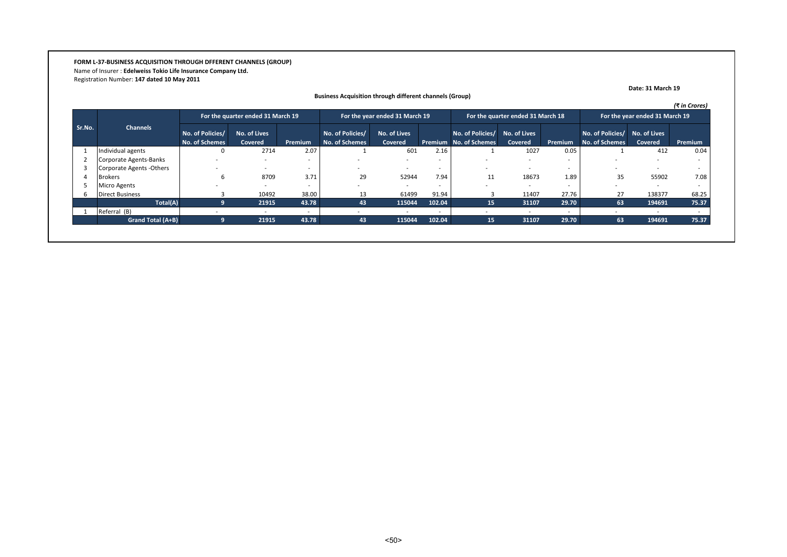**FORM L-37-BUSINESS ACQUISITION THROUGH DFFERENT CHANNELS (GROUP)** Name of Insurer : **Edelweiss Tokio Life Insurance Company Ltd.** Registration Number: **147 dated 10 May 2011**

|        |                           |                                           |                                   |         |                                           |                                |        |                                            |                                   |                          |                                                 |                                | (₹ in Crores) |
|--------|---------------------------|-------------------------------------------|-----------------------------------|---------|-------------------------------------------|--------------------------------|--------|--------------------------------------------|-----------------------------------|--------------------------|-------------------------------------------------|--------------------------------|---------------|
|        |                           |                                           | For the quarter ended 31 March 19 |         |                                           | For the year ended 31 March 19 |        |                                            | For the quarter ended 31 March 18 |                          |                                                 | For the year ended 31 March 19 |               |
| Sr.No. | <b>Channels</b>           | No. of Policies/<br><b>No. of Schemes</b> | No. of Lives<br>Covered           | Premium | No. of Policies/<br><b>No. of Schemes</b> | No. of Lives<br>Covered        |        | No. of Policies/<br>Premium No. of Schemes | No. of Lives<br>Covered           | Premium                  | No. of Policies/ No. of Lives<br>No. of Schemes | Covered                        | Premium       |
|        | Individual agents         |                                           | 2714                              | 2.07    |                                           | 601                            | 2.16   |                                            | 1027                              | 0.05                     |                                                 | 412                            | 0.04          |
|        | Corporate Agents-Banks    |                                           |                                   |         |                                           | ۰.                             |        |                                            |                                   |                          |                                                 |                                |               |
|        | Corporate Agents - Others |                                           |                                   |         | $\overline{\phantom{a}}$                  | $\sim$                         |        | $\sim$                                     |                                   |                          | ۰.                                              | $\sim$                         |               |
|        | <b>Brokers</b>            |                                           | 8709                              | 3.71    | 29                                        | 52944                          | 7.94   |                                            | 18673                             | 1.89                     | 35                                              | 55902                          | 7.08          |
|        | <b>Micro Agents</b>       |                                           |                                   |         |                                           | ۰.                             |        |                                            |                                   |                          |                                                 |                                |               |
| b      | <b>Direct Business</b>    |                                           | 10492                             | 38.00   | 13                                        | 61499                          | 91.94  |                                            | 11407                             | 27.76                    | 27                                              | 138377                         | 68.25         |
|        | Total(A)                  |                                           | 21915                             | 43.78   | 43                                        | 115044                         | 102.04 | 15                                         | 31107                             | 29.70                    | 63                                              | 194691                         | 75.37         |
|        | Referral (B)              |                                           |                                   |         |                                           |                                |        |                                            | $\overline{\phantom{a}}$          | $\overline{\phantom{a}}$ | $\overline{\phantom{a}}$                        | $\overline{\phantom{a}}$       |               |
|        | <b>Grand Total (A+B)</b>  |                                           | 21915                             | 43.78   | 43                                        | 115044                         | 102.04 | 15                                         | 31107                             | 29.70                    | 63                                              | 194691                         | 75.37         |

**Date: 31 March 19**

# **Business Acquisition through different channels (Group)**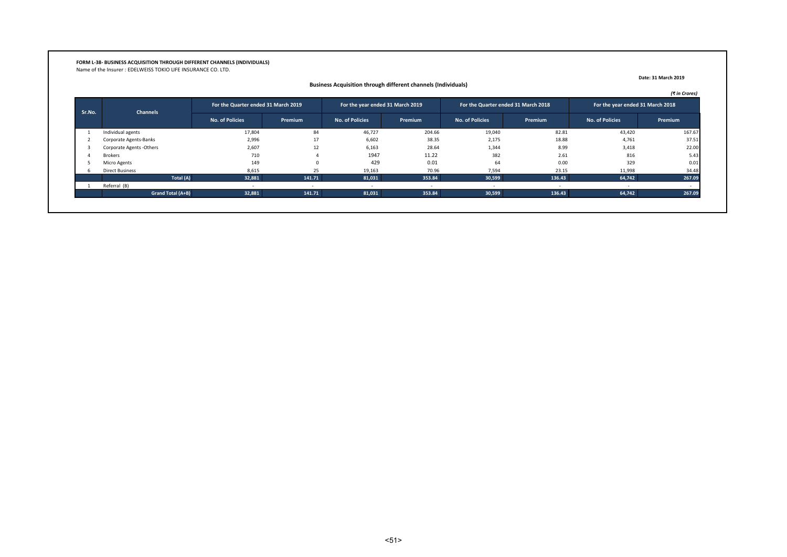# **FORM L-38- BUSINESS ACQUISITION THROUGH DIFFERENT CHANNELS (INDIVIDUALS)** Name of the Insurer : EDELWEISS TOKIO LIFE INSURANCE CO. LTD.

|        |                          | For the Quarter ended 31 March 2019 |         | For the year ended 31 March 2019 |         | For the Quarter ended 31 March 2018 |         | For the year ended 31 March 2018 |         |
|--------|--------------------------|-------------------------------------|---------|----------------------------------|---------|-------------------------------------|---------|----------------------------------|---------|
| Sr.No. | <b>Channels</b>          | <b>No. of Policies</b>              | Premium | <b>No. of Policies</b>           | Premium | <b>No. of Policies</b>              | Premium | No. of Policies                  | Premium |
|        | Individual agents        | 17,804                              | 84      | 46,727                           | 204.66  | 19,040                              | 82.81   | 43,420                           | 167.67  |
|        | Corporate Agents-Banks   | 2,996                               | 17      | 6,602                            | 38.35   | 2,175                               | 18.88   | 4,761                            | 37.51   |
|        | Corporate Agents -Others | 2,607                               | 12      | 6,163                            | 28.64   | 1,344                               | 8.99    | 3,418                            | 22.00   |
|        | <b>Brokers</b>           | 710                                 |         | 1947                             | 11.22   | 382                                 | 2.61    | 816                              | 5.43    |
|        | Micro Agents             | 149                                 | n       | 429                              | 0.01    | 64                                  | 0.00    | 329                              | 0.01    |
|        | <b>Direct Business</b>   | 8,615                               | 25      | 19,163                           | 70.96   | 7,594                               | 23.15   | 11,998                           | 34.48   |
|        | Total (A)                | 32,881                              | 141.71  | 81,031                           | 353.84  | 30,599                              | 136.43  | 64,742                           | 267.09  |
|        | Referral (B)             |                                     |         |                                  |         |                                     |         |                                  |         |
|        | Grand Total (A+B)        | 32,881                              | 141.71  | 81,031                           | 353.84  | 30,599                              | 136.43  | 64,742                           | 267.09  |

 **Business Acquisition through different channels (Individuals)**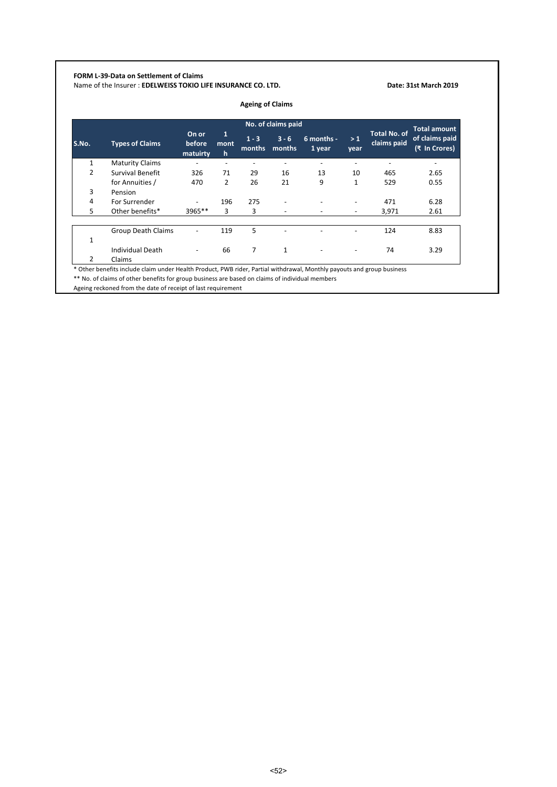# **FORM L-39-Data on Settlement of Claims**

Name of the Insurer : **EDELWEISS TOKIO LIFE INSURANCE CO. LTD. Date: 31st March 2019 Date: 31st March 2019** 

|               |                           |                             |                |                   | No. of claims paid |                      |              |                                    | <b>Total amount</b>             |
|---------------|---------------------------|-----------------------------|----------------|-------------------|--------------------|----------------------|--------------|------------------------------------|---------------------------------|
| S.No.         | <b>Types of Claims</b>    | On or<br>before<br>matuirty | 1<br>mont<br>h | $1 - 3$<br>months | $3 - 6$<br>months  | 6 months -<br>1 year | >1<br>year   | <b>Total No. of</b><br>claims paid | of claims paid<br>(₹ In Crores) |
| $\mathbf{1}$  | <b>Maturity Claims</b>    | ٠                           | ٠              |                   |                    |                      |              |                                    |                                 |
| 2             | Survival Benefit          | 326                         | 71             | 29                | 16                 | 13                   | 10           | 465                                | 2.65                            |
|               | for Annuities /           | 470                         | $\overline{2}$ | 26                | 21                 | 9                    | $\mathbf{1}$ | 529                                | 0.55                            |
| 3             | Pension                   |                             |                |                   |                    |                      |              |                                    |                                 |
| 4             | For Surrender             |                             | 196            | 275               |                    |                      |              | 471                                | 6.28                            |
| 5             | Other benefits*           | $3965**$                    | 3              | 3                 |                    |                      |              | 3,971                              | 2.61                            |
|               | <b>Group Death Claims</b> |                             | 119            | 5                 |                    |                      |              | 124                                | 8.83                            |
| $\mathbf{1}$  |                           |                             |                |                   |                    |                      |              |                                    |                                 |
|               | <b>Individual Death</b>   |                             | 66             | 7                 | $\mathbf{1}$       |                      |              | 74                                 | 3.29                            |
| $\mathcal{P}$ | Claims                    |                             |                |                   |                    |                      |              |                                    |                                 |

\*\* No. of claims of other benefits for group business are based on claims of individual members

Ageing reckoned from the date of receipt of last requirement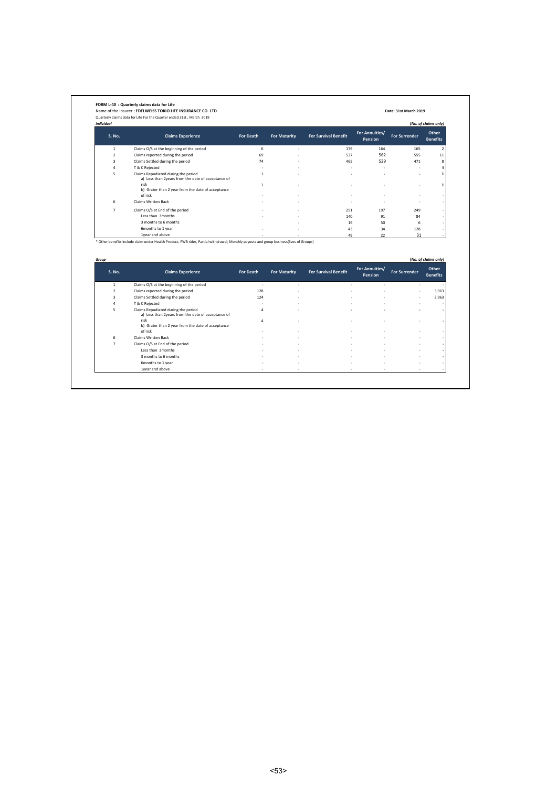|                   | Name of the Insurer: EDELWEISS TOKIO LIFE INSURANCE CO. LTD.<br>Quarterly claims data for Life For the Quarter ended 31st, March 2019                      |                              |                     |                             |                                  | Date: 31st March 2019 |                                                  |
|-------------------|------------------------------------------------------------------------------------------------------------------------------------------------------------|------------------------------|---------------------|-----------------------------|----------------------------------|-----------------------|--------------------------------------------------|
| <b>Individual</b> |                                                                                                                                                            |                              |                     |                             |                                  |                       | (No. of claims only)                             |
| S. No.            | <b>Claims Experience</b>                                                                                                                                   | For Death                    | <b>For Maturity</b> | <b>For Survival Benefit</b> | For Annuities/<br><b>Pension</b> | <b>For Surrender</b>  | Other<br><b>Benefits</b>                         |
| $\mathbf{1}$      | Claims O/S at the beginning of the period                                                                                                                  | 6                            | ٠                   | 179                         | 164                              | 165                   | 2                                                |
| $\overline{2}$    | Claims reported during the period                                                                                                                          | 69                           |                     | 537                         | 562                              | 555                   | 11                                               |
| 3                 | Claims Settled during the period                                                                                                                           | 74                           |                     | 465                         | 529                              | 471                   | 8                                                |
| 4                 | T & C Rejected                                                                                                                                             | ä,                           |                     | ä,                          |                                  |                       | $\overline{a}$                                   |
| 5                 | Claims Repudiated during the period<br>a) Less than 2years from the date of acceptance of<br>risk                                                          | $\mathbf{1}$<br>$\mathbf{1}$ |                     |                             |                                  |                       | 1<br>$\mathbf{1}$                                |
|                   | b) Grater than 2 year from the date of acceptance<br>of risk                                                                                               |                              |                     |                             |                                  |                       |                                                  |
| 6                 | Claims Written Back                                                                                                                                        |                              |                     | ٠                           | ٠                                |                       |                                                  |
| $\overline{7}$    | Claims O/S at End of the period                                                                                                                            |                              |                     | 251                         | 197                              | 249                   |                                                  |
|                   | Less than 3months                                                                                                                                          |                              |                     | 140                         | 91                               | 84                    |                                                  |
|                   | 3 months to 6 months                                                                                                                                       |                              |                     | 19                          | 50                               | 6                     |                                                  |
|                   |                                                                                                                                                            |                              |                     |                             |                                  |                       |                                                  |
|                   | 6months to 1 year                                                                                                                                          |                              |                     | 43                          | 34                               | 128                   |                                                  |
|                   | 1year and above<br>* Other benefits include claim under Health Product, PWB rider, Partial withdrawal, Monthly payouts and group business(lives of Groups) |                              |                     | 49                          | 22                               | 31                    |                                                  |
| Group<br>S. No.   | <b>Claims Experience</b>                                                                                                                                   | For Death                    | <b>For Maturity</b> | <b>For Survival Benefit</b> | For Annuities/<br><b>Pension</b> | <b>For Surrender</b>  | (No. of claims only)<br>Other<br><b>Benefits</b> |
|                   |                                                                                                                                                            | $\epsilon$                   |                     |                             |                                  |                       |                                                  |
| $\mathbf{1}$      | Claims O/S at the beginning of the period                                                                                                                  |                              |                     |                             |                                  |                       |                                                  |
| $\mathbf 2$       | Claims reported during the period                                                                                                                          | 128                          |                     |                             |                                  |                       | 3,963                                            |
| 3<br>4            | Claims Settled during the period                                                                                                                           | 124                          |                     |                             |                                  |                       | 3,963                                            |
| 5                 | T & C Rejected<br>Claims Repudiated during the period<br>a) Less than 2years from the date of acceptance of                                                | $\overline{a}$               |                     |                             |                                  |                       |                                                  |
|                   | risk<br>b) Grater than 2 year from the date of acceptance                                                                                                  | $\overline{a}$               |                     |                             |                                  |                       |                                                  |
| 6                 | of risk<br>Claims Written Back                                                                                                                             |                              |                     |                             |                                  |                       |                                                  |
| $\overline{7}$    |                                                                                                                                                            |                              |                     |                             |                                  |                       |                                                  |
|                   | Claims O/S at End of the period<br>Less than 3months                                                                                                       |                              |                     |                             |                                  |                       |                                                  |
|                   | 3 months to 6 months                                                                                                                                       |                              |                     |                             |                                  |                       |                                                  |
|                   | 6months to 1 year                                                                                                                                          |                              |                     |                             |                                  |                       |                                                  |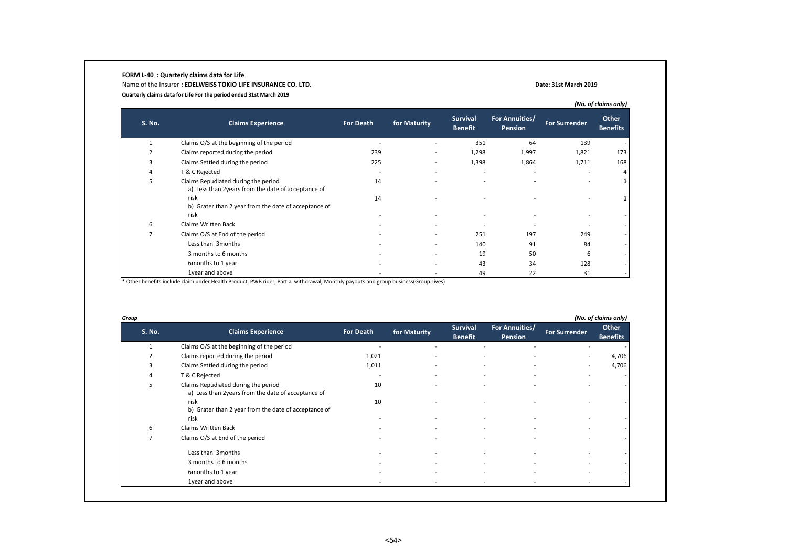#### **FORM L-40 : Quarterly claims data for Life**

Name of the Insurer **: EDELWEISS TOKIO LIFE INSURANCE CO. LTD. Date: 31st March 2019 Quarterly claims data for Life For the period ended 31st March 2019**

|               |                                                                                           |                          |                          |                                   |                                  |                          | (No. of claims only)     |
|---------------|-------------------------------------------------------------------------------------------|--------------------------|--------------------------|-----------------------------------|----------------------------------|--------------------------|--------------------------|
| <b>S. No.</b> | <b>Claims Experience</b>                                                                  | <b>For Death</b>         | for Maturity             | <b>Survival</b><br><b>Benefit</b> | For Annuities/<br><b>Pension</b> | <b>For Surrender</b>     | Other<br><b>Benefits</b> |
|               | Claims O/S at the beginning of the period                                                 |                          |                          | 351                               | 64                               | 139                      |                          |
|               | Claims reported during the period                                                         | 239                      | $\overline{\phantom{a}}$ | 1,298                             | 1,997                            | 1,821                    | 173                      |
| 3             | Claims Settled during the period                                                          | 225                      | ٠                        | 1,398                             | 1,864                            | 1,711                    | 168                      |
| 4             | T & C Rejected                                                                            | $\overline{\phantom{a}}$ | ٠                        |                                   | $\overline{a}$                   |                          |                          |
| 5             | Claims Repudiated during the period<br>a) Less than 2years from the date of acceptance of | 14                       |                          |                                   |                                  |                          |                          |
|               | risk<br>b) Grater than 2 year from the date of acceptance of<br>risk                      | 14                       |                          |                                   |                                  | $\overline{\phantom{a}}$ |                          |
| 6             | <b>Claims Written Back</b>                                                                |                          |                          |                                   |                                  |                          |                          |
|               | Claims O/S at End of the period                                                           |                          | ٠                        | 251                               | 197                              | 249                      |                          |
|               | Less than 3months                                                                         |                          | ٠                        | 140                               | 91                               | 84                       |                          |
|               | 3 months to 6 months                                                                      |                          | ٠                        | 19                                | 50                               | 6                        |                          |
|               | 6months to 1 year                                                                         |                          | ٠                        | 43                                | 34                               | 128                      |                          |
|               | 1year and above                                                                           |                          | ٠                        | 49                                | 22                               | 31                       |                          |

\* Other benefits include claim under Health Product, PWB rider, Partial withdrawal, Monthly payouts and group business(Group Lives)

| <b>S. No.</b> | <b>Claims Experience</b>                                                                  | <b>For Death</b>         | for Maturity | <b>Survival</b><br><b>Benefit</b> | For Annuities/<br>Pension                            | <b>For Surrender</b> | Other<br><b>Benefits</b> |
|---------------|-------------------------------------------------------------------------------------------|--------------------------|--------------|-----------------------------------|------------------------------------------------------|----------------------|--------------------------|
|               | Claims O/S at the beginning of the period                                                 |                          |              |                                   |                                                      |                      |                          |
| 2             | Claims reported during the period                                                         | 1,021                    |              |                                   |                                                      |                      | 4,706                    |
| 3             | Claims Settled during the period                                                          | 1,011                    |              |                                   | $\overline{\phantom{a}}$<br>$\overline{\phantom{a}}$ |                      | 4,706                    |
| 4             | T & C Rejected                                                                            | $\overline{\phantom{a}}$ |              |                                   |                                                      |                      |                          |
| 5             | Claims Repudiated during the period<br>a) Less than 2years from the date of acceptance of | 10                       |              |                                   |                                                      |                      |                          |
|               | risk<br>b) Grater than 2 year from the date of acceptance of                              | 10                       |              |                                   |                                                      |                      |                          |
|               | risk                                                                                      |                          |              |                                   |                                                      |                      |                          |
| 6             | Claims Written Back                                                                       |                          |              |                                   |                                                      |                      |                          |
|               | Claims O/S at End of the period                                                           |                          |              |                                   |                                                      |                      |                          |
|               | Less than 3months                                                                         |                          |              |                                   |                                                      |                      |                          |
|               | 3 months to 6 months                                                                      |                          |              |                                   |                                                      |                      |                          |
|               | 6months to 1 year                                                                         |                          |              |                                   |                                                      |                      |                          |
|               | 1year and above                                                                           |                          |              |                                   | $\overline{\phantom{a}}$                             |                      |                          |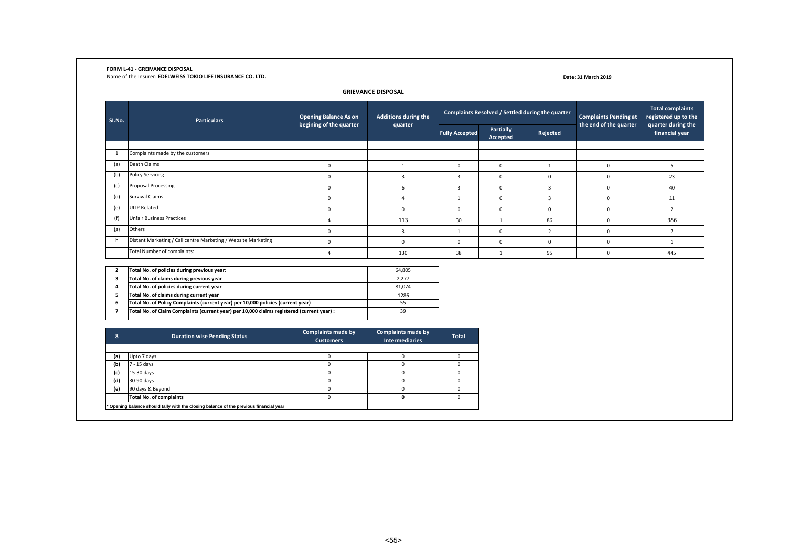#### **FORM L-41 - GREIVANCE DISPOSAL**

Name of the Insurer: **EDELWEISS TOKIO LIFE INSURANCE CO. LTD.**

#### **Date: 31 March 2019**

#### **GRIEVANCE DISPOSAL**

| SI.No. | <b>Particulars</b>                                            | <b>Opening Balance As on</b> | <b>Additions during the</b> |                       |                       | Complaints Resolved / Settled during the quarter | <b>Complaints Pending at</b> | <b>Total complaints</b><br>registered up to the |
|--------|---------------------------------------------------------------|------------------------------|-----------------------------|-----------------------|-----------------------|--------------------------------------------------|------------------------------|-------------------------------------------------|
|        |                                                               | begining of the quarter      | quarter                     | <b>Fully Accepted</b> | Partially<br>Accepted | Rejected                                         | the end of the quarter       | quarter during the<br>financial year            |
|        | Complaints made by the customers                              |                              |                             |                       |                       |                                                  |                              |                                                 |
| (a)    | Death Claims                                                  | $\Omega$                     |                             | 0                     |                       |                                                  | 0                            |                                                 |
| (b)    | <b>Policy Servicing</b>                                       | $\Omega$                     |                             | 3                     | ŋ                     |                                                  | 0                            | 23                                              |
| (c)    | Proposal Processing                                           | $\Omega$                     |                             |                       | 0                     |                                                  | 0                            | 40                                              |
| (d)    | <b>Survival Claims</b>                                        | 0                            |                             |                       | $\Omega$              | $\mathbf{a}$                                     | 0                            | 11                                              |
| (e)    | ULIP Related                                                  | $\Omega$                     |                             | o                     | 0                     |                                                  | 0                            |                                                 |
| (f)    | <b>Unfair Business Practices</b>                              |                              | 113                         | 30                    |                       | 86                                               | $\Omega$                     | 356                                             |
| (g)    | Others                                                        | $\Omega$                     | $\mathbf{a}$                |                       | ŋ                     |                                                  | 0                            |                                                 |
| h.     | Distant Marketing / Call centre Marketing / Website Marketing | $\Omega$                     |                             | o                     |                       |                                                  | 0                            |                                                 |
|        | Total Number of complaints:                                   |                              | 130                         | 38                    |                       | 95                                               | $\Omega$                     | 445                                             |

|   | Total No. of policies during previous year:                                                | 64.805 |
|---|--------------------------------------------------------------------------------------------|--------|
|   | Total No. of claims during previous year                                                   | 2.277  |
| 4 | Total No. of policies during current year                                                  | 81.074 |
|   | Total No. of claims during current year                                                    | 1286   |
| 6 | Total No. of Policy Complaints (current year) per 10,000 policies (current year)           | 55     |
|   | Total No. of Claim Complaints (current year) per 10,000 claims registered (current year) : | 39     |
|   |                                                                                            |        |

| $\bullet$<br>◠ | <b>Duration wise Pending Status</b>                                                    | <b>Complaints made by</b><br><b>Customers</b> | <b>Complaints made by</b><br><b>Intermediaries</b> | <b>Total</b> |
|----------------|----------------------------------------------------------------------------------------|-----------------------------------------------|----------------------------------------------------|--------------|
|                |                                                                                        |                                               |                                                    |              |
| (a)            | Upto 7 days                                                                            |                                               |                                                    |              |
| (b)            | 7 - 15 days                                                                            |                                               |                                                    |              |
| (c)            | 15-30 days                                                                             |                                               |                                                    |              |
| (d)            | 30-90 days                                                                             |                                               |                                                    |              |
| (e)            | 90 days & Beyond                                                                       |                                               |                                                    |              |
|                | <b>Total No. of complaints</b>                                                         |                                               |                                                    |              |
|                | * Opening balance should tally with the closing balance of the previous financial year |                                               |                                                    |              |